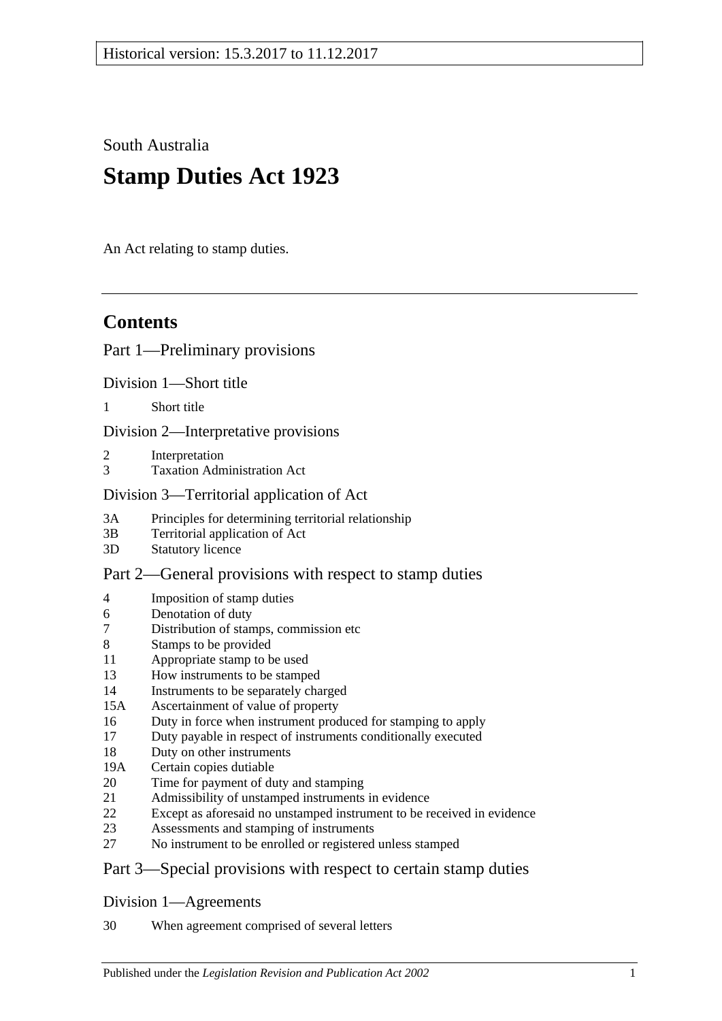South Australia

# **Stamp Duties Act 1923**

An Act relating to stamp duties.

# **Contents**

# [Part 1—Preliminary provisions](#page-4-0)

[Division 1—Short title](#page-4-1)

1 [Short title](#page-4-2)

[Division 2—Interpretative provisions](#page-4-3)

- 2 [Interpretation](#page-4-4)
- 3 [Taxation Administration Act](#page-9-0)

## [Division 3—Territorial application of Act](#page-9-1)

- 3A [Principles for determining territorial relationship](#page-9-2)
- 3B [Territorial application of Act](#page-9-3)
- 3D [Statutory licence](#page-10-0)

# [Part 2—General provisions with respect to stamp duties](#page-12-0)

- 4 [Imposition of stamp duties](#page-12-1)
- 6 [Denotation of duty](#page-12-2)
- 7 [Distribution of stamps, commission etc](#page-12-3)
- 8 [Stamps to be provided](#page-12-4)
- 11 [Appropriate stamp to be used](#page-12-5)
- 13 [How instruments to be stamped](#page-12-6)
- 14 [Instruments to be separately charged](#page-13-0)
- 15A [Ascertainment of value of property](#page-13-1)
- 16 [Duty in force when instrument produced for stamping to apply](#page-13-2)
- 17 [Duty payable in respect of instruments conditionally executed](#page-13-3)
- 18 [Duty on other instruments](#page-14-0)
- 19A [Certain copies dutiable](#page-14-1)
- 20 [Time for payment of duty and stamping](#page-14-2)
- 21 [Admissibility of unstamped instruments in evidence](#page-15-0)
- 22 [Except as aforesaid no unstamped instrument to be received in evidence](#page-15-1)
- 23 [Assessments and stamping of instruments](#page-15-2)
- 27 [No instrument to be enrolled or registered unless stamped](#page-16-0)

# [Part 3—Special provisions with respect to certain stamp duties](#page-18-0)

## [Division 1—Agreements](#page-18-1)

30 [When agreement comprised of several letters](#page-18-2)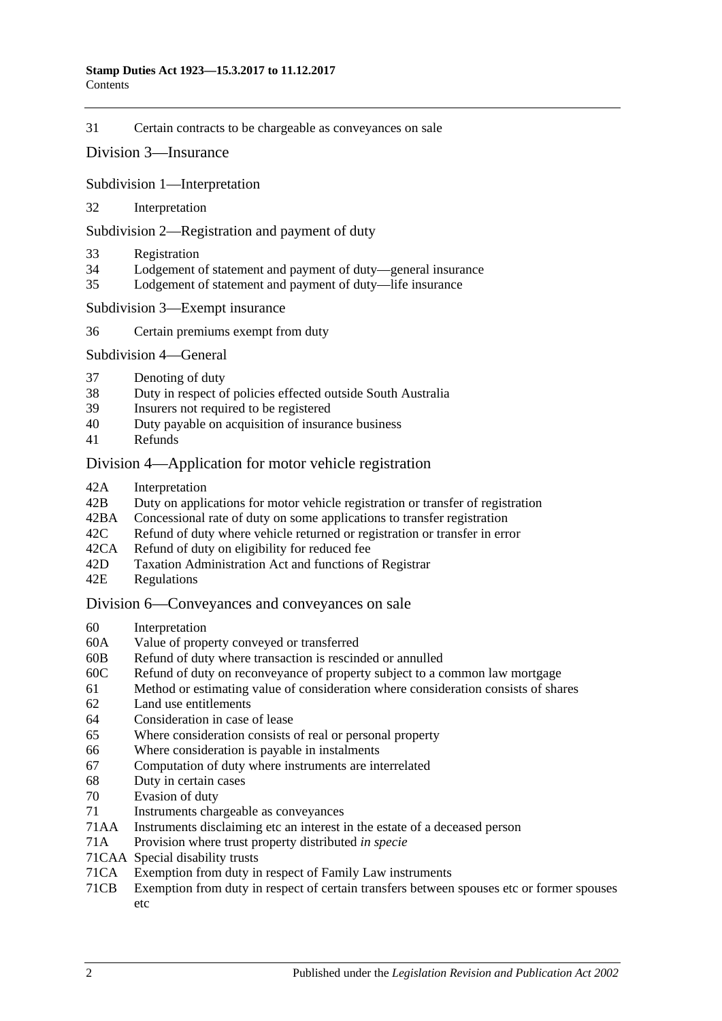31 [Certain contracts to be chargeable as conveyances on sale](#page-18-3)

#### Division [3—Insurance](#page-19-0)

Subdivision [1—Interpretation](#page-19-1)

32 [Interpretation](#page-19-2)

Subdivision [2—Registration and payment of duty](#page-20-0)

- 33 [Registration](#page-20-1)
- 34 [Lodgement of statement and payment of duty—general insurance](#page-21-0)
- 35 [Lodgement of statement and payment of duty—life insurance](#page-22-0)

Subdivision [3—Exempt insurance](#page-23-0)

36 [Certain premiums exempt from duty](#page-23-1)

[Subdivision](#page-24-0) 4—General

- 37 [Denoting of duty](#page-24-1)
- 38 [Duty in respect of policies effected outside South Australia](#page-24-2)
- 39 [Insurers not required to be registered](#page-25-0)
- 40 [Duty payable on acquisition of insurance business](#page-25-1)
- 41 [Refunds](#page-26-0)

#### [Division 4—Application for motor vehicle registration](#page-26-1)

- 42A [Interpretation](#page-26-2)
- 42B [Duty on applications for motor vehicle registration or transfer of registration](#page-27-0)
- 42BA [Concessional rate of duty on some applications to transfer registration](#page-29-0)
- 42C [Refund of duty where vehicle returned or registration or transfer in error](#page-29-1)
- 42CA [Refund of duty on eligibility for reduced fee](#page-30-0)<br>42D Taxation Administration Act and functions of
- [Taxation Administration Act and functions of Registrar](#page-30-1)
- 42E [Regulations](#page-30-2)

#### [Division 6—Conveyances and conveyances on sale](#page-30-3)

- 60 [Interpretation](#page-30-4)
- 60A [Value of property conveyed or transferred](#page-31-0)
- 60B [Refund of duty where transaction is rescinded or annulled](#page-33-0)
- 60C [Refund of duty on reconveyance of property subject to a common law mortgage](#page-33-1)
- 61 [Method or estimating value of consideration where consideration consists of shares](#page-34-0)
- 62 [Land use entitlements](#page-34-1)
- 64 [Consideration in case of lease](#page-35-0)
- 65 [Where consideration consists of real or personal property](#page-35-1)
- 66 [Where consideration is payable in instalments](#page-35-2)
- 67 [Computation of duty where instruments are interrelated](#page-35-3)
- 68 [Duty in certain cases](#page-36-0)
- 70 [Evasion of duty](#page-36-1)
- 71 [Instruments chargeable as conveyances](#page-37-0)
- 71AA [Instruments disclaiming etc an interest in the estate of a deceased person](#page-42-0)
- 71A [Provision where trust property distributed](#page-42-1) *in specie*
- 71CAA [Special disability trusts](#page-42-2)
- 71CA [Exemption from duty in respect of Family Law instruments](#page-43-0)
- 71CB [Exemption from duty in respect of certain transfers between spouses etc or former spouses](#page-46-0)  [etc](#page-46-0)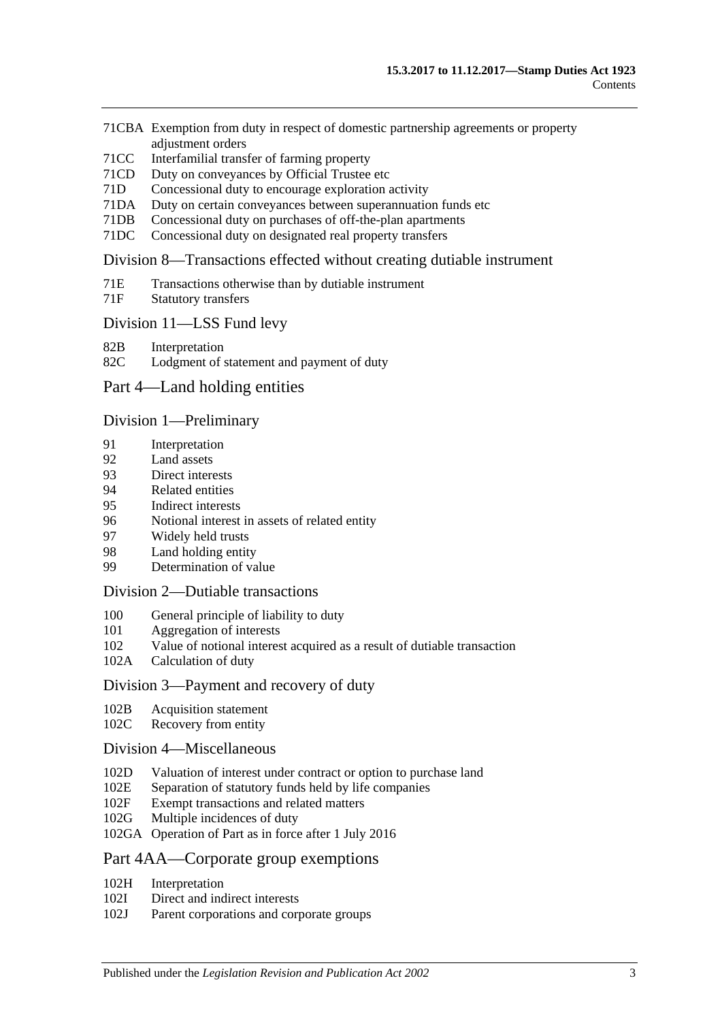- 71CBA [Exemption from duty in respect of domestic partnership agreements or property](#page-47-0)  [adjustment orders](#page-47-0)
- 71CC [Interfamilial transfer of farming property](#page-49-0)
- 71CD [Duty on conveyances by Official Trustee etc](#page-51-0)
- 71D [Concessional duty to encourage exploration activity](#page-51-1)
- 71DA [Duty on certain conveyances between superannuation funds etc](#page-53-0)
- 71DB [Concessional duty on purchases of off-the-plan apartments](#page-54-0)
- 71DC [Concessional duty on designated real property transfers](#page-57-0)

#### [Division 8—Transactions effected without creating dutiable instrument](#page-59-0)

- 71E [Transactions otherwise than by dutiable instrument](#page-59-1)
- 71F [Statutory transfers](#page-60-0)

#### [Division 11—LSS Fund levy](#page-61-0)

- 82B [Interpretation](#page-61-1)
- 82C [Lodgment of statement and payment of duty](#page-61-2)

#### [Part 4—Land holding entities](#page-62-0)

#### Division [1—Preliminary](#page-62-1)

- 91 [Interpretation](#page-62-2)
- 92 [Land assets](#page-65-0)
- 93 [Direct interests](#page-66-0)
- 94 [Related entities](#page-67-0)
- 95 [Indirect interests](#page-67-1)
- 96 [Notional interest in assets of related entity](#page-67-2)
- 97 [Widely held trusts](#page-68-0)
- 98 [Land holding entity](#page-68-1)
- 99 [Determination of value](#page-68-2)

#### Division [2—Dutiable transactions](#page-69-0)

- 100 [General principle of liability to duty](#page-69-1)
- 101 [Aggregation of interests](#page-69-2)<br>102 Value of notional interes
- [Value of notional interest acquired as a result of dutiable transaction](#page-70-0)
- 102A [Calculation of duty](#page-70-1)

#### [Division 3—Payment and recovery of duty](#page-72-0)

- 102B [Acquisition statement](#page-72-1)
- 102C [Recovery from entity](#page-72-2)

#### [Division 4—Miscellaneous](#page-73-0)

- 102D [Valuation of interest under contract or option to purchase land](#page-73-1)
- 102E [Separation of statutory funds held by life companies](#page-73-2)
- 102F [Exempt transactions and related matters](#page-74-0)
- 102G [Multiple incidences of duty](#page-74-1)
- 102GA [Operation of Part as in force after 1 July 2016](#page-74-2)

#### [Part 4AA—Corporate group exemptions](#page-76-0)

- 102H [Interpretation](#page-76-1)
- 102I [Direct and indirect interests](#page-77-0)
- 102J [Parent corporations and corporate groups](#page-77-1)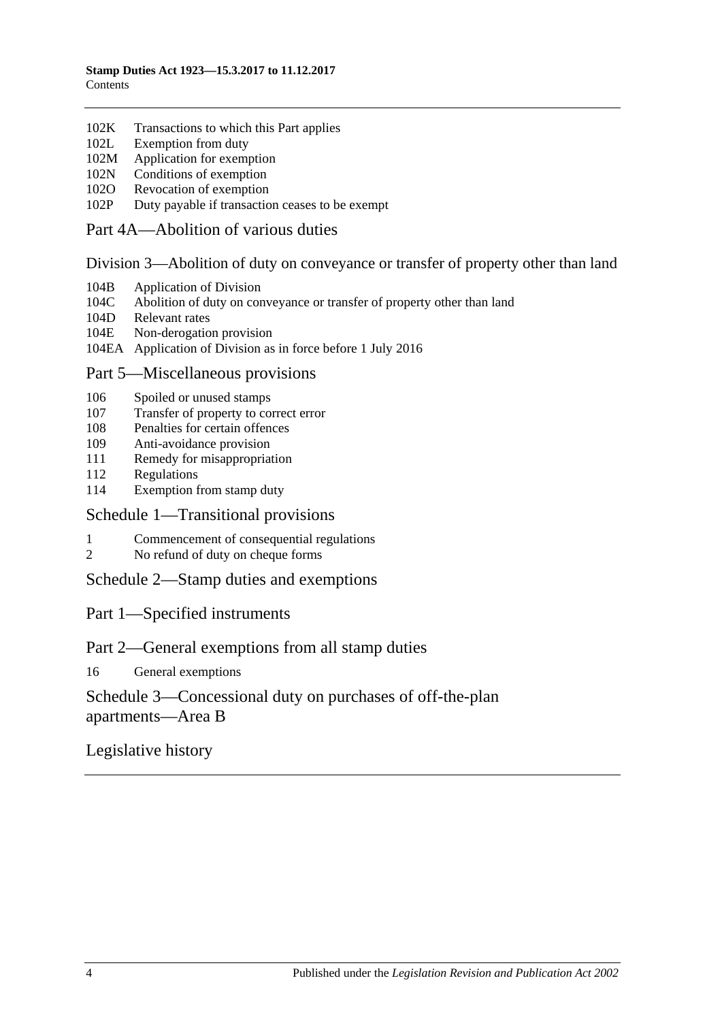- 102K [Transactions to which this Part applies](#page-78-0)<br>102L Exemption from duty
- [Exemption from duty](#page-78-1)
- 102M [Application for exemption](#page-78-2)
- 102N [Conditions of exemption](#page-79-0)
- 102O [Revocation of exemption](#page-79-1)
- 102P [Duty payable if transaction ceases to be exempt](#page-79-2)

#### [Part 4A—Abolition of various duties](#page-82-0)

#### [Division 3—Abolition of duty on conveyance or transfer of property other than land](#page-82-1)

- 104B [Application of Division](#page-82-2)
- 104C [Abolition of duty on conveyance or transfer of property other than land](#page-82-3)
- 104D [Relevant rates](#page-82-4)
- 104E [Non-derogation provision](#page-82-5)
- 104EA [Application of Division as in force before 1 July 2016](#page-82-6)

## [Part 5—Miscellaneous provisions](#page-84-0)

- 106 [Spoiled or unused stamps](#page-84-1)
- 107 [Transfer of property to correct error](#page-84-2)
- 108 [Penalties for certain offences](#page-84-3)
- 109 [Anti-avoidance provision](#page-85-0)
- 111 [Remedy for misappropriation](#page-86-0)
- 112 [Regulations](#page-86-1)
- 114 [Exemption from stamp duty](#page-87-0)

#### [Schedule 1—Transitional provisions](#page-88-0)

- 1 [Commencement of consequential regulations](#page-88-1)
- 2 [No refund of duty on cheque forms](#page-88-2)

[Schedule 2—Stamp duties and exemptions](#page-88-3)

## Part 1—Specified instruments

## Part 2—General exemptions from all stamp duties

16 [General exemptions](#page-95-0)

# [Schedule 3—Concessional duty on purchases of off-the-plan](#page-100-0)  [apartments—Area](#page-100-0) B

# [Legislative history](#page-102-0)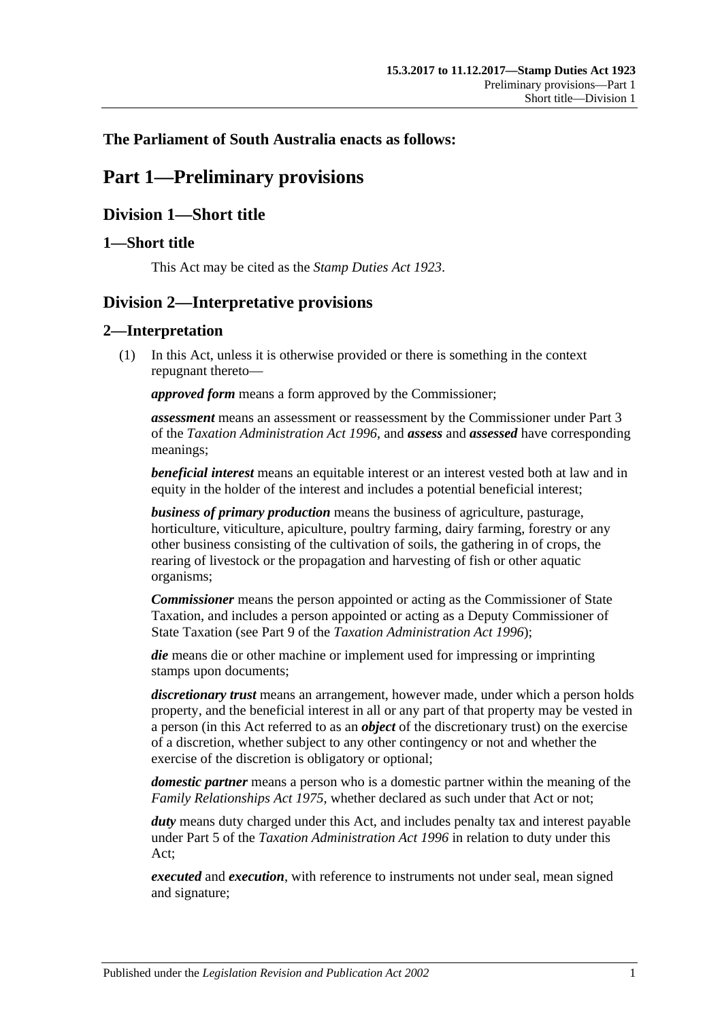# <span id="page-4-0"></span>**The Parliament of South Australia enacts as follows:**

# **Part 1—Preliminary provisions**

# <span id="page-4-1"></span>**Division 1—Short title**

## <span id="page-4-2"></span>**1—Short title**

This Act may be cited as the *Stamp Duties Act 1923*.

# <span id="page-4-3"></span>**Division 2—Interpretative provisions**

## <span id="page-4-4"></span>**2—Interpretation**

(1) In this Act, unless it is otherwise provided or there is something in the context repugnant thereto—

*approved form* means a form approved by the Commissioner;

*assessment* means an assessment or reassessment by the Commissioner under Part 3 of the *[Taxation Administration Act](http://www.legislation.sa.gov.au/index.aspx?action=legref&type=act&legtitle=Taxation%20Administration%20Act%201996) 1996*, and *assess* and *assessed* have corresponding meanings;

*beneficial interest* means an equitable interest or an interest vested both at law and in equity in the holder of the interest and includes a potential beneficial interest;

*business of primary production* means the business of agriculture, pasturage, horticulture, viticulture, apiculture, poultry farming, dairy farming, forestry or any other business consisting of the cultivation of soils, the gathering in of crops, the rearing of livestock or the propagation and harvesting of fish or other aquatic organisms;

*Commissioner* means the person appointed or acting as the Commissioner of State Taxation, and includes a person appointed or acting as a Deputy Commissioner of State Taxation (see Part 9 of the *[Taxation Administration Act](http://www.legislation.sa.gov.au/index.aspx?action=legref&type=act&legtitle=Taxation%20Administration%20Act%201996) 1996*);

*die* means die or other machine or implement used for impressing or imprinting stamps upon documents;

*discretionary trust* means an arrangement, however made, under which a person holds property, and the beneficial interest in all or any part of that property may be vested in a person (in this Act referred to as an *object* of the discretionary trust) on the exercise of a discretion, whether subject to any other contingency or not and whether the exercise of the discretion is obligatory or optional;

*domestic partner* means a person who is a domestic partner within the meaning of the *[Family Relationships Act](http://www.legislation.sa.gov.au/index.aspx?action=legref&type=act&legtitle=Family%20Relationships%20Act%201975) 1975*, whether declared as such under that Act or not;

*duty* means duty charged under this Act, and includes penalty tax and interest payable under Part 5 of the *[Taxation Administration Act](http://www.legislation.sa.gov.au/index.aspx?action=legref&type=act&legtitle=Taxation%20Administration%20Act%201996) 1996* in relation to duty under this Act;

*executed* and *execution*, with reference to instruments not under seal, mean signed and signature;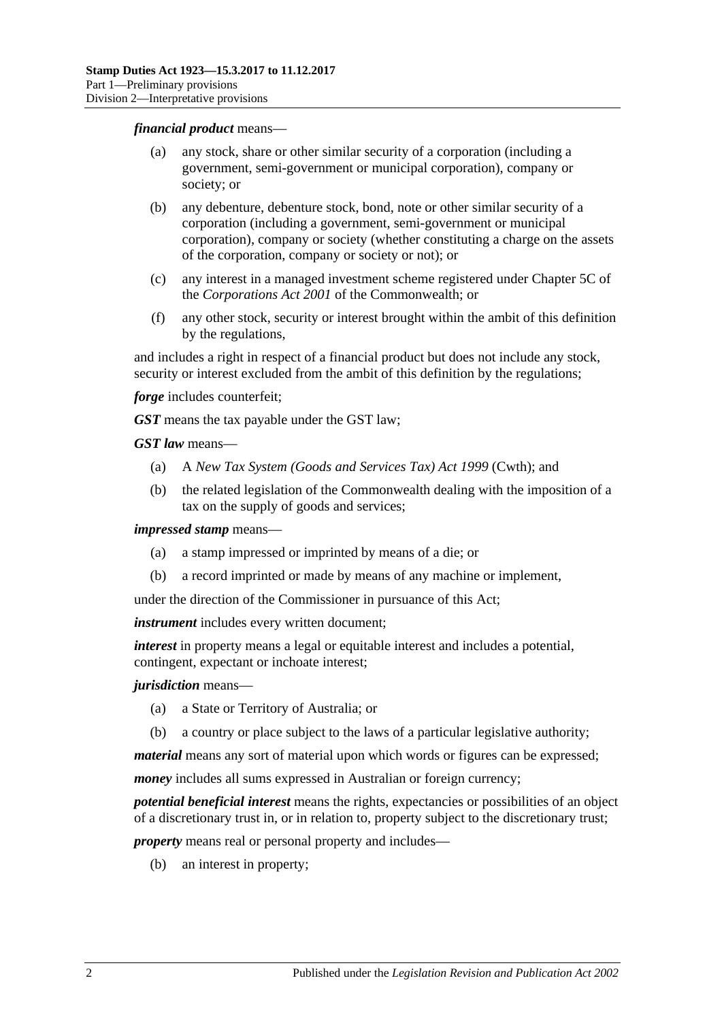#### *financial product* means—

- (a) any stock, share or other similar security of a corporation (including a government, semi-government or municipal corporation), company or society; or
- (b) any debenture, debenture stock, bond, note or other similar security of a corporation (including a government, semi-government or municipal corporation), company or society (whether constituting a charge on the assets of the corporation, company or society or not); or
- (c) any interest in a managed investment scheme registered under Chapter 5C of the *Corporations Act 2001* of the Commonwealth; or
- (f) any other stock, security or interest brought within the ambit of this definition by the regulations,

and includes a right in respect of a financial product but does not include any stock, security or interest excluded from the ambit of this definition by the regulations;

*forge* includes counterfeit;

*GST* means the tax payable under the GST law;

*GST law* means—

- (a) A *New Tax System (Goods and Services Tax) Act 1999* (Cwth); and
- (b) the related legislation of the Commonwealth dealing with the imposition of a tax on the supply of goods and services;

*impressed stamp* means—

- (a) a stamp impressed or imprinted by means of a die; or
- (b) a record imprinted or made by means of any machine or implement,

under the direction of the Commissioner in pursuance of this Act;

*instrument* includes every written document;

*interest* in property means a legal or equitable interest and includes a potential, contingent, expectant or inchoate interest;

#### *jurisdiction* means—

- (a) a State or Territory of Australia; or
- (b) a country or place subject to the laws of a particular legislative authority;

*material* means any sort of material upon which words or figures can be expressed;

*money* includes all sums expressed in Australian or foreign currency;

*potential beneficial interest* means the rights, expectancies or possibilities of an object of a discretionary trust in, or in relation to, property subject to the discretionary trust;

*property* means real or personal property and includes—

(b) an interest in property;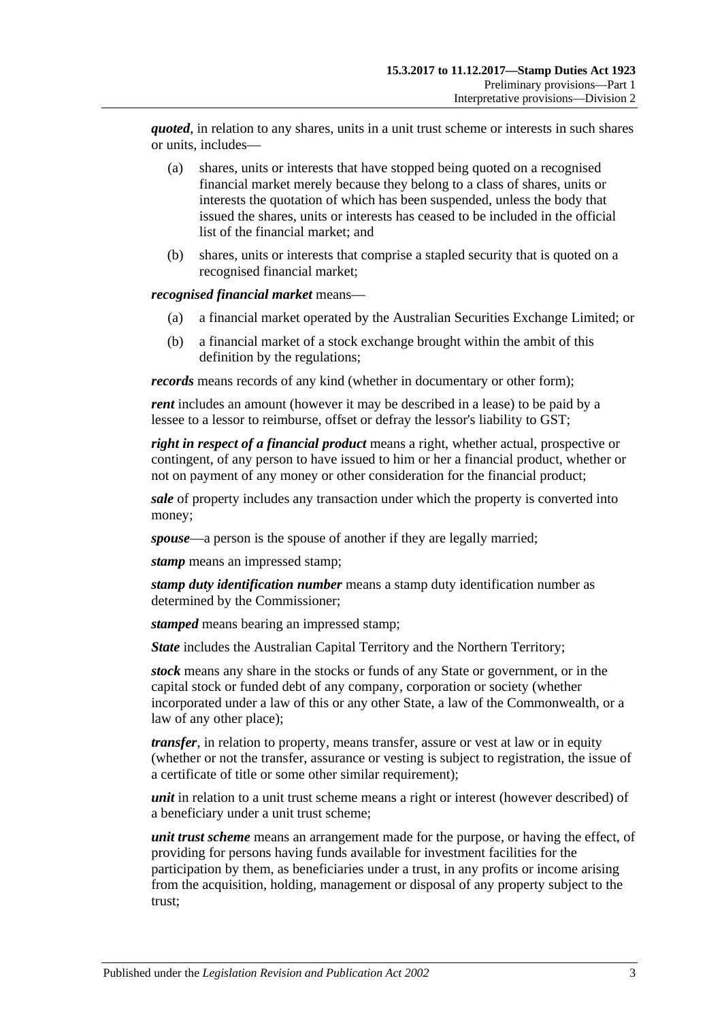*quoted*, in relation to any shares, units in a unit trust scheme or interests in such shares or units, includes—

- (a) shares, units or interests that have stopped being quoted on a recognised financial market merely because they belong to a class of shares, units or interests the quotation of which has been suspended, unless the body that issued the shares, units or interests has ceased to be included in the official list of the financial market; and
- (b) shares, units or interests that comprise a stapled security that is quoted on a recognised financial market;

#### *recognised financial market* means—

- (a) a financial market operated by the Australian Securities Exchange Limited; or
- (b) a financial market of a stock exchange brought within the ambit of this definition by the regulations;

*records* means records of any kind (whether in documentary or other form);

*rent* includes an amount (however it may be described in a lease) to be paid by a lessee to a lessor to reimburse, offset or defray the lessor's liability to GST;

*right in respect of a financial product* means a right, whether actual, prospective or contingent, of any person to have issued to him or her a financial product, whether or not on payment of any money or other consideration for the financial product;

*sale* of property includes any transaction under which the property is converted into money;

*spouse*—a person is the spouse of another if they are legally married;

*stamp* means an impressed stamp;

*stamp duty identification number* means a stamp duty identification number as determined by the Commissioner;

*stamped* means bearing an impressed stamp;

*State* includes the Australian Capital Territory and the Northern Territory;

*stock* means any share in the stocks or funds of any State or government, or in the capital stock or funded debt of any company, corporation or society (whether incorporated under a law of this or any other State, a law of the Commonwealth, or a law of any other place);

*transfer*, in relation to property, means transfer, assure or vest at law or in equity (whether or not the transfer, assurance or vesting is subject to registration, the issue of a certificate of title or some other similar requirement);

*unit* in relation to a unit trust scheme means a right or interest (however described) of a beneficiary under a unit trust scheme;

*unit trust scheme* means an arrangement made for the purpose, or having the effect, of providing for persons having funds available for investment facilities for the participation by them, as beneficiaries under a trust, in any profits or income arising from the acquisition, holding, management or disposal of any property subject to the trust;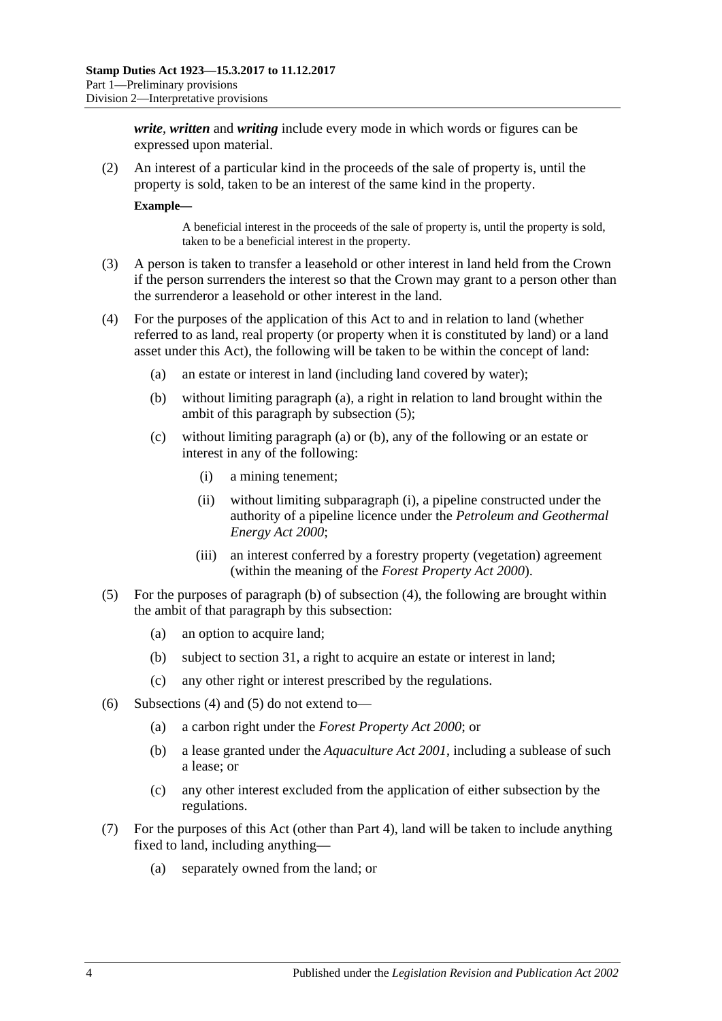*write*, *written* and *writing* include every mode in which words or figures can be expressed upon material.

(2) An interest of a particular kind in the proceeds of the sale of property is, until the property is sold, taken to be an interest of the same kind in the property.

**Example—**

A beneficial interest in the proceeds of the sale of property is, until the property is sold, taken to be a beneficial interest in the property.

- (3) A person is taken to transfer a leasehold or other interest in land held from the Crown if the person surrenders the interest so that the Crown may grant to a person other than the surrenderor a leasehold or other interest in the land.
- <span id="page-7-4"></span><span id="page-7-2"></span><span id="page-7-0"></span>(4) For the purposes of the application of this Act to and in relation to land (whether referred to as land, real property (or property when it is constituted by land) or a land asset under this Act), the following will be taken to be within the concept of land:
	- (a) an estate or interest in land (including land covered by water);
	- (b) without limiting [paragraph](#page-7-0) (a), a right in relation to land brought within the ambit of this paragraph by [subsection](#page-7-1) (5);
	- (c) without limiting [paragraph](#page-7-0) (a) or [\(b\),](#page-7-2) any of the following or an estate or interest in any of the following:
		- (i) a mining tenement;
		- (ii) without limiting [subparagraph](#page-7-3) (i), a pipeline constructed under the authority of a pipeline licence under the *[Petroleum and Geothermal](http://www.legislation.sa.gov.au/index.aspx?action=legref&type=act&legtitle=Petroleum%20and%20Geothermal%20Energy%20Act%202000)  [Energy Act](http://www.legislation.sa.gov.au/index.aspx?action=legref&type=act&legtitle=Petroleum%20and%20Geothermal%20Energy%20Act%202000) 2000*;
		- (iii) an interest conferred by a forestry property (vegetation) agreement (within the meaning of the *[Forest Property Act](http://www.legislation.sa.gov.au/index.aspx?action=legref&type=act&legtitle=Forest%20Property%20Act%202000) 2000*).
- <span id="page-7-3"></span><span id="page-7-1"></span>(5) For the purposes of [paragraph](#page-7-2) (b) of [subsection](#page-7-4) (4), the following are brought within the ambit of that paragraph by this subsection:
	- (a) an option to acquire land;
	- (b) subject to [section](#page-18-3) 31, a right to acquire an estate or interest in land;
	- (c) any other right or interest prescribed by the regulations.
- (6) [Subsections](#page-7-4) (4) and [\(5\)](#page-7-1) do not extend to—
	- (a) a carbon right under the *[Forest Property Act](http://www.legislation.sa.gov.au/index.aspx?action=legref&type=act&legtitle=Forest%20Property%20Act%202000) 2000*; or
	- (b) a lease granted under the *[Aquaculture Act](http://www.legislation.sa.gov.au/index.aspx?action=legref&type=act&legtitle=Aquaculture%20Act%202001) 2001*, including a sublease of such a lease; or
	- (c) any other interest excluded from the application of either subsection by the regulations.
- <span id="page-7-5"></span>(7) For the purposes of this Act (other than Part 4), land will be taken to include anything fixed to land, including anything—
	- (a) separately owned from the land; or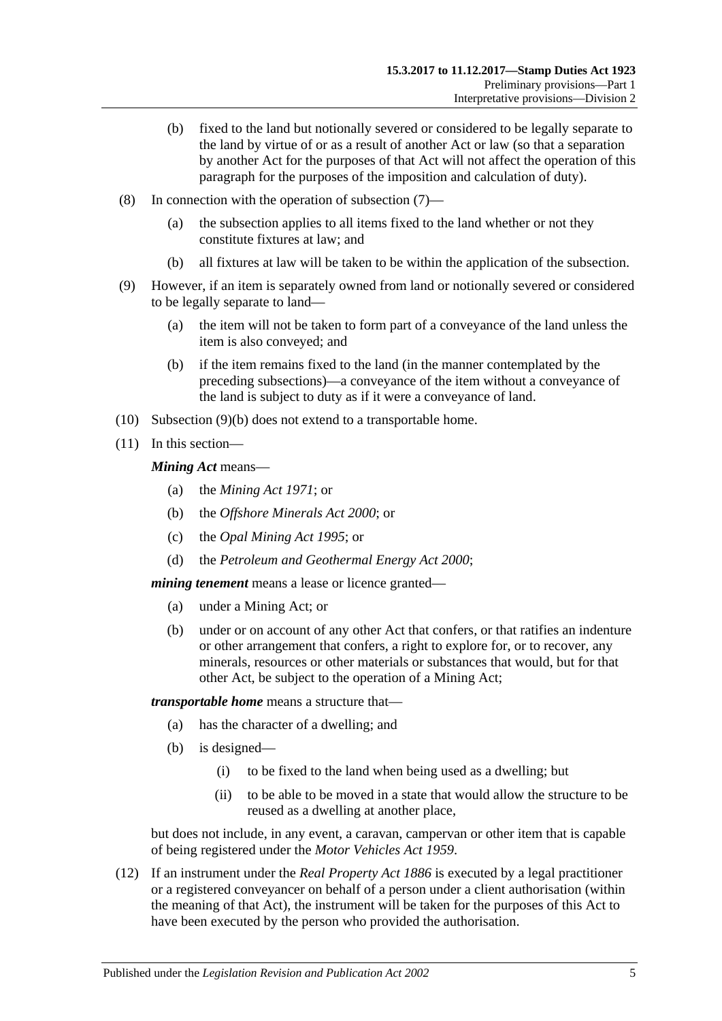- (b) fixed to the land but notionally severed or considered to be legally separate to the land by virtue of or as a result of another Act or law (so that a separation by another Act for the purposes of that Act will not affect the operation of this paragraph for the purposes of the imposition and calculation of duty).
- (8) In connection with the operation of [subsection](#page-7-5) (7)—
	- (a) the subsection applies to all items fixed to the land whether or not they constitute fixtures at law; and
	- (b) all fixtures at law will be taken to be within the application of the subsection.
- (9) However, if an item is separately owned from land or notionally severed or considered to be legally separate to land—
	- (a) the item will not be taken to form part of a conveyance of the land unless the item is also conveyed; and
	- (b) if the item remains fixed to the land (in the manner contemplated by the preceding subsections)—a conveyance of the item without a conveyance of the land is subject to duty as if it were a conveyance of land.
- <span id="page-8-0"></span>(10) [Subsection](#page-8-0) (9)(b) does not extend to a transportable home.
- (11) In this section—

*Mining Act* means—

- (a) the *[Mining Act](http://www.legislation.sa.gov.au/index.aspx?action=legref&type=act&legtitle=Mining%20Act%201971) 1971*; or
- (b) the *[Offshore Minerals Act](http://www.legislation.sa.gov.au/index.aspx?action=legref&type=act&legtitle=Offshore%20Minerals%20Act%202000) 2000*; or
- (c) the *[Opal Mining Act](http://www.legislation.sa.gov.au/index.aspx?action=legref&type=act&legtitle=Opal%20Mining%20Act%201995) 1995*; or
- (d) the *[Petroleum and Geothermal Energy Act](http://www.legislation.sa.gov.au/index.aspx?action=legref&type=act&legtitle=Petroleum%20and%20Geothermal%20Energy%20Act%202000) 2000*;

*mining tenement* means a lease or licence granted—

- (a) under a Mining Act; or
- (b) under or on account of any other Act that confers, or that ratifies an indenture or other arrangement that confers, a right to explore for, or to recover, any minerals, resources or other materials or substances that would, but for that other Act, be subject to the operation of a Mining Act;

*transportable home* means a structure that—

- (a) has the character of a dwelling; and
- (b) is designed—
	- (i) to be fixed to the land when being used as a dwelling; but
	- (ii) to be able to be moved in a state that would allow the structure to be reused as a dwelling at another place,

but does not include, in any event, a caravan, campervan or other item that is capable of being registered under the *[Motor Vehicles Act](http://www.legislation.sa.gov.au/index.aspx?action=legref&type=act&legtitle=Motor%20Vehicles%20Act%201959) 1959*.

(12) If an instrument under the *[Real Property Act](http://www.legislation.sa.gov.au/index.aspx?action=legref&type=act&legtitle=Real%20Property%20Act%201886) 1886* is executed by a legal practitioner or a registered conveyancer on behalf of a person under a client authorisation (within the meaning of that Act), the instrument will be taken for the purposes of this Act to have been executed by the person who provided the authorisation.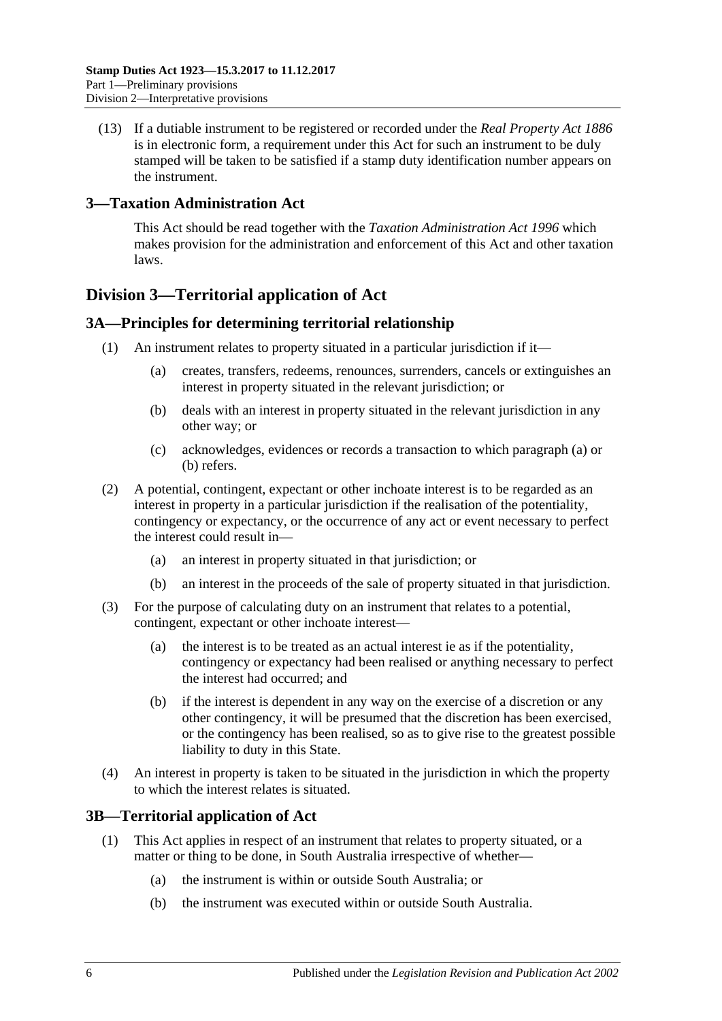(13) If a dutiable instrument to be registered or recorded under the *[Real Property Act](http://www.legislation.sa.gov.au/index.aspx?action=legref&type=act&legtitle=Real%20Property%20Act%201886) 1886* is in electronic form, a requirement under this Act for such an instrument to be duly stamped will be taken to be satisfied if a stamp duty identification number appears on the instrument.

# <span id="page-9-0"></span>**3—Taxation Administration Act**

This Act should be read together with the *[Taxation Administration Act](http://www.legislation.sa.gov.au/index.aspx?action=legref&type=act&legtitle=Taxation%20Administration%20Act%201996) 1996* which makes provision for the administration and enforcement of this Act and other taxation laws.

# <span id="page-9-1"></span>**Division 3—Territorial application of Act**

## <span id="page-9-2"></span>**3A—Principles for determining territorial relationship**

- <span id="page-9-5"></span><span id="page-9-4"></span>(1) An instrument relates to property situated in a particular jurisdiction if it—
	- (a) creates, transfers, redeems, renounces, surrenders, cancels or extinguishes an interest in property situated in the relevant jurisdiction; or
	- (b) deals with an interest in property situated in the relevant jurisdiction in any other way; or
	- (c) acknowledges, evidences or records a transaction to which [paragraph](#page-9-4) (a) or [\(b\)](#page-9-5) refers.
- (2) A potential, contingent, expectant or other inchoate interest is to be regarded as an interest in property in a particular jurisdiction if the realisation of the potentiality, contingency or expectancy, or the occurrence of any act or event necessary to perfect the interest could result in—
	- (a) an interest in property situated in that jurisdiction; or
	- (b) an interest in the proceeds of the sale of property situated in that jurisdiction.
- (3) For the purpose of calculating duty on an instrument that relates to a potential, contingent, expectant or other inchoate interest—
	- (a) the interest is to be treated as an actual interest ie as if the potentiality, contingency or expectancy had been realised or anything necessary to perfect the interest had occurred; and
	- (b) if the interest is dependent in any way on the exercise of a discretion or any other contingency, it will be presumed that the discretion has been exercised, or the contingency has been realised, so as to give rise to the greatest possible liability to duty in this State.
- (4) An interest in property is taken to be situated in the jurisdiction in which the property to which the interest relates is situated.

## <span id="page-9-3"></span>**3B—Territorial application of Act**

- (1) This Act applies in respect of an instrument that relates to property situated, or a matter or thing to be done, in South Australia irrespective of whether—
	- (a) the instrument is within or outside South Australia; or
	- (b) the instrument was executed within or outside South Australia.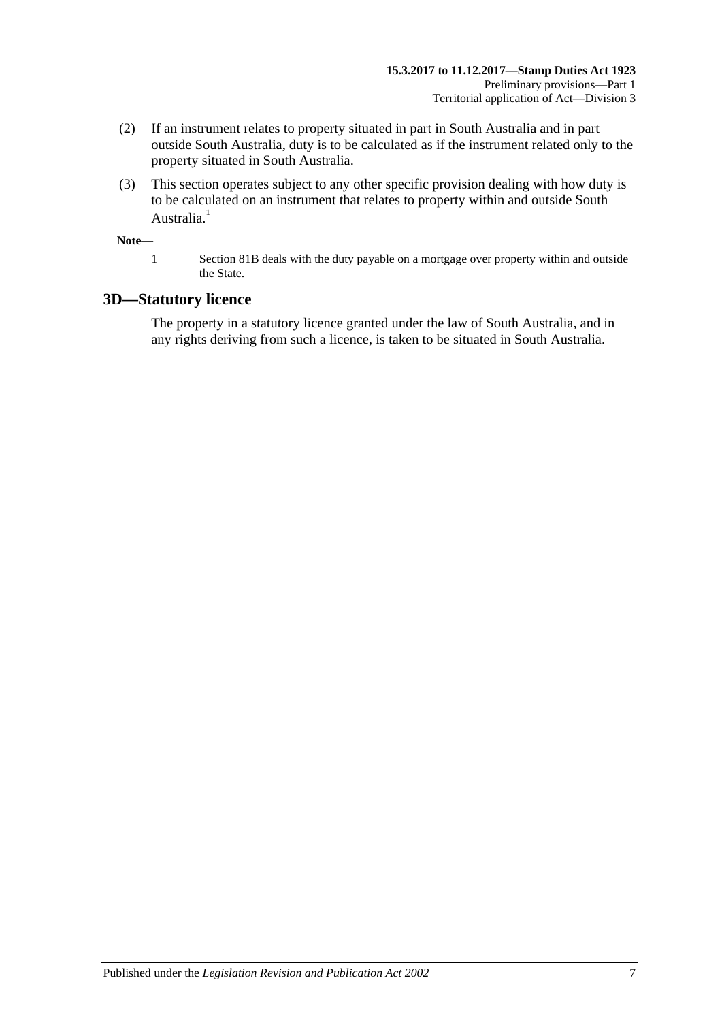- (2) If an instrument relates to property situated in part in South Australia and in part outside South Australia, duty is to be calculated as if the instrument related only to the property situated in South Australia.
- (3) This section operates subject to any other specific provision dealing with how duty is to be calculated on an instrument that relates to property within and outside South Australia.<sup>1</sup>

**Note—**

1 Section 81B deals with the duty payable on a mortgage over property within and outside the State.

## <span id="page-10-0"></span>**3D—Statutory licence**

The property in a statutory licence granted under the law of South Australia, and in any rights deriving from such a licence, is taken to be situated in South Australia.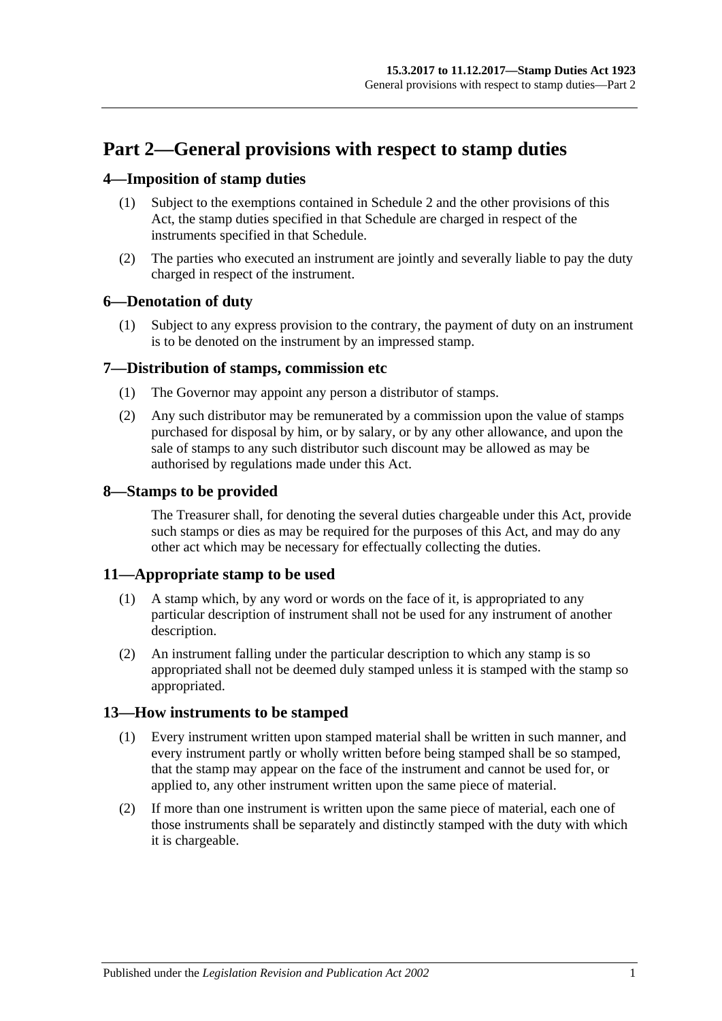# <span id="page-12-0"></span>**Part 2—General provisions with respect to stamp duties**

# <span id="page-12-1"></span>**4—Imposition of stamp duties**

- (1) Subject to the exemptions contained in [Schedule 2](#page-88-3) and the other provisions of this Act, the stamp duties specified in that Schedule are charged in respect of the instruments specified in that Schedule.
- (2) The parties who executed an instrument are jointly and severally liable to pay the duty charged in respect of the instrument.

## <span id="page-12-2"></span>**6—Denotation of duty**

(1) Subject to any express provision to the contrary, the payment of duty on an instrument is to be denoted on the instrument by an impressed stamp.

## <span id="page-12-3"></span>**7—Distribution of stamps, commission etc**

- (1) The Governor may appoint any person a distributor of stamps.
- (2) Any such distributor may be remunerated by a commission upon the value of stamps purchased for disposal by him, or by salary, or by any other allowance, and upon the sale of stamps to any such distributor such discount may be allowed as may be authorised by regulations made under this Act.

## <span id="page-12-4"></span>**8—Stamps to be provided**

The Treasurer shall, for denoting the several duties chargeable under this Act, provide such stamps or dies as may be required for the purposes of this Act, and may do any other act which may be necessary for effectually collecting the duties.

## <span id="page-12-5"></span>**11—Appropriate stamp to be used**

- (1) A stamp which, by any word or words on the face of it, is appropriated to any particular description of instrument shall not be used for any instrument of another description.
- (2) An instrument falling under the particular description to which any stamp is so appropriated shall not be deemed duly stamped unless it is stamped with the stamp so appropriated.

## <span id="page-12-6"></span>**13—How instruments to be stamped**

- (1) Every instrument written upon stamped material shall be written in such manner, and every instrument partly or wholly written before being stamped shall be so stamped, that the stamp may appear on the face of the instrument and cannot be used for, or applied to, any other instrument written upon the same piece of material.
- (2) If more than one instrument is written upon the same piece of material, each one of those instruments shall be separately and distinctly stamped with the duty with which it is chargeable.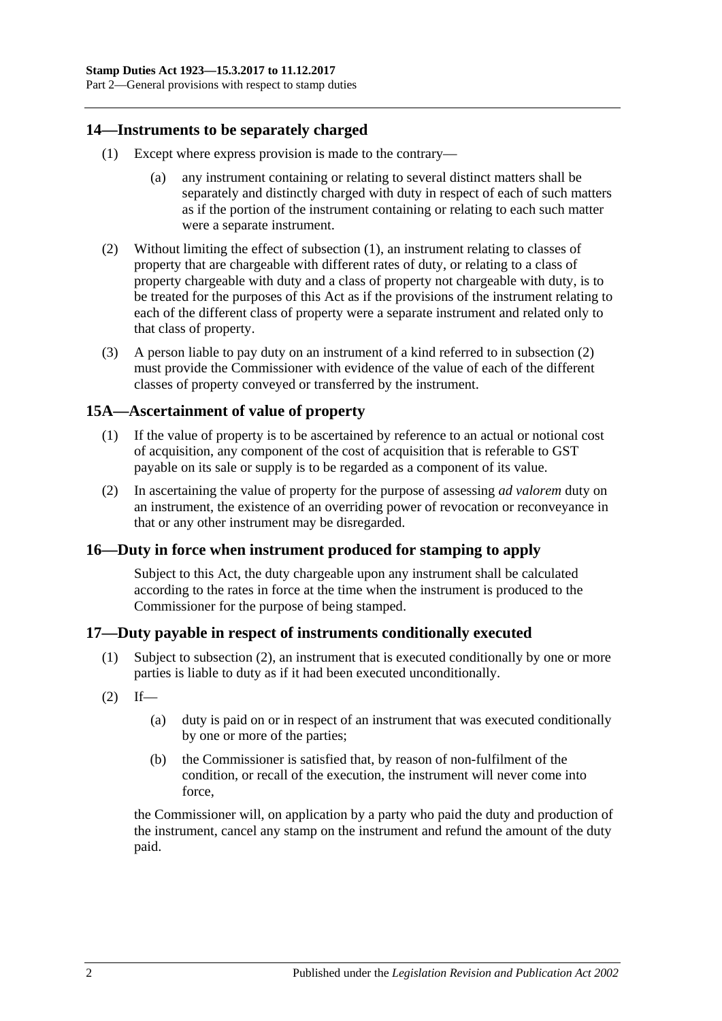Part 2—General provisions with respect to stamp duties

#### <span id="page-13-4"></span><span id="page-13-0"></span>**14—Instruments to be separately charged**

- (1) Except where express provision is made to the contrary—
	- (a) any instrument containing or relating to several distinct matters shall be separately and distinctly charged with duty in respect of each of such matters as if the portion of the instrument containing or relating to each such matter were a separate instrument.
- <span id="page-13-5"></span>(2) Without limiting the effect of [subsection](#page-13-4) (1), an instrument relating to classes of property that are chargeable with different rates of duty, or relating to a class of property chargeable with duty and a class of property not chargeable with duty, is to be treated for the purposes of this Act as if the provisions of the instrument relating to each of the different class of property were a separate instrument and related only to that class of property.
- (3) A person liable to pay duty on an instrument of a kind referred to in [subsection](#page-13-5) (2) must provide the Commissioner with evidence of the value of each of the different classes of property conveyed or transferred by the instrument.

#### <span id="page-13-1"></span>**15A—Ascertainment of value of property**

- (1) If the value of property is to be ascertained by reference to an actual or notional cost of acquisition, any component of the cost of acquisition that is referable to GST payable on its sale or supply is to be regarded as a component of its value.
- (2) In ascertaining the value of property for the purpose of assessing *ad valorem* duty on an instrument, the existence of an overriding power of revocation or reconveyance in that or any other instrument may be disregarded.

#### <span id="page-13-2"></span>**16—Duty in force when instrument produced for stamping to apply**

Subject to this Act, the duty chargeable upon any instrument shall be calculated according to the rates in force at the time when the instrument is produced to the Commissioner for the purpose of being stamped.

#### <span id="page-13-3"></span>**17—Duty payable in respect of instruments conditionally executed**

- (1) Subject to [subsection](#page-13-6) (2), an instrument that is executed conditionally by one or more parties is liable to duty as if it had been executed unconditionally.
- <span id="page-13-6"></span> $(2)$  If—
	- (a) duty is paid on or in respect of an instrument that was executed conditionally by one or more of the parties;
	- (b) the Commissioner is satisfied that, by reason of non-fulfilment of the condition, or recall of the execution, the instrument will never come into force,

the Commissioner will, on application by a party who paid the duty and production of the instrument, cancel any stamp on the instrument and refund the amount of the duty paid.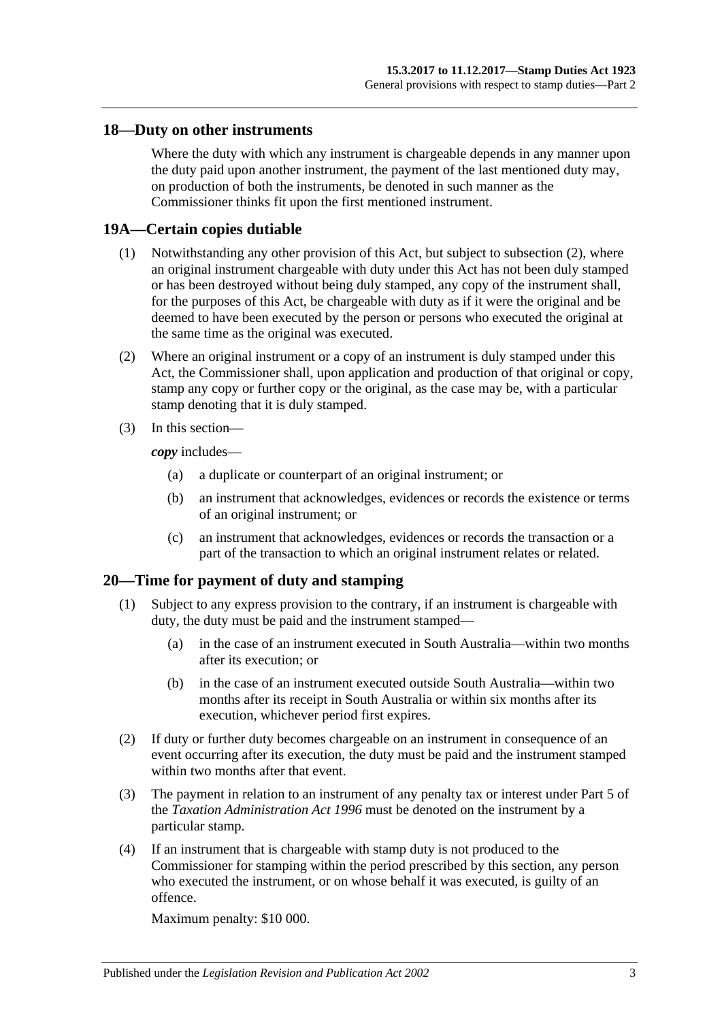#### <span id="page-14-0"></span>**18—Duty on other instruments**

Where the duty with which any instrument is chargeable depends in any manner upon the duty paid upon another instrument, the payment of the last mentioned duty may, on production of both the instruments, be denoted in such manner as the Commissioner thinks fit upon the first mentioned instrument.

#### <span id="page-14-1"></span>**19A—Certain copies dutiable**

- (1) Notwithstanding any other provision of this Act, but subject to [subsection](#page-14-3) (2), where an original instrument chargeable with duty under this Act has not been duly stamped or has been destroyed without being duly stamped, any copy of the instrument shall, for the purposes of this Act, be chargeable with duty as if it were the original and be deemed to have been executed by the person or persons who executed the original at the same time as the original was executed.
- <span id="page-14-3"></span>(2) Where an original instrument or a copy of an instrument is duly stamped under this Act, the Commissioner shall, upon application and production of that original or copy, stamp any copy or further copy or the original, as the case may be, with a particular stamp denoting that it is duly stamped.
- (3) In this section—

*copy* includes—

- (a) a duplicate or counterpart of an original instrument; or
- (b) an instrument that acknowledges, evidences or records the existence or terms of an original instrument; or
- (c) an instrument that acknowledges, evidences or records the transaction or a part of the transaction to which an original instrument relates or related.

## <span id="page-14-2"></span>**20—Time for payment of duty and stamping**

- (1) Subject to any express provision to the contrary, if an instrument is chargeable with duty, the duty must be paid and the instrument stamped—
	- (a) in the case of an instrument executed in South Australia—within two months after its execution; or
	- (b) in the case of an instrument executed outside South Australia—within two months after its receipt in South Australia or within six months after its execution, whichever period first expires.
- (2) If duty or further duty becomes chargeable on an instrument in consequence of an event occurring after its execution, the duty must be paid and the instrument stamped within two months after that event.
- (3) The payment in relation to an instrument of any penalty tax or interest under Part 5 of the *[Taxation Administration Act](http://www.legislation.sa.gov.au/index.aspx?action=legref&type=act&legtitle=Taxation%20Administration%20Act%201996) 1996* must be denoted on the instrument by a particular stamp.
- <span id="page-14-4"></span>(4) If an instrument that is chargeable with stamp duty is not produced to the Commissioner for stamping within the period prescribed by this section, any person who executed the instrument, or on whose behalf it was executed, is guilty of an offence.

Maximum penalty: \$10 000.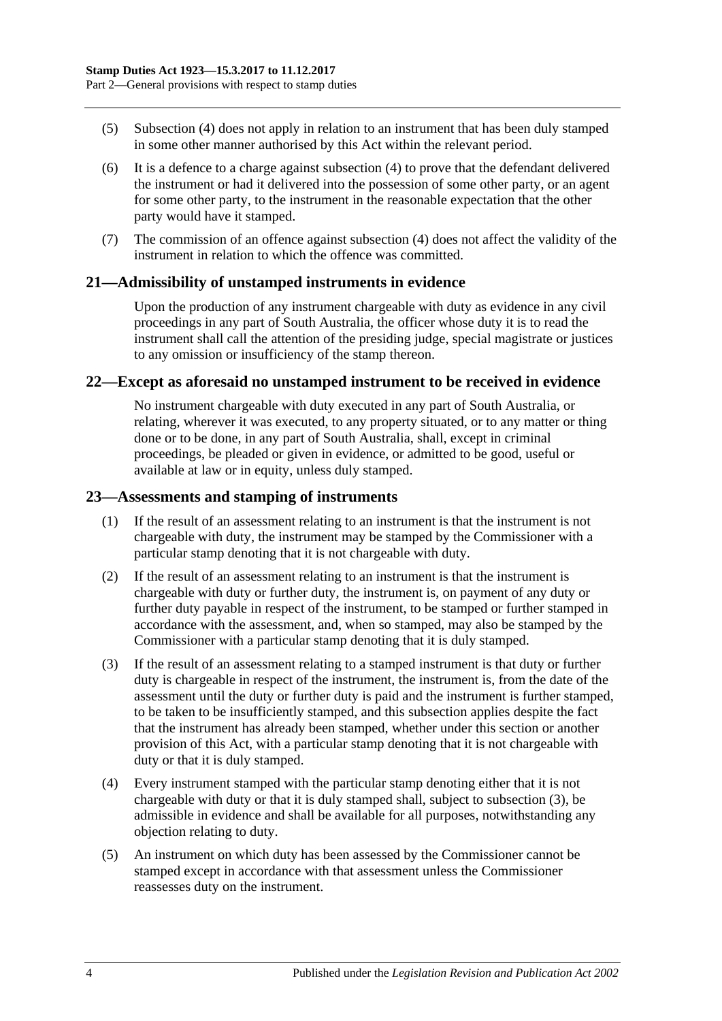- (5) [Subsection](#page-14-4) (4) does not apply in relation to an instrument that has been duly stamped in some other manner authorised by this Act within the relevant period.
- (6) It is a defence to a charge against [subsection](#page-14-4) (4) to prove that the defendant delivered the instrument or had it delivered into the possession of some other party, or an agent for some other party, to the instrument in the reasonable expectation that the other party would have it stamped.
- (7) The commission of an offence against [subsection](#page-14-4) (4) does not affect the validity of the instrument in relation to which the offence was committed.

## <span id="page-15-0"></span>**21—Admissibility of unstamped instruments in evidence**

Upon the production of any instrument chargeable with duty as evidence in any civil proceedings in any part of South Australia, the officer whose duty it is to read the instrument shall call the attention of the presiding judge, special magistrate or justices to any omission or insufficiency of the stamp thereon.

#### <span id="page-15-1"></span>**22—Except as aforesaid no unstamped instrument to be received in evidence**

No instrument chargeable with duty executed in any part of South Australia, or relating, wherever it was executed, to any property situated, or to any matter or thing done or to be done, in any part of South Australia, shall, except in criminal proceedings, be pleaded or given in evidence, or admitted to be good, useful or available at law or in equity, unless duly stamped.

#### <span id="page-15-2"></span>**23—Assessments and stamping of instruments**

- (1) If the result of an assessment relating to an instrument is that the instrument is not chargeable with duty, the instrument may be stamped by the Commissioner with a particular stamp denoting that it is not chargeable with duty.
- (2) If the result of an assessment relating to an instrument is that the instrument is chargeable with duty or further duty, the instrument is, on payment of any duty or further duty payable in respect of the instrument, to be stamped or further stamped in accordance with the assessment, and, when so stamped, may also be stamped by the Commissioner with a particular stamp denoting that it is duly stamped.
- <span id="page-15-3"></span>(3) If the result of an assessment relating to a stamped instrument is that duty or further duty is chargeable in respect of the instrument, the instrument is, from the date of the assessment until the duty or further duty is paid and the instrument is further stamped, to be taken to be insufficiently stamped, and this subsection applies despite the fact that the instrument has already been stamped, whether under this section or another provision of this Act, with a particular stamp denoting that it is not chargeable with duty or that it is duly stamped.
- (4) Every instrument stamped with the particular stamp denoting either that it is not chargeable with duty or that it is duly stamped shall, subject to [subsection](#page-15-3) (3), be admissible in evidence and shall be available for all purposes, notwithstanding any objection relating to duty.
- (5) An instrument on which duty has been assessed by the Commissioner cannot be stamped except in accordance with that assessment unless the Commissioner reassesses duty on the instrument.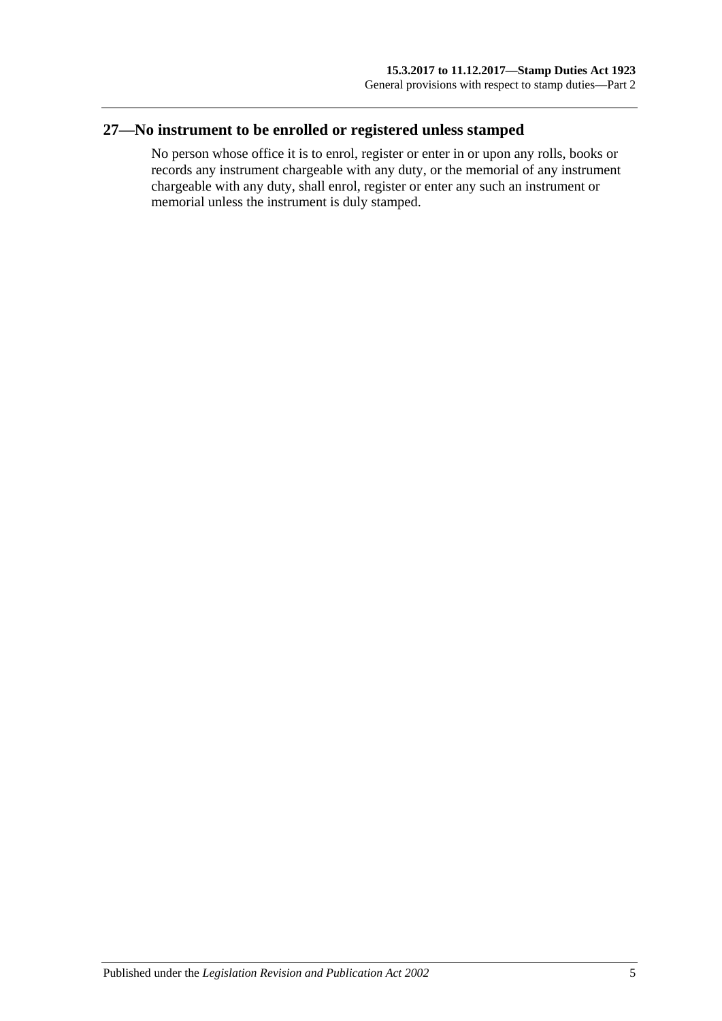# <span id="page-16-0"></span>**27—No instrument to be enrolled or registered unless stamped**

No person whose office it is to enrol, register or enter in or upon any rolls, books or records any instrument chargeable with any duty, or the memorial of any instrument chargeable with any duty, shall enrol, register or enter any such an instrument or memorial unless the instrument is duly stamped.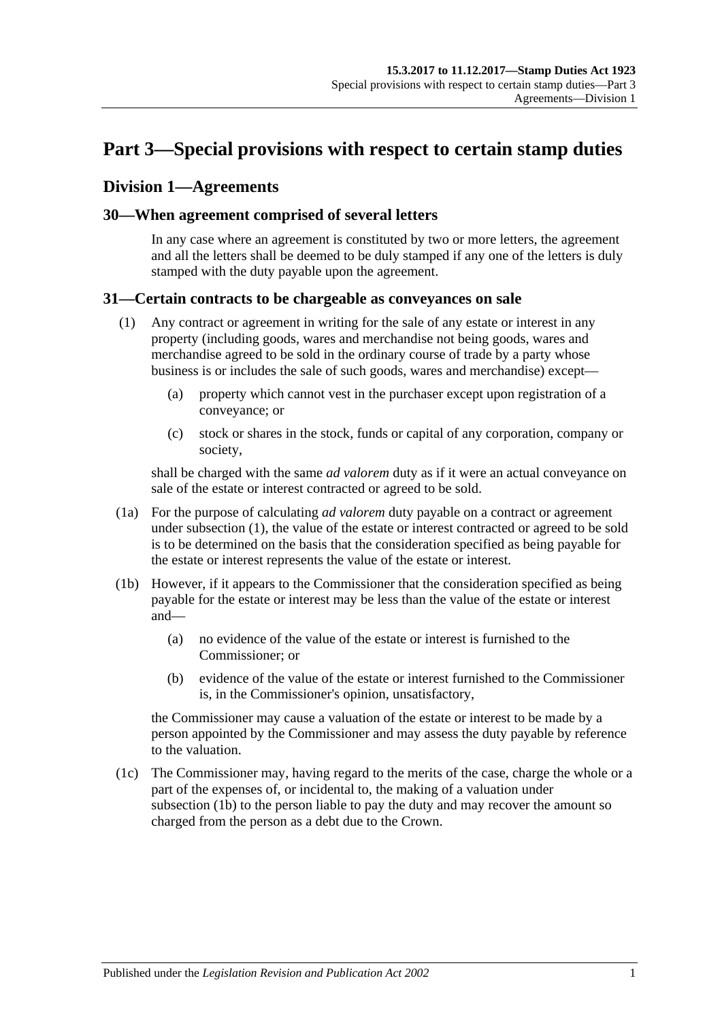# <span id="page-18-0"></span>**Part 3—Special provisions with respect to certain stamp duties**

# <span id="page-18-1"></span>**Division 1—Agreements**

#### <span id="page-18-2"></span>**30—When agreement comprised of several letters**

In any case where an agreement is constituted by two or more letters, the agreement and all the letters shall be deemed to be duly stamped if any one of the letters is duly stamped with the duty payable upon the agreement.

#### <span id="page-18-4"></span><span id="page-18-3"></span>**31—Certain contracts to be chargeable as conveyances on sale**

- (1) Any contract or agreement in writing for the sale of any estate or interest in any property (including goods, wares and merchandise not being goods, wares and merchandise agreed to be sold in the ordinary course of trade by a party whose business is or includes the sale of such goods, wares and merchandise) except—
	- (a) property which cannot vest in the purchaser except upon registration of a conveyance; or
	- (c) stock or shares in the stock, funds or capital of any corporation, company or society,

shall be charged with the same *ad valorem* duty as if it were an actual conveyance on sale of the estate or interest contracted or agreed to be sold.

- (1a) For the purpose of calculating *ad valorem* duty payable on a contract or agreement under [subsection](#page-18-4) (1), the value of the estate or interest contracted or agreed to be sold is to be determined on the basis that the consideration specified as being payable for the estate or interest represents the value of the estate or interest.
- <span id="page-18-5"></span>(1b) However, if it appears to the Commissioner that the consideration specified as being payable for the estate or interest may be less than the value of the estate or interest and—
	- (a) no evidence of the value of the estate or interest is furnished to the Commissioner; or
	- (b) evidence of the value of the estate or interest furnished to the Commissioner is, in the Commissioner's opinion, unsatisfactory,

the Commissioner may cause a valuation of the estate or interest to be made by a person appointed by the Commissioner and may assess the duty payable by reference to the valuation.

(1c) The Commissioner may, having regard to the merits of the case, charge the whole or a part of the expenses of, or incidental to, the making of a valuation under [subsection](#page-18-5) (1b) to the person liable to pay the duty and may recover the amount so charged from the person as a debt due to the Crown.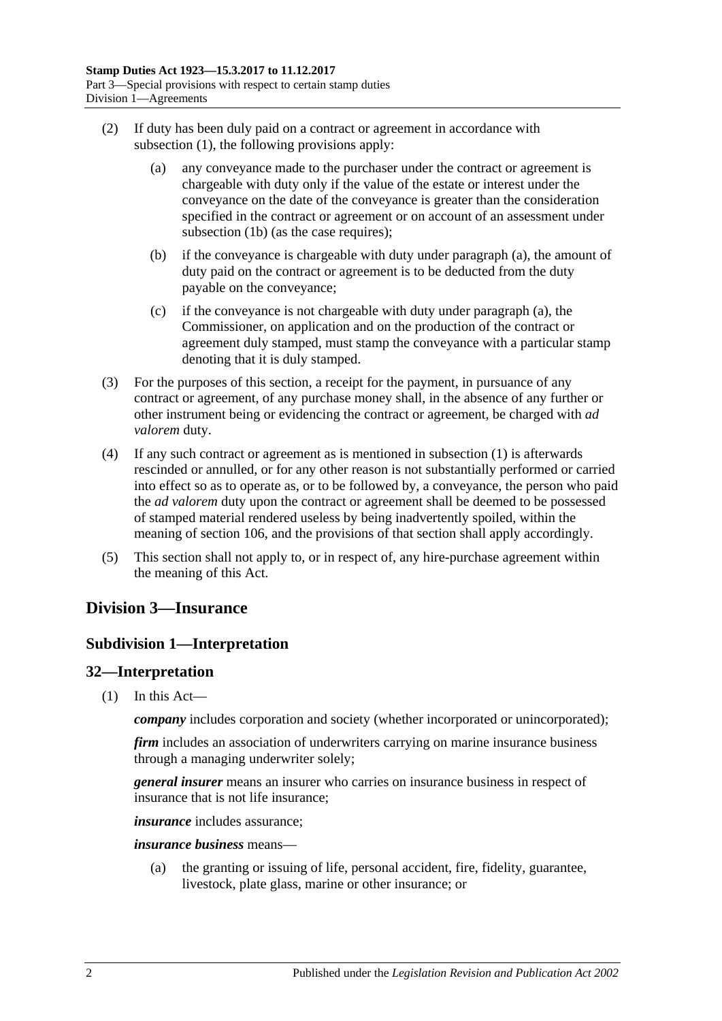- <span id="page-19-3"></span>(2) If duty has been duly paid on a contract or agreement in accordance with [subsection](#page-18-4) (1), the following provisions apply:
	- (a) any conveyance made to the purchaser under the contract or agreement is chargeable with duty only if the value of the estate or interest under the conveyance on the date of the conveyance is greater than the consideration specified in the contract or agreement or on account of an assessment under [subsection](#page-18-5) (1b) (as the case requires);
	- (b) if the conveyance is chargeable with duty under [paragraph](#page-19-3) (a), the amount of duty paid on the contract or agreement is to be deducted from the duty payable on the conveyance;
	- (c) if the conveyance is not chargeable with duty under [paragraph](#page-19-3) (a), the Commissioner, on application and on the production of the contract or agreement duly stamped, must stamp the conveyance with a particular stamp denoting that it is duly stamped.
- (3) For the purposes of this section, a receipt for the payment, in pursuance of any contract or agreement, of any purchase money shall, in the absence of any further or other instrument being or evidencing the contract or agreement, be charged with *ad valorem* duty.
- (4) If any such contract or agreement as is mentioned in [subsection](#page-18-4) (1) is afterwards rescinded or annulled, or for any other reason is not substantially performed or carried into effect so as to operate as, or to be followed by, a conveyance, the person who paid the *ad valorem* duty upon the contract or agreement shall be deemed to be possessed of stamped material rendered useless by being inadvertently spoiled, within the meaning of [section](#page-84-1) 106, and the provisions of that section shall apply accordingly.
- (5) This section shall not apply to, or in respect of, any hire-purchase agreement within the meaning of this Act.

# <span id="page-19-1"></span><span id="page-19-0"></span>**Division 3—Insurance**

# **Subdivision 1—Interpretation**

# <span id="page-19-2"></span>**32—Interpretation**

(1) In this Act—

*company* includes corporation and society (whether incorporated or unincorporated);

*firm* includes an association of underwriters carrying on marine insurance business through a managing underwriter solely;

*general insurer* means an insurer who carries on insurance business in respect of insurance that is not life insurance;

*insurance* includes assurance;

*insurance business* means—

(a) the granting or issuing of life, personal accident, fire, fidelity, guarantee, livestock, plate glass, marine or other insurance; or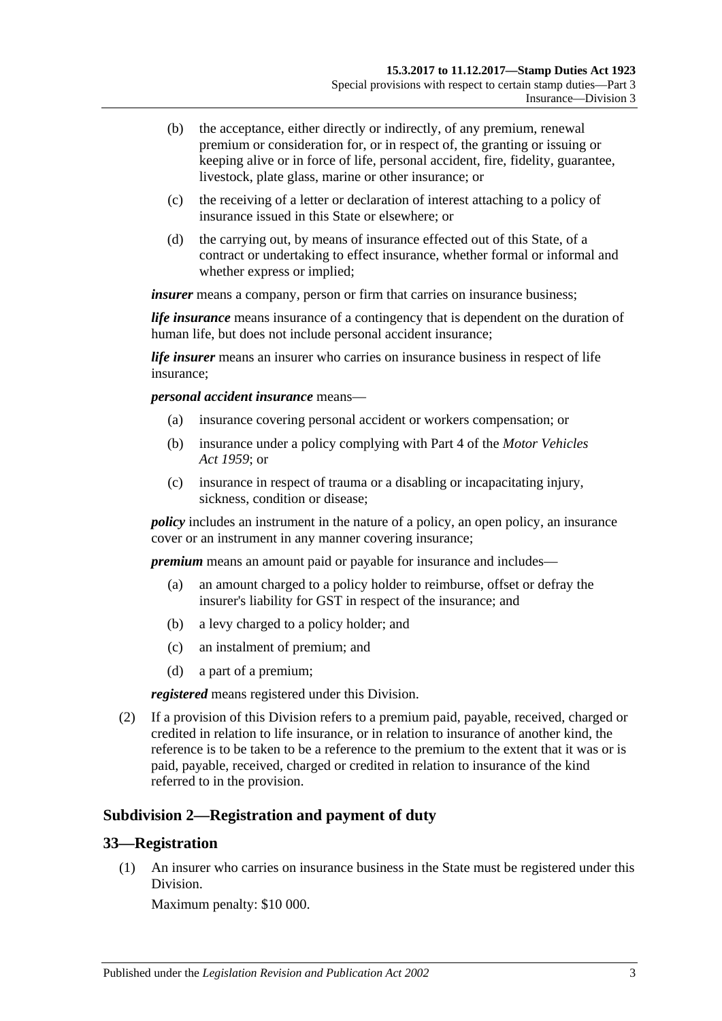- (b) the acceptance, either directly or indirectly, of any premium, renewal premium or consideration for, or in respect of, the granting or issuing or keeping alive or in force of life, personal accident, fire, fidelity, guarantee, livestock, plate glass, marine or other insurance; or
- (c) the receiving of a letter or declaration of interest attaching to a policy of insurance issued in this State or elsewhere; or
- (d) the carrying out, by means of insurance effected out of this State, of a contract or undertaking to effect insurance, whether formal or informal and whether express or implied;

*insurer* means a company, person or firm that carries on insurance business;

*life insurance* means insurance of a contingency that is dependent on the duration of human life, but does not include personal accident insurance;

*life insurer* means an insurer who carries on insurance business in respect of life insurance;

*personal accident insurance* means—

- (a) insurance covering personal accident or workers compensation; or
- (b) insurance under a policy complying with Part 4 of the *[Motor Vehicles](http://www.legislation.sa.gov.au/index.aspx?action=legref&type=act&legtitle=Motor%20Vehicles%20Act%201959)  Act [1959](http://www.legislation.sa.gov.au/index.aspx?action=legref&type=act&legtitle=Motor%20Vehicles%20Act%201959)*; or
- (c) insurance in respect of trauma or a disabling or incapacitating injury, sickness, condition or disease;

*policy* includes an instrument in the nature of a policy, an open policy, an insurance cover or an instrument in any manner covering insurance;

*premium* means an amount paid or payable for insurance and includes—

- (a) an amount charged to a policy holder to reimburse, offset or defray the insurer's liability for GST in respect of the insurance; and
- (b) a levy charged to a policy holder; and
- (c) an instalment of premium; and
- (d) a part of a premium;

*registered* means registered under this Division.

(2) If a provision of this Division refers to a premium paid, payable, received, charged or credited in relation to life insurance, or in relation to insurance of another kind, the reference is to be taken to be a reference to the premium to the extent that it was or is paid, payable, received, charged or credited in relation to insurance of the kind referred to in the provision.

## <span id="page-20-0"></span>**Subdivision 2—Registration and payment of duty**

#### <span id="page-20-1"></span>**33—Registration**

(1) An insurer who carries on insurance business in the State must be registered under this Division.

Maximum penalty: \$10 000.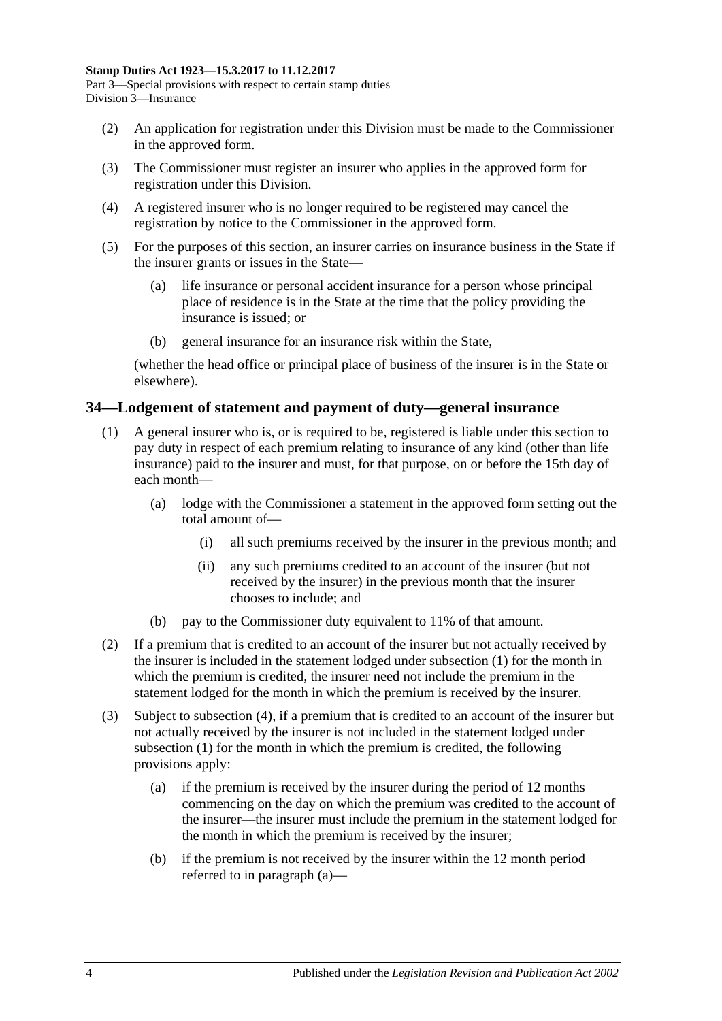- (2) An application for registration under this Division must be made to the Commissioner in the approved form.
- (3) The Commissioner must register an insurer who applies in the approved form for registration under this Division.
- (4) A registered insurer who is no longer required to be registered may cancel the registration by notice to the Commissioner in the approved form.
- (5) For the purposes of this section, an insurer carries on insurance business in the State if the insurer grants or issues in the State—
	- (a) life insurance or personal accident insurance for a person whose principal place of residence is in the State at the time that the policy providing the insurance is issued; or
	- (b) general insurance for an insurance risk within the State,

(whether the head office or principal place of business of the insurer is in the State or elsewhere).

#### <span id="page-21-1"></span><span id="page-21-0"></span>**34—Lodgement of statement and payment of duty—general insurance**

- (1) A general insurer who is, or is required to be, registered is liable under this section to pay duty in respect of each premium relating to insurance of any kind (other than life insurance) paid to the insurer and must, for that purpose, on or before the 15th day of each month—
	- (a) lodge with the Commissioner a statement in the approved form setting out the total amount of—
		- (i) all such premiums received by the insurer in the previous month; and
		- (ii) any such premiums credited to an account of the insurer (but not received by the insurer) in the previous month that the insurer chooses to include; and
	- (b) pay to the Commissioner duty equivalent to 11% of that amount.
- (2) If a premium that is credited to an account of the insurer but not actually received by the insurer is included in the statement lodged under [subsection](#page-21-1) (1) for the month in which the premium is credited, the insurer need not include the premium in the statement lodged for the month in which the premium is received by the insurer.
- <span id="page-21-3"></span><span id="page-21-2"></span>(3) Subject to [subsection](#page-22-1) (4), if a premium that is credited to an account of the insurer but not actually received by the insurer is not included in the statement lodged under [subsection](#page-21-1) (1) for the month in which the premium is credited, the following provisions apply:
	- (a) if the premium is received by the insurer during the period of 12 months commencing on the day on which the premium was credited to the account of the insurer—the insurer must include the premium in the statement lodged for the month in which the premium is received by the insurer;
	- (b) if the premium is not received by the insurer within the 12 month period referred to in [paragraph](#page-21-2) (a)—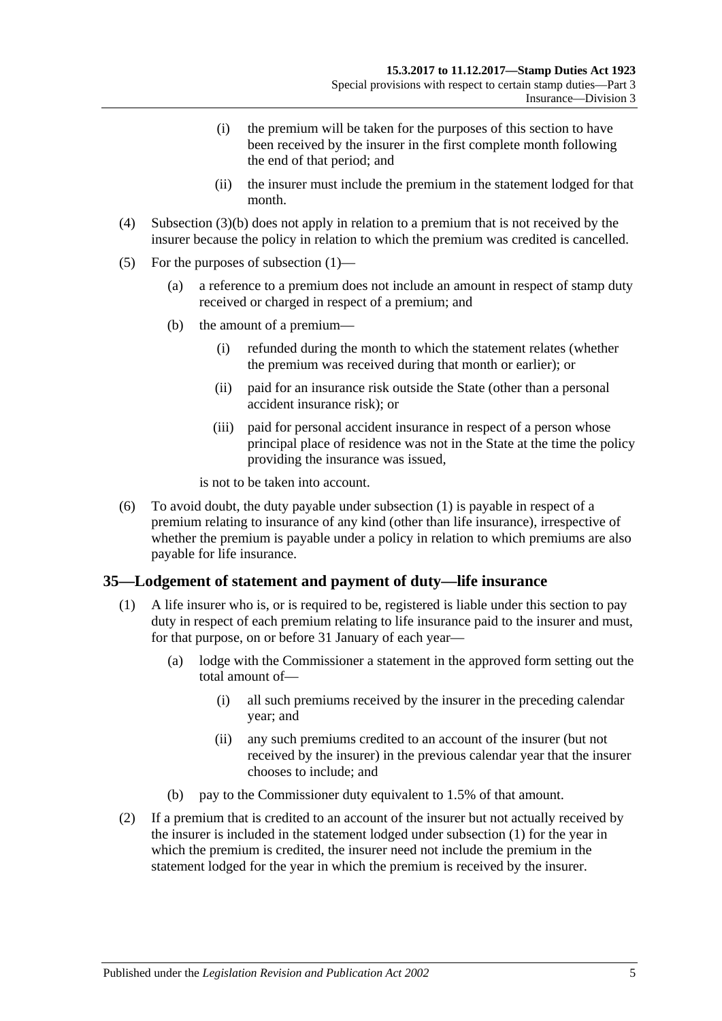- (i) the premium will be taken for the purposes of this section to have been received by the insurer in the first complete month following the end of that period; and
- (ii) the insurer must include the premium in the statement lodged for that month.
- <span id="page-22-1"></span>(4) [Subsection](#page-21-3) (3)(b) does not apply in relation to a premium that is not received by the insurer because the policy in relation to which the premium was credited is cancelled.
- (5) For the purposes of [subsection](#page-21-1) (1)—
	- (a) a reference to a premium does not include an amount in respect of stamp duty received or charged in respect of a premium; and
	- (b) the amount of a premium—
		- (i) refunded during the month to which the statement relates (whether the premium was received during that month or earlier); or
		- (ii) paid for an insurance risk outside the State (other than a personal accident insurance risk); or
		- (iii) paid for personal accident insurance in respect of a person whose principal place of residence was not in the State at the time the policy providing the insurance was issued,

is not to be taken into account.

(6) To avoid doubt, the duty payable under [subsection](#page-21-1) (1) is payable in respect of a premium relating to insurance of any kind (other than life insurance), irrespective of whether the premium is payable under a policy in relation to which premiums are also payable for life insurance.

#### <span id="page-22-2"></span><span id="page-22-0"></span>**35—Lodgement of statement and payment of duty—life insurance**

- (1) A life insurer who is, or is required to be, registered is liable under this section to pay duty in respect of each premium relating to life insurance paid to the insurer and must, for that purpose, on or before 31 January of each year—
	- (a) lodge with the Commissioner a statement in the approved form setting out the total amount of—
		- (i) all such premiums received by the insurer in the preceding calendar year; and
		- (ii) any such premiums credited to an account of the insurer (but not received by the insurer) in the previous calendar year that the insurer chooses to include; and
	- (b) pay to the Commissioner duty equivalent to 1.5% of that amount.
- (2) If a premium that is credited to an account of the insurer but not actually received by the insurer is included in the statement lodged under [subsection](#page-22-2) (1) for the year in which the premium is credited, the insurer need not include the premium in the statement lodged for the year in which the premium is received by the insurer.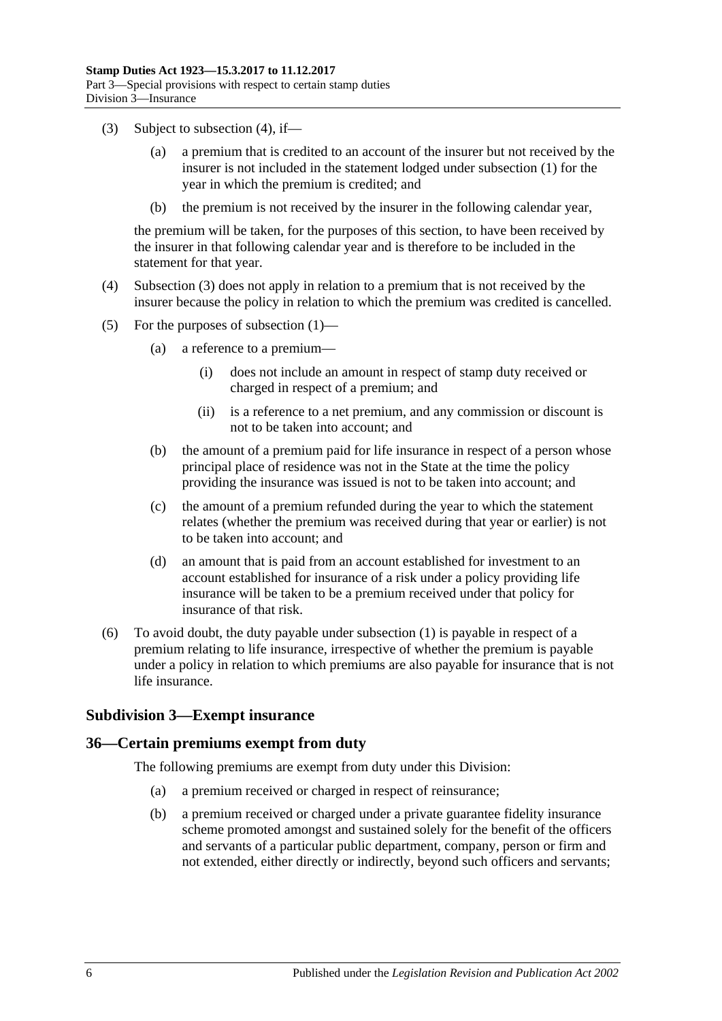- <span id="page-23-3"></span>(3) Subject to [subsection](#page-23-2) (4), if
	- a premium that is credited to an account of the insurer but not received by the insurer is not included in the statement lodged under [subsection](#page-22-2) (1) for the year in which the premium is credited; and
	- (b) the premium is not received by the insurer in the following calendar year,

the premium will be taken, for the purposes of this section, to have been received by the insurer in that following calendar year and is therefore to be included in the statement for that year.

- <span id="page-23-2"></span>(4) [Subsection](#page-23-3) (3) does not apply in relation to a premium that is not received by the insurer because the policy in relation to which the premium was credited is cancelled.
- (5) For the purposes of [subsection](#page-22-2) (1)—
	- (a) a reference to a premium—
		- (i) does not include an amount in respect of stamp duty received or charged in respect of a premium; and
		- (ii) is a reference to a net premium, and any commission or discount is not to be taken into account; and
	- (b) the amount of a premium paid for life insurance in respect of a person whose principal place of residence was not in the State at the time the policy providing the insurance was issued is not to be taken into account; and
	- (c) the amount of a premium refunded during the year to which the statement relates (whether the premium was received during that year or earlier) is not to be taken into account; and
	- (d) an amount that is paid from an account established for investment to an account established for insurance of a risk under a policy providing life insurance will be taken to be a premium received under that policy for insurance of that risk.
- (6) To avoid doubt, the duty payable under [subsection](#page-22-2) (1) is payable in respect of a premium relating to life insurance, irrespective of whether the premium is payable under a policy in relation to which premiums are also payable for insurance that is not life insurance.

## <span id="page-23-0"></span>**Subdivision 3—Exempt insurance**

## <span id="page-23-4"></span><span id="page-23-1"></span>**36—Certain premiums exempt from duty**

The following premiums are exempt from duty under this Division:

- (a) a premium received or charged in respect of reinsurance;
- (b) a premium received or charged under a private guarantee fidelity insurance scheme promoted amongst and sustained solely for the benefit of the officers and servants of a particular public department, company, person or firm and not extended, either directly or indirectly, beyond such officers and servants;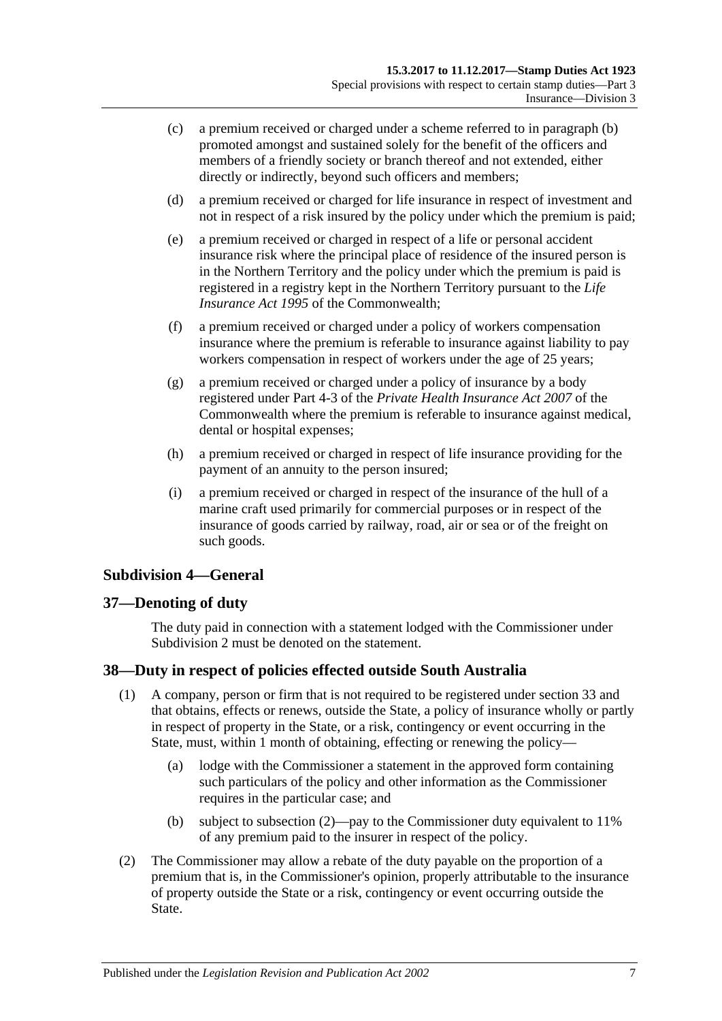- (c) a premium received or charged under a scheme referred to in [paragraph](#page-23-4) (b) promoted amongst and sustained solely for the benefit of the officers and members of a friendly society or branch thereof and not extended, either directly or indirectly, beyond such officers and members;
- (d) a premium received or charged for life insurance in respect of investment and not in respect of a risk insured by the policy under which the premium is paid;
- (e) a premium received or charged in respect of a life or personal accident insurance risk where the principal place of residence of the insured person is in the Northern Territory and the policy under which the premium is paid is registered in a registry kept in the Northern Territory pursuant to the *Life Insurance Act 1995* of the Commonwealth;
- (f) a premium received or charged under a policy of workers compensation insurance where the premium is referable to insurance against liability to pay workers compensation in respect of workers under the age of 25 years;
- (g) a premium received or charged under a policy of insurance by a body registered under Part 4-3 of the *Private Health Insurance Act 2007* of the Commonwealth where the premium is referable to insurance against medical, dental or hospital expenses;
- (h) a premium received or charged in respect of life insurance providing for the payment of an annuity to the person insured;
- (i) a premium received or charged in respect of the insurance of the hull of a marine craft used primarily for commercial purposes or in respect of the insurance of goods carried by railway, road, air or sea or of the freight on such goods.

## <span id="page-24-0"></span>**Subdivision 4—General**

## <span id="page-24-1"></span>**37—Denoting of duty**

The duty paid in connection with a statement lodged with the Commissioner under [Subdivision](#page-20-0) 2 must be denoted on the statement.

## <span id="page-24-4"></span><span id="page-24-2"></span>**38—Duty in respect of policies effected outside South Australia**

- (1) A company, person or firm that is not required to be registered under [section](#page-20-1) 33 and that obtains, effects or renews, outside the State, a policy of insurance wholly or partly in respect of property in the State, or a risk, contingency or event occurring in the State, must, within 1 month of obtaining, effecting or renewing the policy—
	- (a) lodge with the Commissioner a statement in the approved form containing such particulars of the policy and other information as the Commissioner requires in the particular case; and
	- (b) subject to [subsection](#page-24-3) (2)—pay to the Commissioner duty equivalent to 11% of any premium paid to the insurer in respect of the policy.
- <span id="page-24-3"></span>(2) The Commissioner may allow a rebate of the duty payable on the proportion of a premium that is, in the Commissioner's opinion, properly attributable to the insurance of property outside the State or a risk, contingency or event occurring outside the State.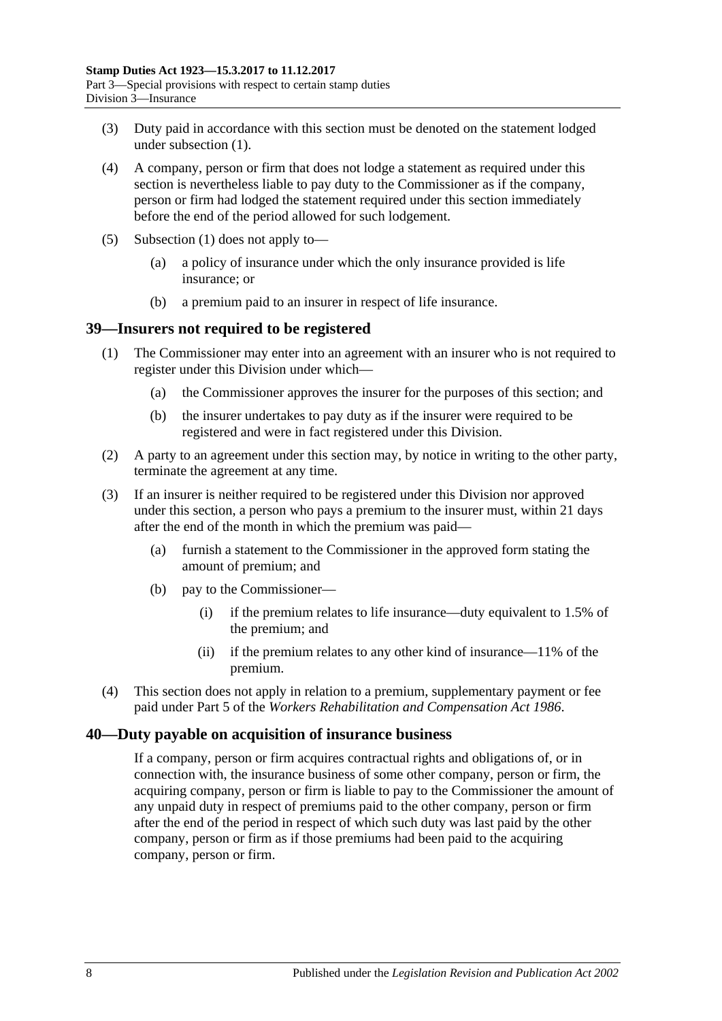- (3) Duty paid in accordance with this section must be denoted on the statement lodged under [subsection](#page-24-4) (1).
- (4) A company, person or firm that does not lodge a statement as required under this section is nevertheless liable to pay duty to the Commissioner as if the company, person or firm had lodged the statement required under this section immediately before the end of the period allowed for such lodgement.
- (5) [Subsection](#page-24-4) (1) does not apply to—
	- (a) a policy of insurance under which the only insurance provided is life insurance; or
	- (b) a premium paid to an insurer in respect of life insurance.

#### <span id="page-25-0"></span>**39—Insurers not required to be registered**

- (1) The Commissioner may enter into an agreement with an insurer who is not required to register under this Division under which—
	- (a) the Commissioner approves the insurer for the purposes of this section; and
	- (b) the insurer undertakes to pay duty as if the insurer were required to be registered and were in fact registered under this Division.
- (2) A party to an agreement under this section may, by notice in writing to the other party, terminate the agreement at any time.
- (3) If an insurer is neither required to be registered under this Division nor approved under this section, a person who pays a premium to the insurer must, within 21 days after the end of the month in which the premium was paid—
	- (a) furnish a statement to the Commissioner in the approved form stating the amount of premium; and
	- (b) pay to the Commissioner—
		- (i) if the premium relates to life insurance—duty equivalent to 1.5% of the premium; and
		- (ii) if the premium relates to any other kind of insurance—11% of the premium.
- (4) This section does not apply in relation to a premium, supplementary payment or fee paid under Part 5 of the *[Workers Rehabilitation and Compensation Act](http://www.legislation.sa.gov.au/index.aspx?action=legref&type=act&legtitle=Workers%20Rehabilitation%20and%20Compensation%20Act%201986) 1986*.

#### <span id="page-25-1"></span>**40—Duty payable on acquisition of insurance business**

If a company, person or firm acquires contractual rights and obligations of, or in connection with, the insurance business of some other company, person or firm, the acquiring company, person or firm is liable to pay to the Commissioner the amount of any unpaid duty in respect of premiums paid to the other company, person or firm after the end of the period in respect of which such duty was last paid by the other company, person or firm as if those premiums had been paid to the acquiring company, person or firm.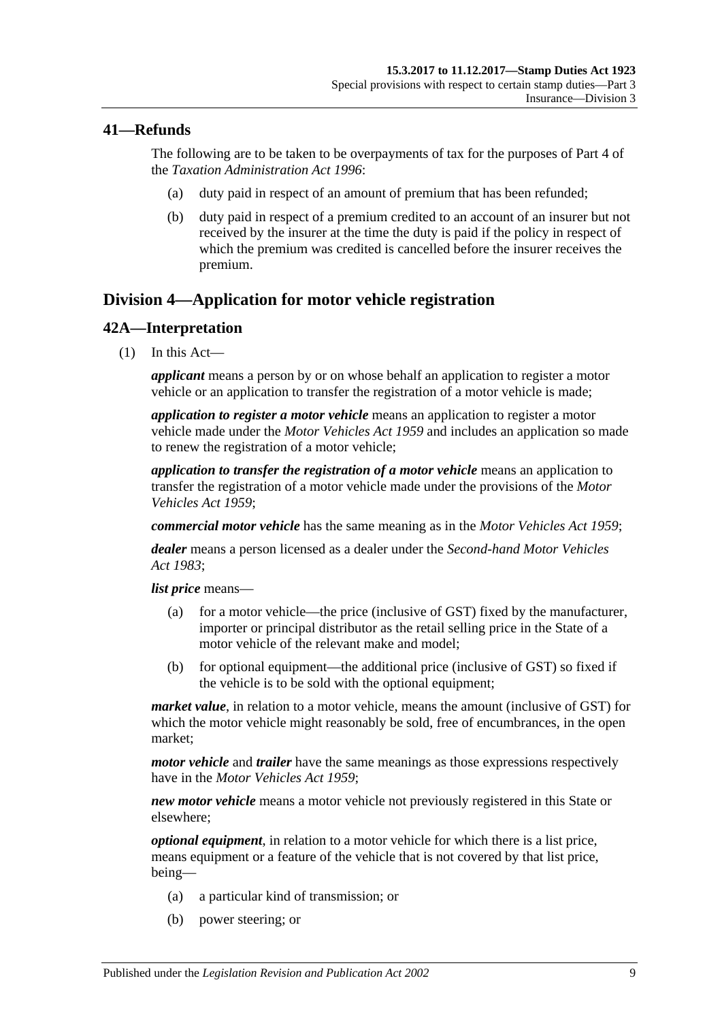# <span id="page-26-0"></span>**41—Refunds**

The following are to be taken to be overpayments of tax for the purposes of Part 4 of the *[Taxation Administration Act](http://www.legislation.sa.gov.au/index.aspx?action=legref&type=act&legtitle=Taxation%20Administration%20Act%201996) 1996*:

- (a) duty paid in respect of an amount of premium that has been refunded;
- (b) duty paid in respect of a premium credited to an account of an insurer but not received by the insurer at the time the duty is paid if the policy in respect of which the premium was credited is cancelled before the insurer receives the premium.

# <span id="page-26-1"></span>**Division 4—Application for motor vehicle registration**

# <span id="page-26-2"></span>**42A—Interpretation**

(1) In this Act—

*applicant* means a person by or on whose behalf an application to register a motor vehicle or an application to transfer the registration of a motor vehicle is made;

*application to register a motor vehicle* means an application to register a motor vehicle made under the *[Motor Vehicles Act](http://www.legislation.sa.gov.au/index.aspx?action=legref&type=act&legtitle=Motor%20Vehicles%20Act%201959) 1959* and includes an application so made to renew the registration of a motor vehicle;

*application to transfer the registration of a motor vehicle* means an application to transfer the registration of a motor vehicle made under the provisions of the *[Motor](http://www.legislation.sa.gov.au/index.aspx?action=legref&type=act&legtitle=Motor%20Vehicles%20Act%201959)  [Vehicles Act](http://www.legislation.sa.gov.au/index.aspx?action=legref&type=act&legtitle=Motor%20Vehicles%20Act%201959) 1959*;

*commercial motor vehicle* has the same meaning as in the *[Motor Vehicles Act](http://www.legislation.sa.gov.au/index.aspx?action=legref&type=act&legtitle=Motor%20Vehicles%20Act%201959) 1959*;

*dealer* means a person licensed as a dealer under the *[Second-hand Motor Vehicles](http://www.legislation.sa.gov.au/index.aspx?action=legref&type=act&legtitle=Second-hand%20Motor%20Vehicles%20Act%201983)  Act [1983](http://www.legislation.sa.gov.au/index.aspx?action=legref&type=act&legtitle=Second-hand%20Motor%20Vehicles%20Act%201983)*;

*list price* means—

- (a) for a motor vehicle—the price (inclusive of GST) fixed by the manufacturer, importer or principal distributor as the retail selling price in the State of a motor vehicle of the relevant make and model;
- (b) for optional equipment—the additional price (inclusive of GST) so fixed if the vehicle is to be sold with the optional equipment;

*market value*, in relation to a motor vehicle, means the amount (inclusive of GST) for which the motor vehicle might reasonably be sold, free of encumbrances, in the open market;

*motor vehicle* and *trailer* have the same meanings as those expressions respectively have in the *[Motor Vehicles Act](http://www.legislation.sa.gov.au/index.aspx?action=legref&type=act&legtitle=Motor%20Vehicles%20Act%201959) 1959*;

*new motor vehicle* means a motor vehicle not previously registered in this State or elsewhere;

*optional equipment*, in relation to a motor vehicle for which there is a list price, means equipment or a feature of the vehicle that is not covered by that list price, being—

- (a) a particular kind of transmission; or
- (b) power steering; or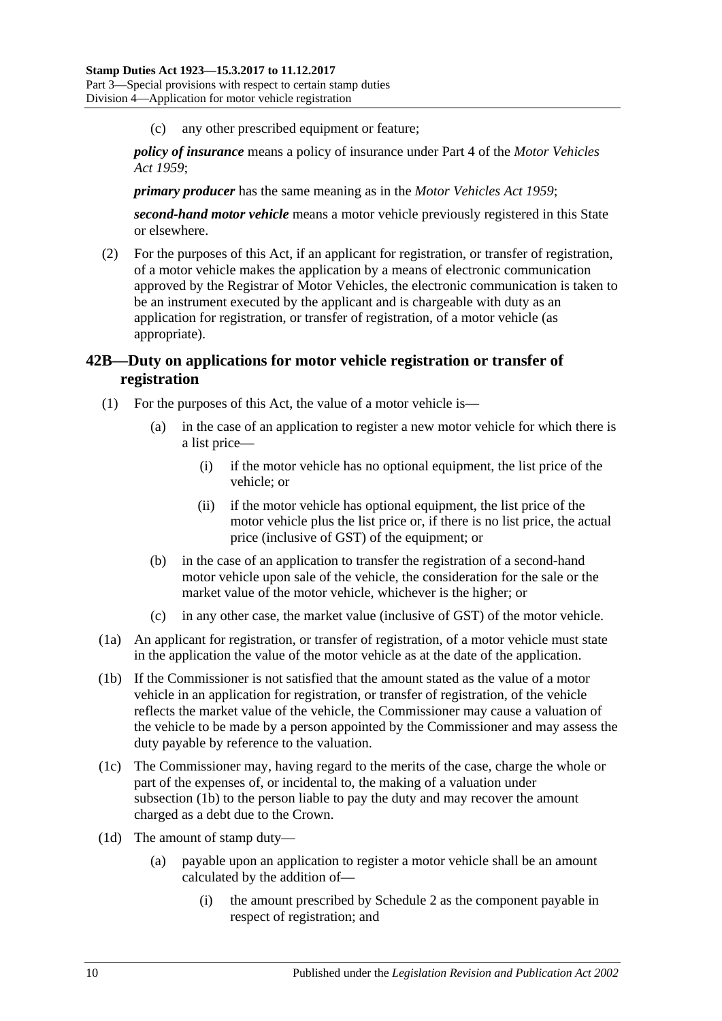(c) any other prescribed equipment or feature;

*policy of insurance* means a policy of insurance under Part 4 of the *[Motor Vehicles](http://www.legislation.sa.gov.au/index.aspx?action=legref&type=act&legtitle=Motor%20Vehicles%20Act%201959)  Act [1959](http://www.legislation.sa.gov.au/index.aspx?action=legref&type=act&legtitle=Motor%20Vehicles%20Act%201959)*;

*primary producer* has the same meaning as in the *[Motor Vehicles Act](http://www.legislation.sa.gov.au/index.aspx?action=legref&type=act&legtitle=Motor%20Vehicles%20Act%201959) 1959*;

*second-hand motor vehicle* means a motor vehicle previously registered in this State or elsewhere.

(2) For the purposes of this Act, if an applicant for registration, or transfer of registration, of a motor vehicle makes the application by a means of electronic communication approved by the Registrar of Motor Vehicles, the electronic communication is taken to be an instrument executed by the applicant and is chargeable with duty as an application for registration, or transfer of registration, of a motor vehicle (as appropriate).

# <span id="page-27-0"></span>**42B—Duty on applications for motor vehicle registration or transfer of registration**

- (1) For the purposes of this Act, the value of a motor vehicle is—
	- (a) in the case of an application to register a new motor vehicle for which there is a list price—
		- (i) if the motor vehicle has no optional equipment, the list price of the vehicle; or
		- (ii) if the motor vehicle has optional equipment, the list price of the motor vehicle plus the list price or, if there is no list price, the actual price (inclusive of GST) of the equipment; or
	- (b) in the case of an application to transfer the registration of a second-hand motor vehicle upon sale of the vehicle, the consideration for the sale or the market value of the motor vehicle, whichever is the higher; or
	- (c) in any other case, the market value (inclusive of GST) of the motor vehicle.
- (1a) An applicant for registration, or transfer of registration, of a motor vehicle must state in the application the value of the motor vehicle as at the date of the application.
- <span id="page-27-1"></span>(1b) If the Commissioner is not satisfied that the amount stated as the value of a motor vehicle in an application for registration, or transfer of registration, of the vehicle reflects the market value of the vehicle, the Commissioner may cause a valuation of the vehicle to be made by a person appointed by the Commissioner and may assess the duty payable by reference to the valuation.
- (1c) The Commissioner may, having regard to the merits of the case, charge the whole or part of the expenses of, or incidental to, the making of a valuation under [subsection](#page-27-1) (1b) to the person liable to pay the duty and may recover the amount charged as a debt due to the Crown.
- <span id="page-27-2"></span>(1d) The amount of stamp duty—
	- (a) payable upon an application to register a motor vehicle shall be an amount calculated by the addition of—
		- (i) the amount prescribed by [Schedule 2](#page-88-3) as the component payable in respect of registration; and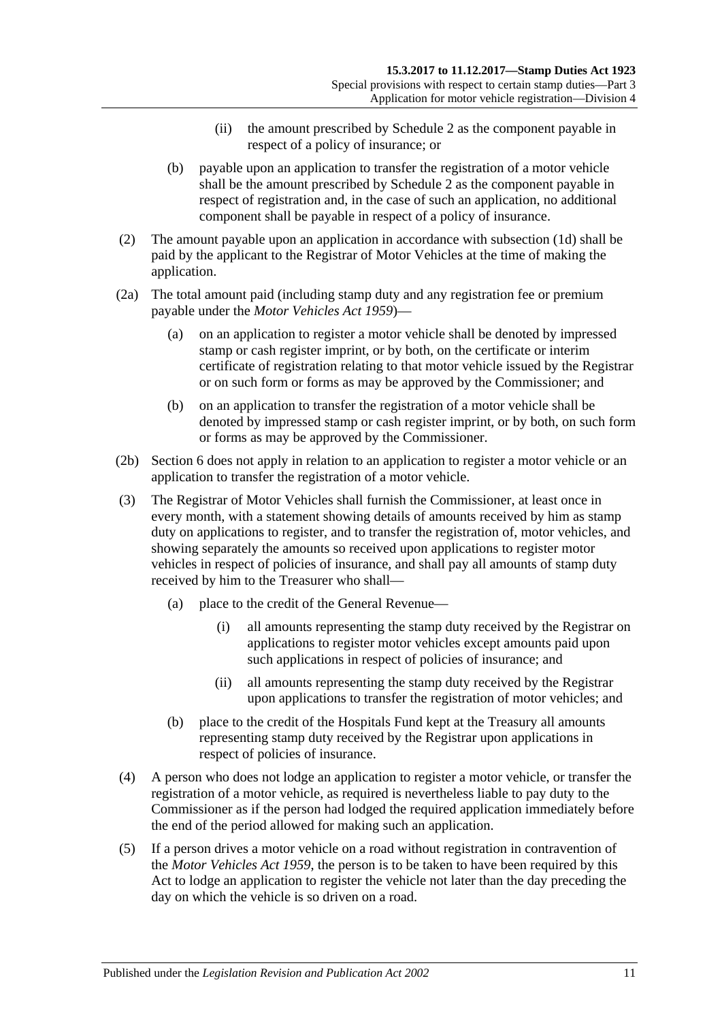- (ii) the amount prescribed by [Schedule 2](#page-88-3) as the component payable in respect of a policy of insurance; or
- (b) payable upon an application to transfer the registration of a motor vehicle shall be the amount prescribed by [Schedule 2](#page-88-3) as the component payable in respect of registration and, in the case of such an application, no additional component shall be payable in respect of a policy of insurance.
- (2) The amount payable upon an application in accordance with [subsection](#page-27-2) (1d) shall be paid by the applicant to the Registrar of Motor Vehicles at the time of making the application.
- (2a) The total amount paid (including stamp duty and any registration fee or premium payable under the *[Motor Vehicles Act](http://www.legislation.sa.gov.au/index.aspx?action=legref&type=act&legtitle=Motor%20Vehicles%20Act%201959) 1959*)—
	- (a) on an application to register a motor vehicle shall be denoted by impressed stamp or cash register imprint, or by both, on the certificate or interim certificate of registration relating to that motor vehicle issued by the Registrar or on such form or forms as may be approved by the Commissioner; and
	- (b) on an application to transfer the registration of a motor vehicle shall be denoted by impressed stamp or cash register imprint, or by both, on such form or forms as may be approved by the Commissioner.
- (2b) [Section](#page-12-2) 6 does not apply in relation to an application to register a motor vehicle or an application to transfer the registration of a motor vehicle.
- (3) The Registrar of Motor Vehicles shall furnish the Commissioner, at least once in every month, with a statement showing details of amounts received by him as stamp duty on applications to register, and to transfer the registration of, motor vehicles, and showing separately the amounts so received upon applications to register motor vehicles in respect of policies of insurance, and shall pay all amounts of stamp duty received by him to the Treasurer who shall—
	- (a) place to the credit of the General Revenue—
		- (i) all amounts representing the stamp duty received by the Registrar on applications to register motor vehicles except amounts paid upon such applications in respect of policies of insurance; and
		- (ii) all amounts representing the stamp duty received by the Registrar upon applications to transfer the registration of motor vehicles; and
	- (b) place to the credit of the Hospitals Fund kept at the Treasury all amounts representing stamp duty received by the Registrar upon applications in respect of policies of insurance.
- (4) A person who does not lodge an application to register a motor vehicle, or transfer the registration of a motor vehicle, as required is nevertheless liable to pay duty to the Commissioner as if the person had lodged the required application immediately before the end of the period allowed for making such an application.
- (5) If a person drives a motor vehicle on a road without registration in contravention of the *[Motor Vehicles Act](http://www.legislation.sa.gov.au/index.aspx?action=legref&type=act&legtitle=Motor%20Vehicles%20Act%201959) 1959*, the person is to be taken to have been required by this Act to lodge an application to register the vehicle not later than the day preceding the day on which the vehicle is so driven on a road.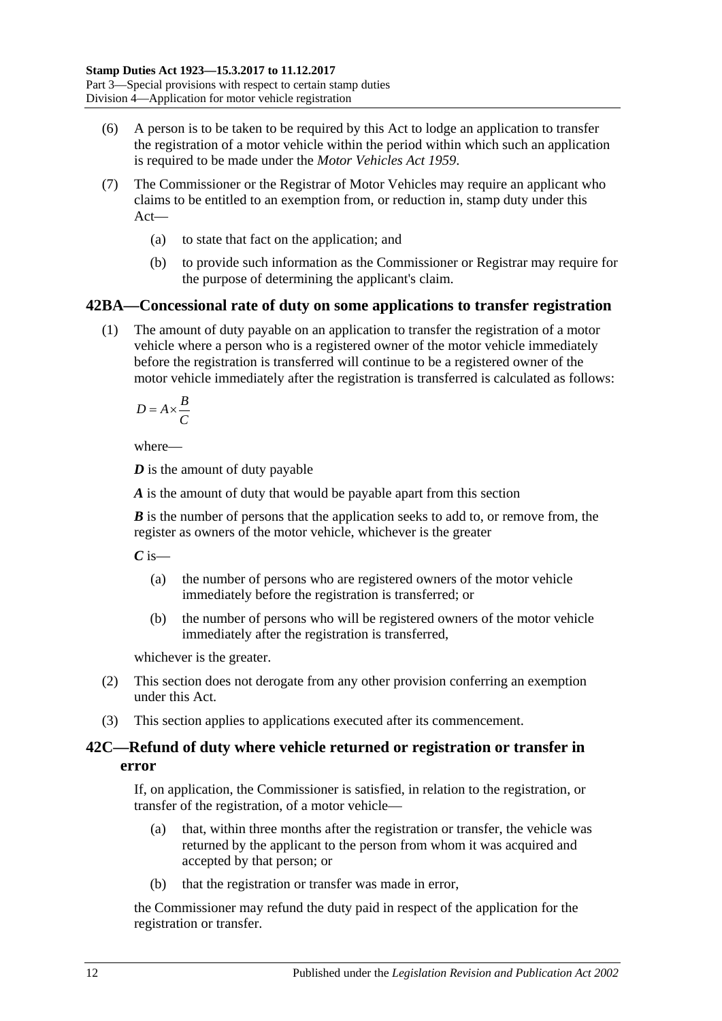- (6) A person is to be taken to be required by this Act to lodge an application to transfer the registration of a motor vehicle within the period within which such an application is required to be made under the *[Motor Vehicles Act](http://www.legislation.sa.gov.au/index.aspx?action=legref&type=act&legtitle=Motor%20Vehicles%20Act%201959) 1959*.
- (7) The Commissioner or the Registrar of Motor Vehicles may require an applicant who claims to be entitled to an exemption from, or reduction in, stamp duty under this Act—
	- (a) to state that fact on the application; and
	- (b) to provide such information as the Commissioner or Registrar may require for the purpose of determining the applicant's claim.

# <span id="page-29-0"></span>**42BA—Concessional rate of duty on some applications to transfer registration**

(1) The amount of duty payable on an application to transfer the registration of a motor vehicle where a person who is a registered owner of the motor vehicle immediately before the registration is transferred will continue to be a registered owner of the motor vehicle immediately after the registration is transferred is calculated as follows:

 $D = A \times \frac{B}{a}$ *C*  $= A \times$ 

where—

*D* is the amount of duty payable

*A* is the amount of duty that would be payable apart from this section

*B* is the number of persons that the application seeks to add to, or remove from, the register as owners of the motor vehicle, whichever is the greater

*C* is—

- (a) the number of persons who are registered owners of the motor vehicle immediately before the registration is transferred; or
- (b) the number of persons who will be registered owners of the motor vehicle immediately after the registration is transferred,

whichever is the greater.

- (2) This section does not derogate from any other provision conferring an exemption under this Act.
- (3) This section applies to applications executed after its commencement.

# <span id="page-29-1"></span>**42C—Refund of duty where vehicle returned or registration or transfer in error**

If, on application, the Commissioner is satisfied, in relation to the registration, or transfer of the registration, of a motor vehicle—

- (a) that, within three months after the registration or transfer, the vehicle was returned by the applicant to the person from whom it was acquired and accepted by that person; or
- (b) that the registration or transfer was made in error,

the Commissioner may refund the duty paid in respect of the application for the registration or transfer.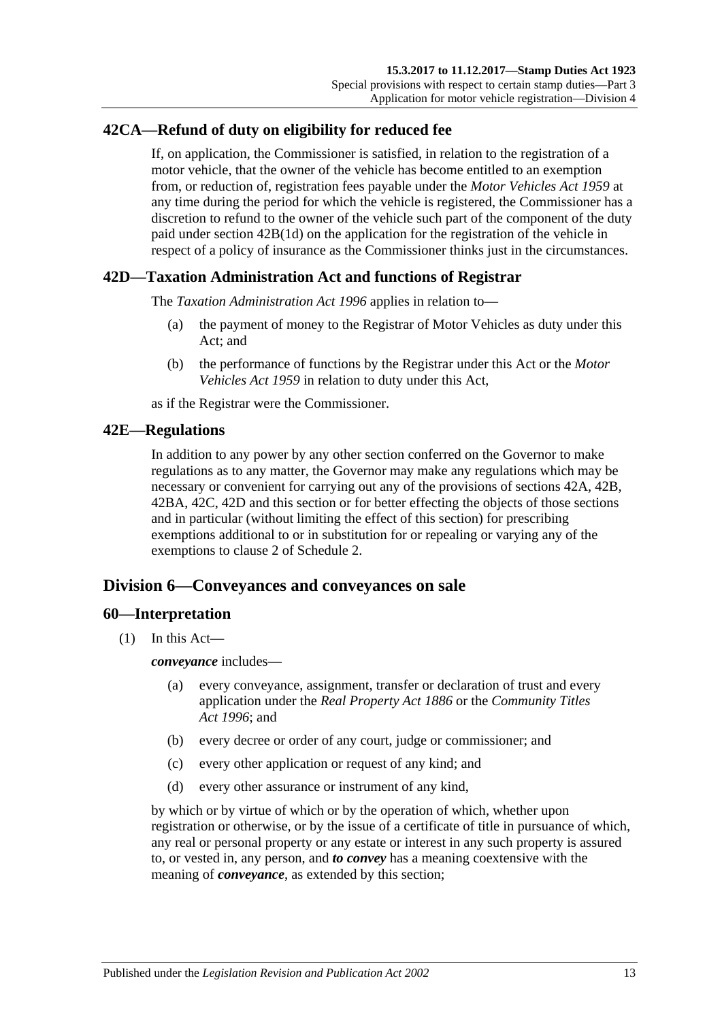# <span id="page-30-0"></span>**42CA—Refund of duty on eligibility for reduced fee**

If, on application, the Commissioner is satisfied, in relation to the registration of a motor vehicle, that the owner of the vehicle has become entitled to an exemption from, or reduction of, registration fees payable under the *[Motor Vehicles Act](http://www.legislation.sa.gov.au/index.aspx?action=legref&type=act&legtitle=Motor%20Vehicles%20Act%201959) 1959* at any time during the period for which the vehicle is registered, the Commissioner has a discretion to refund to the owner of the vehicle such part of the component of the duty paid under section [42B\(1d\)](#page-27-2) on the application for the registration of the vehicle in respect of a policy of insurance as the Commissioner thinks just in the circumstances.

## <span id="page-30-1"></span>**42D—Taxation Administration Act and functions of Registrar**

The *[Taxation Administration Act](http://www.legislation.sa.gov.au/index.aspx?action=legref&type=act&legtitle=Taxation%20Administration%20Act%201996) 1996* applies in relation to—

- (a) the payment of money to the Registrar of Motor Vehicles as duty under this Act; and
- (b) the performance of functions by the Registrar under this Act or the *[Motor](http://www.legislation.sa.gov.au/index.aspx?action=legref&type=act&legtitle=Motor%20Vehicles%20Act%201959)  [Vehicles Act](http://www.legislation.sa.gov.au/index.aspx?action=legref&type=act&legtitle=Motor%20Vehicles%20Act%201959) 1959* in relation to duty under this Act,

as if the Registrar were the Commissioner.

#### <span id="page-30-2"></span>**42E—Regulations**

In addition to any power by any other section conferred on the Governor to make regulations as to any matter, the Governor may make any regulations which may be necessary or convenient for carrying out any of the provisions of [sections](#page-26-2) 42A, [42B,](#page-27-0) [42BA,](#page-29-0) [42C,](#page-29-1) [42D](#page-30-1) and this section or for better effecting the objects of those sections and in particular (without limiting the effect of this section) for prescribing exemptions additional to or in substitution for or repealing or varying any of the exemptions to clause 2 of [Schedule 2.](#page-88-3)

# <span id="page-30-3"></span>**Division 6—Conveyances and conveyances on sale**

#### <span id="page-30-5"></span><span id="page-30-4"></span>**60—Interpretation**

(1) In this Act—

*conveyance* includes—

- (a) every conveyance, assignment, transfer or declaration of trust and every application under the *Real [Property Act](http://www.legislation.sa.gov.au/index.aspx?action=legref&type=act&legtitle=Real%20Property%20Act%201886) 1886* or the *[Community Titles](http://www.legislation.sa.gov.au/index.aspx?action=legref&type=act&legtitle=Community%20Titles%20Act%201996)  Act [1996](http://www.legislation.sa.gov.au/index.aspx?action=legref&type=act&legtitle=Community%20Titles%20Act%201996)*; and
- (b) every decree or order of any court, judge or commissioner; and
- (c) every other application or request of any kind; and
- (d) every other assurance or instrument of any kind,

by which or by virtue of which or by the operation of which, whether upon registration or otherwise, or by the issue of a certificate of title in pursuance of which, any real or personal property or any estate or interest in any such property is assured to, or vested in, any person, and *to convey* has a meaning coextensive with the meaning of *conveyance*, as extended by this section;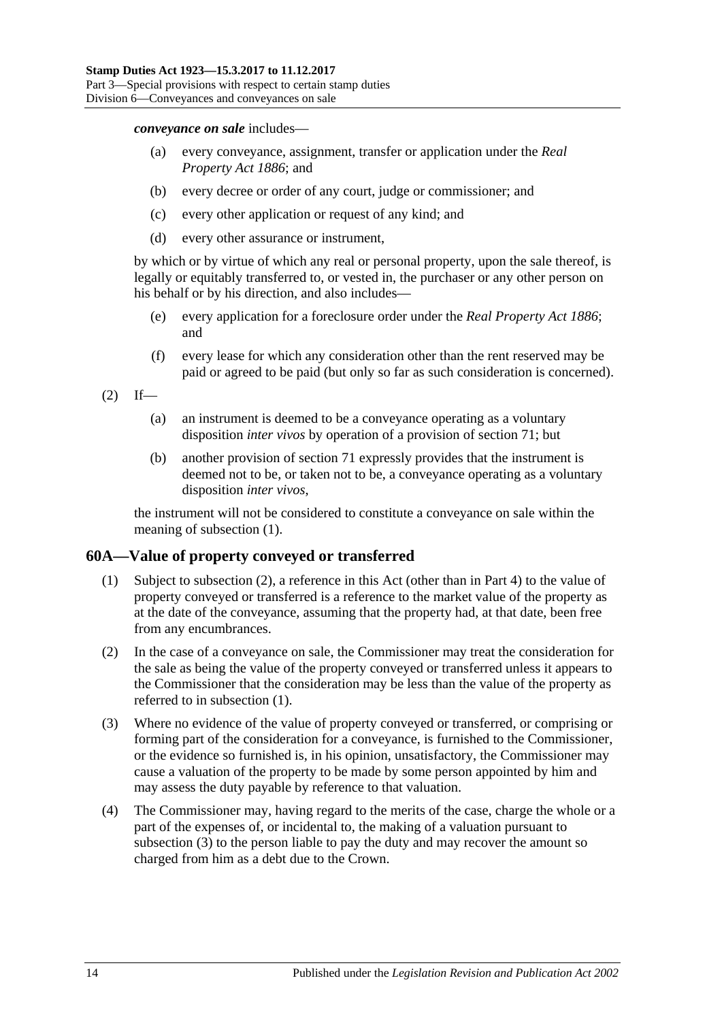*conveyance on sale* includes—

- (a) every conveyance, assignment, transfer or application under the *[Real](http://www.legislation.sa.gov.au/index.aspx?action=legref&type=act&legtitle=Real%20Property%20Act%201886)  [Property Act](http://www.legislation.sa.gov.au/index.aspx?action=legref&type=act&legtitle=Real%20Property%20Act%201886) 1886*; and
- (b) every decree or order of any court, judge or commissioner; and
- (c) every other application or request of any kind; and
- (d) every other assurance or instrument,

by which or by virtue of which any real or personal property, upon the sale thereof, is legally or equitably transferred to, or vested in, the purchaser or any other person on his behalf or by his direction, and also includes—

- (e) every application for a foreclosure order under the *[Real Property Act](http://www.legislation.sa.gov.au/index.aspx?action=legref&type=act&legtitle=Real%20Property%20Act%201886) 1886*; and
- (f) every lease for which any consideration other than the rent reserved may be paid or agreed to be paid (but only so far as such consideration is concerned).

 $(2)$  If—

- (a) an instrument is deemed to be a conveyance operating as a voluntary disposition *inter vivos* by operation of a provision of [section](#page-37-0) 71; but
- (b) another provision of [section](#page-37-0) 71 expressly provides that the instrument is deemed not to be, or taken not to be, a conveyance operating as a voluntary disposition *inter vivos*,

the instrument will not be considered to constitute a conveyance on sale within the meaning of [subsection](#page-30-5) (1).

## <span id="page-31-2"></span><span id="page-31-0"></span>**60A—Value of property conveyed or transferred**

- (1) Subject to [subsection](#page-31-1) (2), a reference in this Act (other than in [Part 4\)](#page-62-0) to the value of property conveyed or transferred is a reference to the market value of the property as at the date of the conveyance, assuming that the property had, at that date, been free from any encumbrances.
- <span id="page-31-1"></span>(2) In the case of a conveyance on sale, the Commissioner may treat the consideration for the sale as being the value of the property conveyed or transferred unless it appears to the Commissioner that the consideration may be less than the value of the property as referred to in [subsection](#page-31-2) (1).
- <span id="page-31-3"></span>(3) Where no evidence of the value of property conveyed or transferred, or comprising or forming part of the consideration for a conveyance, is furnished to the Commissioner, or the evidence so furnished is, in his opinion, unsatisfactory, the Commissioner may cause a valuation of the property to be made by some person appointed by him and may assess the duty payable by reference to that valuation.
- (4) The Commissioner may, having regard to the merits of the case, charge the whole or a part of the expenses of, or incidental to, the making of a valuation pursuant to [subsection](#page-31-3)  $(3)$  to the person liable to pay the duty and may recover the amount so charged from him as a debt due to the Crown.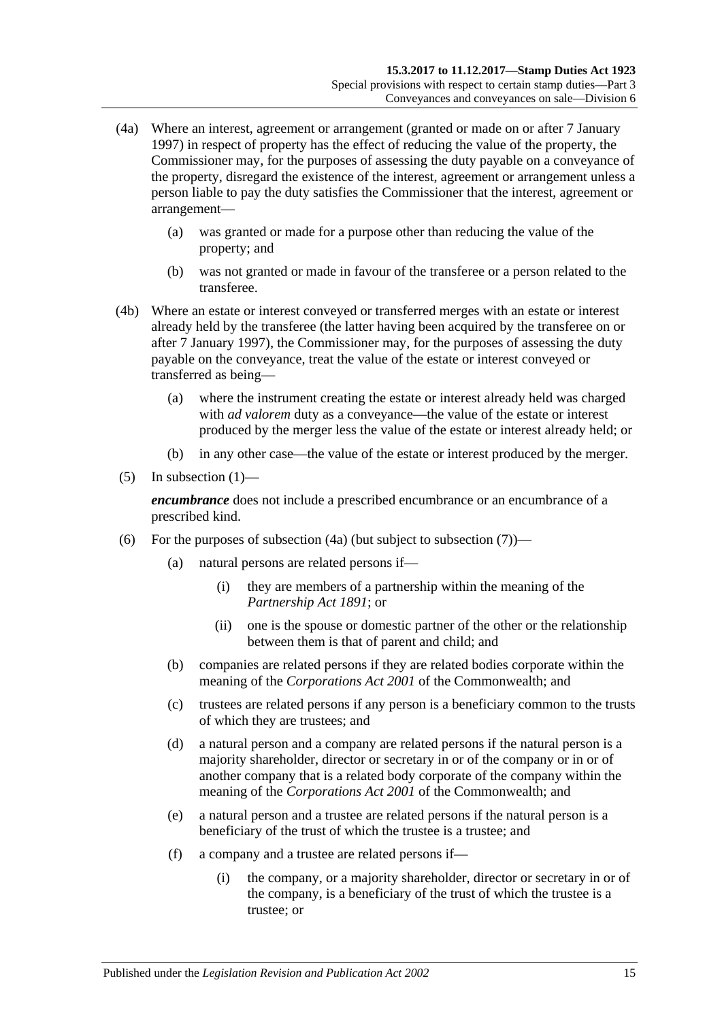- <span id="page-32-0"></span>(4a) Where an interest, agreement or arrangement (granted or made on or after 7 January 1997) in respect of property has the effect of reducing the value of the property, the Commissioner may, for the purposes of assessing the duty payable on a conveyance of the property, disregard the existence of the interest, agreement or arrangement unless a person liable to pay the duty satisfies the Commissioner that the interest, agreement or arrangement—
	- (a) was granted or made for a purpose other than reducing the value of the property; and
	- (b) was not granted or made in favour of the transferee or a person related to the transferee.
- (4b) Where an estate or interest conveyed or transferred merges with an estate or interest already held by the transferee (the latter having been acquired by the transferee on or after 7 January 1997), the Commissioner may, for the purposes of assessing the duty payable on the conveyance, treat the value of the estate or interest conveyed or transferred as being—
	- (a) where the instrument creating the estate or interest already held was charged with *ad valorem* duty as a conveyance—the value of the estate or interest produced by the merger less the value of the estate or interest already held; or
	- (b) in any other case—the value of the estate or interest produced by the merger.
- $(5)$  In [subsection](#page-31-2)  $(1)$ —

*encumbrance* does not include a prescribed encumbrance or an encumbrance of a prescribed kind.

- <span id="page-32-1"></span>(6) For the purposes of [subsection](#page-33-2)  $(4a)$  (but subject to subsection  $(7)$ )—
	- (a) natural persons are related persons if—
		- (i) they are members of a partnership within the meaning of the *[Partnership Act](http://www.legislation.sa.gov.au/index.aspx?action=legref&type=act&legtitle=Partnership%20Act%201891) 1891*; or
		- (ii) one is the spouse or domestic partner of the other or the relationship between them is that of parent and child; and
	- (b) companies are related persons if they are related bodies corporate within the meaning of the *Corporations Act 2001* of the Commonwealth; and
	- (c) trustees are related persons if any person is a beneficiary common to the trusts of which they are trustees; and
	- (d) a natural person and a company are related persons if the natural person is a majority shareholder, director or secretary in or of the company or in or of another company that is a related body corporate of the company within the meaning of the *Corporations Act 2001* of the Commonwealth; and
	- (e) a natural person and a trustee are related persons if the natural person is a beneficiary of the trust of which the trustee is a trustee; and
	- (f) a company and a trustee are related persons if—
		- (i) the company, or a majority shareholder, director or secretary in or of the company, is a beneficiary of the trust of which the trustee is a trustee; or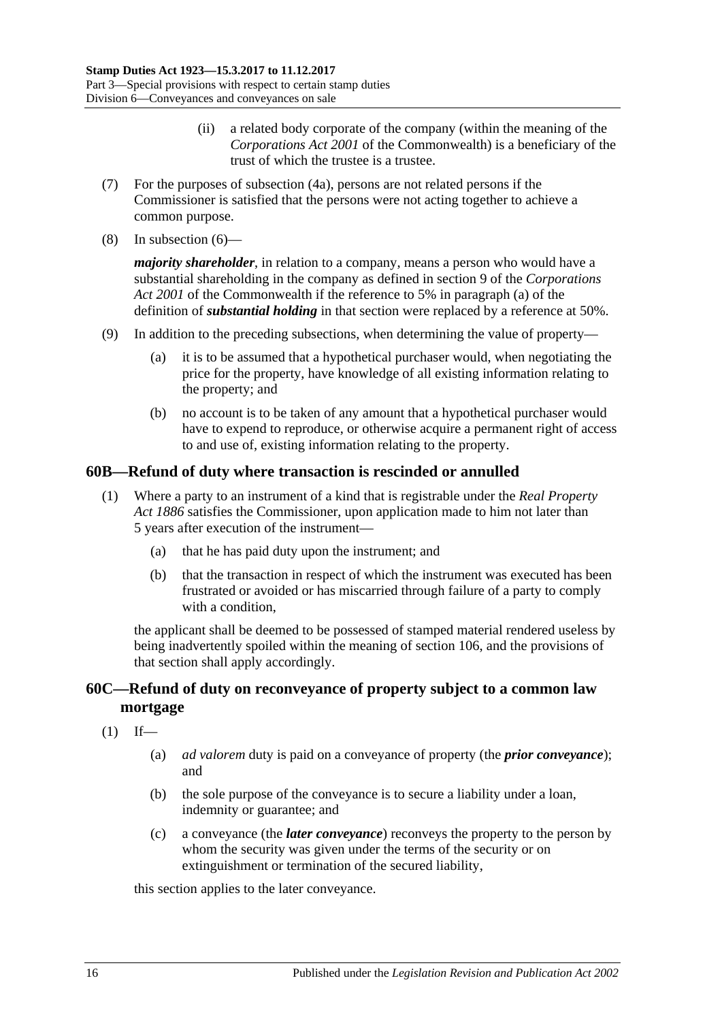- (ii) a related body corporate of the company (within the meaning of the *Corporations Act 2001* of the Commonwealth) is a beneficiary of the trust of which the trustee is a trustee.
- <span id="page-33-2"></span>(7) For the purposes of [subsection](#page-32-0) (4a), persons are not related persons if the Commissioner is satisfied that the persons were not acting together to achieve a common purpose.
- (8) In [subsection](#page-32-1) (6)—

*majority shareholder*, in relation to a company, means a person who would have a substantial shareholding in the company as defined in section 9 of the *Corporations Act 2001* of the Commonwealth if the reference to 5% in paragraph (a) of the definition of *substantial holding* in that section were replaced by a reference at 50%.

- (9) In addition to the preceding subsections, when determining the value of property—
	- (a) it is to be assumed that a hypothetical purchaser would, when negotiating the price for the property, have knowledge of all existing information relating to the property; and
	- (b) no account is to be taken of any amount that a hypothetical purchaser would have to expend to reproduce, or otherwise acquire a permanent right of access to and use of, existing information relating to the property.

# <span id="page-33-0"></span>**60B—Refund of duty where transaction is rescinded or annulled**

- (1) Where a party to an instrument of a kind that is registrable under the *[Real Property](http://www.legislation.sa.gov.au/index.aspx?action=legref&type=act&legtitle=Real%20Property%20Act%201886)  Act [1886](http://www.legislation.sa.gov.au/index.aspx?action=legref&type=act&legtitle=Real%20Property%20Act%201886)* satisfies the Commissioner, upon application made to him not later than 5 years after execution of the instrument—
	- (a) that he has paid duty upon the instrument; and
	- (b) that the transaction in respect of which the instrument was executed has been frustrated or avoided or has miscarried through failure of a party to comply with a condition.

the applicant shall be deemed to be possessed of stamped material rendered useless by being inadvertently spoiled within the meaning of [section](#page-84-1) 106, and the provisions of that section shall apply accordingly.

# <span id="page-33-1"></span>**60C—Refund of duty on reconveyance of property subject to a common law mortgage**

- $(1)$  If—
	- (a) *ad valorem* duty is paid on a conveyance of property (the *prior conveyance*); and
	- (b) the sole purpose of the conveyance is to secure a liability under a loan, indemnity or guarantee; and
	- (c) a conveyance (the *later conveyance*) reconveys the property to the person by whom the security was given under the terms of the security or on extinguishment or termination of the secured liability,

this section applies to the later conveyance.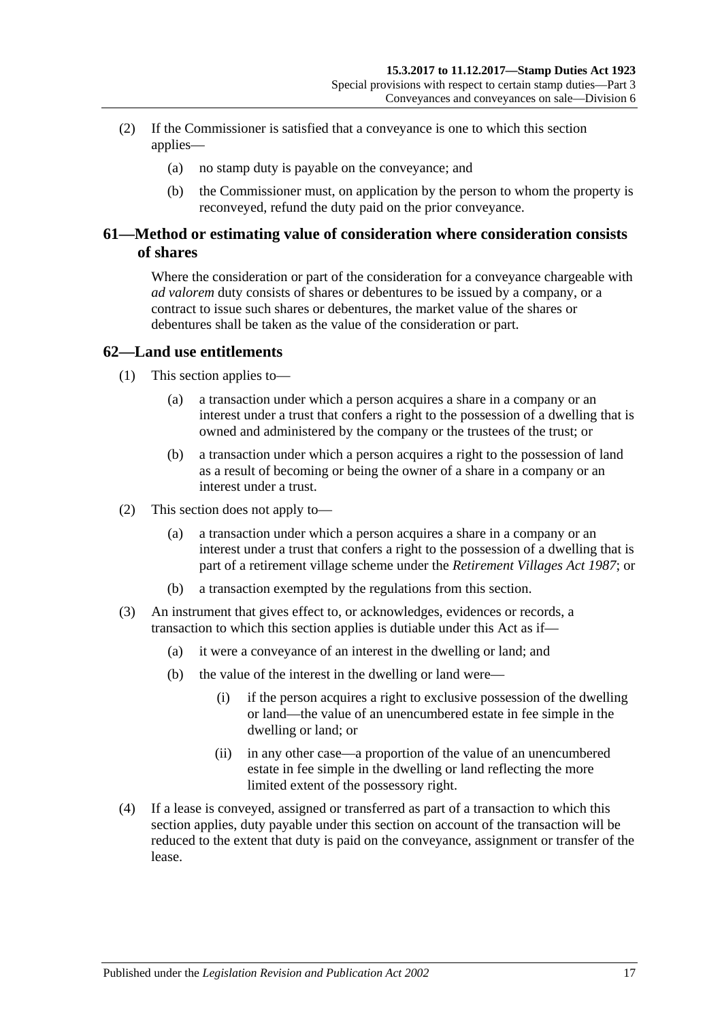- (2) If the Commissioner is satisfied that a conveyance is one to which this section applies—
	- (a) no stamp duty is payable on the conveyance; and
	- (b) the Commissioner must, on application by the person to whom the property is reconveyed, refund the duty paid on the prior conveyance.

# <span id="page-34-0"></span>**61—Method or estimating value of consideration where consideration consists of shares**

Where the consideration or part of the consideration for a conveyance chargeable with *ad valorem* duty consists of shares or debentures to be issued by a company, or a contract to issue such shares or debentures, the market value of the shares or debentures shall be taken as the value of the consideration or part.

#### <span id="page-34-1"></span>**62—Land use entitlements**

- (1) This section applies to—
	- (a) a transaction under which a person acquires a share in a company or an interest under a trust that confers a right to the possession of a dwelling that is owned and administered by the company or the trustees of the trust; or
	- (b) a transaction under which a person acquires a right to the possession of land as a result of becoming or being the owner of a share in a company or an interest under a trust.
- (2) This section does not apply to—
	- (a) a transaction under which a person acquires a share in a company or an interest under a trust that confers a right to the possession of a dwelling that is part of a retirement village scheme under the *[Retirement Villages Act](http://www.legislation.sa.gov.au/index.aspx?action=legref&type=act&legtitle=Retirement%20Villages%20Act%201987) 1987*; or
	- (b) a transaction exempted by the regulations from this section.
- (3) An instrument that gives effect to, or acknowledges, evidences or records, a transaction to which this section applies is dutiable under this Act as if—
	- (a) it were a conveyance of an interest in the dwelling or land; and
	- (b) the value of the interest in the dwelling or land were—
		- (i) if the person acquires a right to exclusive possession of the dwelling or land—the value of an unencumbered estate in fee simple in the dwelling or land; or
		- (ii) in any other case—a proportion of the value of an unencumbered estate in fee simple in the dwelling or land reflecting the more limited extent of the possessory right.
- (4) If a lease is conveyed, assigned or transferred as part of a transaction to which this section applies, duty payable under this section on account of the transaction will be reduced to the extent that duty is paid on the conveyance, assignment or transfer of the lease.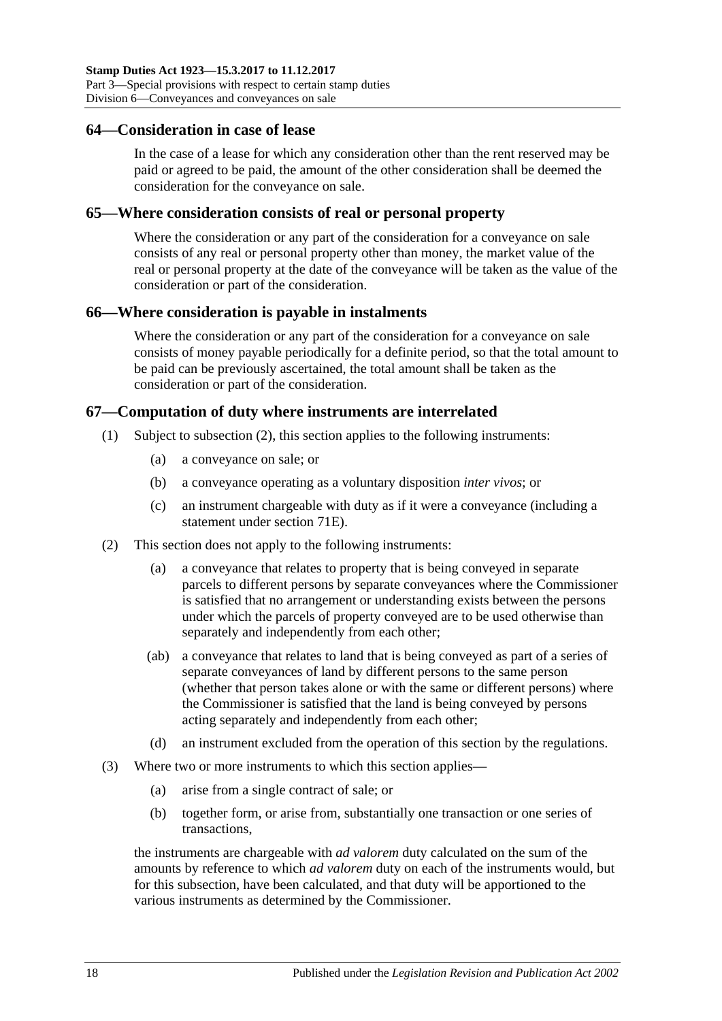#### <span id="page-35-0"></span>**64—Consideration in case of lease**

In the case of a lease for which any consideration other than the rent reserved may be paid or agreed to be paid, the amount of the other consideration shall be deemed the consideration for the conveyance on sale.

#### <span id="page-35-1"></span>**65—Where consideration consists of real or personal property**

Where the consideration or any part of the consideration for a conveyance on sale consists of any real or personal property other than money, the market value of the real or personal property at the date of the conveyance will be taken as the value of the consideration or part of the consideration.

## <span id="page-35-2"></span>**66—Where consideration is payable in instalments**

Where the consideration or any part of the consideration for a conveyance on sale consists of money payable periodically for a definite period, so that the total amount to be paid can be previously ascertained, the total amount shall be taken as the consideration or part of the consideration.

## <span id="page-35-3"></span>**67—Computation of duty where instruments are interrelated**

- (1) Subject to [subsection](#page-35-4) (2), this section applies to the following instruments:
	- (a) a conveyance on sale; or
	- (b) a conveyance operating as a voluntary disposition *inter vivos*; or
	- (c) an instrument chargeable with duty as if it were a conveyance (including a statement under [section](#page-59-1) 71E).
- <span id="page-35-4"></span>(2) This section does not apply to the following instruments:
	- (a) a conveyance that relates to property that is being conveyed in separate parcels to different persons by separate conveyances where the Commissioner is satisfied that no arrangement or understanding exists between the persons under which the parcels of property conveyed are to be used otherwise than separately and independently from each other;
	- (ab) a conveyance that relates to land that is being conveyed as part of a series of separate conveyances of land by different persons to the same person (whether that person takes alone or with the same or different persons) where the Commissioner is satisfied that the land is being conveyed by persons acting separately and independently from each other;
	- (d) an instrument excluded from the operation of this section by the regulations.
- (3) Where two or more instruments to which this section applies—
	- (a) arise from a single contract of sale; or
	- (b) together form, or arise from, substantially one transaction or one series of transactions,

the instruments are chargeable with *ad valorem* duty calculated on the sum of the amounts by reference to which *ad valorem* duty on each of the instruments would, but for this subsection, have been calculated, and that duty will be apportioned to the various instruments as determined by the Commissioner.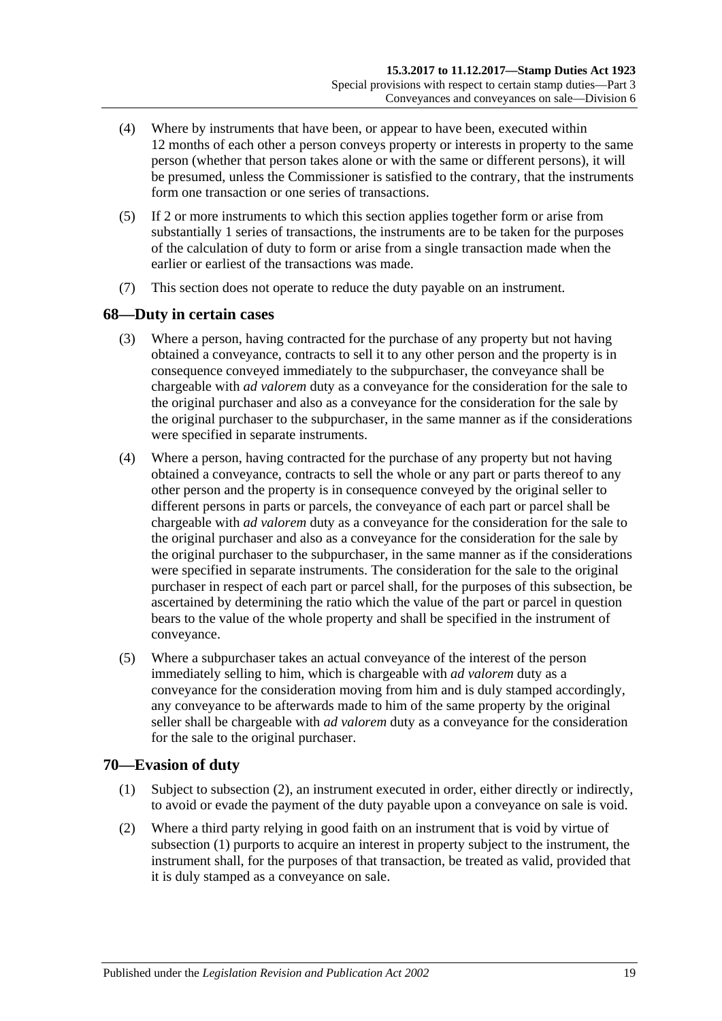- (4) Where by instruments that have been, or appear to have been, executed within 12 months of each other a person conveys property or interests in property to the same person (whether that person takes alone or with the same or different persons), it will be presumed, unless the Commissioner is satisfied to the contrary, that the instruments form one transaction or one series of transactions.
- (5) If 2 or more instruments to which this section applies together form or arise from substantially 1 series of transactions, the instruments are to be taken for the purposes of the calculation of duty to form or arise from a single transaction made when the earlier or earliest of the transactions was made.
- (7) This section does not operate to reduce the duty payable on an instrument.

## **68—Duty in certain cases**

- (3) Where a person, having contracted for the purchase of any property but not having obtained a conveyance, contracts to sell it to any other person and the property is in consequence conveyed immediately to the subpurchaser, the conveyance shall be chargeable with *ad valorem* duty as a conveyance for the consideration for the sale to the original purchaser and also as a conveyance for the consideration for the sale by the original purchaser to the subpurchaser, in the same manner as if the considerations were specified in separate instruments.
- (4) Where a person, having contracted for the purchase of any property but not having obtained a conveyance, contracts to sell the whole or any part or parts thereof to any other person and the property is in consequence conveyed by the original seller to different persons in parts or parcels, the conveyance of each part or parcel shall be chargeable with *ad valorem* duty as a conveyance for the consideration for the sale to the original purchaser and also as a conveyance for the consideration for the sale by the original purchaser to the subpurchaser, in the same manner as if the considerations were specified in separate instruments. The consideration for the sale to the original purchaser in respect of each part or parcel shall, for the purposes of this subsection, be ascertained by determining the ratio which the value of the part or parcel in question bears to the value of the whole property and shall be specified in the instrument of conveyance.
- (5) Where a subpurchaser takes an actual conveyance of the interest of the person immediately selling to him, which is chargeable with *ad valorem* duty as a conveyance for the consideration moving from him and is duly stamped accordingly, any conveyance to be afterwards made to him of the same property by the original seller shall be chargeable with *ad valorem* duty as a conveyance for the consideration for the sale to the original purchaser.

## <span id="page-36-1"></span>**70—Evasion of duty**

- (1) Subject to [subsection](#page-36-0) (2), an instrument executed in order, either directly or indirectly, to avoid or evade the payment of the duty payable upon a conveyance on sale is void.
- <span id="page-36-0"></span>(2) Where a third party relying in good faith on an instrument that is void by virtue of [subsection](#page-36-1) (1) purports to acquire an interest in property subject to the instrument, the instrument shall, for the purposes of that transaction, be treated as valid, provided that it is duly stamped as a conveyance on sale.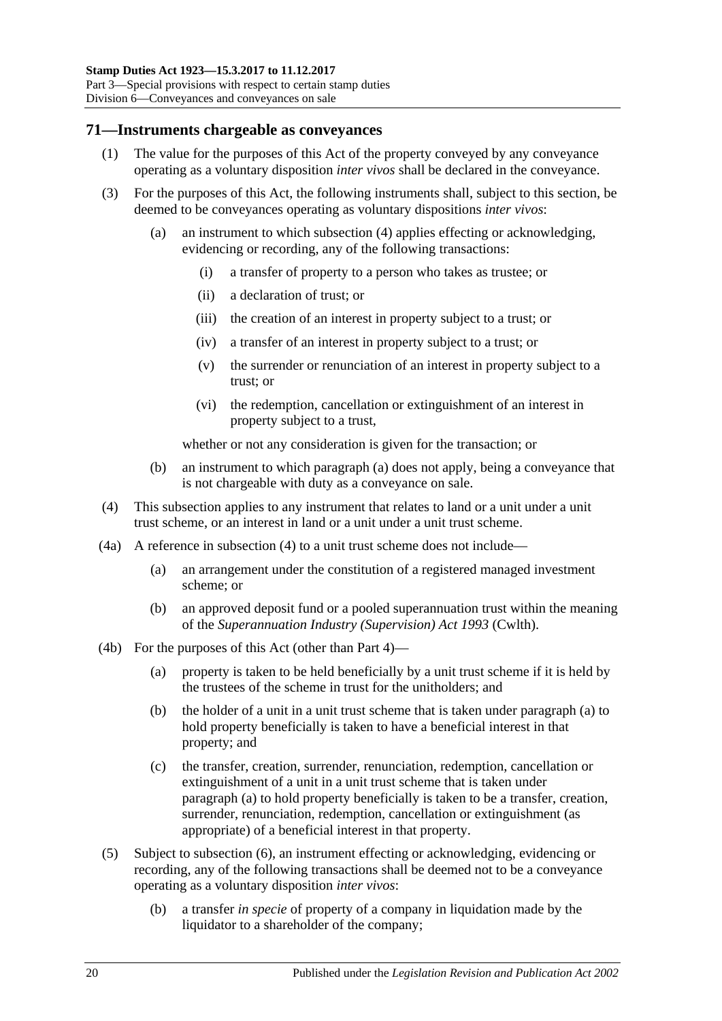### **71—Instruments chargeable as conveyances**

- (1) The value for the purposes of this Act of the property conveyed by any conveyance operating as a voluntary disposition *inter vivos* shall be declared in the conveyance.
- <span id="page-37-1"></span>(3) For the purposes of this Act, the following instruments shall, subject to this section, be deemed to be conveyances operating as voluntary dispositions *inter vivos*:
	- (a) an instrument to which [subsection](#page-37-0) (4) applies effecting or acknowledging, evidencing or recording, any of the following transactions:
		- (i) a transfer of property to a person who takes as trustee; or
		- (ii) a declaration of trust; or
		- (iii) the creation of an interest in property subject to a trust; or
		- (iv) a transfer of an interest in property subject to a trust; or
		- (v) the surrender or renunciation of an interest in property subject to a trust; or
		- (vi) the redemption, cancellation or extinguishment of an interest in property subject to a trust,

whether or not any consideration is given for the transaction; or

- (b) an instrument to which [paragraph](#page-37-1) (a) does not apply, being a conveyance that is not chargeable with duty as a conveyance on sale.
- <span id="page-37-0"></span>(4) This subsection applies to any instrument that relates to land or a unit under a unit trust scheme, or an interest in land or a unit under a unit trust scheme.
- (4a) A reference in [subsection](#page-37-0) (4) to a unit trust scheme does not include—
	- (a) an arrangement under the constitution of a registered managed investment scheme; or
	- (b) an approved deposit fund or a pooled superannuation trust within the meaning of the *Superannuation Industry (Supervision) Act 1993* (Cwlth).
- <span id="page-37-2"></span>(4b) For the purposes of this Act (other than [Part 4\)](#page-62-0)—
	- (a) property is taken to be held beneficially by a unit trust scheme if it is held by the trustees of the scheme in trust for the unitholders; and
	- (b) the holder of a unit in a unit trust scheme that is taken under [paragraph](#page-37-2) (a) to hold property beneficially is taken to have a beneficial interest in that property; and
	- (c) the transfer, creation, surrender, renunciation, redemption, cancellation or extinguishment of a unit in a unit trust scheme that is taken under [paragraph](#page-37-2) (a) to hold property beneficially is taken to be a transfer, creation, surrender, renunciation, redemption, cancellation or extinguishment (as appropriate) of a beneficial interest in that property.
- <span id="page-37-3"></span>(5) Subject to [subsection](#page-39-0) (6), an instrument effecting or acknowledging, evidencing or recording, any of the following transactions shall be deemed not to be a conveyance operating as a voluntary disposition *inter vivos*:
	- (b) a transfer *in specie* of property of a company in liquidation made by the liquidator to a shareholder of the company: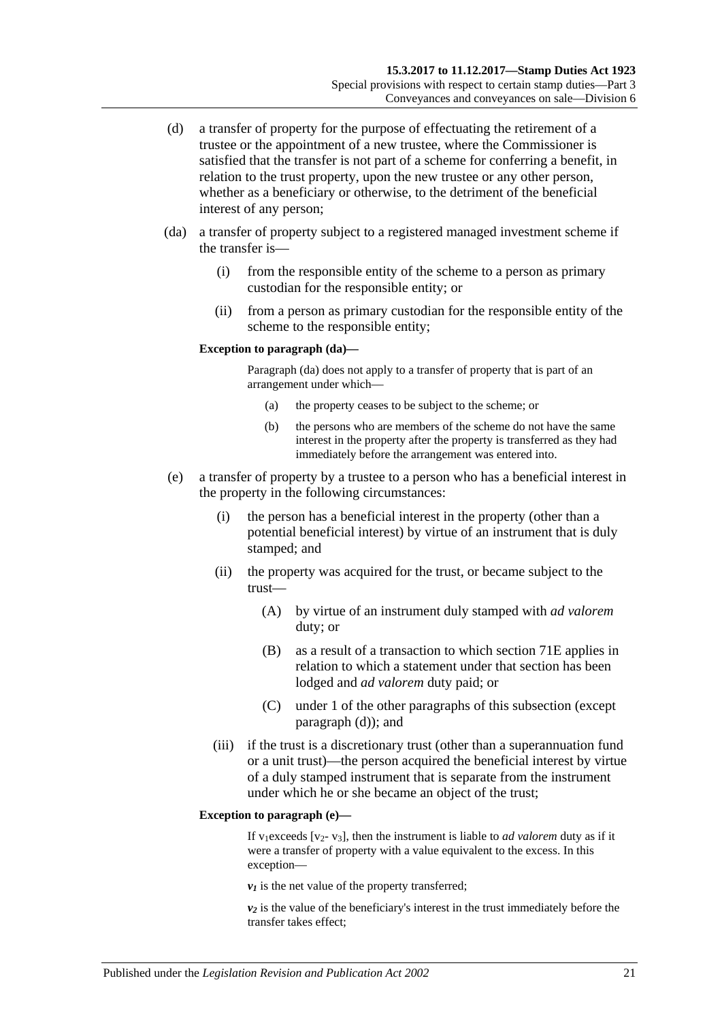- <span id="page-38-0"></span>(d) a transfer of property for the purpose of effectuating the retirement of a trustee or the appointment of a new trustee, where the Commissioner is satisfied that the transfer is not part of a scheme for conferring a benefit, in relation to the trust property, upon the new trustee or any other person, whether as a beneficiary or otherwise, to the detriment of the beneficial interest of any person;
- (da) a transfer of property subject to a registered managed investment scheme if the transfer is—
	- (i) from the responsible entity of the scheme to a person as primary custodian for the responsible entity; or
	- (ii) from a person as primary custodian for the responsible entity of the scheme to the responsible entity;

#### **Exception to paragraph (da)—**

Paragraph (da) does not apply to a transfer of property that is part of an arrangement under which—

- (a) the property ceases to be subject to the scheme; or
- (b) the persons who are members of the scheme do not have the same interest in the property after the property is transferred as they had immediately before the arrangement was entered into.
- <span id="page-38-1"></span>(e) a transfer of property by a trustee to a person who has a beneficial interest in the property in the following circumstances:
	- (i) the person has a beneficial interest in the property (other than a potential beneficial interest) by virtue of an instrument that is duly stamped; and
	- (ii) the property was acquired for the trust, or became subject to the trust—
		- (A) by virtue of an instrument duly stamped with *ad valorem* duty; or
		- (B) as a result of a transaction to which [section](#page-59-0) 71E applies in relation to which a statement under that section has been lodged and *ad valorem* duty paid; or
		- (C) under 1 of the other paragraphs of this subsection (except [paragraph](#page-38-0) (d)); and
	- (iii) if the trust is a discretionary trust (other than a superannuation fund or a unit trust)—the person acquired the beneficial interest by virtue of a duly stamped instrument that is separate from the instrument under which he or she became an object of the trust;

#### **Exception to paragraph (e)—**

If v1exceeds [v2- v3], then the instrument is liable to *ad valorem* duty as if it were a transfer of property with a value equivalent to the excess. In this exception—

 $v_1$  is the net value of the property transferred;

*v2* is the value of the beneficiary's interest in the trust immediately before the transfer takes effect;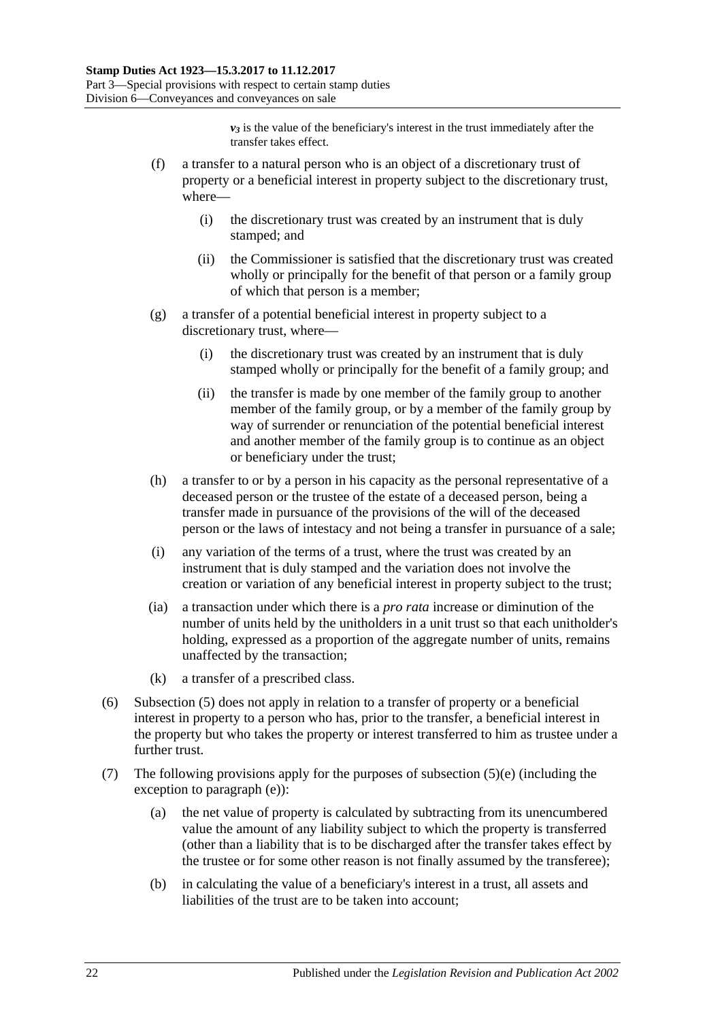$v_3$  is the value of the beneficiary's interest in the trust immediately after the transfer takes effect.

- (f) a transfer to a natural person who is an object of a discretionary trust of property or a beneficial interest in property subject to the discretionary trust, where—
	- (i) the discretionary trust was created by an instrument that is duly stamped; and
	- (ii) the Commissioner is satisfied that the discretionary trust was created wholly or principally for the benefit of that person or a family group of which that person is a member;
- (g) a transfer of a potential beneficial interest in property subject to a discretionary trust, where—
	- (i) the discretionary trust was created by an instrument that is duly stamped wholly or principally for the benefit of a family group; and
	- (ii) the transfer is made by one member of the family group to another member of the family group, or by a member of the family group by way of surrender or renunciation of the potential beneficial interest and another member of the family group is to continue as an object or beneficiary under the trust;
- (h) a transfer to or by a person in his capacity as the personal representative of a deceased person or the trustee of the estate of a deceased person, being a transfer made in pursuance of the provisions of the will of the deceased person or the laws of intestacy and not being a transfer in pursuance of a sale;
- (i) any variation of the terms of a trust, where the trust was created by an instrument that is duly stamped and the variation does not involve the creation or variation of any beneficial interest in property subject to the trust;
- (ia) a transaction under which there is a *pro rata* increase or diminution of the number of units held by the unitholders in a unit trust so that each unitholder's holding, expressed as a proportion of the aggregate number of units, remains unaffected by the transaction;
- (k) a transfer of a prescribed class.
- <span id="page-39-0"></span>(6) [Subsection](#page-37-3) (5) does not apply in relation to a transfer of property or a beneficial interest in property to a person who has, prior to the transfer, a beneficial interest in the property but who takes the property or interest transferred to him as trustee under a further trust.
- (7) The following provisions apply for the purposes of [subsection](#page-38-1)  $(5)(e)$  (including the exception to [paragraph](#page-38-1) (e)):
	- (a) the net value of property is calculated by subtracting from its unencumbered value the amount of any liability subject to which the property is transferred (other than a liability that is to be discharged after the transfer takes effect by the trustee or for some other reason is not finally assumed by the transferee);
	- (b) in calculating the value of a beneficiary's interest in a trust, all assets and liabilities of the trust are to be taken into account;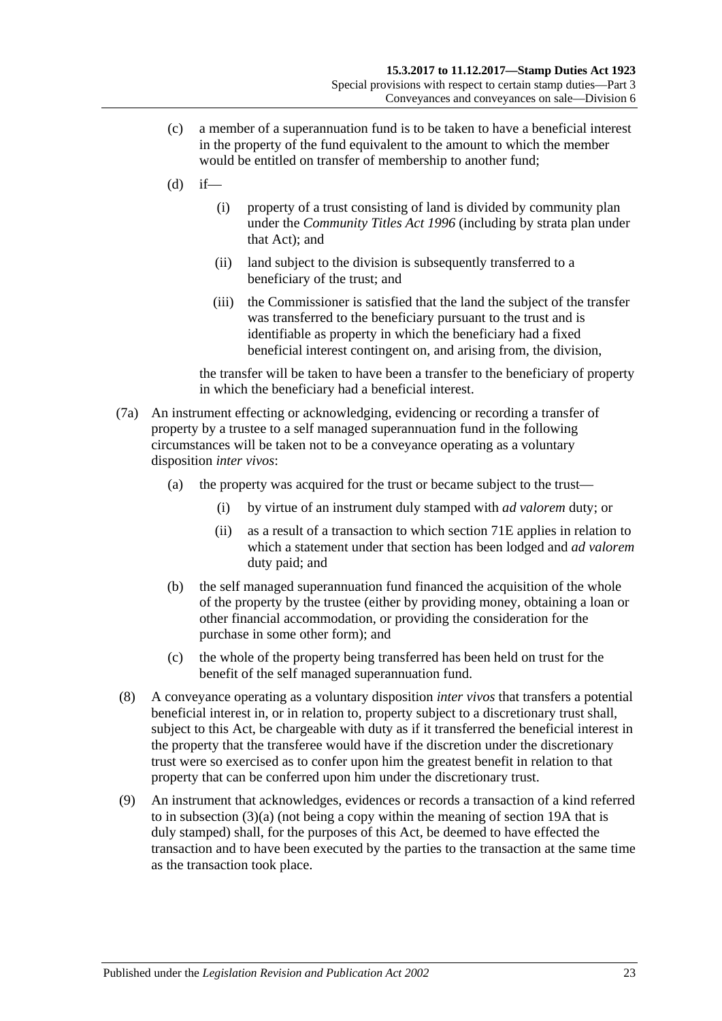- (c) a member of a superannuation fund is to be taken to have a beneficial interest in the property of the fund equivalent to the amount to which the member would be entitled on transfer of membership to another fund;
- $(d)$  if—
	- (i) property of a trust consisting of land is divided by community plan under the *[Community Titles Act](http://www.legislation.sa.gov.au/index.aspx?action=legref&type=act&legtitle=Community%20Titles%20Act%201996) 1996* (including by strata plan under that Act); and
	- (ii) land subject to the division is subsequently transferred to a beneficiary of the trust; and
	- (iii) the Commissioner is satisfied that the land the subject of the transfer was transferred to the beneficiary pursuant to the trust and is identifiable as property in which the beneficiary had a fixed beneficial interest contingent on, and arising from, the division,

the transfer will be taken to have been a transfer to the beneficiary of property in which the beneficiary had a beneficial interest.

- (7a) An instrument effecting or acknowledging, evidencing or recording a transfer of property by a trustee to a self managed superannuation fund in the following circumstances will be taken not to be a conveyance operating as a voluntary disposition *inter vivos*:
	- (a) the property was acquired for the trust or became subject to the trust—
		- (i) by virtue of an instrument duly stamped with *ad valorem* duty; or
		- (ii) as a result of a transaction to which [section](#page-59-0) 71E applies in relation to which a statement under that section has been lodged and *ad valorem* duty paid; and
	- (b) the self managed superannuation fund financed the acquisition of the whole of the property by the trustee (either by providing money, obtaining a loan or other financial accommodation, or providing the consideration for the purchase in some other form); and
	- (c) the whole of the property being transferred has been held on trust for the benefit of the self managed superannuation fund.
- (8) A conveyance operating as a voluntary disposition *inter vivos* that transfers a potential beneficial interest in, or in relation to, property subject to a discretionary trust shall, subject to this Act, be chargeable with duty as if it transferred the beneficial interest in the property that the transferee would have if the discretion under the discretionary trust were so exercised as to confer upon him the greatest benefit in relation to that property that can be conferred upon him under the discretionary trust.
- (9) An instrument that acknowledges, evidences or records a transaction of a kind referred to in [subsection](#page-37-1) (3)(a) (not being a copy within the meaning of [section](#page-14-0) 19A that is duly stamped) shall, for the purposes of this Act, be deemed to have effected the transaction and to have been executed by the parties to the transaction at the same time as the transaction took place.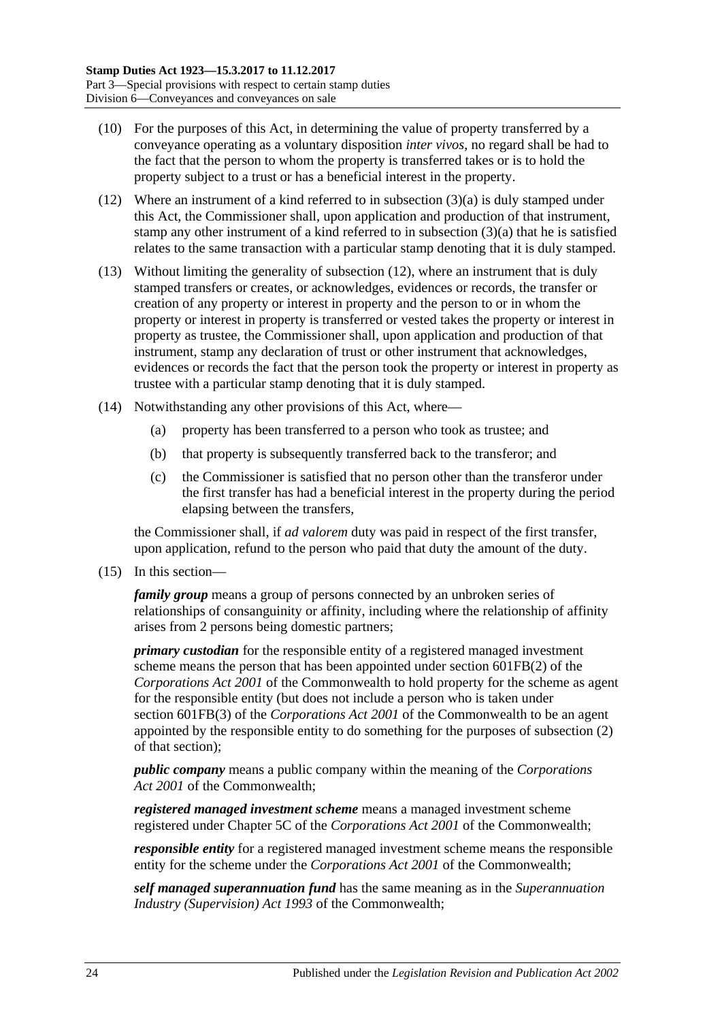- (10) For the purposes of this Act, in determining the value of property transferred by a conveyance operating as a voluntary disposition *inter vivos*, no regard shall be had to the fact that the person to whom the property is transferred takes or is to hold the property subject to a trust or has a beneficial interest in the property.
- <span id="page-41-0"></span>(12) Where an instrument of a kind referred to in [subsection](#page-37-1) (3)(a) is duly stamped under this Act, the Commissioner shall, upon application and production of that instrument, stamp any other instrument of a kind referred to in [subsection](#page-37-1) (3)(a) that he is satisfied relates to the same transaction with a particular stamp denoting that it is duly stamped.
- (13) Without limiting the generality of [subsection](#page-41-0) (12), where an instrument that is duly stamped transfers or creates, or acknowledges, evidences or records, the transfer or creation of any property or interest in property and the person to or in whom the property or interest in property is transferred or vested takes the property or interest in property as trustee, the Commissioner shall, upon application and production of that instrument, stamp any declaration of trust or other instrument that acknowledges, evidences or records the fact that the person took the property or interest in property as trustee with a particular stamp denoting that it is duly stamped.
- (14) Notwithstanding any other provisions of this Act, where—
	- (a) property has been transferred to a person who took as trustee; and
	- (b) that property is subsequently transferred back to the transferor; and
	- (c) the Commissioner is satisfied that no person other than the transferor under the first transfer has had a beneficial interest in the property during the period elapsing between the transfers,

the Commissioner shall, if *ad valorem* duty was paid in respect of the first transfer, upon application, refund to the person who paid that duty the amount of the duty.

(15) In this section—

*family group* means a group of persons connected by an unbroken series of relationships of consanguinity or affinity, including where the relationship of affinity arises from 2 persons being domestic partners;

*primary custodian* for the responsible entity of a registered managed investment scheme means the person that has been appointed under section 601FB(2) of the *Corporations Act 2001* of the Commonwealth to hold property for the scheme as agent for the responsible entity (but does not include a person who is taken under section 601FB(3) of the *Corporations Act 2001* of the Commonwealth to be an agent appointed by the responsible entity to do something for the purposes of subsection (2) of that section);

*public company* means a public company within the meaning of the *Corporations Act 2001* of the Commonwealth;

*registered managed investment scheme* means a managed investment scheme registered under Chapter 5C of the *Corporations Act 2001* of the Commonwealth;

*responsible entity* for a registered managed investment scheme means the responsible entity for the scheme under the *Corporations Act 2001* of the Commonwealth;

*self managed superannuation fund* has the same meaning as in the *Superannuation Industry (Supervision) Act 1993* of the Commonwealth;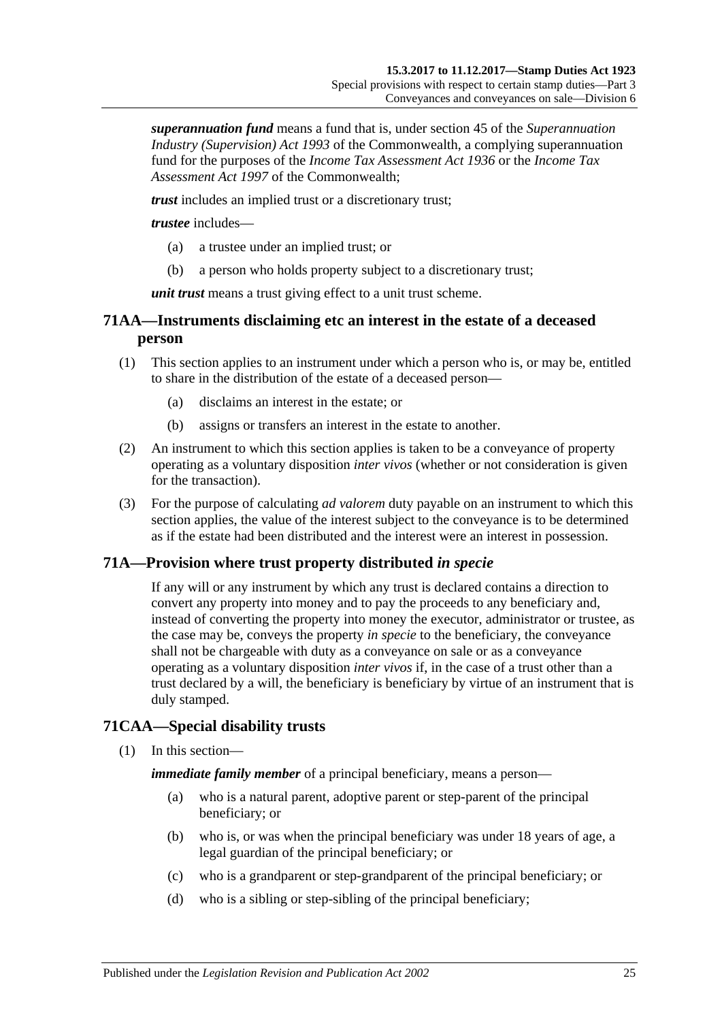*superannuation fund* means a fund that is, under section 45 of the *Superannuation Industry (Supervision) Act 1993* of the Commonwealth, a complying superannuation fund for the purposes of the *Income Tax Assessment Act 1936* or the *Income Tax Assessment Act 1997* of the Commonwealth;

*trust* includes an implied trust or a discretionary trust;

*trustee* includes—

- (a) a trustee under an implied trust; or
- (b) a person who holds property subject to a discretionary trust;

*unit trust* means a trust giving effect to a unit trust scheme.

## **71AA—Instruments disclaiming etc an interest in the estate of a deceased person**

- (1) This section applies to an instrument under which a person who is, or may be, entitled to share in the distribution of the estate of a deceased person—
	- (a) disclaims an interest in the estate; or
	- (b) assigns or transfers an interest in the estate to another.
- (2) An instrument to which this section applies is taken to be a conveyance of property operating as a voluntary disposition *inter vivos* (whether or not consideration is given for the transaction).
- (3) For the purpose of calculating *ad valorem* duty payable on an instrument to which this section applies, the value of the interest subject to the conveyance is to be determined as if the estate had been distributed and the interest were an interest in possession.

## **71A—Provision where trust property distributed** *in specie*

If any will or any instrument by which any trust is declared contains a direction to convert any property into money and to pay the proceeds to any beneficiary and, instead of converting the property into money the executor, administrator or trustee, as the case may be, conveys the property *in specie* to the beneficiary, the conveyance shall not be chargeable with duty as a conveyance on sale or as a conveyance operating as a voluntary disposition *inter vivos* if, in the case of a trust other than a trust declared by a will, the beneficiary is beneficiary by virtue of an instrument that is duly stamped.

## **71CAA—Special disability trusts**

(1) In this section—

*immediate family member* of a principal beneficiary, means a person—

- (a) who is a natural parent, adoptive parent or step-parent of the principal beneficiary; or
- (b) who is, or was when the principal beneficiary was under 18 years of age, a legal guardian of the principal beneficiary; or
- (c) who is a grandparent or step-grandparent of the principal beneficiary; or
- (d) who is a sibling or step-sibling of the principal beneficiary;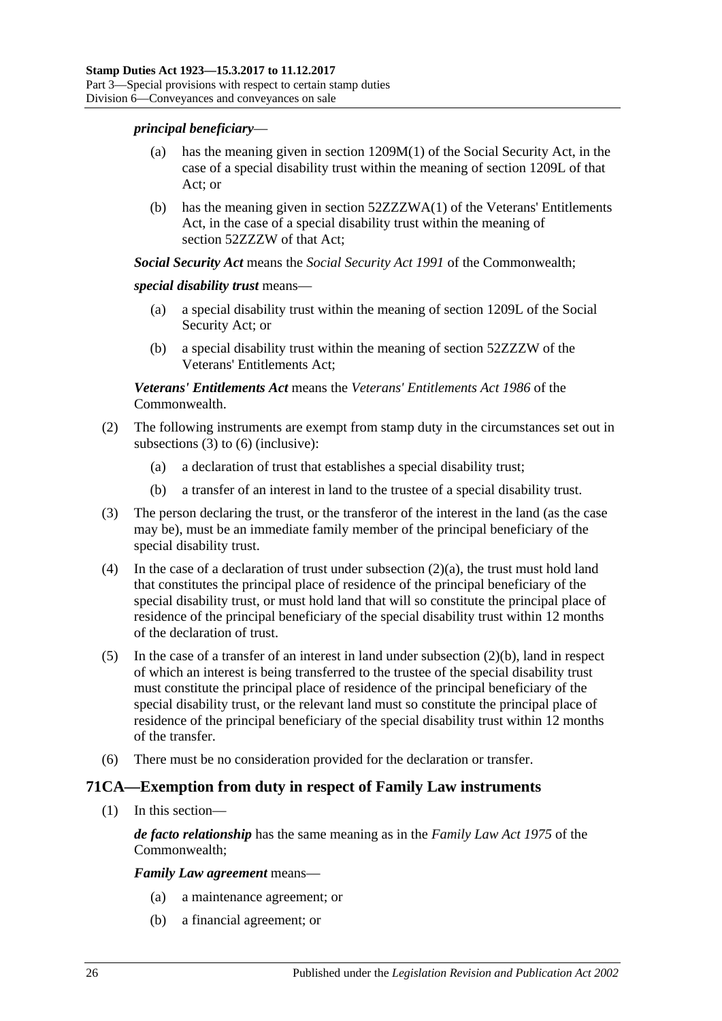### *principal beneficiary*—

- has the meaning given in section  $1209M(1)$  of the Social Security Act, in the case of a special disability trust within the meaning of section 1209L of that Act; or
- (b) has the meaning given in section 52ZZZWA(1) of the Veterans' Entitlements Act, in the case of a special disability trust within the meaning of section 52ZZZW of that Act;

*Social Security Act* means the *Social Security Act 1991* of the Commonwealth;

### *special disability trust* means—

- (a) a special disability trust within the meaning of section 1209L of the Social Security Act; or
- (b) a special disability trust within the meaning of section 52ZZZW of the Veterans' Entitlements Act;

*Veterans' Entitlements Act* means the *Veterans' Entitlements Act 1986* of the Commonwealth.

- <span id="page-43-2"></span>(2) The following instruments are exempt from stamp duty in the circumstances set out in [subsections](#page-43-0) (3) to [\(6\)](#page-43-1) (inclusive):
	- (a) a declaration of trust that establishes a special disability trust;
	- (b) a transfer of an interest in land to the trustee of a special disability trust.
- <span id="page-43-3"></span><span id="page-43-0"></span>(3) The person declaring the trust, or the transferor of the interest in the land (as the case may be), must be an immediate family member of the principal beneficiary of the special disability trust.
- (4) In the case of a declaration of trust under [subsection](#page-43-2) (2)(a), the trust must hold land that constitutes the principal place of residence of the principal beneficiary of the special disability trust, or must hold land that will so constitute the principal place of residence of the principal beneficiary of the special disability trust within 12 months of the declaration of trust.
- (5) In the case of a transfer of an interest in land under [subsection](#page-43-3) (2)(b), land in respect of which an interest is being transferred to the trustee of the special disability trust must constitute the principal place of residence of the principal beneficiary of the special disability trust, or the relevant land must so constitute the principal place of residence of the principal beneficiary of the special disability trust within 12 months of the transfer.
- <span id="page-43-1"></span>(6) There must be no consideration provided for the declaration or transfer.

### **71CA—Exemption from duty in respect of Family Law instruments**

(1) In this section—

*de facto relationship* has the same meaning as in the *Family Law Act 1975* of the Commonwealth;

*Family Law agreement* means—

- (a) a maintenance agreement; or
- (b) a financial agreement; or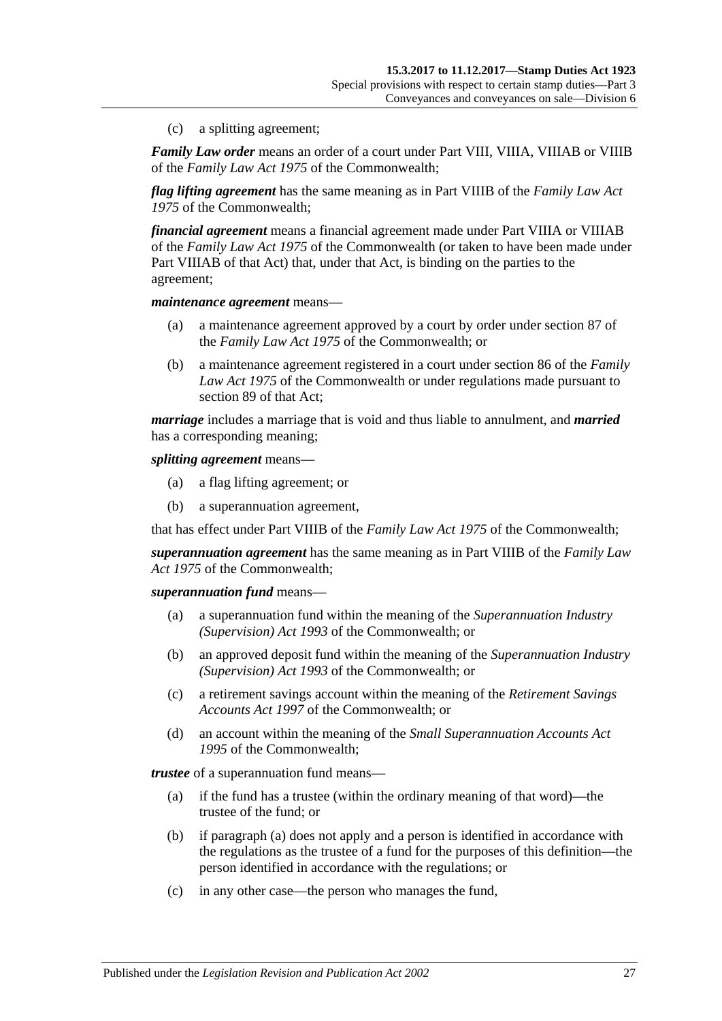(c) a splitting agreement;

*Family Law order* means an order of a court under Part VIII, VIIIA, VIIIAB or VIIIB of the *Family Law Act 1975* of the Commonwealth;

*flag lifting agreement* has the same meaning as in Part VIIIB of the *Family Law Act 1975* of the Commonwealth;

*financial agreement* means a financial agreement made under Part VIIIA or VIIIAB of the *Family Law Act 1975* of the Commonwealth (or taken to have been made under Part VIIIAB of that Act) that, under that Act, is binding on the parties to the agreement;

*maintenance agreement* means—

- (a) a maintenance agreement approved by a court by order under section 87 of the *Family Law Act 1975* of the Commonwealth; or
- (b) a maintenance agreement registered in a court under section 86 of the *Family Law Act 1975* of the Commonwealth or under regulations made pursuant to section 89 of that Act;

*marriage* includes a marriage that is void and thus liable to annulment, and *married* has a corresponding meaning;

*splitting agreement* means—

- (a) a flag lifting agreement; or
- (b) a superannuation agreement,

that has effect under Part VIIIB of the *Family Law Act 1975* of the Commonwealth;

*superannuation agreement* has the same meaning as in Part VIIIB of the *Family Law Act 1975* of the Commonwealth;

*superannuation fund* means—

- (a) a superannuation fund within the meaning of the *Superannuation Industry (Supervision) Act 1993* of the Commonwealth; or
- (b) an approved deposit fund within the meaning of the *Superannuation Industry (Supervision) Act 1993* of the Commonwealth; or
- (c) a retirement savings account within the meaning of the *Retirement Savings Accounts Act 1997* of the Commonwealth; or
- (d) an account within the meaning of the *Small Superannuation Accounts Act 1995* of the Commonwealth;

<span id="page-44-0"></span>*trustee* of a superannuation fund means—

- (a) if the fund has a trustee (within the ordinary meaning of that word)—the trustee of the fund; or
- (b) if [paragraph](#page-44-0) (a) does not apply and a person is identified in accordance with the regulations as the trustee of a fund for the purposes of this definition—the person identified in accordance with the regulations; or
- (c) in any other case—the person who manages the fund,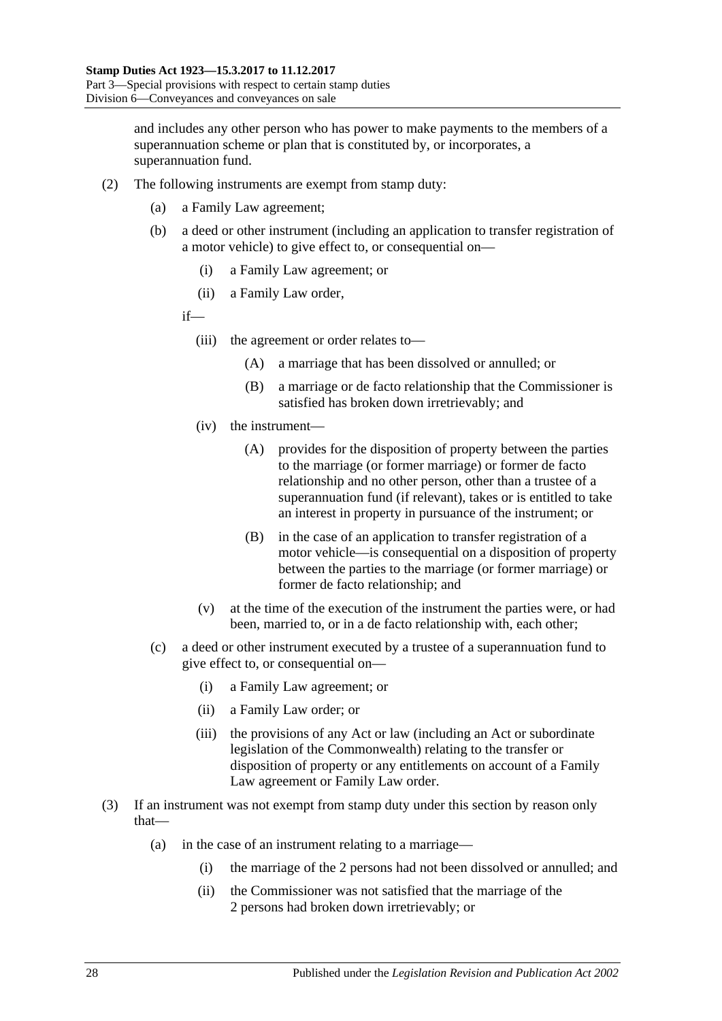and includes any other person who has power to make payments to the members of a superannuation scheme or plan that is constituted by, or incorporates, a superannuation fund.

- (2) The following instruments are exempt from stamp duty:
	- (a) a Family Law agreement;
	- (b) a deed or other instrument (including an application to transfer registration of a motor vehicle) to give effect to, or consequential on—
		- (i) a Family Law agreement; or
		- (ii) a Family Law order,
		- if—
			- (iii) the agreement or order relates to—
				- (A) a marriage that has been dissolved or annulled; or
				- (B) a marriage or de facto relationship that the Commissioner is satisfied has broken down irretrievably; and
			- (iv) the instrument—
				- (A) provides for the disposition of property between the parties to the marriage (or former marriage) or former de facto relationship and no other person, other than a trustee of a superannuation fund (if relevant), takes or is entitled to take an interest in property in pursuance of the instrument; or
				- (B) in the case of an application to transfer registration of a motor vehicle—is consequential on a disposition of property between the parties to the marriage (or former marriage) or former de facto relationship; and
			- (v) at the time of the execution of the instrument the parties were, or had been, married to, or in a de facto relationship with, each other;
	- (c) a deed or other instrument executed by a trustee of a superannuation fund to give effect to, or consequential on—
		- (i) a Family Law agreement; or
		- (ii) a Family Law order; or
		- (iii) the provisions of any Act or law (including an Act or subordinate legislation of the Commonwealth) relating to the transfer or disposition of property or any entitlements on account of a Family Law agreement or Family Law order.
- (3) If an instrument was not exempt from stamp duty under this section by reason only that—
	- (a) in the case of an instrument relating to a marriage—
		- (i) the marriage of the 2 persons had not been dissolved or annulled; and
		- (ii) the Commissioner was not satisfied that the marriage of the 2 persons had broken down irretrievably; or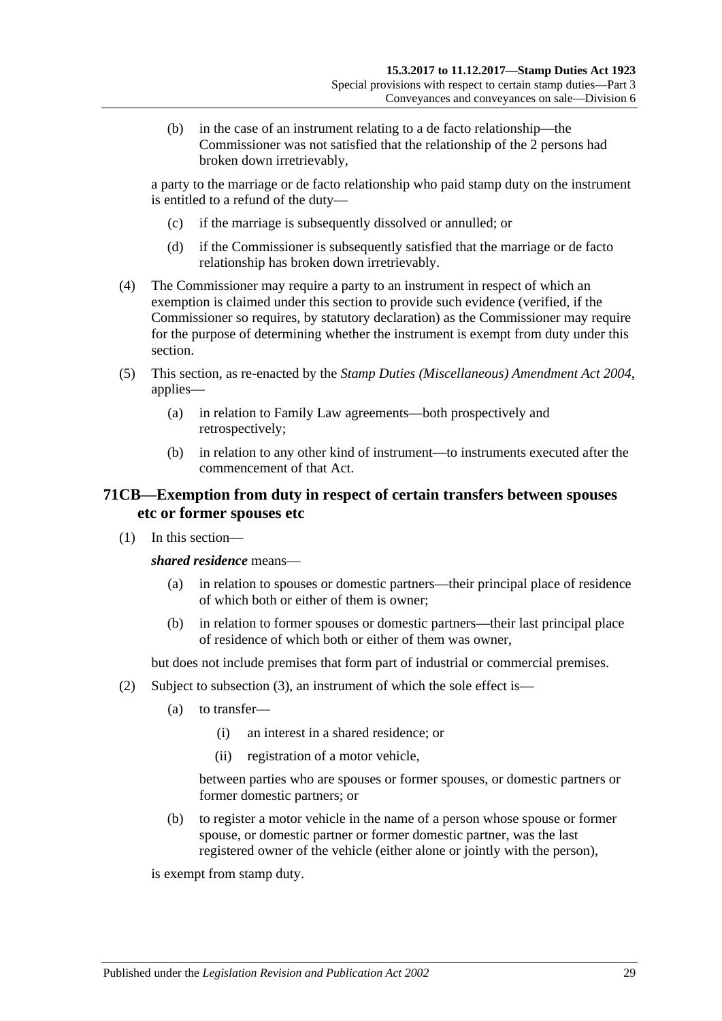(b) in the case of an instrument relating to a de facto relationship—the Commissioner was not satisfied that the relationship of the 2 persons had broken down irretrievably,

a party to the marriage or de facto relationship who paid stamp duty on the instrument is entitled to a refund of the duty—

- (c) if the marriage is subsequently dissolved or annulled; or
- (d) if the Commissioner is subsequently satisfied that the marriage or de facto relationship has broken down irretrievably.
- (4) The Commissioner may require a party to an instrument in respect of which an exemption is claimed under this section to provide such evidence (verified, if the Commissioner so requires, by statutory declaration) as the Commissioner may require for the purpose of determining whether the instrument is exempt from duty under this section.
- (5) This section, as re-enacted by the *[Stamp Duties \(Miscellaneous\) Amendment Act 2004](http://www.legislation.sa.gov.au/index.aspx?action=legref&type=act&legtitle=Stamp%20Duties%20(Miscellaneous)%20Amendment%20Act%202004)*, applies—
	- (a) in relation to Family Law agreements—both prospectively and retrospectively;
	- (b) in relation to any other kind of instrument—to instruments executed after the commencement of that Act.

## **71CB—Exemption from duty in respect of certain transfers between spouses etc or former spouses etc**

(1) In this section—

*shared residence* means—

- (a) in relation to spouses or domestic partners—their principal place of residence of which both or either of them is owner;
- (b) in relation to former spouses or domestic partners—their last principal place of residence of which both or either of them was owner,

but does not include premises that form part of industrial or commercial premises.

- <span id="page-46-0"></span>(2) Subject to [subsection](#page-47-0) (3), an instrument of which the sole effect is—
	- (a) to transfer—
		- (i) an interest in a shared residence; or
		- (ii) registration of a motor vehicle,

between parties who are spouses or former spouses, or domestic partners or former domestic partners; or

(b) to register a motor vehicle in the name of a person whose spouse or former spouse, or domestic partner or former domestic partner, was the last registered owner of the vehicle (either alone or jointly with the person),

is exempt from stamp duty.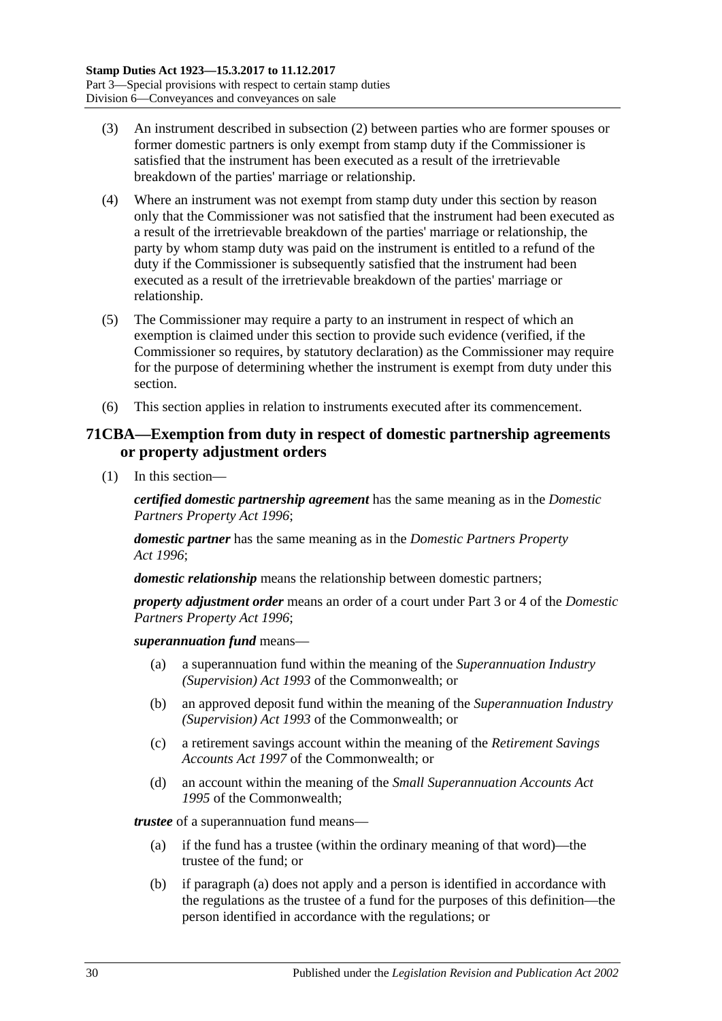- <span id="page-47-0"></span>(3) An instrument described in [subsection](#page-46-0) (2) between parties who are former spouses or former domestic partners is only exempt from stamp duty if the Commissioner is satisfied that the instrument has been executed as a result of the irretrievable breakdown of the parties' marriage or relationship.
- (4) Where an instrument was not exempt from stamp duty under this section by reason only that the Commissioner was not satisfied that the instrument had been executed as a result of the irretrievable breakdown of the parties' marriage or relationship, the party by whom stamp duty was paid on the instrument is entitled to a refund of the duty if the Commissioner is subsequently satisfied that the instrument had been executed as a result of the irretrievable breakdown of the parties' marriage or relationship.
- (5) The Commissioner may require a party to an instrument in respect of which an exemption is claimed under this section to provide such evidence (verified, if the Commissioner so requires, by statutory declaration) as the Commissioner may require for the purpose of determining whether the instrument is exempt from duty under this section.
- (6) This section applies in relation to instruments executed after its commencement.

## **71CBA—Exemption from duty in respect of domestic partnership agreements or property adjustment orders**

(1) In this section—

*certified domestic partnership agreement* has the same meaning as in the *[Domestic](http://www.legislation.sa.gov.au/index.aspx?action=legref&type=act&legtitle=Domestic%20Partners%20Property%20Act%201996)  [Partners Property Act](http://www.legislation.sa.gov.au/index.aspx?action=legref&type=act&legtitle=Domestic%20Partners%20Property%20Act%201996) 1996*;

*domestic partner* has the same meaning as in the *[Domestic Partners Property](http://www.legislation.sa.gov.au/index.aspx?action=legref&type=act&legtitle=Domestic%20Partners%20Property%20Act%201996)  Act [1996](http://www.legislation.sa.gov.au/index.aspx?action=legref&type=act&legtitle=Domestic%20Partners%20Property%20Act%201996)*;

*domestic relationship* means the relationship between domestic partners;

*property adjustment order* means an order of a court under Part 3 or 4 of the *[Domestic](http://www.legislation.sa.gov.au/index.aspx?action=legref&type=act&legtitle=Domestic%20Partners%20Property%20Act%201996)  [Partners Property Act](http://www.legislation.sa.gov.au/index.aspx?action=legref&type=act&legtitle=Domestic%20Partners%20Property%20Act%201996) 1996*;

*superannuation fund* means—

- (a) a superannuation fund within the meaning of the *Superannuation Industry (Supervision) Act 1993* of the Commonwealth; or
- (b) an approved deposit fund within the meaning of the *Superannuation Industry (Supervision) Act 1993* of the Commonwealth; or
- (c) a retirement savings account within the meaning of the *Retirement Savings Accounts Act 1997* of the Commonwealth; or
- (d) an account within the meaning of the *Small Superannuation Accounts Act 1995* of the Commonwealth;

<span id="page-47-1"></span>*trustee* of a superannuation fund means—

- (a) if the fund has a trustee (within the ordinary meaning of that word)—the trustee of the fund; or
- (b) if [paragraph](#page-47-1) (a) does not apply and a person is identified in accordance with the regulations as the trustee of a fund for the purposes of this definition—the person identified in accordance with the regulations; or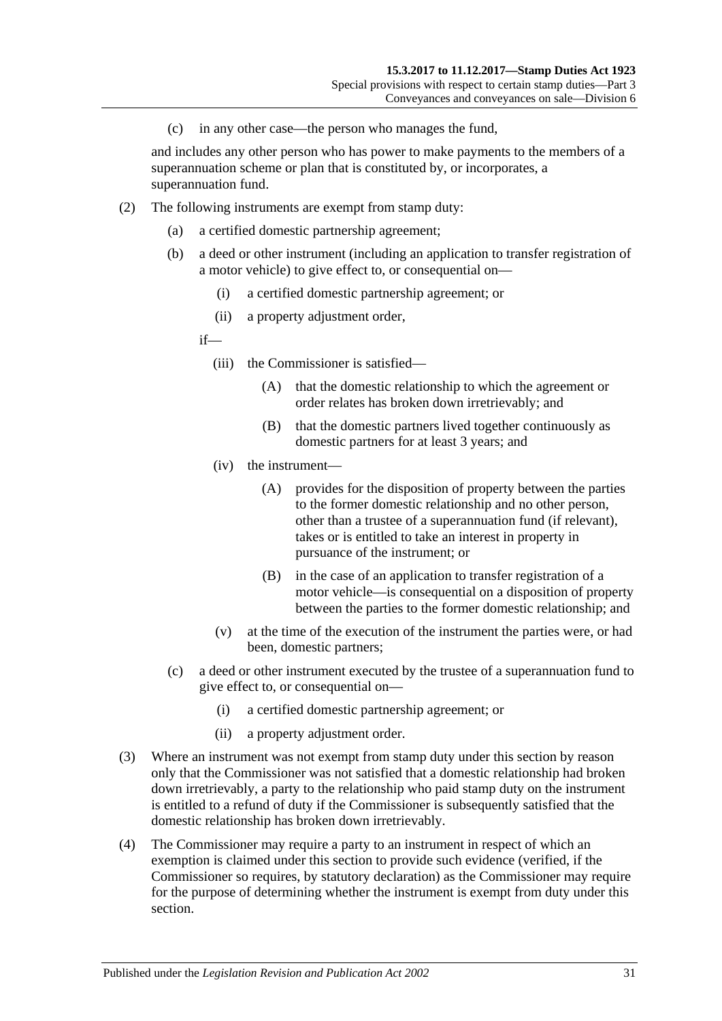(c) in any other case—the person who manages the fund,

and includes any other person who has power to make payments to the members of a superannuation scheme or plan that is constituted by, or incorporates, a superannuation fund.

- (2) The following instruments are exempt from stamp duty:
	- (a) a certified domestic partnership agreement;
	- (b) a deed or other instrument (including an application to transfer registration of a motor vehicle) to give effect to, or consequential on—
		- (i) a certified domestic partnership agreement; or
		- (ii) a property adjustment order,

if—

- (iii) the Commissioner is satisfied—
	- (A) that the domestic relationship to which the agreement or order relates has broken down irretrievably; and
	- (B) that the domestic partners lived together continuously as domestic partners for at least 3 years; and
- (iv) the instrument—
	- (A) provides for the disposition of property between the parties to the former domestic relationship and no other person, other than a trustee of a superannuation fund (if relevant), takes or is entitled to take an interest in property in pursuance of the instrument; or
	- (B) in the case of an application to transfer registration of a motor vehicle—is consequential on a disposition of property between the parties to the former domestic relationship; and
- (v) at the time of the execution of the instrument the parties were, or had been, domestic partners;
- (c) a deed or other instrument executed by the trustee of a superannuation fund to give effect to, or consequential on—
	- (i) a certified domestic partnership agreement; or
	- (ii) a property adjustment order.
- (3) Where an instrument was not exempt from stamp duty under this section by reason only that the Commissioner was not satisfied that a domestic relationship had broken down irretrievably, a party to the relationship who paid stamp duty on the instrument is entitled to a refund of duty if the Commissioner is subsequently satisfied that the domestic relationship has broken down irretrievably.
- (4) The Commissioner may require a party to an instrument in respect of which an exemption is claimed under this section to provide such evidence (verified, if the Commissioner so requires, by statutory declaration) as the Commissioner may require for the purpose of determining whether the instrument is exempt from duty under this section.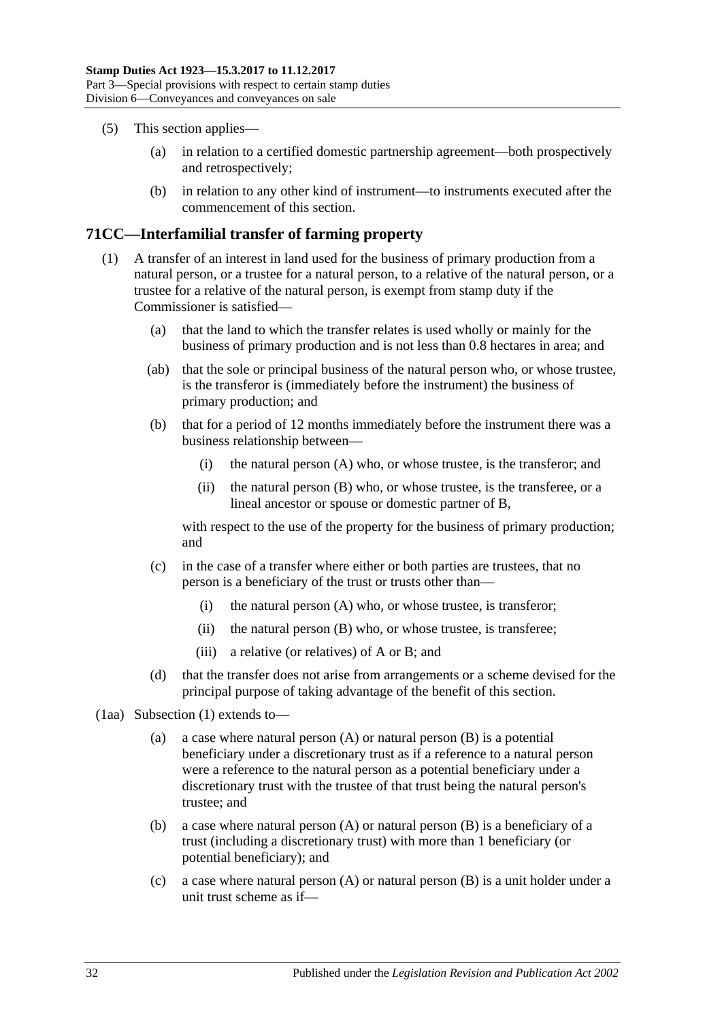- (5) This section applies—
	- (a) in relation to a certified domestic partnership agreement—both prospectively and retrospectively;
	- (b) in relation to any other kind of instrument—to instruments executed after the commencement of this section.

## <span id="page-49-0"></span>**71CC—Interfamilial transfer of farming property**

- (1) A transfer of an interest in land used for the business of primary production from a natural person, or a trustee for a natural person, to a relative of the natural person, or a trustee for a relative of the natural person, is exempt from stamp duty if the Commissioner is satisfied—
	- (a) that the land to which the transfer relates is used wholly or mainly for the business of primary production and is not less than 0.8 hectares in area; and
	- (ab) that the sole or principal business of the natural person who, or whose trustee, is the transferor is (immediately before the instrument) the business of primary production; and
	- (b) that for a period of 12 months immediately before the instrument there was a business relationship between—
		- (i) the natural person (A) who, or whose trustee, is the transferor; and
		- (ii) the natural person (B) who, or whose trustee, is the transferee, or a lineal ancestor or spouse or domestic partner of B,

<span id="page-49-1"></span>with respect to the use of the property for the business of primary production; and

- (c) in the case of a transfer where either or both parties are trustees, that no person is a beneficiary of the trust or trusts other than—
	- (i) the natural person (A) who, or whose trustee, is transferor;
	- (ii) the natural person (B) who, or whose trustee, is transferee;
	- (iii) a relative (or relatives) of A or B; and
- (d) that the transfer does not arise from arrangements or a scheme devised for the principal purpose of taking advantage of the benefit of this section.
- (1aa) [Subsection](#page-49-0) (1) extends to—
	- (a) a case where natural person (A) or natural person (B) is a potential beneficiary under a discretionary trust as if a reference to a natural person were a reference to the natural person as a potential beneficiary under a discretionary trust with the trustee of that trust being the natural person's trustee; and
	- (b) a case where natural person (A) or natural person (B) is a beneficiary of a trust (including a discretionary trust) with more than 1 beneficiary (or potential beneficiary); and
	- (c) a case where natural person (A) or natural person (B) is a unit holder under a unit trust scheme as if—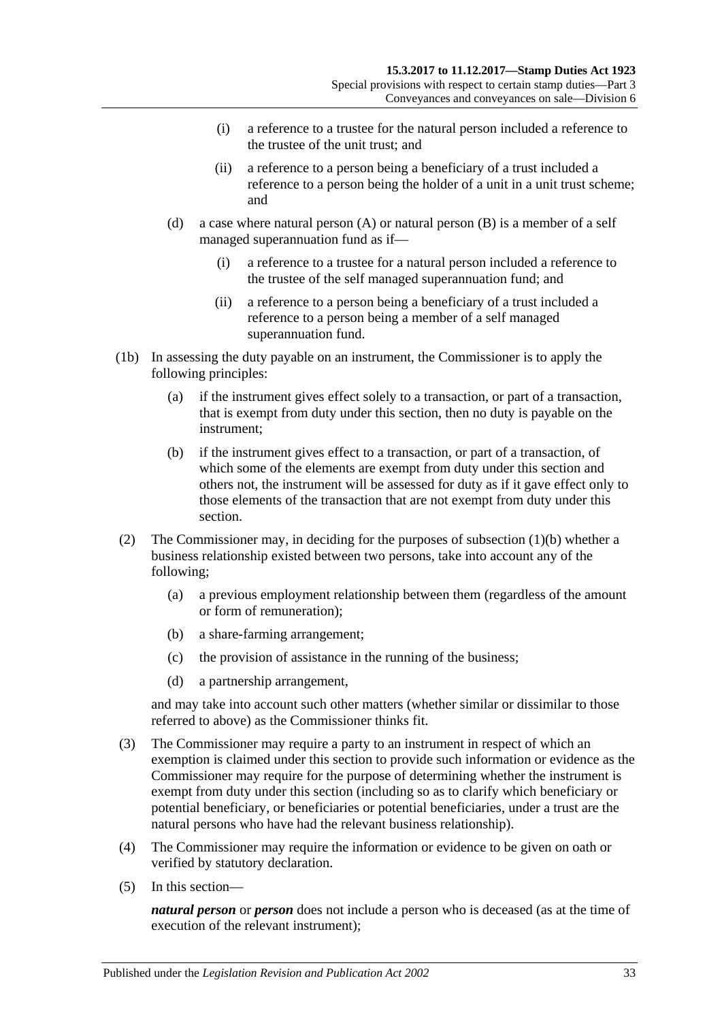- (i) a reference to a trustee for the natural person included a reference to the trustee of the unit trust; and
- (ii) a reference to a person being a beneficiary of a trust included a reference to a person being the holder of a unit in a unit trust scheme; and
- (d) a case where natural person (A) or natural person (B) is a member of a self managed superannuation fund as if—
	- (i) a reference to a trustee for a natural person included a reference to the trustee of the self managed superannuation fund; and
	- (ii) a reference to a person being a beneficiary of a trust included a reference to a person being a member of a self managed superannuation fund.
- (1b) In assessing the duty payable on an instrument, the Commissioner is to apply the following principles:
	- (a) if the instrument gives effect solely to a transaction, or part of a transaction, that is exempt from duty under this section, then no duty is payable on the instrument;
	- (b) if the instrument gives effect to a transaction, or part of a transaction, of which some of the elements are exempt from duty under this section and others not, the instrument will be assessed for duty as if it gave effect only to those elements of the transaction that are not exempt from duty under this section.
- (2) The Commissioner may, in deciding for the purposes of [subsection](#page-49-1) (1)(b) whether a business relationship existed between two persons, take into account any of the following;
	- (a) a previous employment relationship between them (regardless of the amount or form of remuneration);
	- (b) a share-farming arrangement;
	- (c) the provision of assistance in the running of the business;
	- (d) a partnership arrangement,

and may take into account such other matters (whether similar or dissimilar to those referred to above) as the Commissioner thinks fit.

- (3) The Commissioner may require a party to an instrument in respect of which an exemption is claimed under this section to provide such information or evidence as the Commissioner may require for the purpose of determining whether the instrument is exempt from duty under this section (including so as to clarify which beneficiary or potential beneficiary, or beneficiaries or potential beneficiaries, under a trust are the natural persons who have had the relevant business relationship).
- (4) The Commissioner may require the information or evidence to be given on oath or verified by statutory declaration.
- (5) In this section—

*natural person* or *person* does not include a person who is deceased (as at the time of execution of the relevant instrument);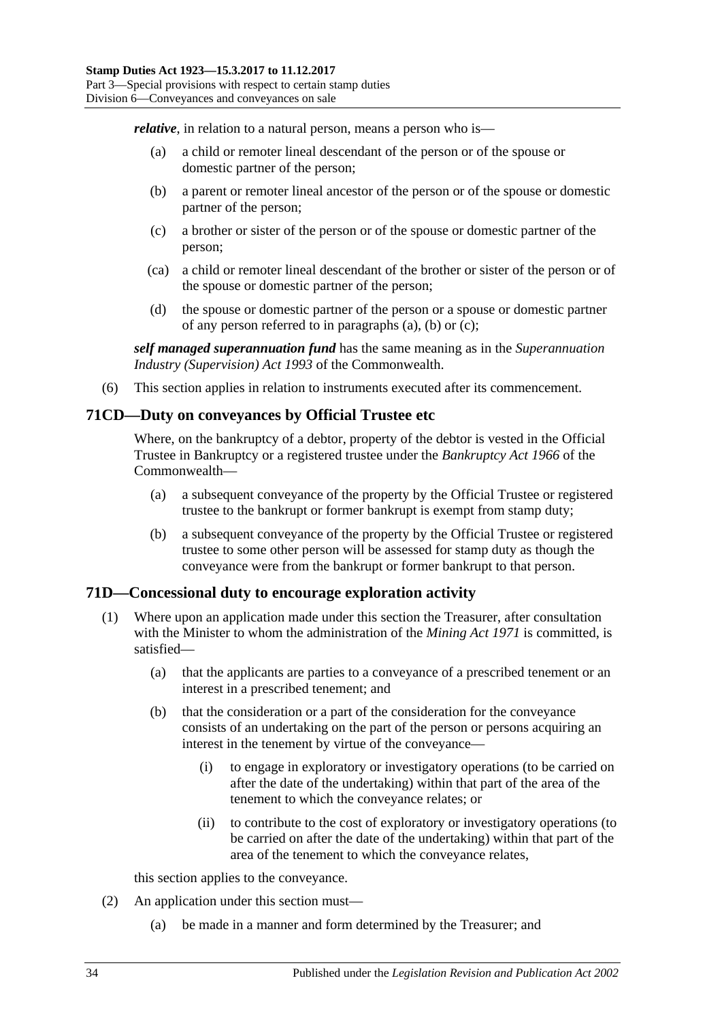<span id="page-51-0"></span>*relative*, in relation to a natural person, means a person who is—

- (a) a child or remoter lineal descendant of the person or of the spouse or domestic partner of the person;
- <span id="page-51-1"></span>(b) a parent or remoter lineal ancestor of the person or of the spouse or domestic partner of the person;
- <span id="page-51-2"></span>(c) a brother or sister of the person or of the spouse or domestic partner of the person;
- (ca) a child or remoter lineal descendant of the brother or sister of the person or of the spouse or domestic partner of the person;
- (d) the spouse or domestic partner of the person or a spouse or domestic partner of any person referred to in [paragraphs](#page-51-0)  $(a)$ ,  $(b)$  or  $(c)$ ;

*self managed superannuation fund* has the same meaning as in the *Superannuation Industry (Supervision) Act 1993* of the Commonwealth.

(6) This section applies in relation to instruments executed after its commencement.

## **71CD—Duty on conveyances by Official Trustee etc**

Where, on the bankruptcy of a debtor, property of the debtor is vested in the Official Trustee in Bankruptcy or a registered trustee under the *Bankruptcy Act 1966* of the Commonwealth—

- (a) a subsequent conveyance of the property by the Official Trustee or registered trustee to the bankrupt or former bankrupt is exempt from stamp duty;
- (b) a subsequent conveyance of the property by the Official Trustee or registered trustee to some other person will be assessed for stamp duty as though the conveyance were from the bankrupt or former bankrupt to that person.

### **71D—Concessional duty to encourage exploration activity**

- <span id="page-51-3"></span>(1) Where upon an application made under this section the Treasurer, after consultation with the Minister to whom the administration of the *[Mining Act](http://www.legislation.sa.gov.au/index.aspx?action=legref&type=act&legtitle=Mining%20Act%201971) 1971* is committed, is satisfied—
	- (a) that the applicants are parties to a conveyance of a prescribed tenement or an interest in a prescribed tenement; and
	- (b) that the consideration or a part of the consideration for the conveyance consists of an undertaking on the part of the person or persons acquiring an interest in the tenement by virtue of the conveyance—
		- (i) to engage in exploratory or investigatory operations (to be carried on after the date of the undertaking) within that part of the area of the tenement to which the conveyance relates; or
		- (ii) to contribute to the cost of exploratory or investigatory operations (to be carried on after the date of the undertaking) within that part of the area of the tenement to which the conveyance relates,

this section applies to the conveyance.

- (2) An application under this section must—
	- (a) be made in a manner and form determined by the Treasurer; and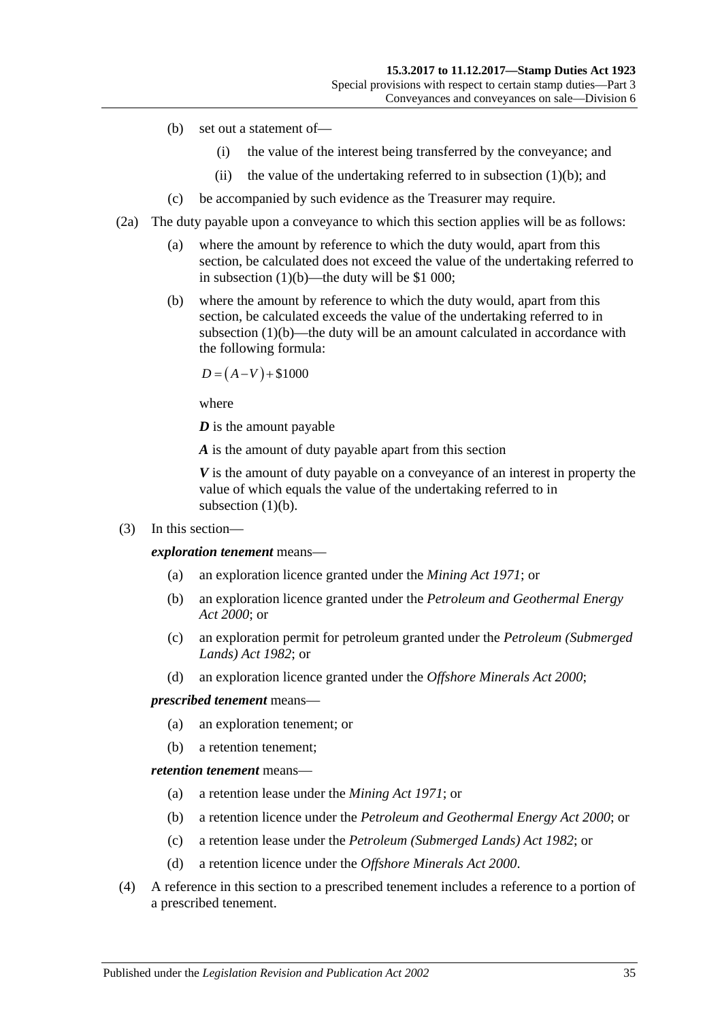- (b) set out a statement of—
	- (i) the value of the interest being transferred by the conveyance; and
	- (ii) the value of the undertaking referred to in [subsection](#page-51-3)  $(1)(b)$ ; and
- (c) be accompanied by such evidence as the Treasurer may require.
- (2a) The duty payable upon a conveyance to which this section applies will be as follows:
	- (a) where the amount by reference to which the duty would, apart from this section, be calculated does not exceed the value of the undertaking referred to in [subsection](#page-51-3) (1)(b)—the duty will be \$1 000;
	- (b) where the amount by reference to which the duty would, apart from this section, be calculated exceeds the value of the undertaking referred to in [subsection](#page-51-3) (1)(b)—the duty will be an amount calculated in accordance with the following formula:

 $D = (A-V) + $1000$ 

where

*D* is the amount payable

*A* is the amount of duty payable apart from this section

*V* is the amount of duty payable on a conveyance of an interest in property the value of which equals the value of the undertaking referred to in [subsection](#page-51-3) (1)(b).

(3) In this section—

*exploration tenement* means—

- (a) an exploration licence granted under the *[Mining Act](http://www.legislation.sa.gov.au/index.aspx?action=legref&type=act&legtitle=Mining%20Act%201971) 1971*; or
- (b) an exploration licence granted under the *[Petroleum and Geothermal Energy](http://www.legislation.sa.gov.au/index.aspx?action=legref&type=act&legtitle=Petroleum%20and%20Geothermal%20Energy%20Act%202000)  Act [2000](http://www.legislation.sa.gov.au/index.aspx?action=legref&type=act&legtitle=Petroleum%20and%20Geothermal%20Energy%20Act%202000)*; or
- (c) an exploration permit for petroleum granted under the *[Petroleum \(Submerged](http://www.legislation.sa.gov.au/index.aspx?action=legref&type=act&legtitle=Petroleum%20(Submerged%20Lands)%20Act%201982)  [Lands\) Act](http://www.legislation.sa.gov.au/index.aspx?action=legref&type=act&legtitle=Petroleum%20(Submerged%20Lands)%20Act%201982) 1982*; or
- (d) an exploration licence granted under the *[Offshore Minerals Act](http://www.legislation.sa.gov.au/index.aspx?action=legref&type=act&legtitle=Offshore%20Minerals%20Act%202000) 2000*;

#### *prescribed tenement* means—

- (a) an exploration tenement; or
- (b) a retention tenement;

### *retention tenement* means—

- (a) a retention lease under the *[Mining Act](http://www.legislation.sa.gov.au/index.aspx?action=legref&type=act&legtitle=Mining%20Act%201971) 1971*; or
- (b) a retention licence under the *[Petroleum and Geothermal Energy Act](http://www.legislation.sa.gov.au/index.aspx?action=legref&type=act&legtitle=Petroleum%20and%20Geothermal%20Energy%20Act%202000) 2000*; or
- (c) a retention lease under the *[Petroleum \(Submerged Lands\) Act](http://www.legislation.sa.gov.au/index.aspx?action=legref&type=act&legtitle=Petroleum%20(Submerged%20Lands)%20Act%201982) 1982*; or
- (d) a retention licence under the *[Offshore Minerals Act](http://www.legislation.sa.gov.au/index.aspx?action=legref&type=act&legtitle=Offshore%20Minerals%20Act%202000) 2000*.
- (4) A reference in this section to a prescribed tenement includes a reference to a portion of a prescribed tenement.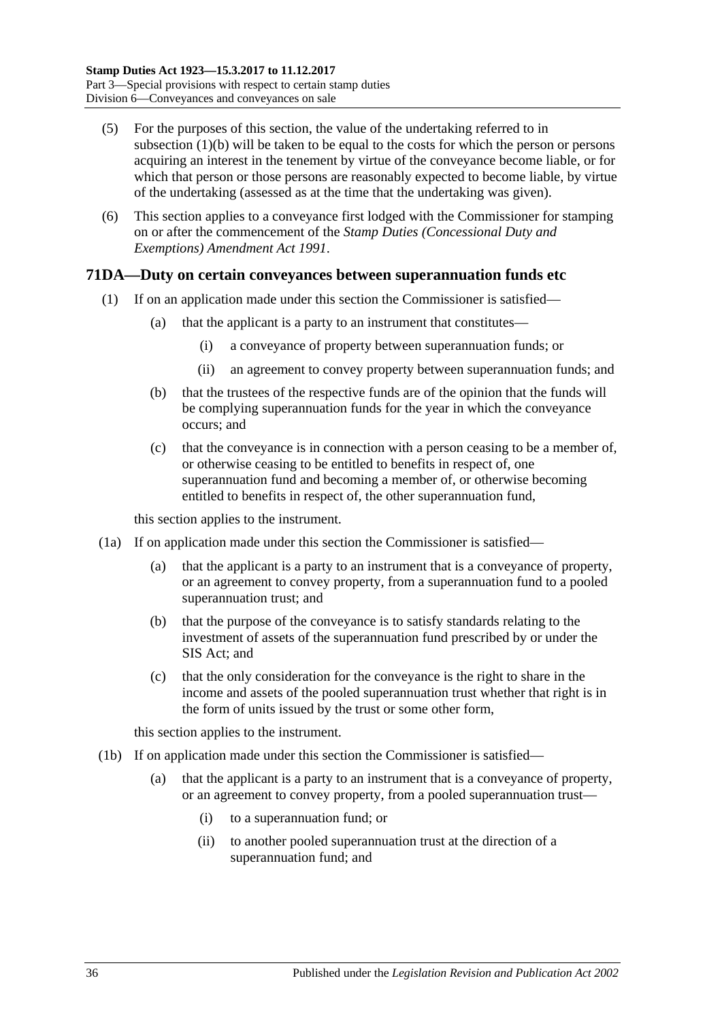- (5) For the purposes of this section, the value of the undertaking referred to in [subsection](#page-51-3) (1)(b) will be taken to be equal to the costs for which the person or persons acquiring an interest in the tenement by virtue of the conveyance become liable, or for which that person or those persons are reasonably expected to become liable, by virtue of the undertaking (assessed as at the time that the undertaking was given).
- (6) This section applies to a conveyance first lodged with the Commissioner for stamping on or after the commencement of the *[Stamp Duties \(Concessional Duty and](http://www.legislation.sa.gov.au/index.aspx?action=legref&type=act&legtitle=Stamp%20Duties%20(Concessional%20Duty%20and%20Exemptions)%20Amendment%20Act%201991)  [Exemptions\) Amendment Act](http://www.legislation.sa.gov.au/index.aspx?action=legref&type=act&legtitle=Stamp%20Duties%20(Concessional%20Duty%20and%20Exemptions)%20Amendment%20Act%201991) 1991*.

## <span id="page-53-0"></span>**71DA—Duty on certain conveyances between superannuation funds etc**

- (1) If on an application made under this section the Commissioner is satisfied—
	- (a) that the applicant is a party to an instrument that constitutes—
		- (i) a conveyance of property between superannuation funds; or
		- (ii) an agreement to convey property between superannuation funds; and
	- (b) that the trustees of the respective funds are of the opinion that the funds will be complying superannuation funds for the year in which the conveyance occurs; and
	- (c) that the conveyance is in connection with a person ceasing to be a member of, or otherwise ceasing to be entitled to benefits in respect of, one superannuation fund and becoming a member of, or otherwise becoming entitled to benefits in respect of, the other superannuation fund,

this section applies to the instrument.

- <span id="page-53-1"></span>(1a) If on application made under this section the Commissioner is satisfied—
	- (a) that the applicant is a party to an instrument that is a conveyance of property, or an agreement to convey property, from a superannuation fund to a pooled superannuation trust; and
	- (b) that the purpose of the conveyance is to satisfy standards relating to the investment of assets of the superannuation fund prescribed by or under the SIS Act; and
	- (c) that the only consideration for the conveyance is the right to share in the income and assets of the pooled superannuation trust whether that right is in the form of units issued by the trust or some other form,

this section applies to the instrument.

- <span id="page-53-2"></span>(1b) If on application made under this section the Commissioner is satisfied
	- that the applicant is a party to an instrument that is a conveyance of property, or an agreement to convey property, from a pooled superannuation trust—
		- (i) to a superannuation fund; or
		- (ii) to another pooled superannuation trust at the direction of a superannuation fund; and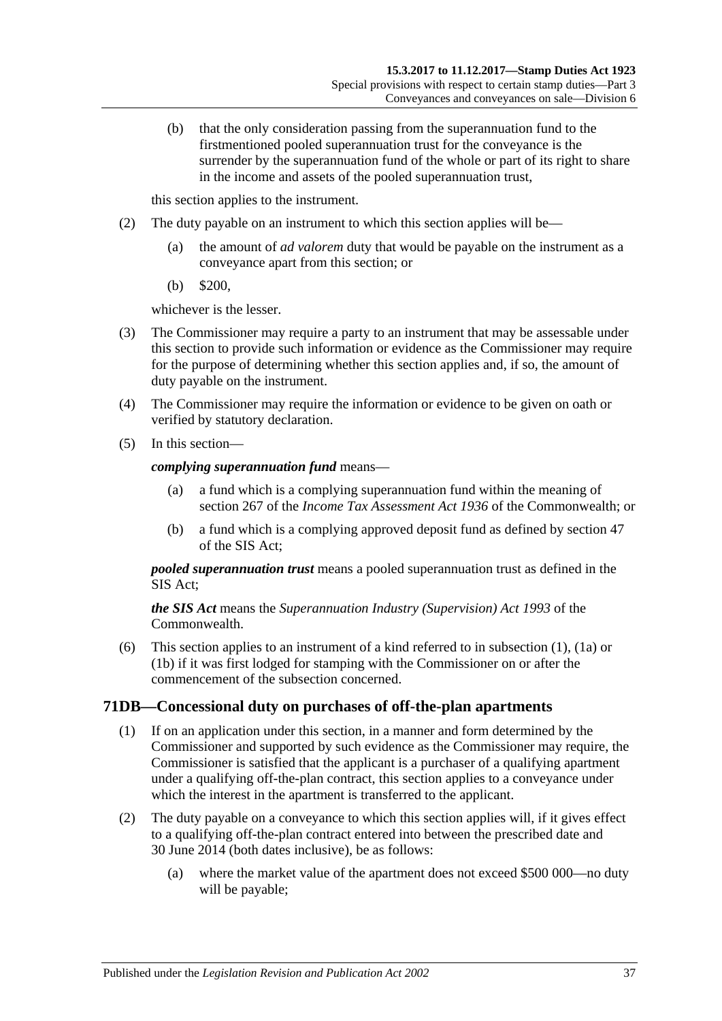(b) that the only consideration passing from the superannuation fund to the firstmentioned pooled superannuation trust for the conveyance is the surrender by the superannuation fund of the whole or part of its right to share in the income and assets of the pooled superannuation trust,

this section applies to the instrument.

- (2) The duty payable on an instrument to which this section applies will be—
	- (a) the amount of *ad valorem* duty that would be payable on the instrument as a conveyance apart from this section; or
	- (b) \$200,

whichever is the lesser.

- (3) The Commissioner may require a party to an instrument that may be assessable under this section to provide such information or evidence as the Commissioner may require for the purpose of determining whether this section applies and, if so, the amount of duty payable on the instrument.
- (4) The Commissioner may require the information or evidence to be given on oath or verified by statutory declaration.
- (5) In this section—

#### *complying superannuation fund* means—

- (a) a fund which is a complying superannuation fund within the meaning of section 267 of the *Income Tax Assessment Act 1936* of the Commonwealth; or
- (b) a fund which is a complying approved deposit fund as defined by section 47 of the SIS Act;

*pooled superannuation trust* means a pooled superannuation trust as defined in the SIS Act;

*the SIS Act* means the *Superannuation Industry (Supervision) Act 1993* of the Commonwealth.

(6) This section applies to an instrument of a kind referred to in [subsection](#page-53-0) (1), [\(1a\)](#page-53-1) or [\(1b\)](#page-53-2) if it was first lodged for stamping with the Commissioner on or after the commencement of the subsection concerned.

## **71DB—Concessional duty on purchases of off-the-plan apartments**

- (1) If on an application under this section, in a manner and form determined by the Commissioner and supported by such evidence as the Commissioner may require, the Commissioner is satisfied that the applicant is a purchaser of a qualifying apartment under a qualifying off-the-plan contract, this section applies to a conveyance under which the interest in the apartment is transferred to the applicant.
- (2) The duty payable on a conveyance to which this section applies will, if it gives effect to a qualifying off-the-plan contract entered into between the prescribed date and 30 June 2014 (both dates inclusive), be as follows:
	- (a) where the market value of the apartment does not exceed \$500 000—no duty will be payable;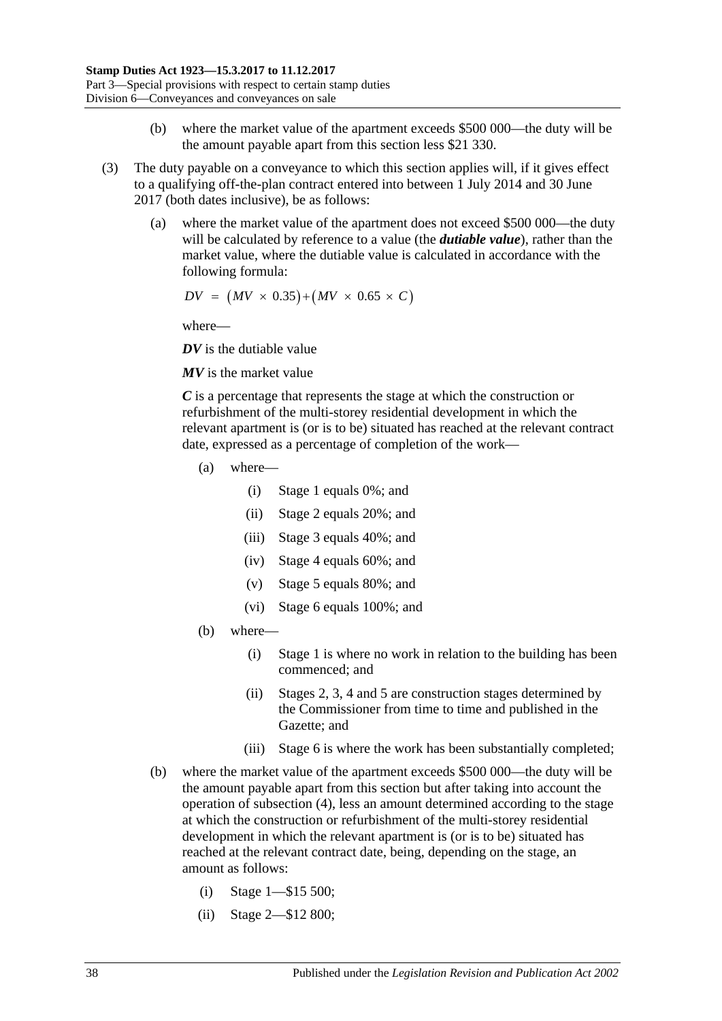- (b) where the market value of the apartment exceeds \$500 000—the duty will be the amount payable apart from this section less \$21 330.
- <span id="page-55-0"></span>(3) The duty payable on a conveyance to which this section applies will, if it gives effect to a qualifying off-the-plan contract entered into between 1 July 2014 and 30 June 2017 (both dates inclusive), be as follows:
	- (a) where the market value of the apartment does not exceed \$500 000—the duty will be calculated by reference to a value (the *dutiable value*), rather than the market value, where the dutiable value is calculated in accordance with the following formula:

$$
DV = (MV \times 0.35) + (MV \times 0.65 \times C)
$$

where—

*DV* is the dutiable value

*MV* is the market value

*C* is a percentage that represents the stage at which the construction or refurbishment of the multi-storey residential development in which the relevant apartment is (or is to be) situated has reached at the relevant contract date, expressed as a percentage of completion of the work—

- (a) where—
	- (i) Stage 1 equals 0%; and
	- (ii) Stage 2 equals 20%; and
	- (iii) Stage 3 equals 40%; and
	- (iv) Stage 4 equals 60%; and
	- (v) Stage 5 equals 80%; and
	- (vi) Stage 6 equals 100%; and
- (b) where—
	- (i) Stage 1 is where no work in relation to the building has been commenced; and
	- (ii) Stages 2, 3, 4 and 5 are construction stages determined by the Commissioner from time to time and published in the Gazette; and
	- (iii) Stage 6 is where the work has been substantially completed;
- (b) where the market value of the apartment exceeds \$500 000—the duty will be the amount payable apart from this section but after taking into account the operation of [subsection](#page-56-0) (4), less an amount determined according to the stage at which the construction or refurbishment of the multi-storey residential development in which the relevant apartment is (or is to be) situated has reached at the relevant contract date, being, depending on the stage, an amount as follows:
	- (i) Stage 1—\$15 500;
	- (ii) Stage 2—\$12 800;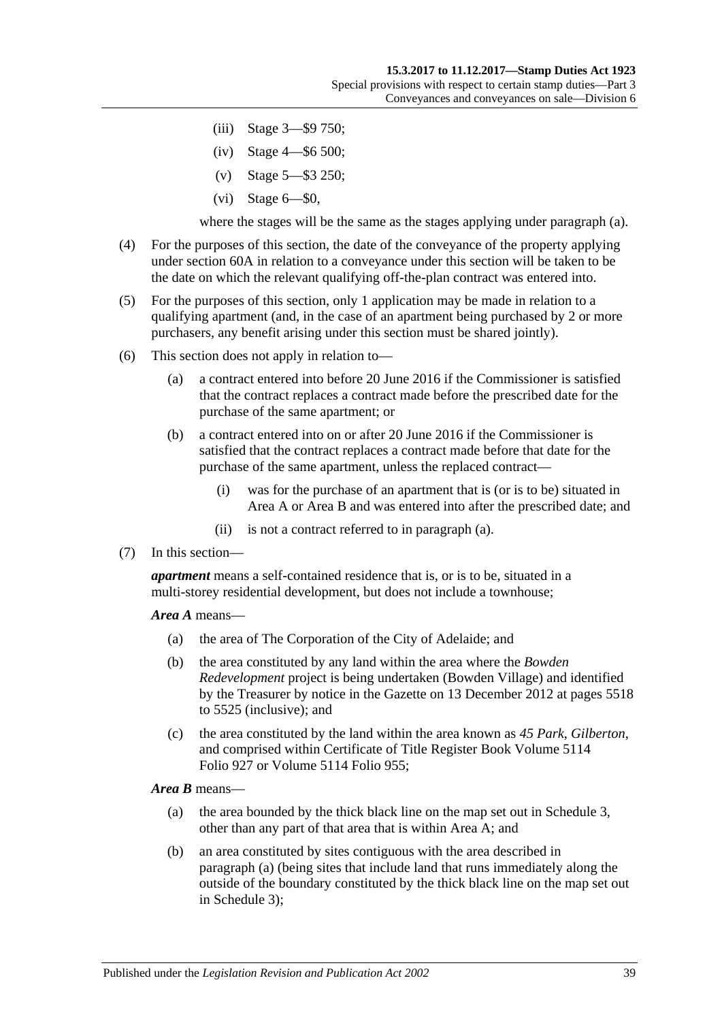- (iii) Stage 3—\$9 750;
- (iv) Stage 4—\$6 500;
- (v) Stage 5—\$3 250;
- (vi) Stage 6—\$0,

where the stages will be the same as the stages applying under [paragraph](#page-55-0) (a).

- <span id="page-56-0"></span>(4) For the purposes of this section, the date of the conveyance of the property applying under [section](#page-31-0) 60A in relation to a conveyance under this section will be taken to be the date on which the relevant qualifying off-the-plan contract was entered into.
- (5) For the purposes of this section, only 1 application may be made in relation to a qualifying apartment (and, in the case of an apartment being purchased by 2 or more purchasers, any benefit arising under this section must be shared jointly).
- <span id="page-56-1"></span>(6) This section does not apply in relation to—
	- (a) a contract entered into before 20 June 2016 if the Commissioner is satisfied that the contract replaces a contract made before the prescribed date for the purchase of the same apartment; or
	- (b) a contract entered into on or after 20 June 2016 if the Commissioner is satisfied that the contract replaces a contract made before that date for the purchase of the same apartment, unless the replaced contract—
		- (i) was for the purchase of an apartment that is (or is to be) situated in Area A or Area B and was entered into after the prescribed date; and
		- (ii) is not a contract referred to in [paragraph](#page-56-1) (a).
- (7) In this section—

*apartment* means a self-contained residence that is, or is to be, situated in a multi-storey residential development, but does not include a townhouse;

*Area A* means—

- (a) the area of The Corporation of the City of Adelaide; and
- (b) the area constituted by any land within the area where the *Bowden Redevelopment* project is being undertaken (Bowden Village) and identified by the Treasurer by notice in the Gazette on 13 December 2012 at pages 5518 to 5525 (inclusive); and
- (c) the area constituted by the land within the area known as *45 Park*, *Gilberton*, and comprised within Certificate of Title Register Book Volume 5114 Folio 927 or Volume 5114 Folio 955;

<span id="page-56-2"></span>*Area B* means—

- (a) the area bounded by the thick black line on the map set out in [Schedule 3,](#page-100-0) other than any part of that area that is within Area A; and
- (b) an area constituted by sites contiguous with the area described in [paragraph](#page-56-2) (a) (being sites that include land that runs immediately along the outside of the boundary constituted by the thick black line on the map set out in [Schedule 3\)](#page-100-0);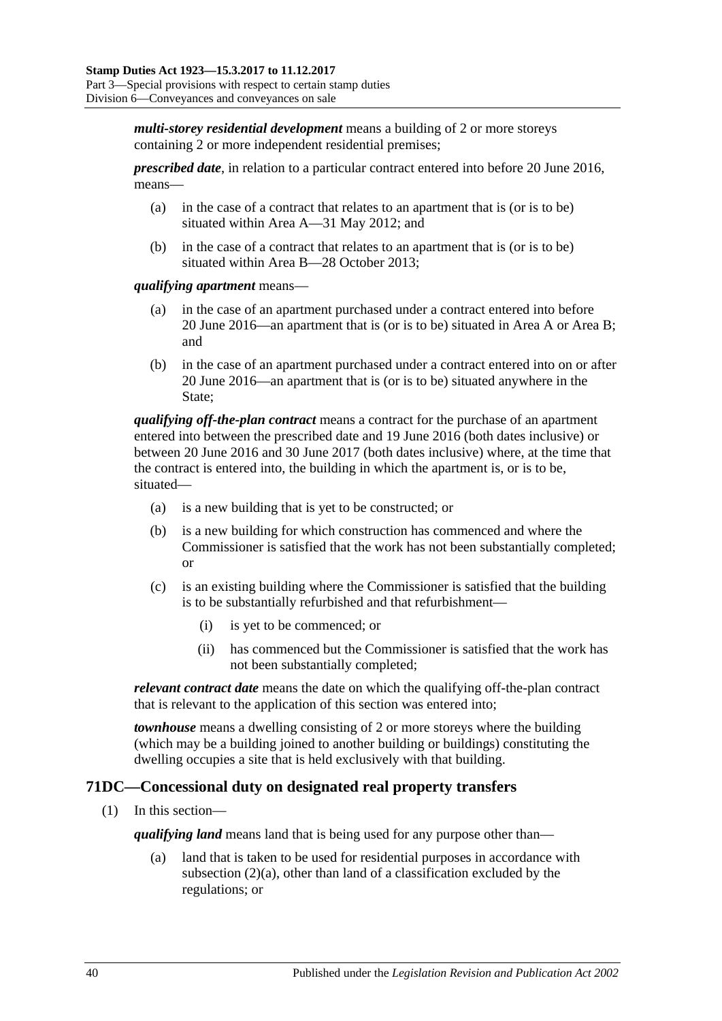*multi-storey residential development* means a building of 2 or more storeys containing 2 or more independent residential premises;

*prescribed date*, in relation to a particular contract entered into before 20 June 2016, means—

- (a) in the case of a contract that relates to an apartment that is (or is to be) situated within Area A—31 May 2012; and
- (b) in the case of a contract that relates to an apartment that is (or is to be) situated within Area B—28 October 2013;

*qualifying apartment* means—

- (a) in the case of an apartment purchased under a contract entered into before 20 June 2016—an apartment that is (or is to be) situated in Area A or Area B; and
- (b) in the case of an apartment purchased under a contract entered into on or after 20 June 2016—an apartment that is (or is to be) situated anywhere in the State;

*qualifying off-the-plan contract* means a contract for the purchase of an apartment entered into between the prescribed date and 19 June 2016 (both dates inclusive) or between 20 June 2016 and 30 June 2017 (both dates inclusive) where, at the time that the contract is entered into, the building in which the apartment is, or is to be, situated—

- (a) is a new building that is yet to be constructed; or
- (b) is a new building for which construction has commenced and where the Commissioner is satisfied that the work has not been substantially completed; or
- (c) is an existing building where the Commissioner is satisfied that the building is to be substantially refurbished and that refurbishment—
	- (i) is yet to be commenced; or
	- (ii) has commenced but the Commissioner is satisfied that the work has not been substantially completed;

*relevant contract date* means the date on which the qualifying off-the-plan contract that is relevant to the application of this section was entered into;

*townhouse* means a dwelling consisting of 2 or more storeys where the building (which may be a building joined to another building or buildings) constituting the dwelling occupies a site that is held exclusively with that building.

## <span id="page-57-0"></span>**71DC—Concessional duty on designated real property transfers**

(1) In this section—

*qualifying land* means land that is being used for any purpose other than—

(a) land that is taken to be used for residential purposes in accordance with [subsection](#page-58-0) (2)(a), other than land of a classification excluded by the regulations; or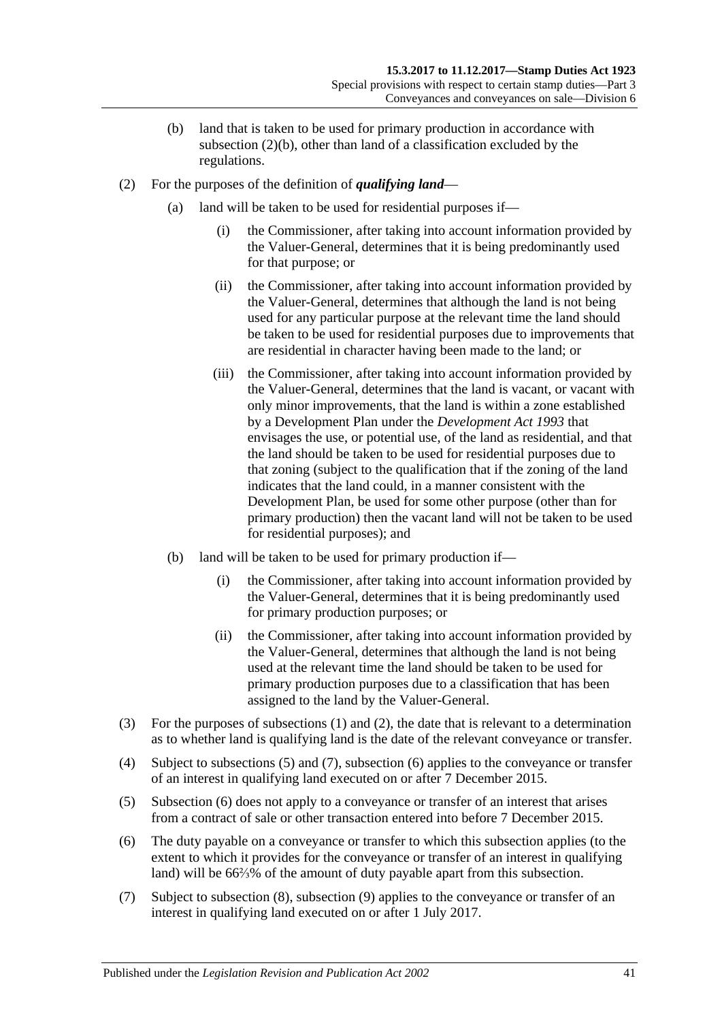- (b) land that is taken to be used for primary production in accordance with [subsection](#page-58-1) (2)(b), other than land of a classification excluded by the regulations.
- <span id="page-58-2"></span><span id="page-58-0"></span>(2) For the purposes of the definition of *qualifying land*—
	- (a) land will be taken to be used for residential purposes if—
		- (i) the Commissioner, after taking into account information provided by the Valuer-General, determines that it is being predominantly used for that purpose; or
		- (ii) the Commissioner, after taking into account information provided by the Valuer-General, determines that although the land is not being used for any particular purpose at the relevant time the land should be taken to be used for residential purposes due to improvements that are residential in character having been made to the land; or
		- (iii) the Commissioner, after taking into account information provided by the Valuer-General, determines that the land is vacant, or vacant with only minor improvements, that the land is within a zone established by a Development Plan under the *[Development Act](http://www.legislation.sa.gov.au/index.aspx?action=legref&type=act&legtitle=Development%20Act%201993) 1993* that envisages the use, or potential use, of the land as residential, and that the land should be taken to be used for residential purposes due to that zoning (subject to the qualification that if the zoning of the land indicates that the land could, in a manner consistent with the Development Plan, be used for some other purpose (other than for primary production) then the vacant land will not be taken to be used for residential purposes); and
	- (b) land will be taken to be used for primary production if—
		- (i) the Commissioner, after taking into account information provided by the Valuer-General, determines that it is being predominantly used for primary production purposes; or
		- (ii) the Commissioner, after taking into account information provided by the Valuer-General, determines that although the land is not being used at the relevant time the land should be taken to be used for primary production purposes due to a classification that has been assigned to the land by the Valuer-General.
- <span id="page-58-1"></span>(3) For the purposes of [subsections](#page-57-0) (1) and [\(2\),](#page-58-2) the date that is relevant to a determination as to whether land is qualifying land is the date of the relevant conveyance or transfer.
- (4) Subject to [subsections](#page-58-3) (5) and [\(7\),](#page-58-4) [subsection](#page-58-5) (6) applies to the conveyance or transfer of an interest in qualifying land executed on or after 7 December 2015.
- <span id="page-58-3"></span>(5) [Subsection](#page-58-5) (6) does not apply to a conveyance or transfer of an interest that arises from a contract of sale or other transaction entered into before 7 December 2015.
- <span id="page-58-5"></span>(6) The duty payable on a conveyance or transfer to which this subsection applies (to the extent to which it provides for the conveyance or transfer of an interest in qualifying land) will be 66⅔% of the amount of duty payable apart from this subsection.
- <span id="page-58-4"></span>(7) Subject to [subsection](#page-59-1) (8), [subsection](#page-59-2) (9) applies to the conveyance or transfer of an interest in qualifying land executed on or after 1 July 2017.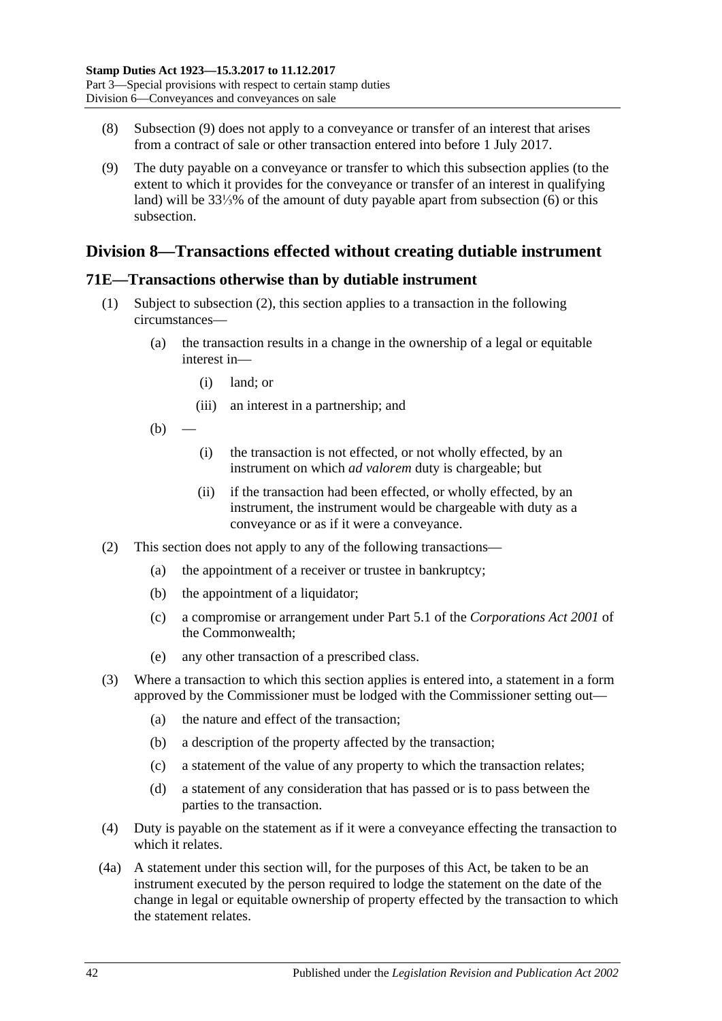- <span id="page-59-1"></span>(8) [Subsection](#page-59-2) (9) does not apply to a conveyance or transfer of an interest that arises from a contract of sale or other transaction entered into before 1 July 2017.
- <span id="page-59-2"></span>(9) The duty payable on a conveyance or transfer to which this subsection applies (to the extent to which it provides for the conveyance or transfer of an interest in qualifying land) will be 33⅓% of the amount of duty payable apart from [subsection](#page-58-5) (6) or this subsection.

## **Division 8—Transactions effected without creating dutiable instrument**

## <span id="page-59-0"></span>**71E—Transactions otherwise than by dutiable instrument**

- (1) Subject to [subsection](#page-59-3) (2), this section applies to a transaction in the following circumstances—
	- (a) the transaction results in a change in the ownership of a legal or equitable interest in—
		- (i) land; or
		- (iii) an interest in a partnership; and
	- $(b)$ 
		- (i) the transaction is not effected, or not wholly effected, by an instrument on which *ad valorem* duty is chargeable; but
		- (ii) if the transaction had been effected, or wholly effected, by an instrument, the instrument would be chargeable with duty as a conveyance or as if it were a conveyance.
- <span id="page-59-3"></span>(2) This section does not apply to any of the following transactions—
	- (a) the appointment of a receiver or trustee in bankruptcy;
	- (b) the appointment of a liquidator;
	- (c) a compromise or arrangement under Part 5.1 of the *Corporations Act 2001* of the Commonwealth;
	- (e) any other transaction of a prescribed class.
- (3) Where a transaction to which this section applies is entered into, a statement in a form approved by the Commissioner must be lodged with the Commissioner setting out—
	- (a) the nature and effect of the transaction;
	- (b) a description of the property affected by the transaction;
	- (c) a statement of the value of any property to which the transaction relates;
	- (d) a statement of any consideration that has passed or is to pass between the parties to the transaction.
- (4) Duty is payable on the statement as if it were a conveyance effecting the transaction to which it relates.
- (4a) A statement under this section will, for the purposes of this Act, be taken to be an instrument executed by the person required to lodge the statement on the date of the change in legal or equitable ownership of property effected by the transaction to which the statement relates.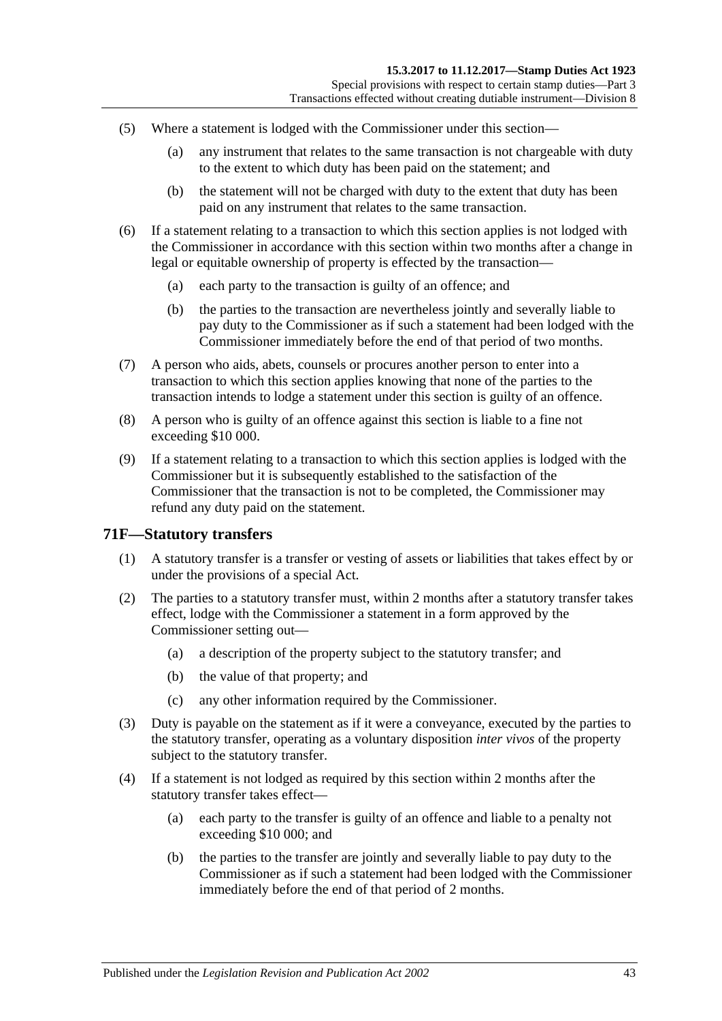- (5) Where a statement is lodged with the Commissioner under this section—
	- (a) any instrument that relates to the same transaction is not chargeable with duty to the extent to which duty has been paid on the statement; and
	- (b) the statement will not be charged with duty to the extent that duty has been paid on any instrument that relates to the same transaction.
- (6) If a statement relating to a transaction to which this section applies is not lodged with the Commissioner in accordance with this section within two months after a change in legal or equitable ownership of property is effected by the transaction—
	- (a) each party to the transaction is guilty of an offence; and
	- (b) the parties to the transaction are nevertheless jointly and severally liable to pay duty to the Commissioner as if such a statement had been lodged with the Commissioner immediately before the end of that period of two months.
- (7) A person who aids, abets, counsels or procures another person to enter into a transaction to which this section applies knowing that none of the parties to the transaction intends to lodge a statement under this section is guilty of an offence.
- (8) A person who is guilty of an offence against this section is liable to a fine not exceeding \$10 000.
- (9) If a statement relating to a transaction to which this section applies is lodged with the Commissioner but it is subsequently established to the satisfaction of the Commissioner that the transaction is not to be completed, the Commissioner may refund any duty paid on the statement.

### **71F—Statutory transfers**

- (1) A statutory transfer is a transfer or vesting of assets or liabilities that takes effect by or under the provisions of a special Act.
- (2) The parties to a statutory transfer must, within 2 months after a statutory transfer takes effect, lodge with the Commissioner a statement in a form approved by the Commissioner setting out—
	- (a) a description of the property subject to the statutory transfer; and
	- (b) the value of that property; and
	- (c) any other information required by the Commissioner.
- (3) Duty is payable on the statement as if it were a conveyance, executed by the parties to the statutory transfer, operating as a voluntary disposition *inter vivos* of the property subject to the statutory transfer.
- (4) If a statement is not lodged as required by this section within 2 months after the statutory transfer takes effect—
	- (a) each party to the transfer is guilty of an offence and liable to a penalty not exceeding \$10 000; and
	- (b) the parties to the transfer are jointly and severally liable to pay duty to the Commissioner as if such a statement had been lodged with the Commissioner immediately before the end of that period of 2 months.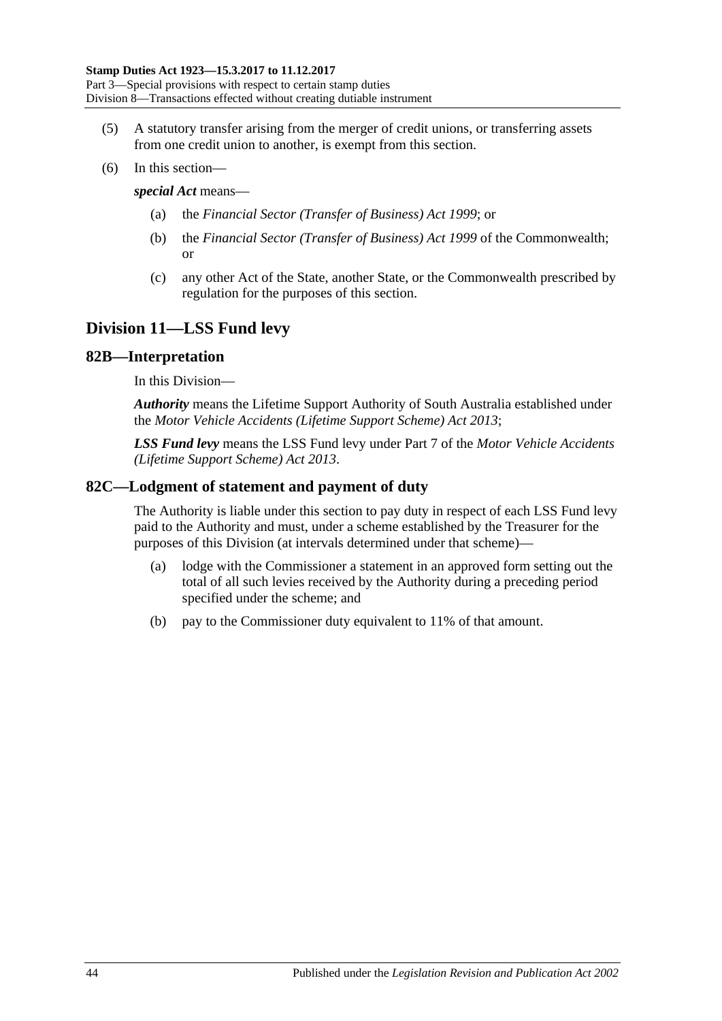- (5) A statutory transfer arising from the merger of credit unions, or transferring assets from one credit union to another, is exempt from this section.
- (6) In this section—

### *special Act* means—

- (a) the *[Financial Sector \(Transfer of Business\) Act](http://www.legislation.sa.gov.au/index.aspx?action=legref&type=act&legtitle=Financial%20Sector%20(Transfer%20of%20Business)%20Act%201999) 1999*; or
- (b) the *Financial Sector (Transfer of Business) Act 1999* of the Commonwealth; or
- (c) any other Act of the State, another State, or the Commonwealth prescribed by regulation for the purposes of this section.

## **Division 11—LSS Fund levy**

### **82B—Interpretation**

In this Division—

*Authority* means the Lifetime Support Authority of South Australia established under the *[Motor Vehicle Accidents \(Lifetime Support Scheme\) Act](http://www.legislation.sa.gov.au/index.aspx?action=legref&type=act&legtitle=Motor%20Vehicle%20Accidents%20(Lifetime%20Support%20Scheme)%20Act%202013) 2013*;

*LSS Fund levy* means the LSS Fund levy under Part 7 of the *[Motor Vehicle Accidents](http://www.legislation.sa.gov.au/index.aspx?action=legref&type=act&legtitle=Motor%20Vehicle%20Accidents%20(Lifetime%20Support%20Scheme)%20Act%202013)  [\(Lifetime Support Scheme\) Act](http://www.legislation.sa.gov.au/index.aspx?action=legref&type=act&legtitle=Motor%20Vehicle%20Accidents%20(Lifetime%20Support%20Scheme)%20Act%202013) 2013*.

## **82C—Lodgment of statement and payment of duty**

The Authority is liable under this section to pay duty in respect of each LSS Fund levy paid to the Authority and must, under a scheme established by the Treasurer for the purposes of this Division (at intervals determined under that scheme)—

- (a) lodge with the Commissioner a statement in an approved form setting out the total of all such levies received by the Authority during a preceding period specified under the scheme; and
- (b) pay to the Commissioner duty equivalent to 11% of that amount.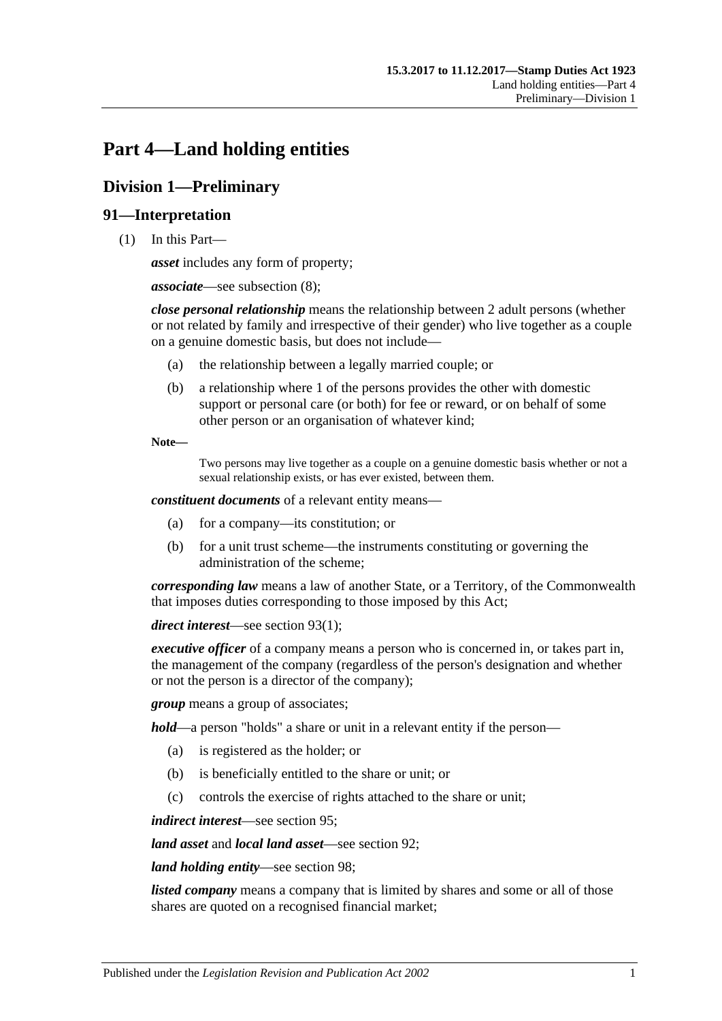# <span id="page-62-0"></span>**Part 4—Land holding entities**

## **Division 1—Preliminary**

## **91—Interpretation**

(1) In this Part—

*asset* includes any form of property;

*associate*—see [subsection](#page-65-0) (8);

*close personal relationship* means the relationship between 2 adult persons (whether or not related by family and irrespective of their gender) who live together as a couple on a genuine domestic basis, but does not include—

- (a) the relationship between a legally married couple; or
- (b) a relationship where 1 of the persons provides the other with domestic support or personal care (or both) for fee or reward, or on behalf of some other person or an organisation of whatever kind;

**Note—**

Two persons may live together as a couple on a genuine domestic basis whether or not a sexual relationship exists, or has ever existed, between them.

*constituent documents* of a relevant entity means—

- (a) for a company—its constitution; or
- (b) for a unit trust scheme—the instruments constituting or governing the administration of the scheme;

*corresponding law* means a law of another State, or a Territory, of the Commonwealth that imposes duties corresponding to those imposed by this Act;

*direct interest*—see [section](#page-66-0) 93(1);

*executive officer* of a company means a person who is concerned in, or takes part in, the management of the company (regardless of the person's designation and whether or not the person is a director of the company);

*group* means a group of associates;

*hold*—a person "holds" a share or unit in a relevant entity if the person—

- (a) is registered as the holder; or
- (b) is beneficially entitled to the share or unit; or
- (c) controls the exercise of rights attached to the share or unit;

*indirect interest*—see [section](#page-67-0) 95;

*land asset* and *local land asset*—see [section](#page-65-1) 92;

*land holding entity*—see [section](#page-68-0) 98;

*listed company* means a company that is limited by shares and some or all of those shares are quoted on a recognised financial market;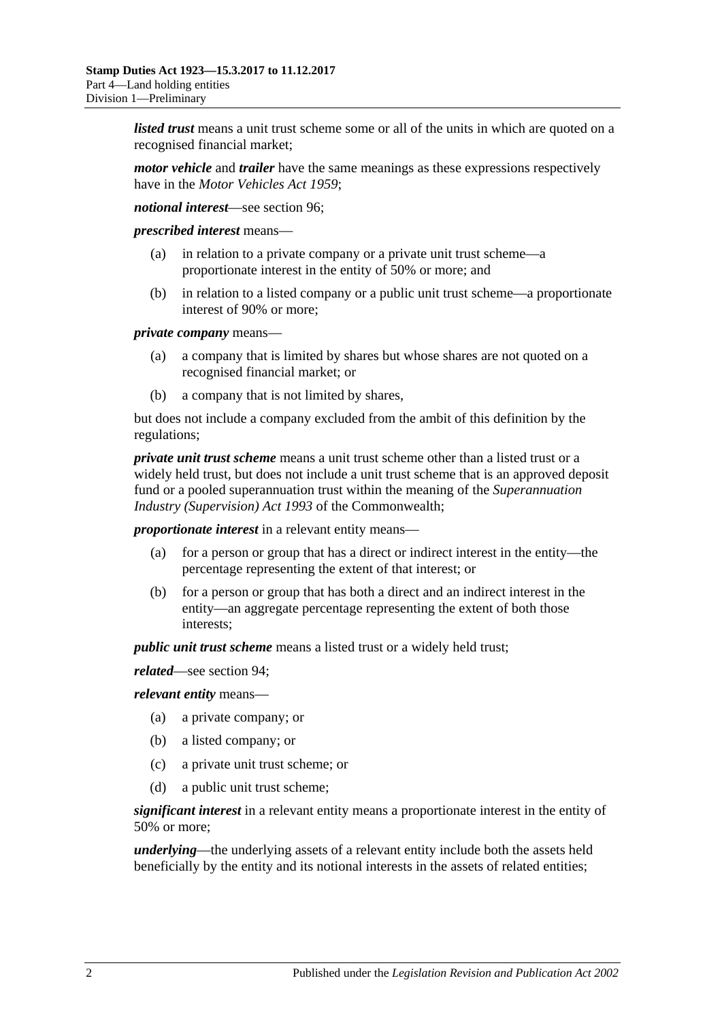*listed trust* means a unit trust scheme some or all of the units in which are quoted on a recognised financial market;

*motor vehicle* and *trailer* have the same meanings as these expressions respectively have in the *[Motor Vehicles Act](http://www.legislation.sa.gov.au/index.aspx?action=legref&type=act&legtitle=Motor%20Vehicles%20Act%201959) 1959*;

*notional interest*—see [section](#page-67-1) 96;

*prescribed interest* means—

- (a) in relation to a private company or a private unit trust scheme—a proportionate interest in the entity of 50% or more; and
- (b) in relation to a listed company or a public unit trust scheme—a proportionate interest of 90% or more;

*private company* means—

- (a) a company that is limited by shares but whose shares are not quoted on a recognised financial market; or
- (b) a company that is not limited by shares,

but does not include a company excluded from the ambit of this definition by the regulations;

*private unit trust scheme* means a unit trust scheme other than a listed trust or a widely held trust, but does not include a unit trust scheme that is an approved deposit fund or a pooled superannuation trust within the meaning of the *Superannuation Industry (Supervision) Act 1993* of the Commonwealth;

*proportionate interest* in a relevant entity means—

- (a) for a person or group that has a direct or indirect interest in the entity—the percentage representing the extent of that interest; or
- (b) for a person or group that has both a direct and an indirect interest in the entity—an aggregate percentage representing the extent of both those interests;

*public unit trust scheme* means a listed trust or a widely held trust;

*related*—see [section](#page-67-2) 94;

*relevant entity* means—

- (a) a private company; or
- (b) a listed company; or
- (c) a private unit trust scheme; or
- (d) a public unit trust scheme;

*significant interest* in a relevant entity means a proportionate interest in the entity of 50% or more;

*underlying*—the underlying assets of a relevant entity include both the assets held beneficially by the entity and its notional interests in the assets of related entities;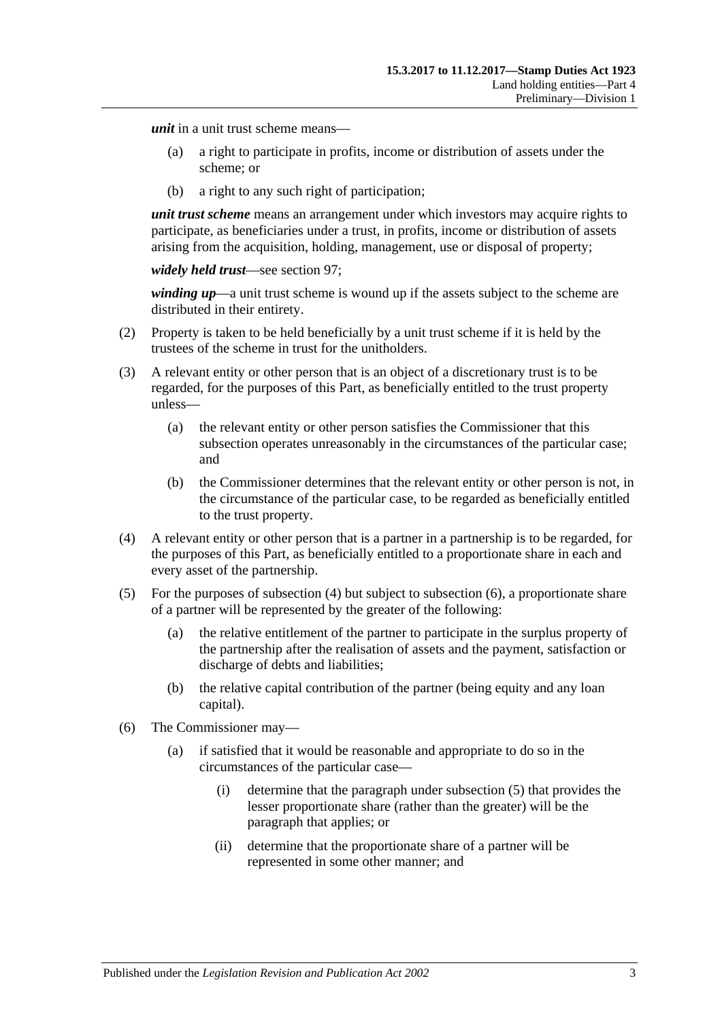*unit* in a unit trust scheme means—

- (a) a right to participate in profits, income or distribution of assets under the scheme; or
- (b) a right to any such right of participation;

*unit trust scheme* means an arrangement under which investors may acquire rights to participate, as beneficiaries under a trust, in profits, income or distribution of assets arising from the acquisition, holding, management, use or disposal of property;

*widely held trust*—see [section](#page-68-1) 97;

*winding up*—a unit trust scheme is wound up if the assets subject to the scheme are distributed in their entirety.

- (2) Property is taken to be held beneficially by a unit trust scheme if it is held by the trustees of the scheme in trust for the unitholders.
- (3) A relevant entity or other person that is an object of a discretionary trust is to be regarded, for the purposes of this Part, as beneficially entitled to the trust property unless—
	- (a) the relevant entity or other person satisfies the Commissioner that this subsection operates unreasonably in the circumstances of the particular case; and
	- (b) the Commissioner determines that the relevant entity or other person is not, in the circumstance of the particular case, to be regarded as beneficially entitled to the trust property.
- <span id="page-64-0"></span>(4) A relevant entity or other person that is a partner in a partnership is to be regarded, for the purposes of this Part, as beneficially entitled to a proportionate share in each and every asset of the partnership.
- <span id="page-64-2"></span>(5) For the purposes of [subsection](#page-64-0) (4) but subject to [subsection](#page-64-1) (6), a proportionate share of a partner will be represented by the greater of the following:
	- (a) the relative entitlement of the partner to participate in the surplus property of the partnership after the realisation of assets and the payment, satisfaction or discharge of debts and liabilities;
	- (b) the relative capital contribution of the partner (being equity and any loan capital).
- <span id="page-64-3"></span><span id="page-64-1"></span>(6) The Commissioner may—
	- (a) if satisfied that it would be reasonable and appropriate to do so in the circumstances of the particular case—
		- (i) determine that the paragraph under [subsection](#page-64-2) (5) that provides the lesser proportionate share (rather than the greater) will be the paragraph that applies; or
		- (ii) determine that the proportionate share of a partner will be represented in some other manner; and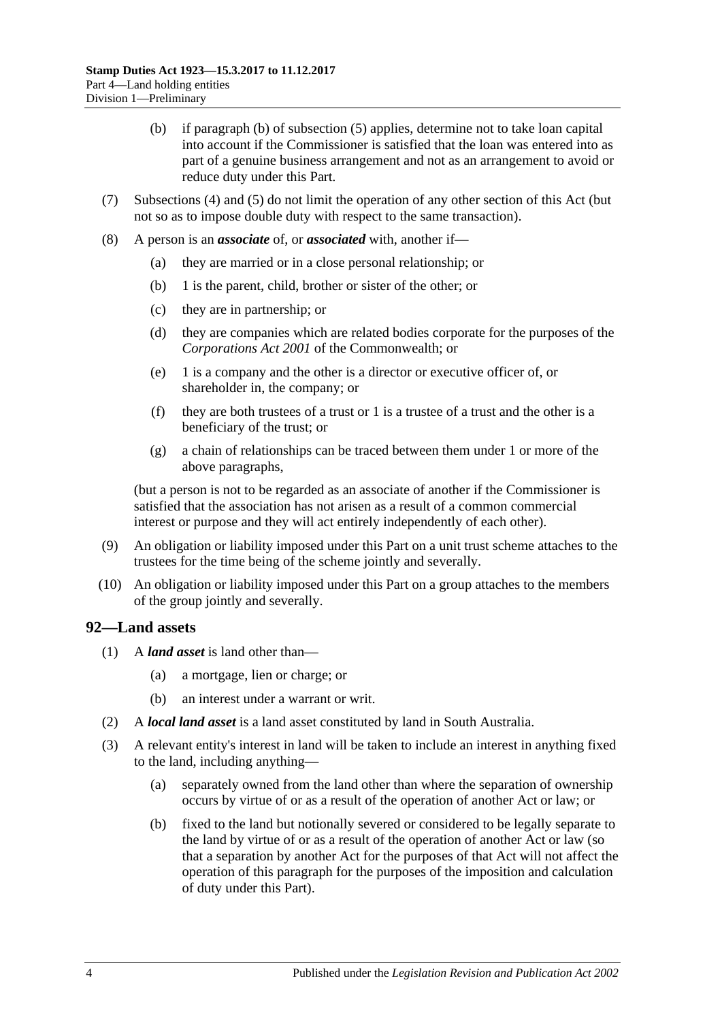- (b) if [paragraph](#page-64-3) (b) of [subsection](#page-64-2) (5) applies, determine not to take loan capital into account if the Commissioner is satisfied that the loan was entered into as part of a genuine business arrangement and not as an arrangement to avoid or reduce duty under this Part.
- (7) [Subsections](#page-64-0) (4) and [\(5\)](#page-64-2) do not limit the operation of any other section of this Act (but not so as to impose double duty with respect to the same transaction).
- <span id="page-65-0"></span>(8) A person is an *associate* of, or *associated* with, another if—
	- (a) they are married or in a close personal relationship; or
	- (b) 1 is the parent, child, brother or sister of the other; or
	- (c) they are in partnership; or
	- (d) they are companies which are related bodies corporate for the purposes of the *Corporations Act 2001* of the Commonwealth; or
	- (e) 1 is a company and the other is a director or executive officer of, or shareholder in, the company; or
	- (f) they are both trustees of a trust or 1 is a trustee of a trust and the other is a beneficiary of the trust; or
	- (g) a chain of relationships can be traced between them under 1 or more of the above paragraphs,

(but a person is not to be regarded as an associate of another if the Commissioner is satisfied that the association has not arisen as a result of a common commercial interest or purpose and they will act entirely independently of each other).

- (9) An obligation or liability imposed under this Part on a unit trust scheme attaches to the trustees for the time being of the scheme jointly and severally.
- (10) An obligation or liability imposed under this Part on a group attaches to the members of the group jointly and severally.

### <span id="page-65-1"></span>**92—Land assets**

- (1) A *land asset* is land other than—
	- (a) a mortgage, lien or charge; or
	- (b) an interest under a warrant or writ.
- (2) A *local land asset* is a land asset constituted by land in South Australia.
- <span id="page-65-4"></span><span id="page-65-3"></span><span id="page-65-2"></span>(3) A relevant entity's interest in land will be taken to include an interest in anything fixed to the land, including anything—
	- (a) separately owned from the land other than where the separation of ownership occurs by virtue of or as a result of the operation of another Act or law; or
	- (b) fixed to the land but notionally severed or considered to be legally separate to the land by virtue of or as a result of the operation of another Act or law (so that a separation by another Act for the purposes of that Act will not affect the operation of this paragraph for the purposes of the imposition and calculation of duty under this Part).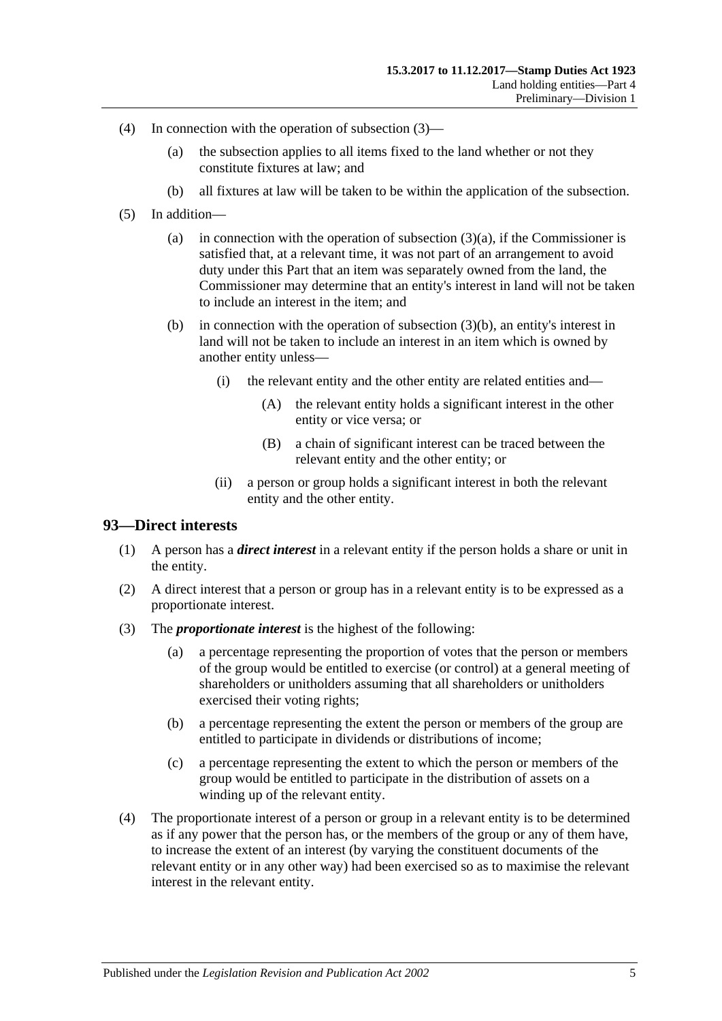- (4) In connection with the operation of [subsection](#page-65-2) (3)—
	- (a) the subsection applies to all items fixed to the land whether or not they constitute fixtures at law; and
	- (b) all fixtures at law will be taken to be within the application of the subsection.
- (5) In addition
	- (a) in connection with the operation of [subsection](#page-65-3)  $(3)(a)$ , if the Commissioner is satisfied that, at a relevant time, it was not part of an arrangement to avoid duty under this Part that an item was separately owned from the land, the Commissioner may determine that an entity's interest in land will not be taken to include an interest in the item; and
	- (b) in connection with the operation of [subsection](#page-65-4) (3)(b), an entity's interest in land will not be taken to include an interest in an item which is owned by another entity unless—
		- (i) the relevant entity and the other entity are related entities and—
			- (A) the relevant entity holds a significant interest in the other entity or vice versa; or
			- (B) a chain of significant interest can be traced between the relevant entity and the other entity; or
		- (ii) a person or group holds a significant interest in both the relevant entity and the other entity.

### <span id="page-66-0"></span>**93—Direct interests**

- (1) A person has a *direct interest* in a relevant entity if the person holds a share or unit in the entity.
- (2) A direct interest that a person or group has in a relevant entity is to be expressed as a proportionate interest.
- (3) The *proportionate interest* is the highest of the following:
	- (a) a percentage representing the proportion of votes that the person or members of the group would be entitled to exercise (or control) at a general meeting of shareholders or unitholders assuming that all shareholders or unitholders exercised their voting rights;
	- (b) a percentage representing the extent the person or members of the group are entitled to participate in dividends or distributions of income;
	- (c) a percentage representing the extent to which the person or members of the group would be entitled to participate in the distribution of assets on a winding up of the relevant entity.
- (4) The proportionate interest of a person or group in a relevant entity is to be determined as if any power that the person has, or the members of the group or any of them have, to increase the extent of an interest (by varying the constituent documents of the relevant entity or in any other way) had been exercised so as to maximise the relevant interest in the relevant entity.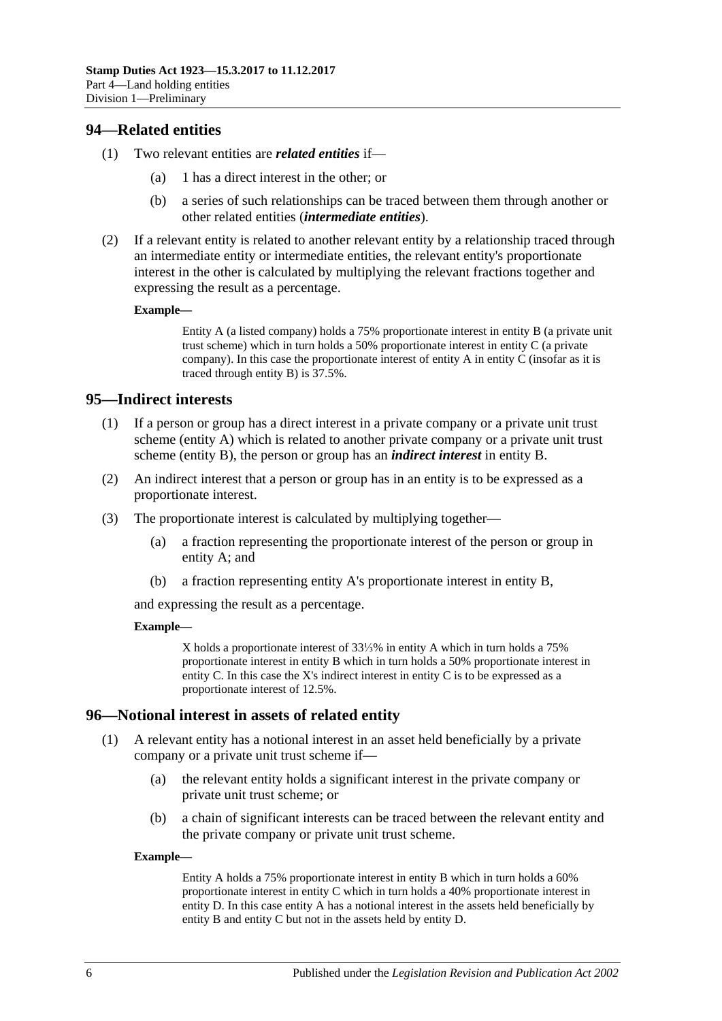## <span id="page-67-2"></span>**94—Related entities**

- (1) Two relevant entities are *related entities* if—
	- (a) 1 has a direct interest in the other; or
	- (b) a series of such relationships can be traced between them through another or other related entities (*intermediate entities*).
- (2) If a relevant entity is related to another relevant entity by a relationship traced through an intermediate entity or intermediate entities, the relevant entity's proportionate interest in the other is calculated by multiplying the relevant fractions together and expressing the result as a percentage.

#### **Example—**

Entity A (a listed company) holds a 75% proportionate interest in entity B (a private unit trust scheme) which in turn holds a 50% proportionate interest in entity C (a private company). In this case the proportionate interest of entity A in entity C (insofar as it is traced through entity B) is 37.5%.

### <span id="page-67-0"></span>**95—Indirect interests**

- (1) If a person or group has a direct interest in a private company or a private unit trust scheme (entity A) which is related to another private company or a private unit trust scheme (entity B), the person or group has an *indirect interest* in entity B.
- (2) An indirect interest that a person or group has in an entity is to be expressed as a proportionate interest.
- (3) The proportionate interest is calculated by multiplying together—
	- (a) a fraction representing the proportionate interest of the person or group in entity A; and
	- (b) a fraction representing entity A's proportionate interest in entity B,

and expressing the result as a percentage.

#### **Example—**

X holds a proportionate interest of 33⅓% in entity A which in turn holds a 75% proportionate interest in entity B which in turn holds a 50% proportionate interest in entity C. In this case the X's indirect interest in entity C is to be expressed as a proportionate interest of 12.5%.

### <span id="page-67-1"></span>**96—Notional interest in assets of related entity**

- (1) A relevant entity has a notional interest in an asset held beneficially by a private company or a private unit trust scheme if—
	- (a) the relevant entity holds a significant interest in the private company or private unit trust scheme; or
	- (b) a chain of significant interests can be traced between the relevant entity and the private company or private unit trust scheme.

#### **Example—**

Entity A holds a 75% proportionate interest in entity B which in turn holds a 60% proportionate interest in entity C which in turn holds a 40% proportionate interest in entity D. In this case entity A has a notional interest in the assets held beneficially by entity B and entity C but not in the assets held by entity D.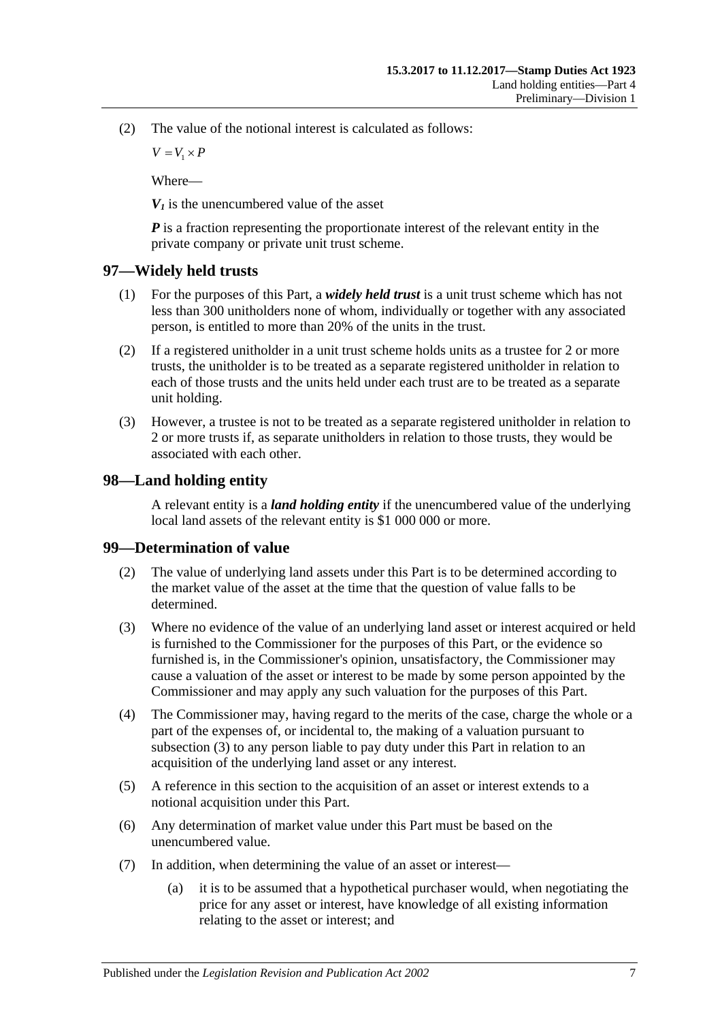(2) The value of the notional interest is calculated as follows:

 $V = V_1 \times P$ 

Where—

 $V_I$  is the unencumbered value of the asset

*P* is a fraction representing the proportionate interest of the relevant entity in the private company or private unit trust scheme.

## <span id="page-68-1"></span>**97—Widely held trusts**

- (1) For the purposes of this Part, a *widely held trust* is a unit trust scheme which has not less than 300 unitholders none of whom, individually or together with any associated person, is entitled to more than 20% of the units in the trust.
- (2) If a registered unitholder in a unit trust scheme holds units as a trustee for 2 or more trusts, the unitholder is to be treated as a separate registered unitholder in relation to each of those trusts and the units held under each trust are to be treated as a separate unit holding.
- (3) However, a trustee is not to be treated as a separate registered unitholder in relation to 2 or more trusts if, as separate unitholders in relation to those trusts, they would be associated with each other.

## <span id="page-68-0"></span>**98—Land holding entity**

A relevant entity is a *land holding entity* if the unencumbered value of the underlying local land assets of the relevant entity is \$1 000 000 or more.

## **99—Determination of value**

- (2) The value of underlying land assets under this Part is to be determined according to the market value of the asset at the time that the question of value falls to be determined.
- <span id="page-68-2"></span>(3) Where no evidence of the value of an underlying land asset or interest acquired or held is furnished to the Commissioner for the purposes of this Part, or the evidence so furnished is, in the Commissioner's opinion, unsatisfactory, the Commissioner may cause a valuation of the asset or interest to be made by some person appointed by the Commissioner and may apply any such valuation for the purposes of this Part.
- (4) The Commissioner may, having regard to the merits of the case, charge the whole or a part of the expenses of, or incidental to, the making of a valuation pursuant to [subsection](#page-68-2) (3) to any person liable to pay duty under this Part in relation to an acquisition of the underlying land asset or any interest.
- (5) A reference in this section to the acquisition of an asset or interest extends to a notional acquisition under this Part.
- (6) Any determination of market value under this Part must be based on the unencumbered value.
- (7) In addition, when determining the value of an asset or interest—
	- (a) it is to be assumed that a hypothetical purchaser would, when negotiating the price for any asset or interest, have knowledge of all existing information relating to the asset or interest; and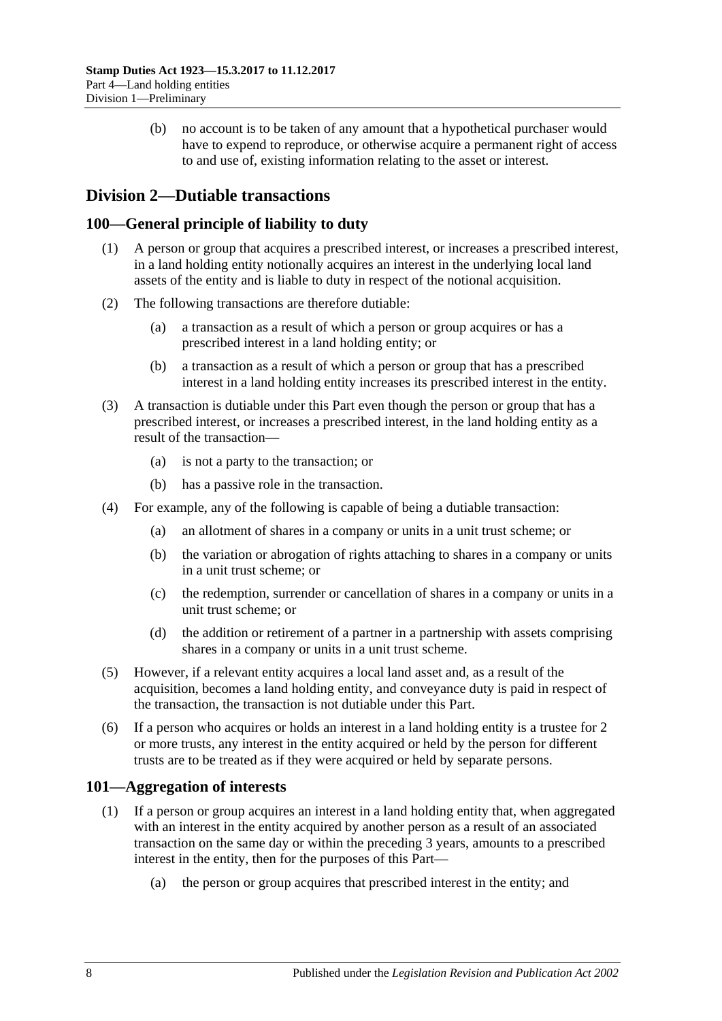(b) no account is to be taken of any amount that a hypothetical purchaser would have to expend to reproduce, or otherwise acquire a permanent right of access to and use of, existing information relating to the asset or interest.

## **Division 2—Dutiable transactions**

## **100—General principle of liability to duty**

- (1) A person or group that acquires a prescribed interest, or increases a prescribed interest, in a land holding entity notionally acquires an interest in the underlying local land assets of the entity and is liable to duty in respect of the notional acquisition.
- (2) The following transactions are therefore dutiable:
	- (a) a transaction as a result of which a person or group acquires or has a prescribed interest in a land holding entity; or
	- (b) a transaction as a result of which a person or group that has a prescribed interest in a land holding entity increases its prescribed interest in the entity.
- (3) A transaction is dutiable under this Part even though the person or group that has a prescribed interest, or increases a prescribed interest, in the land holding entity as a result of the transaction—
	- (a) is not a party to the transaction; or
	- (b) has a passive role in the transaction.
- (4) For example, any of the following is capable of being a dutiable transaction:
	- (a) an allotment of shares in a company or units in a unit trust scheme; or
	- (b) the variation or abrogation of rights attaching to shares in a company or units in a unit trust scheme; or
	- (c) the redemption, surrender or cancellation of shares in a company or units in a unit trust scheme; or
	- (d) the addition or retirement of a partner in a partnership with assets comprising shares in a company or units in a unit trust scheme.
- (5) However, if a relevant entity acquires a local land asset and, as a result of the acquisition, becomes a land holding entity, and conveyance duty is paid in respect of the transaction, the transaction is not dutiable under this Part.
- (6) If a person who acquires or holds an interest in a land holding entity is a trustee for 2 or more trusts, any interest in the entity acquired or held by the person for different trusts are to be treated as if they were acquired or held by separate persons.

## **101—Aggregation of interests**

- (1) If a person or group acquires an interest in a land holding entity that, when aggregated with an interest in the entity acquired by another person as a result of an associated transaction on the same day or within the preceding 3 years, amounts to a prescribed interest in the entity, then for the purposes of this Part—
	- (a) the person or group acquires that prescribed interest in the entity; and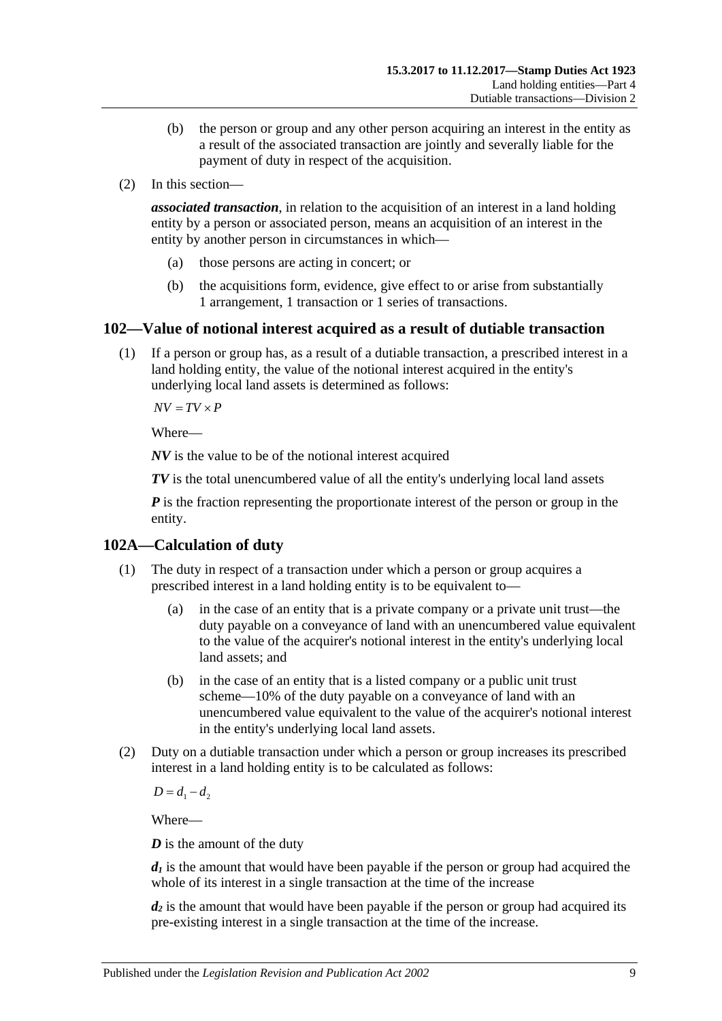- (b) the person or group and any other person acquiring an interest in the entity as a result of the associated transaction are jointly and severally liable for the payment of duty in respect of the acquisition.
- (2) In this section—

*associated transaction*, in relation to the acquisition of an interest in a land holding entity by a person or associated person, means an acquisition of an interest in the entity by another person in circumstances in which—

- (a) those persons are acting in concert; or
- (b) the acquisitions form, evidence, give effect to or arise from substantially 1 arrangement, 1 transaction or 1 series of transactions.

## **102—Value of notional interest acquired as a result of dutiable transaction**

(1) If a person or group has, as a result of a dutiable transaction, a prescribed interest in a land holding entity, the value of the notional interest acquired in the entity's underlying local land assets is determined as follows:

 $\overline{AV} = \overline{TV} \times \overline{P}$ 

Where—

*NV* is the value to be of the notional interest acquired

*TV* is the total unencumbered value of all the entity's underlying local land assets

*P* is the fraction representing the proportionate interest of the person or group in the entity.

## <span id="page-70-0"></span>**102A—Calculation of duty**

- (1) The duty in respect of a transaction under which a person or group acquires a prescribed interest in a land holding entity is to be equivalent to—
	- (a) in the case of an entity that is a private company or a private unit trust—the duty payable on a conveyance of land with an unencumbered value equivalent to the value of the acquirer's notional interest in the entity's underlying local land assets; and
	- (b) in the case of an entity that is a listed company or a public unit trust scheme—10% of the duty payable on a conveyance of land with an unencumbered value equivalent to the value of the acquirer's notional interest in the entity's underlying local land assets.
- (2) Duty on a dutiable transaction under which a person or group increases its prescribed interest in a land holding entity is to be calculated as follows:

 $D = d_1 - d_2$ 

Where—

*D* is the amount of the duty

 $d_1$  is the amount that would have been payable if the person or group had acquired the whole of its interest in a single transaction at the time of the increase

*d<sub>2</sub>* is the amount that would have been payable if the person or group had acquired its pre-existing interest in a single transaction at the time of the increase.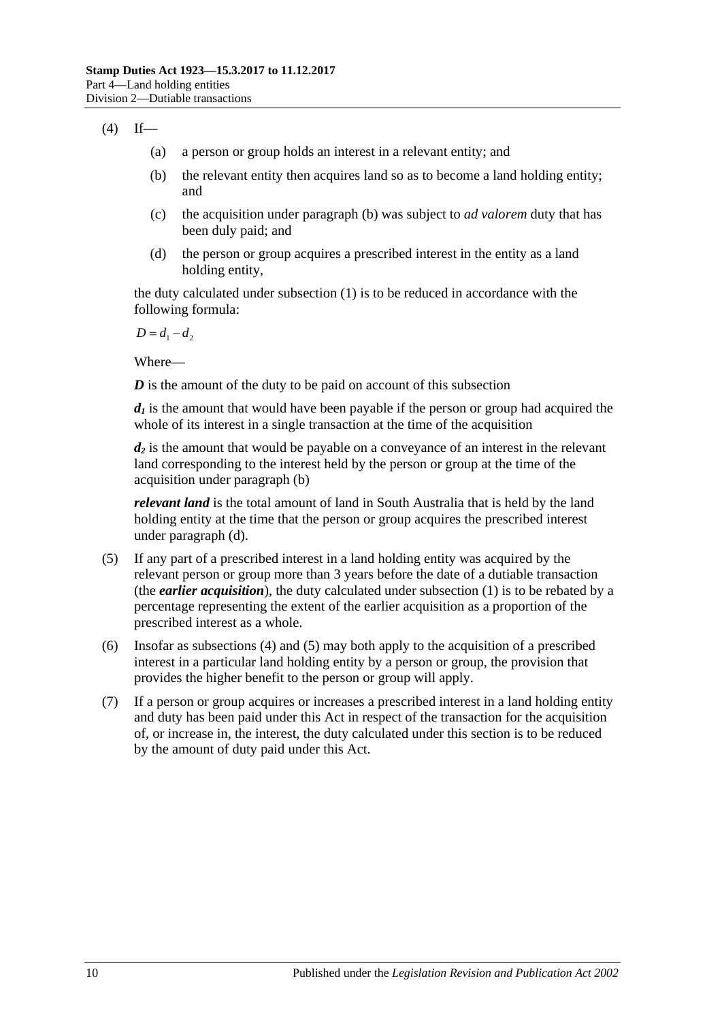## <span id="page-71-2"></span><span id="page-71-0"></span> $(4)$  If—

- (a) a person or group holds an interest in a relevant entity; and
- (b) the relevant entity then acquires land so as to become a land holding entity; and
- (c) the acquisition under [paragraph](#page-71-0) (b) was subject to *ad valorem* duty that has been duly paid; and
- <span id="page-71-1"></span>(d) the person or group acquires a prescribed interest in the entity as a land holding entity,

the duty calculated under [subsection](#page-70-0) (1) is to be reduced in accordance with the following formula:

 $D = d_1 - d_2$ 

Where—

*D* is the amount of the duty to be paid on account of this subsection

 $d_1$  is the amount that would have been payable if the person or group had acquired the whole of its interest in a single transaction at the time of the acquisition

 $d_2$  is the amount that would be payable on a conveyance of an interest in the relevant land corresponding to the interest held by the person or group at the time of the acquisition under [paragraph](#page-71-0) (b)

*relevant land* is the total amount of land in South Australia that is held by the land holding entity at the time that the person or group acquires the prescribed interest under [paragraph](#page-71-1) (d).

- <span id="page-71-3"></span>(5) If any part of a prescribed interest in a land holding entity was acquired by the relevant person or group more than 3 years before the date of a dutiable transaction (the *earlier acquisition*), the duty calculated under [subsection](#page-70-0) (1) is to be rebated by a percentage representing the extent of the earlier acquisition as a proportion of the prescribed interest as a whole.
- (6) Insofar as [subsections](#page-71-2) (4) and [\(5\)](#page-71-3) may both apply to the acquisition of a prescribed interest in a particular land holding entity by a person or group, the provision that provides the higher benefit to the person or group will apply.
- (7) If a person or group acquires or increases a prescribed interest in a land holding entity and duty has been paid under this Act in respect of the transaction for the acquisition of, or increase in, the interest, the duty calculated under this section is to be reduced by the amount of duty paid under this Act.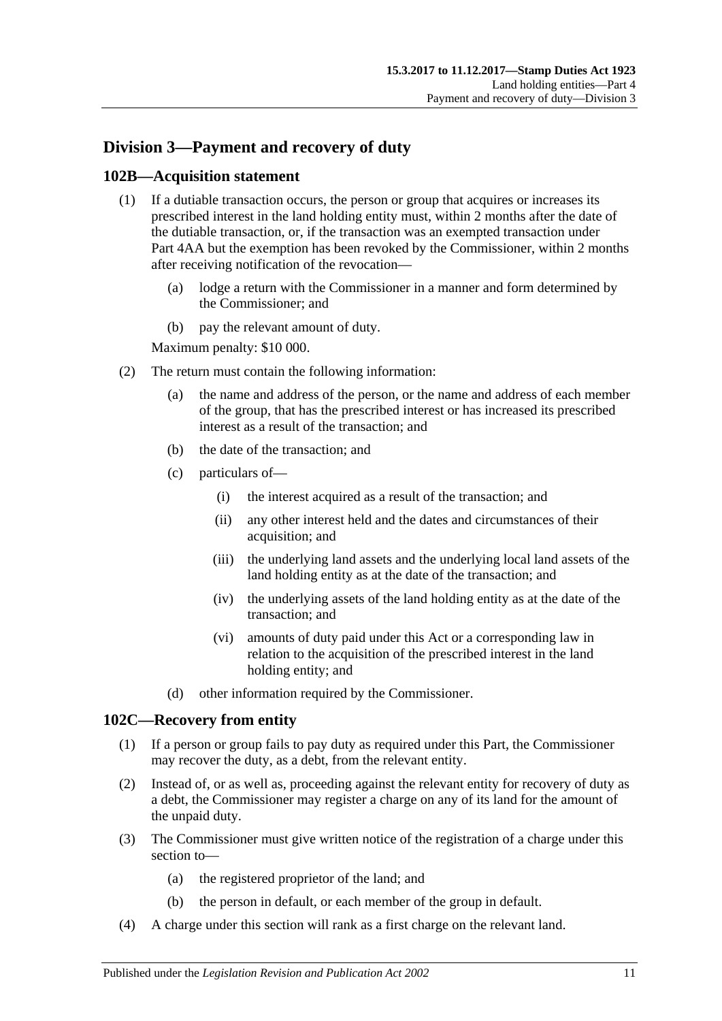# **Division 3—Payment and recovery of duty**

# **102B—Acquisition statement**

- (1) If a dutiable transaction occurs, the person or group that acquires or increases its prescribed interest in the land holding entity must, within 2 months after the date of the dutiable transaction, or, if the transaction was an exempted transaction under Part 4AA but the exemption has been revoked by the Commissioner, within 2 months after receiving notification of the revocation—
	- (a) lodge a return with the Commissioner in a manner and form determined by the Commissioner; and
	- (b) pay the relevant amount of duty.

Maximum penalty: \$10 000.

- (2) The return must contain the following information:
	- (a) the name and address of the person, or the name and address of each member of the group, that has the prescribed interest or has increased its prescribed interest as a result of the transaction; and
	- (b) the date of the transaction; and
	- (c) particulars of—
		- (i) the interest acquired as a result of the transaction; and
		- (ii) any other interest held and the dates and circumstances of their acquisition; and
		- (iii) the underlying land assets and the underlying local land assets of the land holding entity as at the date of the transaction; and
		- (iv) the underlying assets of the land holding entity as at the date of the transaction; and
		- (vi) amounts of duty paid under this Act or a corresponding law in relation to the acquisition of the prescribed interest in the land holding entity; and
	- (d) other information required by the Commissioner.

### **102C—Recovery from entity**

- (1) If a person or group fails to pay duty as required under this Part, the Commissioner may recover the duty, as a debt, from the relevant entity.
- (2) Instead of, or as well as, proceeding against the relevant entity for recovery of duty as a debt, the Commissioner may register a charge on any of its land for the amount of the unpaid duty.
- (3) The Commissioner must give written notice of the registration of a charge under this section to—
	- (a) the registered proprietor of the land; and
	- (b) the person in default, or each member of the group in default.
- (4) A charge under this section will rank as a first charge on the relevant land.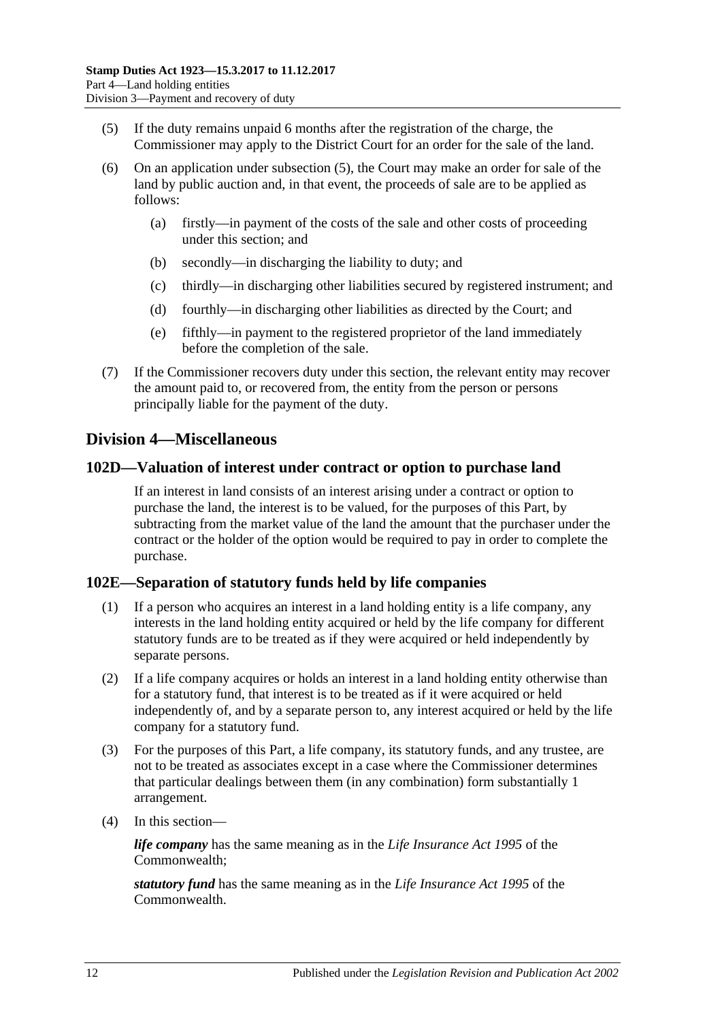- <span id="page-73-0"></span>(5) If the duty remains unpaid 6 months after the registration of the charge, the Commissioner may apply to the District Court for an order for the sale of the land.
- (6) On an application under [subsection](#page-73-0) (5), the Court may make an order for sale of the land by public auction and, in that event, the proceeds of sale are to be applied as follows:
	- (a) firstly—in payment of the costs of the sale and other costs of proceeding under this section; and
	- (b) secondly—in discharging the liability to duty; and
	- (c) thirdly—in discharging other liabilities secured by registered instrument; and
	- (d) fourthly—in discharging other liabilities as directed by the Court; and
	- (e) fifthly—in payment to the registered proprietor of the land immediately before the completion of the sale.
- (7) If the Commissioner recovers duty under this section, the relevant entity may recover the amount paid to, or recovered from, the entity from the person or persons principally liable for the payment of the duty.

# **Division 4—Miscellaneous**

## **102D—Valuation of interest under contract or option to purchase land**

If an interest in land consists of an interest arising under a contract or option to purchase the land, the interest is to be valued, for the purposes of this Part, by subtracting from the market value of the land the amount that the purchaser under the contract or the holder of the option would be required to pay in order to complete the purchase.

# **102E—Separation of statutory funds held by life companies**

- (1) If a person who acquires an interest in a land holding entity is a life company, any interests in the land holding entity acquired or held by the life company for different statutory funds are to be treated as if they were acquired or held independently by separate persons.
- (2) If a life company acquires or holds an interest in a land holding entity otherwise than for a statutory fund, that interest is to be treated as if it were acquired or held independently of, and by a separate person to, any interest acquired or held by the life company for a statutory fund.
- (3) For the purposes of this Part, a life company, its statutory funds, and any trustee, are not to be treated as associates except in a case where the Commissioner determines that particular dealings between them (in any combination) form substantially 1 arrangement.
- (4) In this section—

*life company* has the same meaning as in the *Life Insurance Act 1995* of the Commonwealth;

*statutory fund* has the same meaning as in the *Life Insurance Act 1995* of the Commonwealth.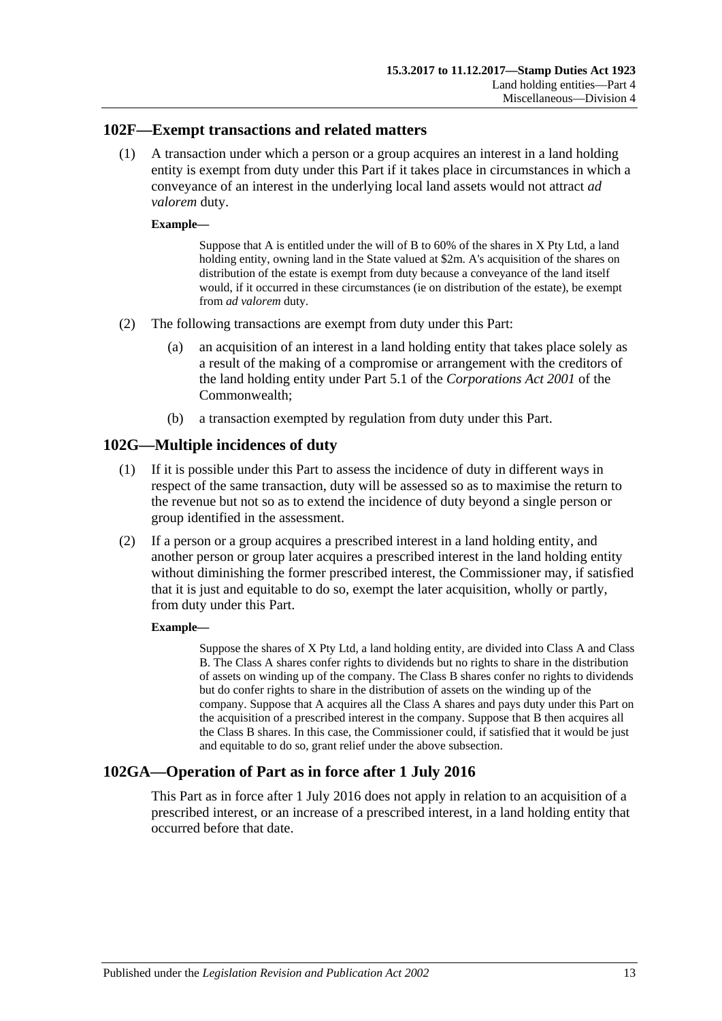## **102F—Exempt transactions and related matters**

(1) A transaction under which a person or a group acquires an interest in a land holding entity is exempt from duty under this Part if it takes place in circumstances in which a conveyance of an interest in the underlying local land assets would not attract *ad valorem* duty.

### **Example—**

Suppose that A is entitled under the will of B to 60% of the shares in X Pty Ltd, a land holding entity, owning land in the State valued at \$2m. A's acquisition of the shares on distribution of the estate is exempt from duty because a conveyance of the land itself would, if it occurred in these circumstances (ie on distribution of the estate), be exempt from *ad valorem* duty.

- (2) The following transactions are exempt from duty under this Part:
	- (a) an acquisition of an interest in a land holding entity that takes place solely as a result of the making of a compromise or arrangement with the creditors of the land holding entity under Part 5.1 of the *Corporations Act 2001* of the Commonwealth;
	- (b) a transaction exempted by regulation from duty under this Part.

# **102G—Multiple incidences of duty**

- (1) If it is possible under this Part to assess the incidence of duty in different ways in respect of the same transaction, duty will be assessed so as to maximise the return to the revenue but not so as to extend the incidence of duty beyond a single person or group identified in the assessment.
- (2) If a person or a group acquires a prescribed interest in a land holding entity, and another person or group later acquires a prescribed interest in the land holding entity without diminishing the former prescribed interest, the Commissioner may, if satisfied that it is just and equitable to do so, exempt the later acquisition, wholly or partly, from duty under this Part.

### **Example—**

Suppose the shares of X Pty Ltd, a land holding entity, are divided into Class A and Class B. The Class A shares confer rights to dividends but no rights to share in the distribution of assets on winding up of the company. The Class B shares confer no rights to dividends but do confer rights to share in the distribution of assets on the winding up of the company. Suppose that A acquires all the Class A shares and pays duty under this Part on the acquisition of a prescribed interest in the company. Suppose that B then acquires all the Class B shares. In this case, the Commissioner could, if satisfied that it would be just and equitable to do so, grant relief under the above subsection.

# **102GA—Operation of Part as in force after 1 July 2016**

This Part as in force after 1 July 2016 does not apply in relation to an acquisition of a prescribed interest, or an increase of a prescribed interest, in a land holding entity that occurred before that date.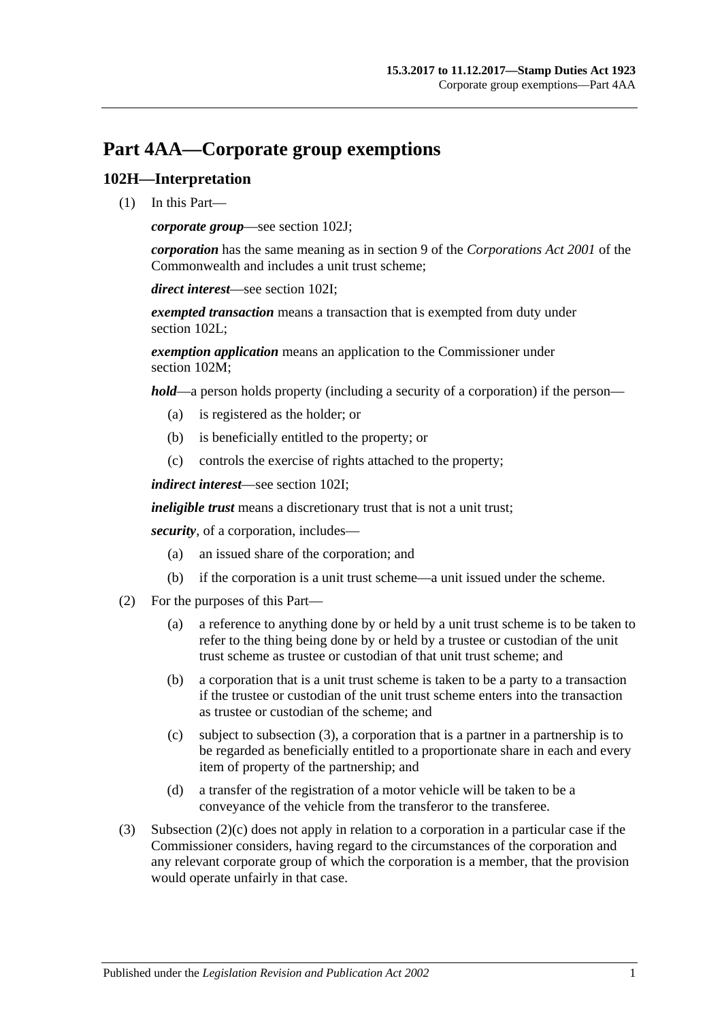# **Part 4AA—Corporate group exemptions**

# **102H—Interpretation**

(1) In this Part—

*corporate group*—see [section](#page-77-0) 102J;

*corporation* has the same meaning as in section 9 of the *Corporations Act 2001* of the Commonwealth and includes a unit trust scheme;

*direct interest*—see [section](#page-77-1) 102I;

*exempted transaction* means a transaction that is exempted from duty under [section](#page-78-0) 102L:

*exemption application* means an application to the Commissioner under [section](#page-78-1) 102M:

*hold*—a person holds property (including a security of a corporation) if the person—

- (a) is registered as the holder; or
- (b) is beneficially entitled to the property; or
- (c) controls the exercise of rights attached to the property;

*indirect interest*—see [section](#page-77-1) 102I;

*ineligible trust* means a discretionary trust that is not a unit trust;

*security*, of a corporation, includes—

- (a) an issued share of the corporation; and
- (b) if the corporation is a unit trust scheme—a unit issued under the scheme.
- (2) For the purposes of this Part—
	- (a) a reference to anything done by or held by a unit trust scheme is to be taken to refer to the thing being done by or held by a trustee or custodian of the unit trust scheme as trustee or custodian of that unit trust scheme; and
	- (b) a corporation that is a unit trust scheme is taken to be a party to a transaction if the trustee or custodian of the unit trust scheme enters into the transaction as trustee or custodian of the scheme; and
	- (c) subject to [subsection](#page-76-0) (3), a corporation that is a partner in a partnership is to be regarded as beneficially entitled to a proportionate share in each and every item of property of the partnership; and
	- (d) a transfer of the registration of a motor vehicle will be taken to be a conveyance of the vehicle from the transferor to the transferee.
- <span id="page-76-1"></span><span id="page-76-0"></span>(3) [Subsection](#page-76-1) (2)(c) does not apply in relation to a corporation in a particular case if the Commissioner considers, having regard to the circumstances of the corporation and any relevant corporate group of which the corporation is a member, that the provision would operate unfairly in that case.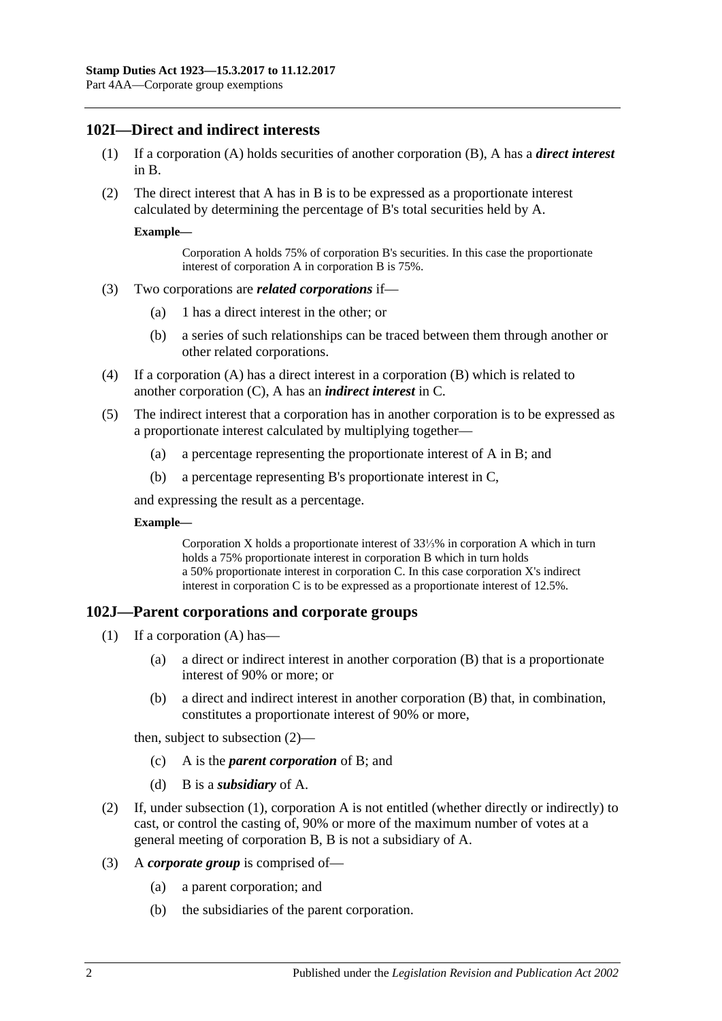# <span id="page-77-1"></span>**102I—Direct and indirect interests**

- (1) If a corporation (A) holds securities of another corporation (B), A has a *direct interest* in B.
- (2) The direct interest that A has in B is to be expressed as a proportionate interest calculated by determining the percentage of B's total securities held by A.

### **Example—**

Corporation A holds 75% of corporation B's securities. In this case the proportionate interest of corporation A in corporation B is 75%.

- (3) Two corporations are *related corporations* if—
	- (a) 1 has a direct interest in the other; or
	- (b) a series of such relationships can be traced between them through another or other related corporations.
- (4) If a corporation (A) has a direct interest in a corporation (B) which is related to another corporation (C), A has an *indirect interest* in C.
- (5) The indirect interest that a corporation has in another corporation is to be expressed as a proportionate interest calculated by multiplying together—
	- (a) a percentage representing the proportionate interest of A in B; and
	- (b) a percentage representing B's proportionate interest in C,

and expressing the result as a percentage.

### **Example—**

Corporation X holds a proportionate interest of 33⅓% in corporation A which in turn holds a 75% proportionate interest in corporation B which in turn holds a 50% proportionate interest in corporation C. In this case corporation X's indirect interest in corporation C is to be expressed as a proportionate interest of 12.5%.

### <span id="page-77-3"></span><span id="page-77-0"></span>**102J—Parent corporations and corporate groups**

- (1) If a corporation (A) has—
	- (a) a direct or indirect interest in another corporation (B) that is a proportionate interest of 90% or more; or
	- (b) a direct and indirect interest in another corporation (B) that, in combination, constitutes a proportionate interest of 90% or more,

then, subject to [subsection](#page-77-2) (2)—

- (c) A is the *parent corporation* of B; and
- (d) B is a *subsidiary* of A.
- <span id="page-77-2"></span>(2) If, under [subsection](#page-77-3) (1), corporation A is not entitled (whether directly or indirectly) to cast, or control the casting of, 90% or more of the maximum number of votes at a general meeting of corporation B, B is not a subsidiary of A.
- (3) A *corporate group* is comprised of—
	- (a) a parent corporation; and
	- (b) the subsidiaries of the parent corporation.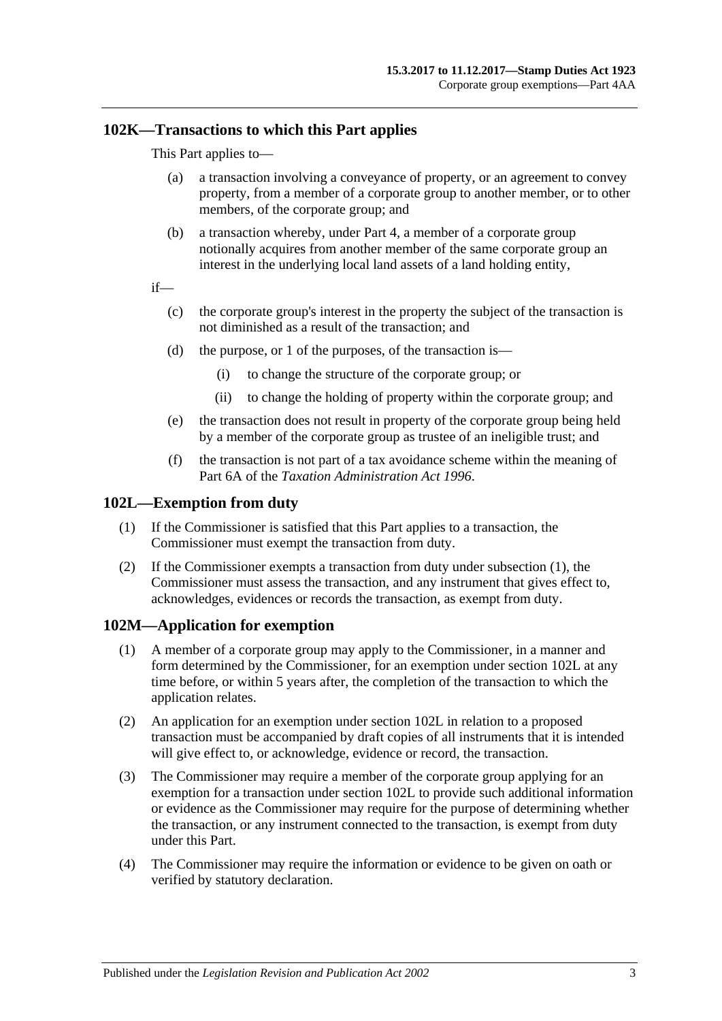# **102K—Transactions to which this Part applies**

This Part applies to—

- (a) a transaction involving a conveyance of property, or an agreement to convey property, from a member of a corporate group to another member, or to other members, of the corporate group; and
- (b) a transaction whereby, under Part 4, a member of a corporate group notionally acquires from another member of the same corporate group an interest in the underlying local land assets of a land holding entity,

if—

- (c) the corporate group's interest in the property the subject of the transaction is not diminished as a result of the transaction; and
- (d) the purpose, or 1 of the purposes, of the transaction is—
	- (i) to change the structure of the corporate group; or
	- (ii) to change the holding of property within the corporate group; and
- (e) the transaction does not result in property of the corporate group being held by a member of the corporate group as trustee of an ineligible trust; and
- (f) the transaction is not part of a tax avoidance scheme within the meaning of Part 6A of the *[Taxation Administration Act](http://www.legislation.sa.gov.au/index.aspx?action=legref&type=act&legtitle=Taxation%20Administration%20Act%201996) 1996*.

## <span id="page-78-2"></span><span id="page-78-0"></span>**102L—Exemption from duty**

- (1) If the Commissioner is satisfied that this Part applies to a transaction, the Commissioner must exempt the transaction from duty.
- (2) If the Commissioner exempts a transaction from duty under [subsection](#page-78-2) (1), the Commissioner must assess the transaction, and any instrument that gives effect to, acknowledges, evidences or records the transaction, as exempt from duty.

# <span id="page-78-1"></span>**102M—Application for exemption**

- (1) A member of a corporate group may apply to the Commissioner, in a manner and form determined by the Commissioner, for an exemption under [section](#page-78-0) 102L at any time before, or within 5 years after, the completion of the transaction to which the application relates.
- (2) An application for an exemption under [section](#page-78-0) 102L in relation to a proposed transaction must be accompanied by draft copies of all instruments that it is intended will give effect to, or acknowledge, evidence or record, the transaction.
- (3) The Commissioner may require a member of the corporate group applying for an exemption for a transaction under [section](#page-78-0) 102L to provide such additional information or evidence as the Commissioner may require for the purpose of determining whether the transaction, or any instrument connected to the transaction, is exempt from duty under this Part.
- (4) The Commissioner may require the information or evidence to be given on oath or verified by statutory declaration.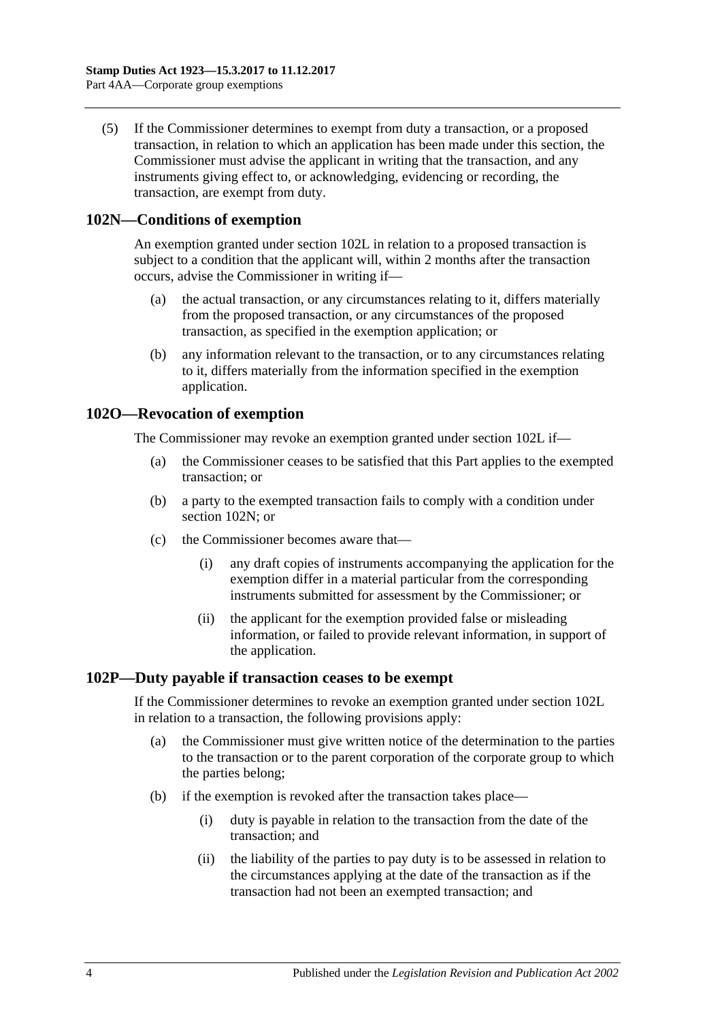(5) If the Commissioner determines to exempt from duty a transaction, or a proposed transaction, in relation to which an application has been made under this section, the Commissioner must advise the applicant in writing that the transaction, and any instruments giving effect to, or acknowledging, evidencing or recording, the transaction, are exempt from duty.

# <span id="page-79-0"></span>**102N—Conditions of exemption**

An exemption granted under [section](#page-78-0) 102L in relation to a proposed transaction is subject to a condition that the applicant will, within 2 months after the transaction occurs, advise the Commissioner in writing if—

- (a) the actual transaction, or any circumstances relating to it, differs materially from the proposed transaction, or any circumstances of the proposed transaction, as specified in the exemption application; or
- (b) any information relevant to the transaction, or to any circumstances relating to it, differs materially from the information specified in the exemption application.

# **102O—Revocation of exemption**

The Commissioner may revoke an exemption granted under [section](#page-78-0) 102L if—

- (a) the Commissioner ceases to be satisfied that this Part applies to the exempted transaction; or
- (b) a party to the exempted transaction fails to comply with a condition under [section](#page-79-0) 102N; or
- (c) the Commissioner becomes aware that—
	- (i) any draft copies of instruments accompanying the application for the exemption differ in a material particular from the corresponding instruments submitted for assessment by the Commissioner; or
	- (ii) the applicant for the exemption provided false or misleading information, or failed to provide relevant information, in support of the application.

# **102P—Duty payable if transaction ceases to be exempt**

If the Commissioner determines to revoke an exemption granted under [section](#page-78-0) 102L in relation to a transaction, the following provisions apply:

- (a) the Commissioner must give written notice of the determination to the parties to the transaction or to the parent corporation of the corporate group to which the parties belong;
- (b) if the exemption is revoked after the transaction takes place—
	- (i) duty is payable in relation to the transaction from the date of the transaction; and
	- (ii) the liability of the parties to pay duty is to be assessed in relation to the circumstances applying at the date of the transaction as if the transaction had not been an exempted transaction; and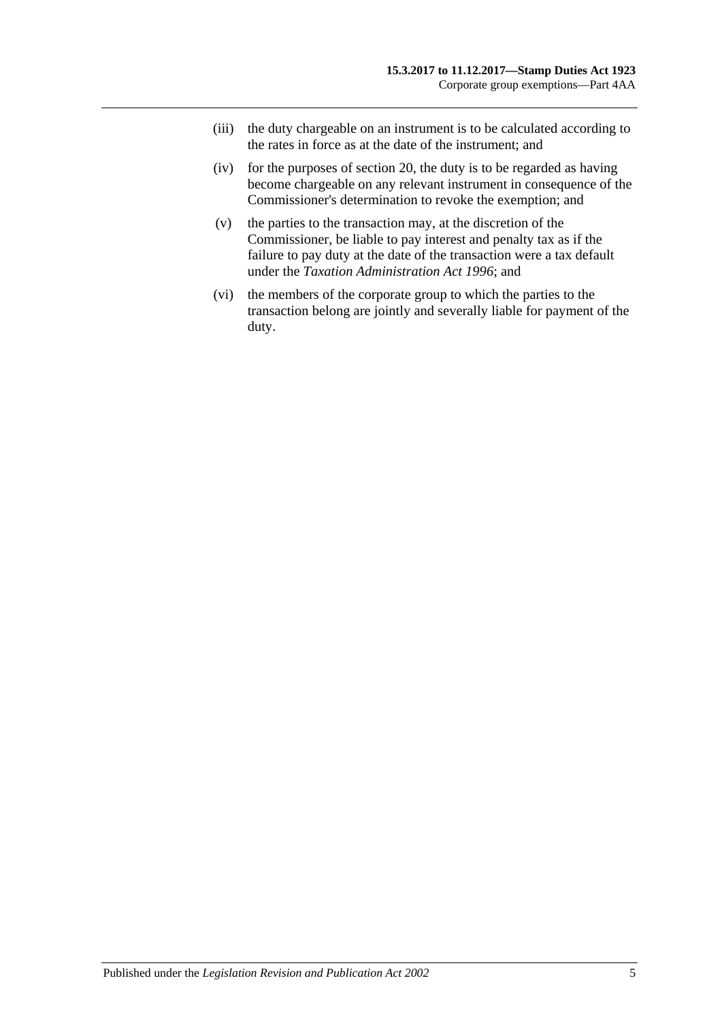- (iii) the duty chargeable on an instrument is to be calculated according to the rates in force as at the date of the instrument; and
- (iv) for the purposes of [section](#page-14-0) 20, the duty is to be regarded as having become chargeable on any relevant instrument in consequence of the Commissioner's determination to revoke the exemption; and
- (v) the parties to the transaction may, at the discretion of the Commissioner, be liable to pay interest and penalty tax as if the failure to pay duty at the date of the transaction were a tax default under the *[Taxation Administration Act](http://www.legislation.sa.gov.au/index.aspx?action=legref&type=act&legtitle=Taxation%20Administration%20Act%201996) 1996*; and
- (vi) the members of the corporate group to which the parties to the transaction belong are jointly and severally liable for payment of the duty.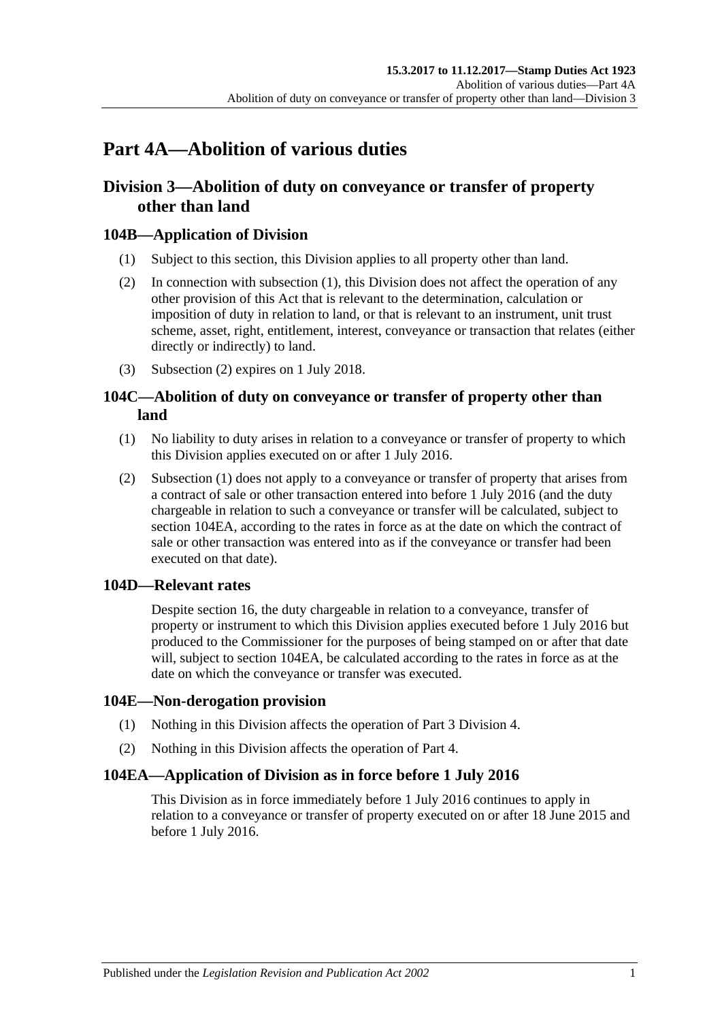# **Part 4A—Abolition of various duties**

# **Division 3—Abolition of duty on conveyance or transfer of property other than land**

# <span id="page-82-0"></span>**104B—Application of Division**

- (1) Subject to this section, this Division applies to all property other than land.
- <span id="page-82-1"></span>(2) In connection with [subsection](#page-82-0) (1), this Division does not affect the operation of any other provision of this Act that is relevant to the determination, calculation or imposition of duty in relation to land, or that is relevant to an instrument, unit trust scheme, asset, right, entitlement, interest, conveyance or transaction that relates (either directly or indirectly) to land.
- (3) [Subsection](#page-82-1) (2) expires on 1 July 2018.

# **104C—Abolition of duty on conveyance or transfer of property other than land**

- <span id="page-82-2"></span>(1) No liability to duty arises in relation to a conveyance or transfer of property to which this Division applies executed on or after 1 July 2016.
- (2) [Subsection](#page-82-2) (1) does not apply to a conveyance or transfer of property that arises from a contract of sale or other transaction entered into before 1 July 2016 (and the duty chargeable in relation to such a conveyance or transfer will be calculated, subject to section [104EA,](#page-82-3) according to the rates in force as at the date on which the contract of sale or other transaction was entered into as if the conveyance or transfer had been executed on that date).

# **104D—Relevant rates**

Despite section 16, the duty chargeable in relation to a conveyance, transfer of property or instrument to which this Division applies executed before 1 July 2016 but produced to the Commissioner for the purposes of being stamped on or after that date will, subject to [section](#page-82-3) 104EA, be calculated according to the rates in force as at the date on which the conveyance or transfer was executed.

# **104E—Non-derogation provision**

- (1) Nothing in this Division affects the operation of [Part 3 Division 4.](#page-26-0)
- (2) Nothing in this Division affects the operation of [Part 4.](#page-62-0)

# <span id="page-82-3"></span>**104EA—Application of Division as in force before 1 July 2016**

This Division as in force immediately before 1 July 2016 continues to apply in relation to a conveyance or transfer of property executed on or after 18 June 2015 and before 1 July 2016.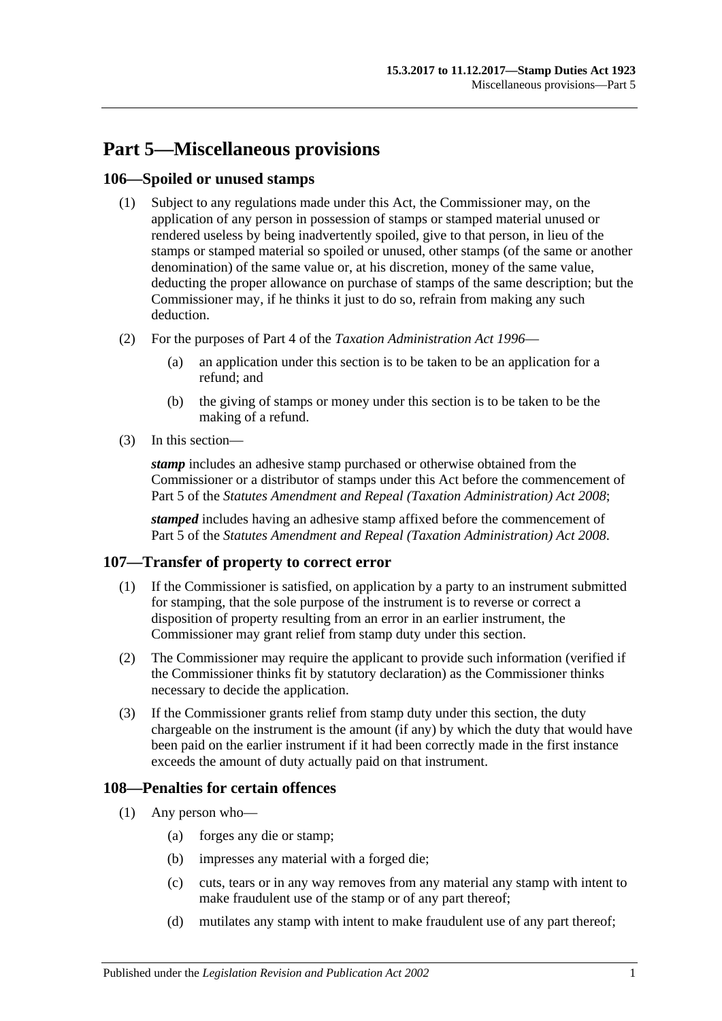# **Part 5—Miscellaneous provisions**

# **106—Spoiled or unused stamps**

- (1) Subject to any regulations made under this Act, the Commissioner may, on the application of any person in possession of stamps or stamped material unused or rendered useless by being inadvertently spoiled, give to that person, in lieu of the stamps or stamped material so spoiled or unused, other stamps (of the same or another denomination) of the same value or, at his discretion, money of the same value, deducting the proper allowance on purchase of stamps of the same description; but the Commissioner may, if he thinks it just to do so, refrain from making any such deduction.
- (2) For the purposes of Part 4 of the *[Taxation Administration Act](http://www.legislation.sa.gov.au/index.aspx?action=legref&type=act&legtitle=Taxation%20Administration%20Act%201996) 1996*
	- (a) an application under this section is to be taken to be an application for a refund; and
	- (b) the giving of stamps or money under this section is to be taken to be the making of a refund.
- (3) In this section—

*stamp* includes an adhesive stamp purchased or otherwise obtained from the Commissioner or a distributor of stamps under this Act before the commencement of Part 5 of the *[Statutes Amendment and Repeal \(Taxation Administration\) Act 2008](http://www.legislation.sa.gov.au/index.aspx?action=legref&type=act&legtitle=Statutes%20Amendment%20and%20Repeal%20(Taxation%20Administration)%20Act%202008)*;

*stamped* includes having an adhesive stamp affixed before the commencement of Part 5 of the *[Statutes Amendment and Repeal \(Taxation Administration\) Act 2008](http://www.legislation.sa.gov.au/index.aspx?action=legref&type=act&legtitle=Statutes%20Amendment%20and%20Repeal%20(Taxation%20Administration)%20Act%202008)*.

# **107—Transfer of property to correct error**

- (1) If the Commissioner is satisfied, on application by a party to an instrument submitted for stamping, that the sole purpose of the instrument is to reverse or correct a disposition of property resulting from an error in an earlier instrument, the Commissioner may grant relief from stamp duty under this section.
- (2) The Commissioner may require the applicant to provide such information (verified if the Commissioner thinks fit by statutory declaration) as the Commissioner thinks necessary to decide the application.
- (3) If the Commissioner grants relief from stamp duty under this section, the duty chargeable on the instrument is the amount (if any) by which the duty that would have been paid on the earlier instrument if it had been correctly made in the first instance exceeds the amount of duty actually paid on that instrument.

# **108—Penalties for certain offences**

- <span id="page-84-0"></span>(1) Any person who—
	- (a) forges any die or stamp;
	- (b) impresses any material with a forged die;
	- (c) cuts, tears or in any way removes from any material any stamp with intent to make fraudulent use of the stamp or of any part thereof;
	- (d) mutilates any stamp with intent to make fraudulent use of any part thereof;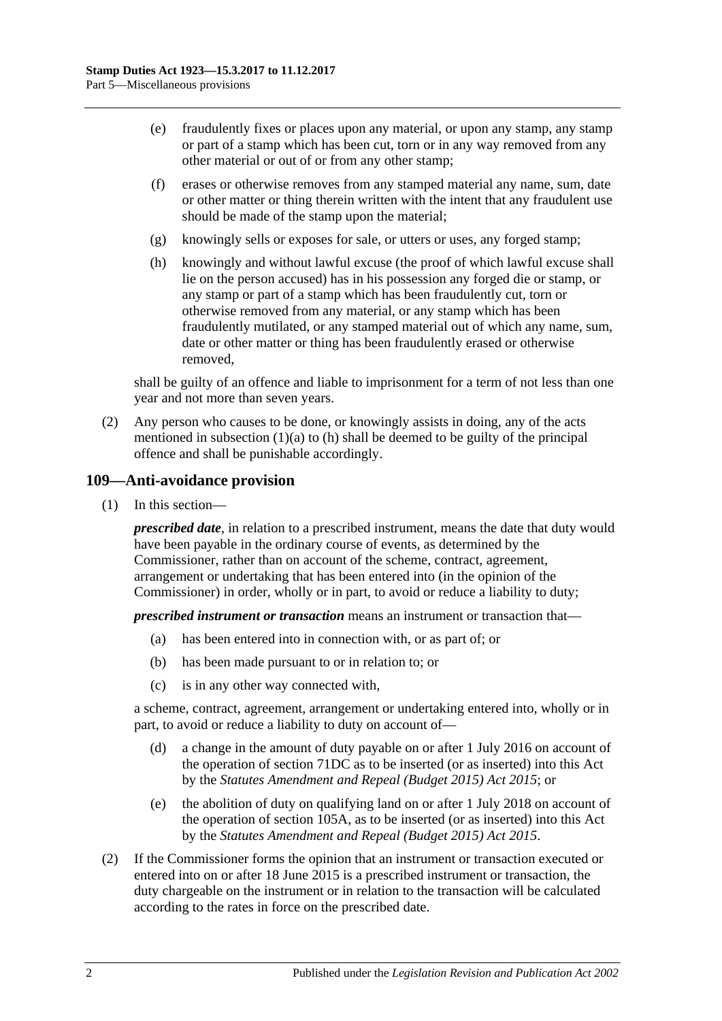- (e) fraudulently fixes or places upon any material, or upon any stamp, any stamp or part of a stamp which has been cut, torn or in any way removed from any other material or out of or from any other stamp;
- (f) erases or otherwise removes from any stamped material any name, sum, date or other matter or thing therein written with the intent that any fraudulent use should be made of the stamp upon the material;
- (g) knowingly sells or exposes for sale, or utters or uses, any forged stamp;
- <span id="page-85-0"></span>(h) knowingly and without lawful excuse (the proof of which lawful excuse shall lie on the person accused) has in his possession any forged die or stamp, or any stamp or part of a stamp which has been fraudulently cut, torn or otherwise removed from any material, or any stamp which has been fraudulently mutilated, or any stamped material out of which any name, sum, date or other matter or thing has been fraudulently erased or otherwise removed,

shall be guilty of an offence and liable to imprisonment for a term of not less than one year and not more than seven years.

(2) Any person who causes to be done, or knowingly assists in doing, any of the acts mentioned in [subsection](#page-84-0)  $(1)(a)$  to  $(h)$  shall be deemed to be guilty of the principal offence and shall be punishable accordingly.

### **109—Anti-avoidance provision**

(1) In this section—

*prescribed date*, in relation to a prescribed instrument, means the date that duty would have been payable in the ordinary course of events, as determined by the Commissioner, rather than on account of the scheme, contract, agreement, arrangement or undertaking that has been entered into (in the opinion of the Commissioner) in order, wholly or in part, to avoid or reduce a liability to duty;

*prescribed instrument or transaction* means an instrument or transaction that—

- (a) has been entered into in connection with, or as part of; or
- (b) has been made pursuant to or in relation to; or
- (c) is in any other way connected with,

a scheme, contract, agreement, arrangement or undertaking entered into, wholly or in part, to avoid or reduce a liability to duty on account of—

- (d) a change in the amount of duty payable on or after 1 July 2016 on account of the operation of section 71DC as to be inserted (or as inserted) into this Act by the *[Statutes Amendment and Repeal \(Budget 2015\) Act 2015](http://www.legislation.sa.gov.au/index.aspx?action=legref&type=act&legtitle=Statutes%20Amendment%20and%20Repeal%20(Budget%202015)%20Act%202015)*; or
- (e) the abolition of duty on qualifying land on or after 1 July 2018 on account of the operation of section 105A, as to be inserted (or as inserted) into this Act by the *[Statutes Amendment and Repeal \(Budget](http://www.legislation.sa.gov.au/index.aspx?action=legref&type=act&legtitle=Statutes%20Amendment%20and%20Repeal%20(Budget%202015)%20Act%202015) 2015) Act 2015*.
- <span id="page-85-1"></span>(2) If the Commissioner forms the opinion that an instrument or transaction executed or entered into on or after 18 June 2015 is a prescribed instrument or transaction, the duty chargeable on the instrument or in relation to the transaction will be calculated according to the rates in force on the prescribed date.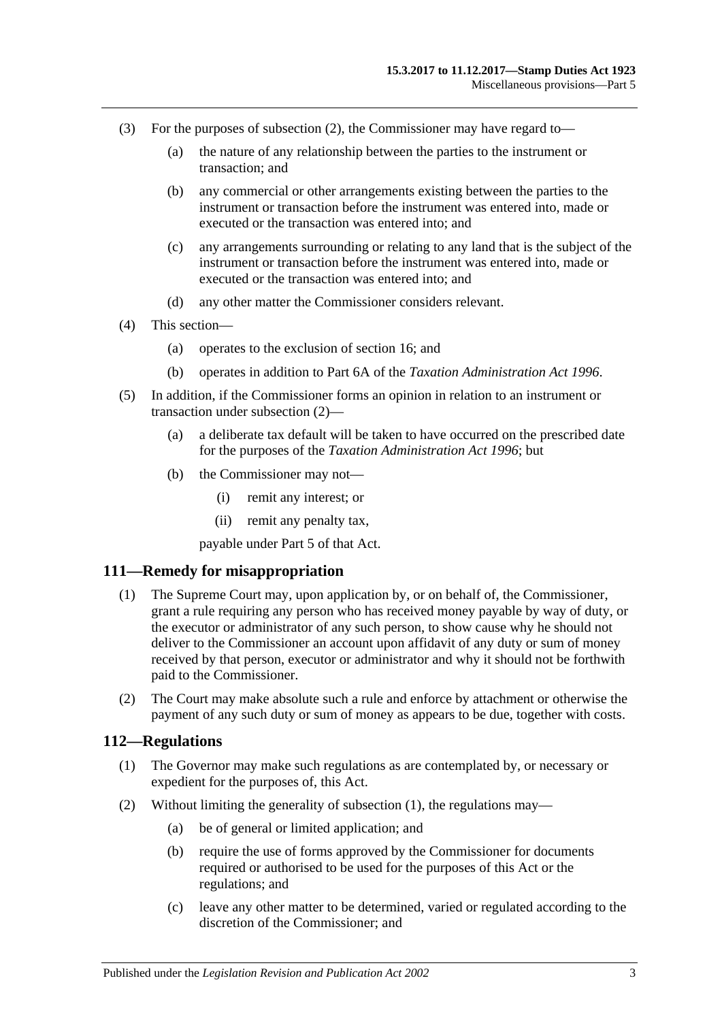- (3) For the purposes of [subsection](#page-85-1) (2), the Commissioner may have regard to—
	- (a) the nature of any relationship between the parties to the instrument or transaction; and
	- (b) any commercial or other arrangements existing between the parties to the instrument or transaction before the instrument was entered into, made or executed or the transaction was entered into; and
	- (c) any arrangements surrounding or relating to any land that is the subject of the instrument or transaction before the instrument was entered into, made or executed or the transaction was entered into; and
	- (d) any other matter the Commissioner considers relevant.
- (4) This section—
	- (a) operates to the exclusion of [section](#page-13-0) 16; and
	- (b) operates in addition to Part 6A of the *[Taxation Administration Act](http://www.legislation.sa.gov.au/index.aspx?action=legref&type=act&legtitle=Taxation%20Administration%20Act%201996) 1996*.
- (5) In addition, if the Commissioner forms an opinion in relation to an instrument or transaction under [subsection](#page-85-1) (2)—
	- (a) a deliberate tax default will be taken to have occurred on the prescribed date for the purposes of the *[Taxation Administration Act](http://www.legislation.sa.gov.au/index.aspx?action=legref&type=act&legtitle=Taxation%20Administration%20Act%201996) 1996*; but
	- (b) the Commissioner may not—
		- (i) remit any interest; or
		- (ii) remit any penalty tax,

payable under Part 5 of that Act.

### **111—Remedy for misappropriation**

- (1) The Supreme Court may, upon application by, or on behalf of, the Commissioner, grant a rule requiring any person who has received money payable by way of duty, or the executor or administrator of any such person, to show cause why he should not deliver to the Commissioner an account upon affidavit of any duty or sum of money received by that person, executor or administrator and why it should not be forthwith paid to the Commissioner.
- (2) The Court may make absolute such a rule and enforce by attachment or otherwise the payment of any such duty or sum of money as appears to be due, together with costs.

## <span id="page-86-0"></span>**112—Regulations**

- (1) The Governor may make such regulations as are contemplated by, or necessary or expedient for the purposes of, this Act.
- (2) Without limiting the generality of [subsection](#page-86-0) (1), the regulations may—
	- (a) be of general or limited application; and
	- (b) require the use of forms approved by the Commissioner for documents required or authorised to be used for the purposes of this Act or the regulations; and
	- (c) leave any other matter to be determined, varied or regulated according to the discretion of the Commissioner; and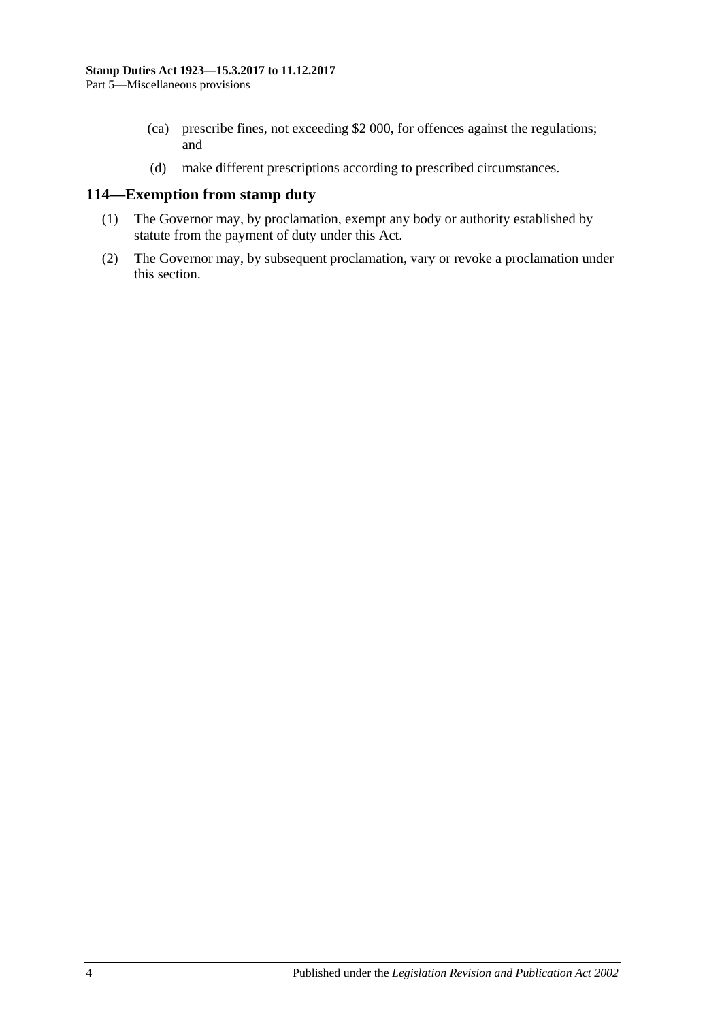- (ca) prescribe fines, not exceeding \$2 000, for offences against the regulations; and
- (d) make different prescriptions according to prescribed circumstances.

# **114—Exemption from stamp duty**

- (1) The Governor may, by proclamation, exempt any body or authority established by statute from the payment of duty under this Act.
- (2) The Governor may, by subsequent proclamation, vary or revoke a proclamation under this section.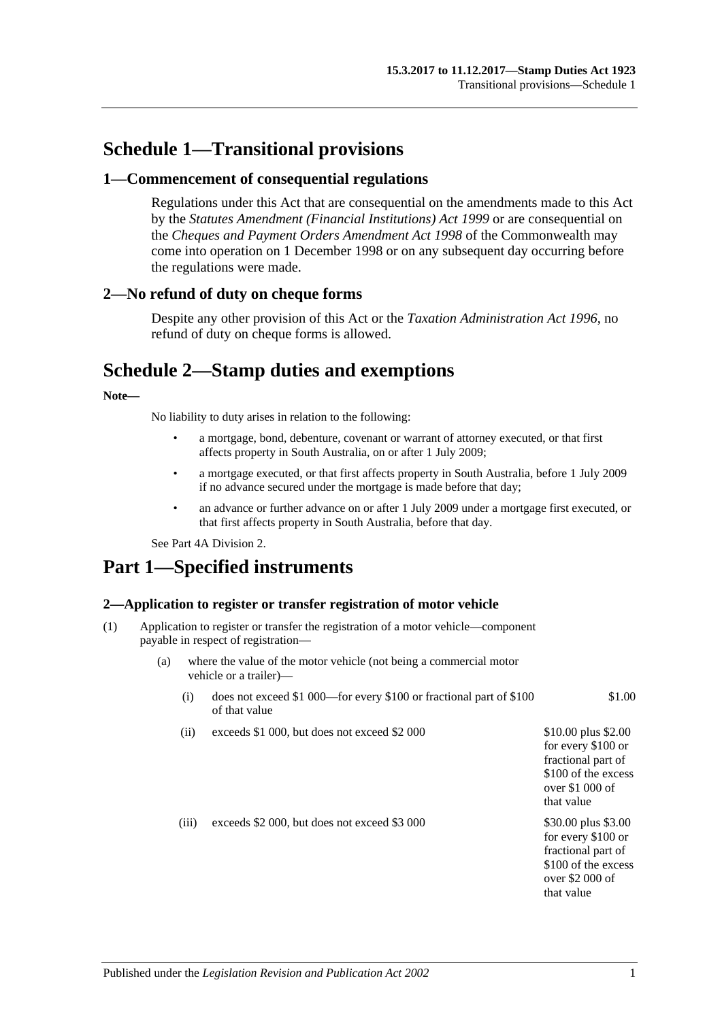# **Schedule 1—Transitional provisions**

## **1—Commencement of consequential regulations**

Regulations under this Act that are consequential on the amendments made to this Act by the *[Statutes Amendment \(Financial Institutions\) Act](http://www.legislation.sa.gov.au/index.aspx?action=legref&type=act&legtitle=Statutes%20Amendment%20(Financial%20Institutions)%20Act%201999) 1999* or are consequential on the *Cheques and Payment Orders Amendment Act 1998* of the Commonwealth may come into operation on 1 December 1998 or on any subsequent day occurring before the regulations were made.

## **2—No refund of duty on cheque forms**

Despite any other provision of this Act or the *[Taxation Administration Act](http://www.legislation.sa.gov.au/index.aspx?action=legref&type=act&legtitle=Taxation%20Administration%20Act%201996) 1996*, no refund of duty on cheque forms is allowed.

# **Schedule 2—Stamp duties and exemptions**

### **Note—**

No liability to duty arises in relation to the following:

- a mortgage, bond, debenture, covenant or warrant of attorney executed, or that first affects property in South Australia, on or after 1 July 2009;
- a mortgage executed, or that first affects property in South Australia, before 1 July 2009 if no advance secured under the mortgage is made before that day;
- an advance or further advance on or after 1 July 2009 under a mortgage first executed, or that first affects property in South Australia, before that day.

See Part 4A Division 2.

# **Part 1—Specified instruments**

### **2—Application to register or transfer registration of motor vehicle**

- (1) Application to register or transfer the registration of a motor vehicle—component payable in respect of registration—
	- (a) where the value of the motor vehicle (not being a commercial motor vehicle or a trailer)—
		- (i) does not exceed \$1 000—for every \$100 or fractional part of \$100 of that value
		- (ii) exceeds  $$1\,000$ , but does not exceed  $$2\,000$   $$10.00$  plus  $$2.00$

(iii) exceeds  $$2,000$ , but does not exceed  $$3,000$  \$30.00 plus \$3.00

that value for every \$100 or fractional part of \$100 of the excess over \$2 000 of that value

for every \$100 or fractional part of \$100 of the excess over \$1 000 of

\$1.00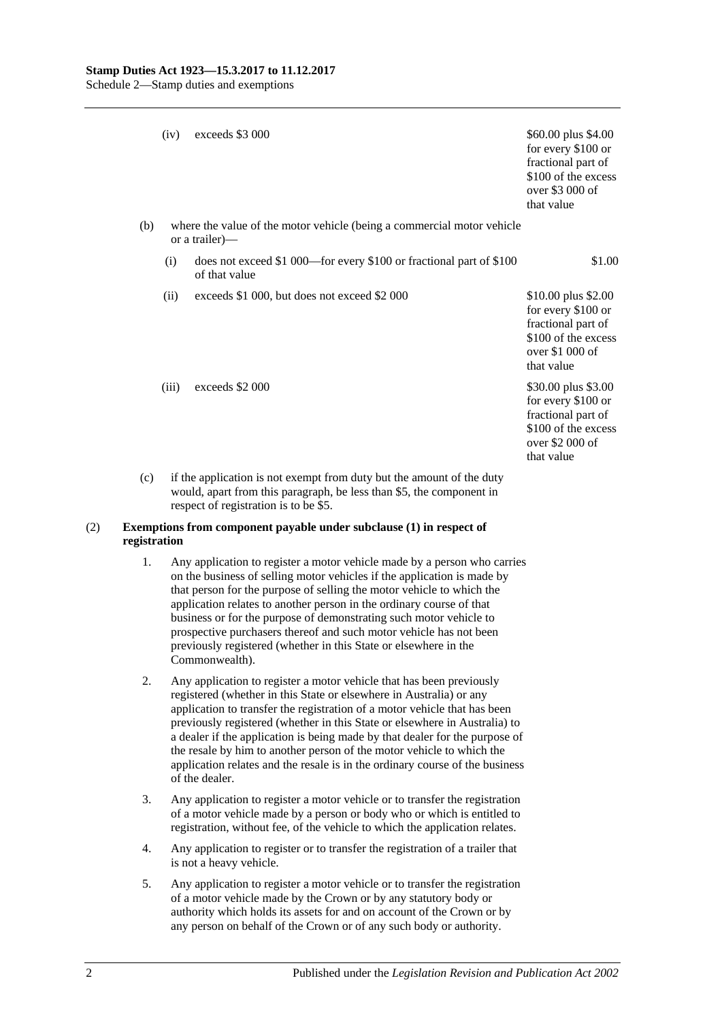|     | (iv)  | exceeds \$3 000                                                                          | \$60.00 plus \$4.00<br>for every \$100 or<br>fractional part of<br>\$100 of the excess<br>over \$3 000 of<br>that value |
|-----|-------|------------------------------------------------------------------------------------------|-------------------------------------------------------------------------------------------------------------------------|
| (b) |       | where the value of the motor vehicle (being a commercial motor vehicle<br>or a trailer)— |                                                                                                                         |
|     | (i)   | does not exceed \$1 000—for every \$100 or fractional part of \$100<br>of that value     | \$1.00                                                                                                                  |
|     | (ii)  | exceeds \$1 000, but does not exceed \$2 000                                             | \$10.00 plus \$2.00<br>for every \$100 or<br>fractional part of<br>\$100 of the excess<br>over \$1 000 of<br>that value |
|     | (iii) | exceeds \$2 000                                                                          | \$30.00 plus \$3.00<br>for every \$100 or<br>fractional part of<br>\$100 of the excess<br>over \$2 000 of<br>that value |
| (c) |       | if the application is not exempt from duty but the amount of the duty                    |                                                                                                                         |

would, apart from this paragraph, be less than \$5, the component in respect of registration is to be \$5.

#### (2) **Exemptions from component payable under subclause (1) in respect of registration**

- 1. Any application to register a motor vehicle made by a person who carries on the business of selling motor vehicles if the application is made by that person for the purpose of selling the motor vehicle to which the application relates to another person in the ordinary course of that business or for the purpose of demonstrating such motor vehicle to prospective purchasers thereof and such motor vehicle has not been previously registered (whether in this State or elsewhere in the Commonwealth).
- 2. Any application to register a motor vehicle that has been previously registered (whether in this State or elsewhere in Australia) or any application to transfer the registration of a motor vehicle that has been previously registered (whether in this State or elsewhere in Australia) to a dealer if the application is being made by that dealer for the purpose of the resale by him to another person of the motor vehicle to which the application relates and the resale is in the ordinary course of the business of the dealer.
- 3. Any application to register a motor vehicle or to transfer the registration of a motor vehicle made by a person or body who or which is entitled to registration, without fee, of the vehicle to which the application relates.
- 4. Any application to register or to transfer the registration of a trailer that is not a heavy vehicle.
- 5. Any application to register a motor vehicle or to transfer the registration of a motor vehicle made by the Crown or by any statutory body or authority which holds its assets for and on account of the Crown or by any person on behalf of the Crown or of any such body or authority.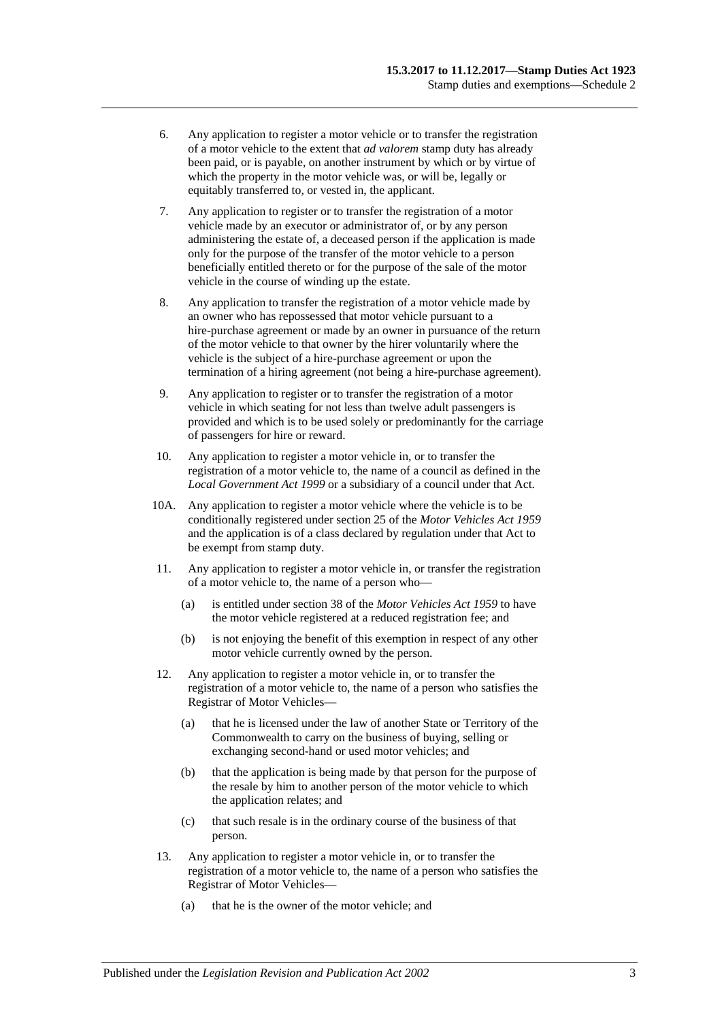- 6. Any application to register a motor vehicle or to transfer the registration of a motor vehicle to the extent that *ad valorem* stamp duty has already been paid, or is payable, on another instrument by which or by virtue of which the property in the motor vehicle was, or will be, legally or equitably transferred to, or vested in, the applicant.
- 7. Any application to register or to transfer the registration of a motor vehicle made by an executor or administrator of, or by any person administering the estate of, a deceased person if the application is made only for the purpose of the transfer of the motor vehicle to a person beneficially entitled thereto or for the purpose of the sale of the motor vehicle in the course of winding up the estate.
- 8. Any application to transfer the registration of a motor vehicle made by an owner who has repossessed that motor vehicle pursuant to a hire-purchase agreement or made by an owner in pursuance of the return of the motor vehicle to that owner by the hirer voluntarily where the vehicle is the subject of a hire-purchase agreement or upon the termination of a hiring agreement (not being a hire-purchase agreement).
- 9. Any application to register or to transfer the registration of a motor vehicle in which seating for not less than twelve adult passengers is provided and which is to be used solely or predominantly for the carriage of passengers for hire or reward.
- 10. Any application to register a motor vehicle in, or to transfer the registration of a motor vehicle to, the name of a council as defined in the *[Local Government Act](http://www.legislation.sa.gov.au/index.aspx?action=legref&type=act&legtitle=Local%20Government%20Act%201999) 1999* or a subsidiary of a council under that Act.
- 10A. Any application to register a motor vehicle where the vehicle is to be conditionally registered under section 25 of the *[Motor Vehicles Act](http://www.legislation.sa.gov.au/index.aspx?action=legref&type=act&legtitle=Motor%20Vehicles%20Act%201959) 1959* and the application is of a class declared by regulation under that Act to be exempt from stamp duty.
- 11. Any application to register a motor vehicle in, or transfer the registration of a motor vehicle to, the name of a person who—
	- (a) is entitled under section 38 of the *[Motor Vehicles Act](http://www.legislation.sa.gov.au/index.aspx?action=legref&type=act&legtitle=Motor%20Vehicles%20Act%201959) 1959* to have the motor vehicle registered at a reduced registration fee; and
	- (b) is not enjoying the benefit of this exemption in respect of any other motor vehicle currently owned by the person.
- 12. Any application to register a motor vehicle in, or to transfer the registration of a motor vehicle to, the name of a person who satisfies the Registrar of Motor Vehicles—
	- (a) that he is licensed under the law of another State or Territory of the Commonwealth to carry on the business of buying, selling or exchanging second-hand or used motor vehicles; and
	- (b) that the application is being made by that person for the purpose of the resale by him to another person of the motor vehicle to which the application relates; and
	- (c) that such resale is in the ordinary course of the business of that person.
- 13. Any application to register a motor vehicle in, or to transfer the registration of a motor vehicle to, the name of a person who satisfies the Registrar of Motor Vehicles—
	- (a) that he is the owner of the motor vehicle; and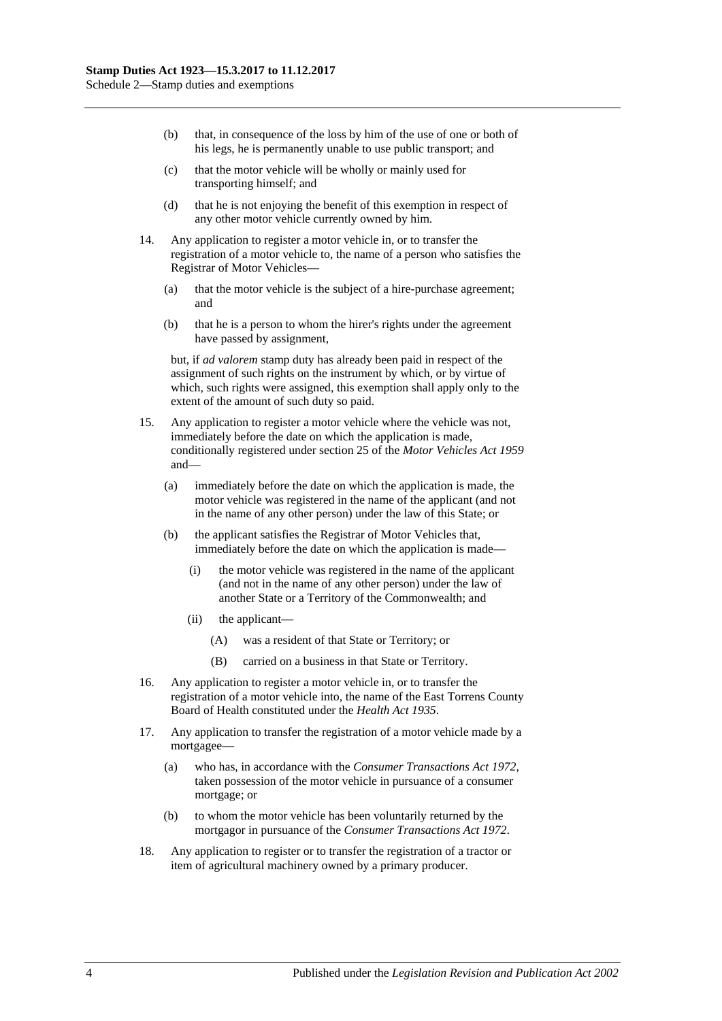- (b) that, in consequence of the loss by him of the use of one or both of his legs, he is permanently unable to use public transport; and
- (c) that the motor vehicle will be wholly or mainly used for transporting himself; and
- (d) that he is not enjoying the benefit of this exemption in respect of any other motor vehicle currently owned by him.
- 14. Any application to register a motor vehicle in, or to transfer the registration of a motor vehicle to, the name of a person who satisfies the Registrar of Motor Vehicles—
	- (a) that the motor vehicle is the subject of a hire-purchase agreement; and
	- (b) that he is a person to whom the hirer's rights under the agreement have passed by assignment,

but, if *ad valorem* stamp duty has already been paid in respect of the assignment of such rights on the instrument by which, or by virtue of which, such rights were assigned, this exemption shall apply only to the extent of the amount of such duty so paid.

- 15. Any application to register a motor vehicle where the vehicle was not, immediately before the date on which the application is made, conditionally registered under section 25 of the *[Motor Vehicles](http://www.legislation.sa.gov.au/index.aspx?action=legref&type=act&legtitle=Motor%20Vehicles%20Act%201959) Act 1959* and—
	- (a) immediately before the date on which the application is made, the motor vehicle was registered in the name of the applicant (and not in the name of any other person) under the law of this State; or
	- (b) the applicant satisfies the Registrar of Motor Vehicles that, immediately before the date on which the application is made—
		- (i) the motor vehicle was registered in the name of the applicant (and not in the name of any other person) under the law of another State or a Territory of the Commonwealth; and
		- (ii) the applicant—
			- (A) was a resident of that State or Territory; or
			- (B) carried on a business in that State or Territory.
- 16. Any application to register a motor vehicle in, or to transfer the registration of a motor vehicle into, the name of the East Torrens County Board of Health constituted under the *[Health Act](http://www.legislation.sa.gov.au/index.aspx?action=legref&type=act&legtitle=Health%20Act%201935) 1935*.
- 17. Any application to transfer the registration of a motor vehicle made by a mortgagee—
	- (a) who has, in accordance with the *[Consumer Transactions Act](http://www.legislation.sa.gov.au/index.aspx?action=legref&type=act&legtitle=Consumer%20Transactions%20Act%201972) 1972*, taken possession of the motor vehicle in pursuance of a consumer mortgage; or
	- (b) to whom the motor vehicle has been voluntarily returned by the mortgagor in pursuance of the *[Consumer Transactions Act](http://www.legislation.sa.gov.au/index.aspx?action=legref&type=act&legtitle=Consumer%20Transactions%20Act%201972) 1972*.
- 18. Any application to register or to transfer the registration of a tractor or item of agricultural machinery owned by a primary producer.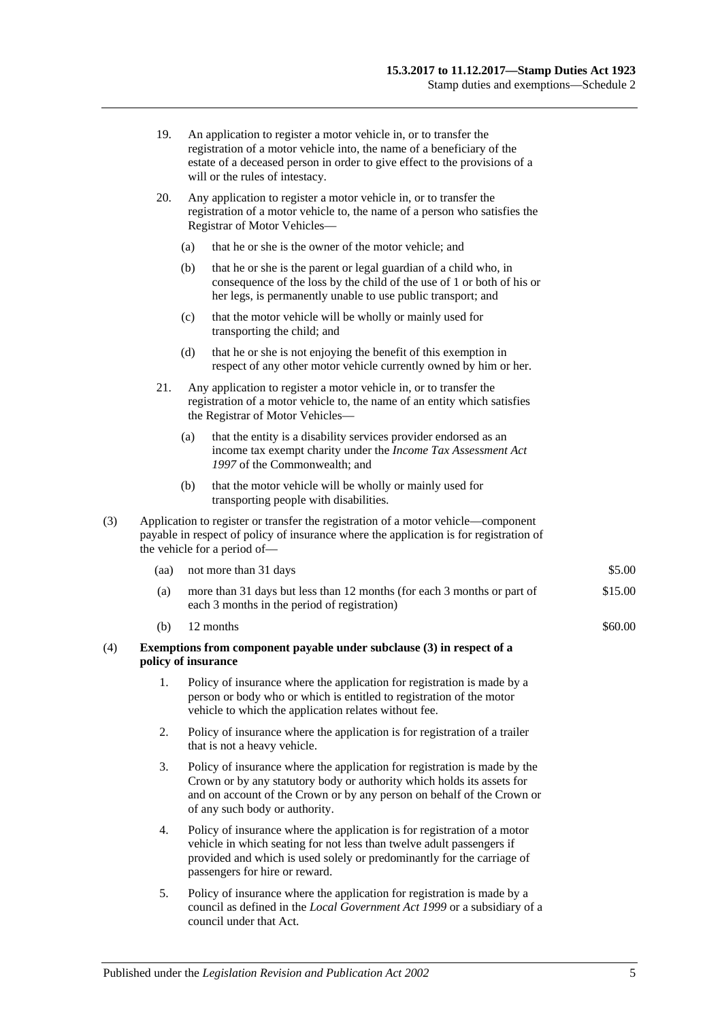| 19. | An application to register a motor vehicle in, or to transfer the          |
|-----|----------------------------------------------------------------------------|
|     | registration of a motor vehicle into, the name of a beneficiary of the     |
|     | estate of a deceased person in order to give effect to the provisions of a |
|     | will or the rules of intestacy.                                            |

- 20. Any application to register a motor vehicle in, or to transfer the registration of a motor vehicle to, the name of a person who satisfies the Registrar of Motor Vehicles—
	- (a) that he or she is the owner of the motor vehicle; and
	- (b) that he or she is the parent or legal guardian of a child who, in consequence of the loss by the child of the use of 1 or both of his or her legs, is permanently unable to use public transport; and
	- (c) that the motor vehicle will be wholly or mainly used for transporting the child; and
	- (d) that he or she is not enjoying the benefit of this exemption in respect of any other motor vehicle currently owned by him or her.
- 21. Any application to register a motor vehicle in, or to transfer the registration of a motor vehicle to, the name of an entity which satisfies the Registrar of Motor Vehicles—
	- (a) that the entity is a disability services provider endorsed as an income tax exempt charity under the *Income Tax Assessment Act 1997* of the Commonwealth; and
	- (b) that the motor vehicle will be wholly or mainly used for transporting people with disabilities.
- (3) Application to register or transfer the registration of a motor vehicle—component payable in respect of policy of insurance where the application is for registration of the vehicle for a period of—

| (aa) not more than 31 days                                                                                                 | \$5.00 |
|----------------------------------------------------------------------------------------------------------------------------|--------|
| $\ell$ .) and the $\ell$ 1 in $\ell$ 1 in $\ell$ is the $\ell$ in $\ell$ in $\ell$ in $\ell$ in $\ell$ . The set of $\ell$ | 01500  |

- (a) more than 31 days but less than 12 months (for each 3 months or part of each 3 months in the period of registration) \$15.00
- (b)  $12 \text{ months}$  \$60.00

#### (4) **Exemptions from component payable under subclause (3) in respect of a policy of insurance**

- 1. Policy of insurance where the application for registration is made by a person or body who or which is entitled to registration of the motor vehicle to which the application relates without fee.
- 2. Policy of insurance where the application is for registration of a trailer that is not a heavy vehicle.
- 3. Policy of insurance where the application for registration is made by the Crown or by any statutory body or authority which holds its assets for and on account of the Crown or by any person on behalf of the Crown or of any such body or authority.
- 4. Policy of insurance where the application is for registration of a motor vehicle in which seating for not less than twelve adult passengers if provided and which is used solely or predominantly for the carriage of passengers for hire or reward.
- 5. Policy of insurance where the application for registration is made by a council as defined in the *[Local Government Act](http://www.legislation.sa.gov.au/index.aspx?action=legref&type=act&legtitle=Local%20Government%20Act%201999) 1999* or a subsidiary of a council under that Act.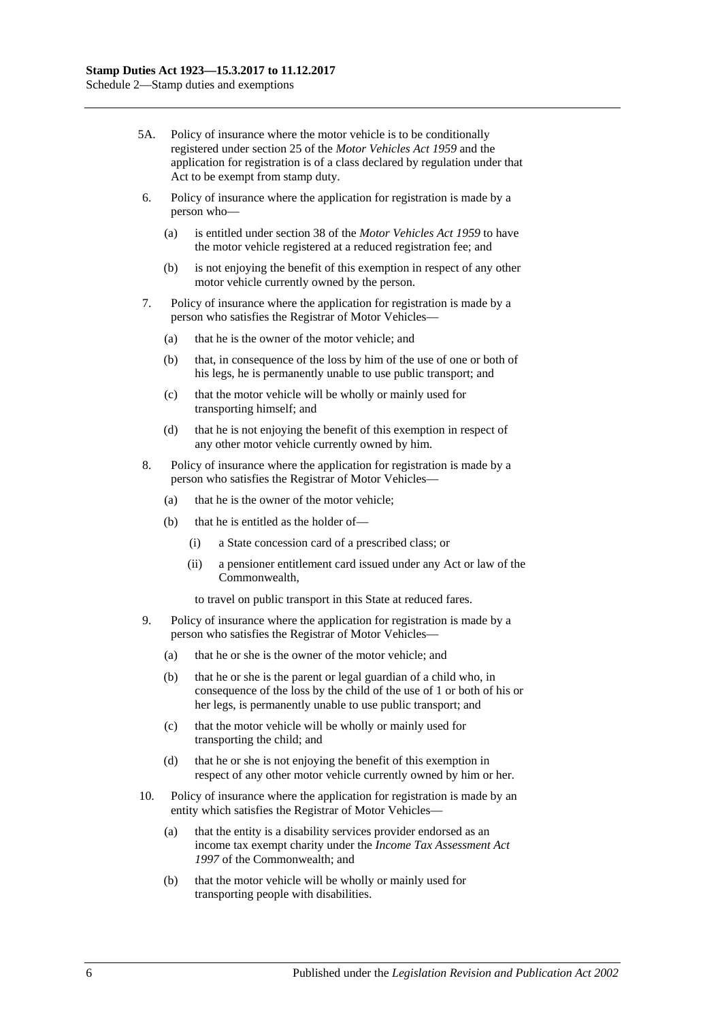- 5A. Policy of insurance where the motor vehicle is to be conditionally registered under section 25 of the *[Motor Vehicles Act](http://www.legislation.sa.gov.au/index.aspx?action=legref&type=act&legtitle=Motor%20Vehicles%20Act%201959) 1959* and the application for registration is of a class declared by regulation under that Act to be exempt from stamp duty.
- 6. Policy of insurance where the application for registration is made by a person who—
	- (a) is entitled under section 38 of the *[Motor Vehicles Act](http://www.legislation.sa.gov.au/index.aspx?action=legref&type=act&legtitle=Motor%20Vehicles%20Act%201959) 1959* to have the motor vehicle registered at a reduced registration fee; and
	- (b) is not enjoying the benefit of this exemption in respect of any other motor vehicle currently owned by the person.
- 7. Policy of insurance where the application for registration is made by a person who satisfies the Registrar of Motor Vehicles—
	- (a) that he is the owner of the motor vehicle; and
	- (b) that, in consequence of the loss by him of the use of one or both of his legs, he is permanently unable to use public transport; and
	- (c) that the motor vehicle will be wholly or mainly used for transporting himself; and
	- (d) that he is not enjoying the benefit of this exemption in respect of any other motor vehicle currently owned by him.
- 8. Policy of insurance where the application for registration is made by a person who satisfies the Registrar of Motor Vehicles—
	- (a) that he is the owner of the motor vehicle;
	- (b) that he is entitled as the holder of—
		- (i) a State concession card of a prescribed class; or
		- (ii) a pensioner entitlement card issued under any Act or law of the Commonwealth,

to travel on public transport in this State at reduced fares.

- 9. Policy of insurance where the application for registration is made by a person who satisfies the Registrar of Motor Vehicles—
	- (a) that he or she is the owner of the motor vehicle; and
	- (b) that he or she is the parent or legal guardian of a child who, in consequence of the loss by the child of the use of 1 or both of his or her legs, is permanently unable to use public transport; and
	- (c) that the motor vehicle will be wholly or mainly used for transporting the child; and
	- (d) that he or she is not enjoying the benefit of this exemption in respect of any other motor vehicle currently owned by him or her.
- 10. Policy of insurance where the application for registration is made by an entity which satisfies the Registrar of Motor Vehicles—
	- (a) that the entity is a disability services provider endorsed as an income tax exempt charity under the *Income Tax Assessment Act 1997* of the Commonwealth; and
	- (b) that the motor vehicle will be wholly or mainly used for transporting people with disabilities.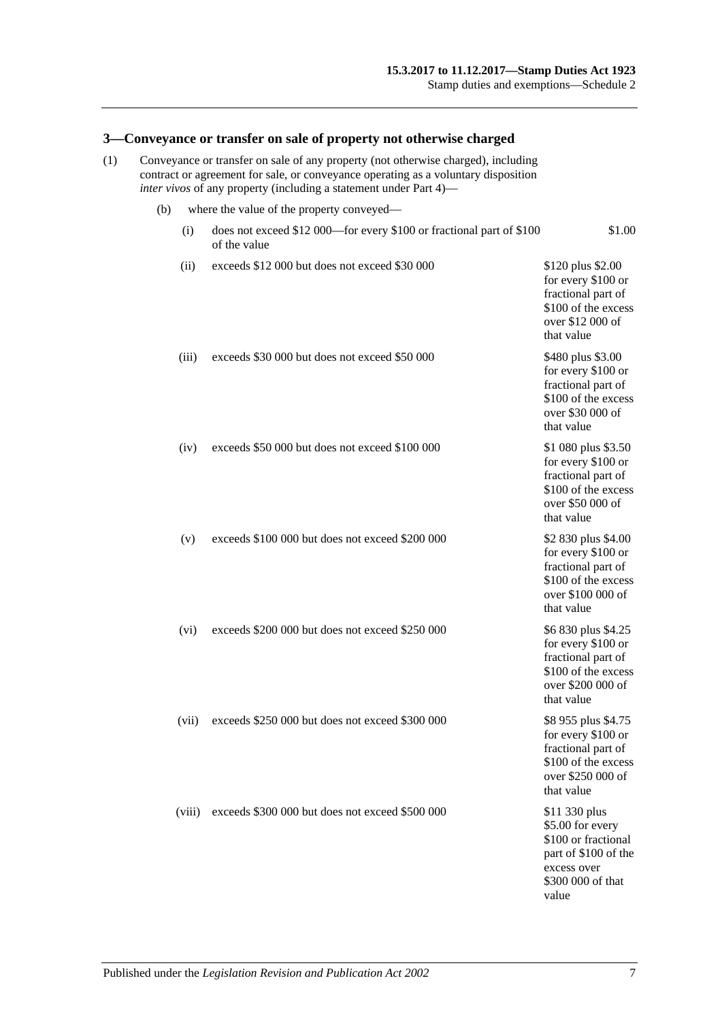#### **3—Conveyance or transfer on sale of property not otherwise charged**

- (1) Conveyance or transfer on sale of any property (not otherwise charged), including contract or agreement for sale, or conveyance operating as a voluntary disposition *inter vivos* of any property (including a statement unde[r Part 4\)](#page-62-0)—
	-
	- (b) where the value of the property conveyed— (i) does not exceed \$12 000—for every \$100 or fractional part of \$100 of the value \$1.00 (ii) exceeds  $$12,000$  but does not exceed  $$30,000$  \$120 plus \$2.00 for every \$100 or fractional part of \$100 of the excess over \$12 000 of that value (iii) exceeds  $$30,000$  but does not exceed  $$50,000$  \$480 plus \$3.00 for every \$100 or fractional part of \$100 of the excess over \$30 000 of that value (iv) exceeds \$50 000 but does not exceed \$100 000 \$1 080 plus \$3.50 for every \$100 or fractional part of \$100 of the excess over \$50 000 of that value (v) exceeds \$100 000 but does not exceed \$200 000 \$2 830 plus \$4.00 for every \$100 or fractional part of \$100 of the excess over \$100 000 of that value (vi) exceeds \$200 000 but does not exceed \$250 000 \$6 830 plus \$4.25 for every \$100 or fractional part of \$100 of the excess over \$200 000 of that value (vii) exceeds \$250 000 but does not exceed \$300 000 \$8 955 plus \$4.75 for every \$100 or fractional part of \$100 of the excess over \$250 000 of that value (viii) exceeds \$300 000 but does not exceed \$500 000 \$11 330 plus \$5.00 for every \$100 or fractional part of \$100 of the

excess over \$300 000 of that

value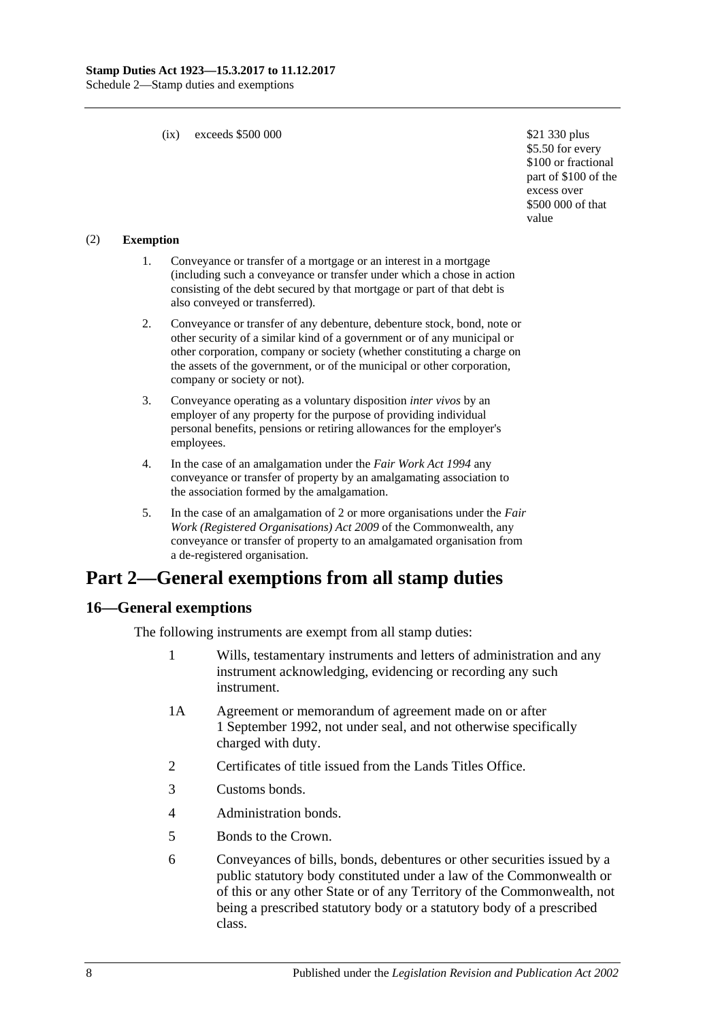(ix) exceeds \$500 000  $\text{$}21\text{ }330\text{ plus}$ 

\$5.50 for every \$100 or fractional part of \$100 of the excess over \$500 000 of that value

#### (2) **Exemption**

- 1. Conveyance or transfer of a mortgage or an interest in a mortgage (including such a conveyance or transfer under which a chose in action consisting of the debt secured by that mortgage or part of that debt is also conveyed or transferred).
- 2. Conveyance or transfer of any debenture, debenture stock, bond, note or other security of a similar kind of a government or of any municipal or other corporation, company or society (whether constituting a charge on the assets of the government, or of the municipal or other corporation, company or society or not).
- 3. Conveyance operating as a voluntary disposition *inter vivos* by an employer of any property for the purpose of providing individual personal benefits, pensions or retiring allowances for the employer's employees.
- 4. In the case of an amalgamation under the *[Fair Work Act](http://www.legislation.sa.gov.au/index.aspx?action=legref&type=act&legtitle=Fair%20Work%20Act%201994) 1994* any conveyance or transfer of property by an amalgamating association to the association formed by the amalgamation.
- 5. In the case of an amalgamation of 2 or more organisations under the *Fair Work (Registered Organisations) Act 2009* of the Commonwealth, any conveyance or transfer of property to an amalgamated organisation from a de-registered organisation.

# **Part 2—General exemptions from all stamp duties**

### **16—General exemptions**

The following instruments are exempt from all stamp duties:

- 1 Wills, testamentary instruments and letters of administration and any instrument acknowledging, evidencing or recording any such instrument.
- 1A Agreement or memorandum of agreement made on or after 1 September 1992, not under seal, and not otherwise specifically charged with duty.
- 2 Certificates of title issued from the Lands Titles Office.
- 3 Customs bonds.
- 4 Administration bonds.
- 5 Bonds to the Crown.
- 6 Conveyances of bills, bonds, debentures or other securities issued by a public statutory body constituted under a law of the Commonwealth or of this or any other State or of any Territory of the Commonwealth, not being a prescribed statutory body or a statutory body of a prescribed class.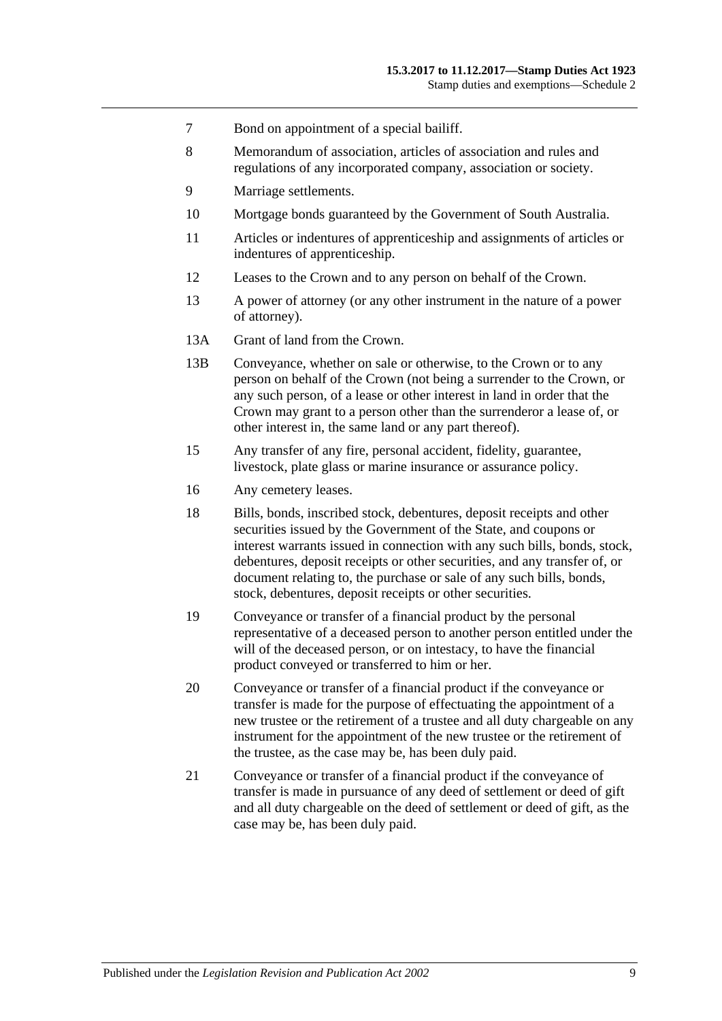- 7 Bond on appointment of a special bailiff.
- 8 Memorandum of association, articles of association and rules and regulations of any incorporated company, association or society.
- 9 Marriage settlements.
- 10 Mortgage bonds guaranteed by the Government of South Australia.
- 11 Articles or indentures of apprenticeship and assignments of articles or indentures of apprenticeship.
- 12 Leases to the Crown and to any person on behalf of the Crown.
- 13 A power of attorney (or any other instrument in the nature of a power of attorney).
- 13A Grant of land from the Crown.
- 13B Conveyance, whether on sale or otherwise, to the Crown or to any person on behalf of the Crown (not being a surrender to the Crown, or any such person, of a lease or other interest in land in order that the Crown may grant to a person other than the surrenderor a lease of, or other interest in, the same land or any part thereof).
- 15 Any transfer of any fire, personal accident, fidelity, guarantee, livestock, plate glass or marine insurance or assurance policy.
- 16 Any cemetery leases.
- 18 Bills, bonds, inscribed stock, debentures, deposit receipts and other securities issued by the Government of the State, and coupons or interest warrants issued in connection with any such bills, bonds, stock, debentures, deposit receipts or other securities, and any transfer of, or document relating to, the purchase or sale of any such bills, bonds, stock, debentures, deposit receipts or other securities.
- 19 Conveyance or transfer of a financial product by the personal representative of a deceased person to another person entitled under the will of the deceased person, or on intestacy, to have the financial product conveyed or transferred to him or her.
- 20 Conveyance or transfer of a financial product if the conveyance or transfer is made for the purpose of effectuating the appointment of a new trustee or the retirement of a trustee and all duty chargeable on any instrument for the appointment of the new trustee or the retirement of the trustee, as the case may be, has been duly paid.
- 21 Conveyance or transfer of a financial product if the conveyance of transfer is made in pursuance of any deed of settlement or deed of gift and all duty chargeable on the deed of settlement or deed of gift, as the case may be, has been duly paid.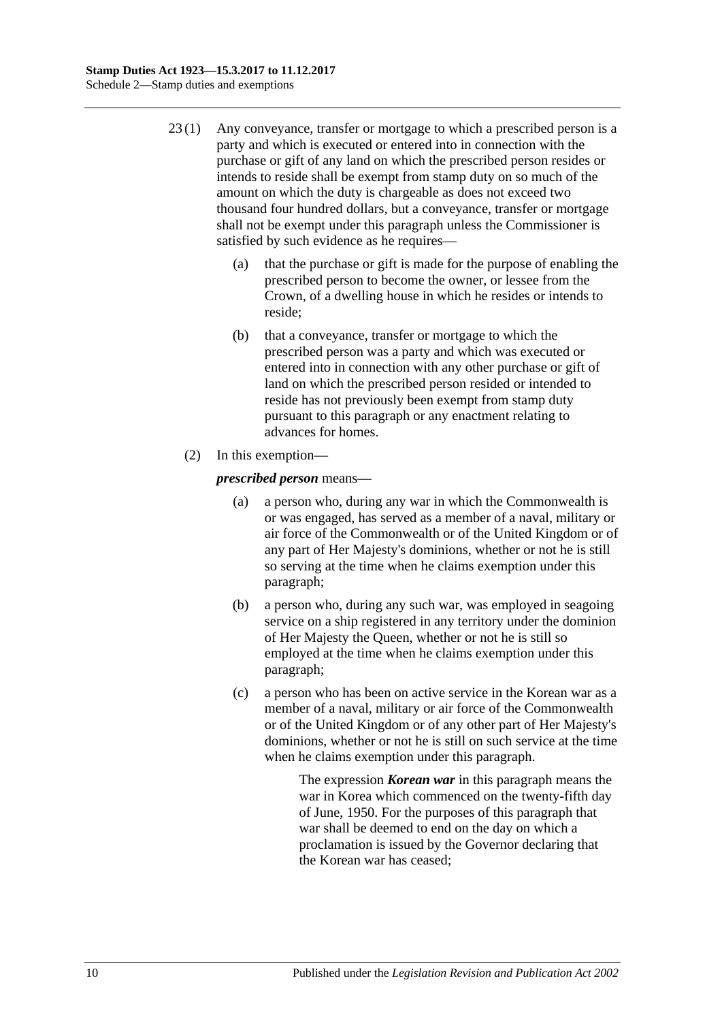- 23 (1) Any conveyance, transfer or mortgage to which a prescribed person is a party and which is executed or entered into in connection with the purchase or gift of any land on which the prescribed person resides or intends to reside shall be exempt from stamp duty on so much of the amount on which the duty is chargeable as does not exceed two thousand four hundred dollars, but a conveyance, transfer or mortgage shall not be exempt under this paragraph unless the Commissioner is satisfied by such evidence as he requires—
	- (a) that the purchase or gift is made for the purpose of enabling the prescribed person to become the owner, or lessee from the Crown, of a dwelling house in which he resides or intends to reside;
	- (b) that a conveyance, transfer or mortgage to which the prescribed person was a party and which was executed or entered into in connection with any other purchase or gift of land on which the prescribed person resided or intended to reside has not previously been exempt from stamp duty pursuant to this paragraph or any enactment relating to advances for homes.
	- (2) In this exemption—

### <span id="page-97-0"></span>*prescribed person* means—

- (a) a person who, during any war in which the Commonwealth is or was engaged, has served as a member of a naval, military or air force of the Commonwealth or of the United Kingdom or of any part of Her Majesty's dominions, whether or not he is still so serving at the time when he claims exemption under this paragraph;
- <span id="page-97-1"></span>(b) a person who, during any such war, was employed in seagoing service on a ship registered in any territory under the dominion of Her Majesty the Queen, whether or not he is still so employed at the time when he claims exemption under this paragraph;
- <span id="page-97-2"></span>(c) a person who has been on active service in the Korean war as a member of a naval, military or air force of the Commonwealth or of the United Kingdom or of any other part of Her Majesty's dominions, whether or not he is still on such service at the time when he claims exemption under this paragraph.

The expression *Korean war* in this paragraph means the war in Korea which commenced on the twenty-fifth day of June, 1950. For the purposes of this paragraph that war shall be deemed to end on the day on which a proclamation is issued by the Governor declaring that the Korean war has ceased;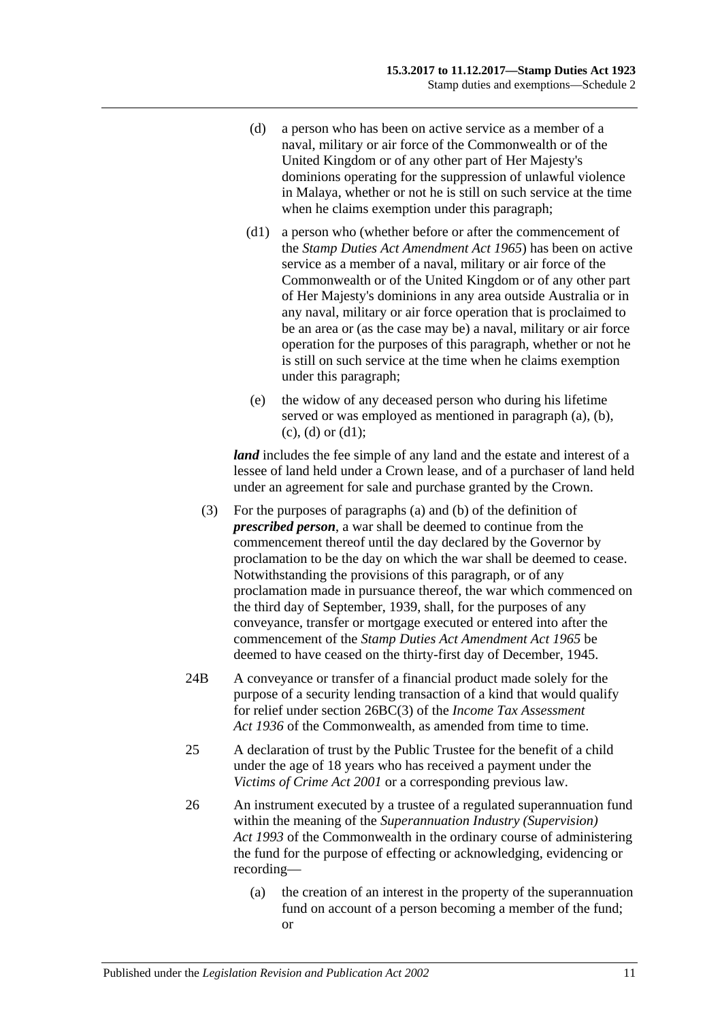- <span id="page-98-0"></span>(d) a person who has been on active service as a member of a naval, military or air force of the Commonwealth or of the United Kingdom or of any other part of Her Majesty's dominions operating for the suppression of unlawful violence in Malaya, whether or not he is still on such service at the time when he claims exemption under this paragraph;
- <span id="page-98-1"></span>(d1) a person who (whether before or after the commencement of the *[Stamp Duties Act Amendment Act](http://www.legislation.sa.gov.au/index.aspx?action=legref&type=act&legtitle=Stamp%20Duties%20Act%20Amendment%20Act%201965) 1965*) has been on active service as a member of a naval, military or air force of the Commonwealth or of the United Kingdom or of any other part of Her Majesty's dominions in any area outside Australia or in any naval, military or air force operation that is proclaimed to be an area or (as the case may be) a naval, military or air force operation for the purposes of this paragraph, whether or not he is still on such service at the time when he claims exemption under this paragraph;
- (e) the widow of any deceased person who during his lifetime served or was employed as mentioned in [paragraph](#page-97-0) (a), [\(b\),](#page-97-1)  $(c)$ ,  $(d)$  or  $(d1)$ ;

*land* includes the fee simple of any land and the estate and interest of a lessee of land held under a Crown lease, and of a purchaser of land held under an agreement for sale and purchase granted by the Crown.

- (3) For the purposes of [paragraphs](#page-97-0) (a) and [\(b\)](#page-97-1) of the definition of *prescribed person*, a war shall be deemed to continue from the commencement thereof until the day declared by the Governor by proclamation to be the day on which the war shall be deemed to cease. Notwithstanding the provisions of this paragraph, or of any proclamation made in pursuance thereof, the war which commenced on the third day of September, 1939, shall, for the purposes of any conveyance, transfer or mortgage executed or entered into after the commencement of the *[Stamp Duties Act Amendment Act](http://www.legislation.sa.gov.au/index.aspx?action=legref&type=act&legtitle=Stamp%20Duties%20Act%20Amendment%20Act%201965) 1965* be deemed to have ceased on the thirty-first day of December, 1945.
- 24B A conveyance or transfer of a financial product made solely for the purpose of a security lending transaction of a kind that would qualify for relief under section 26BC(3) of the *Income Tax Assessment Act 1936* of the Commonwealth, as amended from time to time.
- 25 A declaration of trust by the Public Trustee for the benefit of a child under the age of 18 years who has received a payment under the *[Victims of Crime Act](http://www.legislation.sa.gov.au/index.aspx?action=legref&type=act&legtitle=Victims%20of%20Crime%20Act%202001) 2001* or a corresponding previous law.
- 26 An instrument executed by a trustee of a regulated superannuation fund within the meaning of the *Superannuation Industry (Supervision) Act 1993* of the Commonwealth in the ordinary course of administering the fund for the purpose of effecting or acknowledging, evidencing or recording—
	- (a) the creation of an interest in the property of the superannuation fund on account of a person becoming a member of the fund; or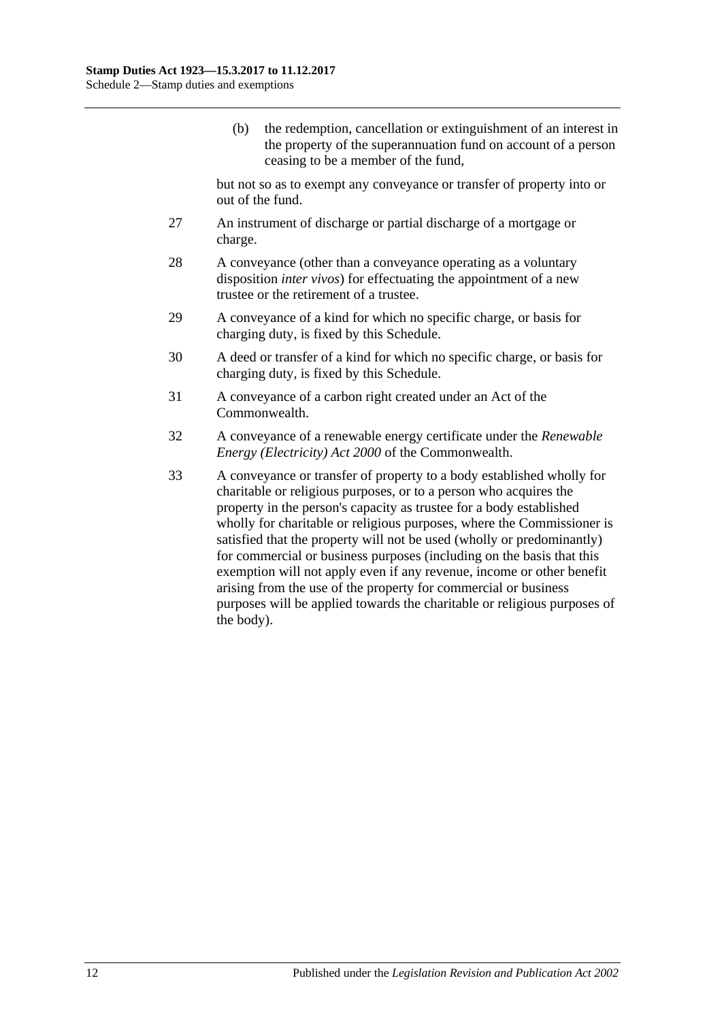(b) the redemption, cancellation or extinguishment of an interest in the property of the superannuation fund on account of a person ceasing to be a member of the fund,

but not so as to exempt any conveyance or transfer of property into or out of the fund.

- 27 An instrument of discharge or partial discharge of a mortgage or charge.
- 28 A conveyance (other than a conveyance operating as a voluntary disposition *inter vivos*) for effectuating the appointment of a new trustee or the retirement of a trustee.
- 29 A conveyance of a kind for which no specific charge, or basis for charging duty, is fixed by this Schedule.
- 30 A deed or transfer of a kind for which no specific charge, or basis for charging duty, is fixed by this Schedule.
- 31 A conveyance of a carbon right created under an Act of the Commonwealth.
- 32 A conveyance of a renewable energy certificate under the *Renewable Energy (Electricity) Act 2000* of the Commonwealth.
- 33 A conveyance or transfer of property to a body established wholly for charitable or religious purposes, or to a person who acquires the property in the person's capacity as trustee for a body established wholly for charitable or religious purposes, where the Commissioner is satisfied that the property will not be used (wholly or predominantly) for commercial or business purposes (including on the basis that this exemption will not apply even if any revenue, income or other benefit arising from the use of the property for commercial or business purposes will be applied towards the charitable or religious purposes of the body).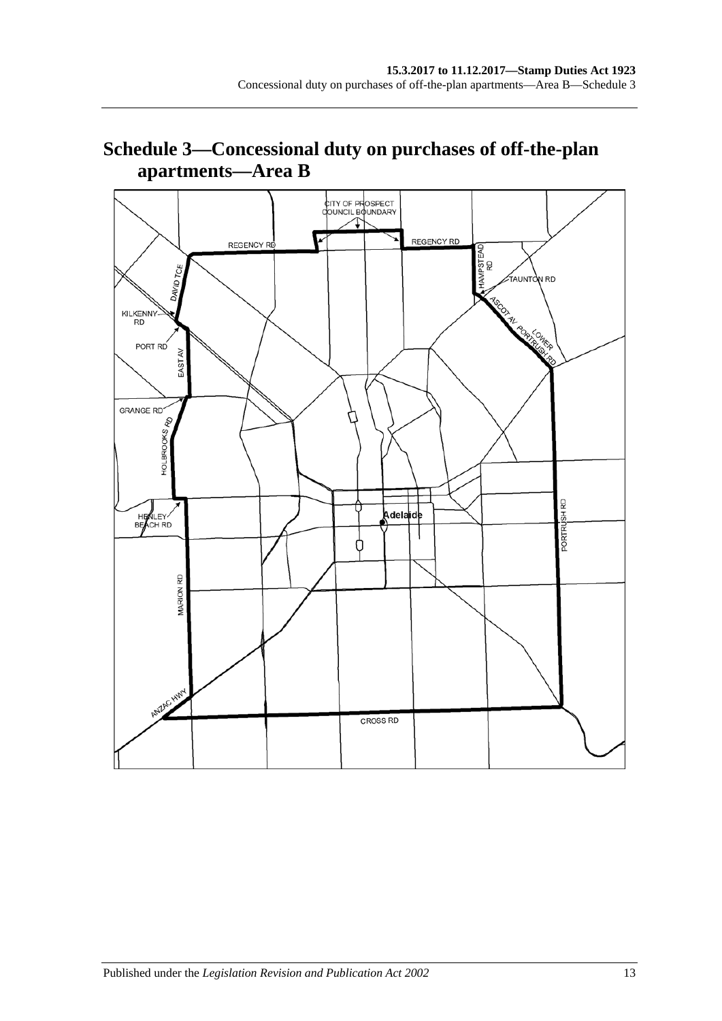# **Schedule 3—Concessional duty on purchases of off-the-plan apartments—Area B**

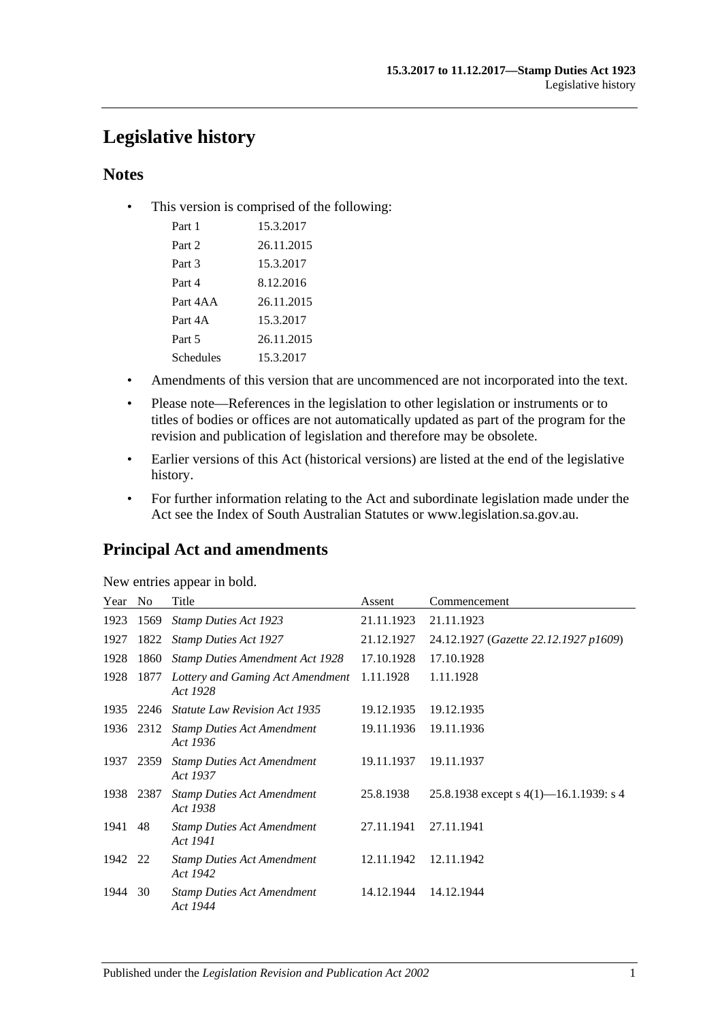# **Legislative history**

# **Notes**

• This version is comprised of the following:

| Part 1    | 15.3.2017  |
|-----------|------------|
| Part 2    | 26.11.2015 |
| Part 3    | 15.3.2017  |
| Part 4    | 8.12.2016  |
| Part 4AA  | 26.11.2015 |
| Part 4A   | 15.3.2017  |
| Part 5    | 26.11.2015 |
| Schedules | 15.3.2017  |

- Amendments of this version that are uncommenced are not incorporated into the text.
- Please note—References in the legislation to other legislation or instruments or to titles of bodies or offices are not automatically updated as part of the program for the revision and publication of legislation and therefore may be obsolete.
- Earlier versions of this Act (historical versions) are listed at the end of the legislative history.
- For further information relating to the Act and subordinate legislation made under the Act see the Index of South Australian Statutes or www.legislation.sa.gov.au.

# **Principal Act and amendments**

|  | New entries appear in bold. |  |
|--|-----------------------------|--|
|  |                             |  |

| Year | N <sub>o</sub> | Title                                         | Assent     | Commencement                              |
|------|----------------|-----------------------------------------------|------------|-------------------------------------------|
| 1923 | 1569           | <b>Stamp Duties Act 1923</b>                  | 21.11.1923 | 21.11.1923                                |
| 1927 | 1822           | <b>Stamp Duties Act 1927</b>                  | 21.12.1927 | 24.12.1927 (Gazette 22.12.1927 p1609)     |
| 1928 | 1860           | <b>Stamp Duties Amendment Act 1928</b>        | 17.10.1928 | 17.10.1928                                |
| 1928 | 1877           | Lottery and Gaming Act Amendment<br>Act 1928  | 1.11.1928  | 1.11.1928                                 |
|      |                | 1935 2246 Statute Law Revision Act 1935       | 19.12.1935 | 19.12.1935                                |
| 1936 | 2312           | <b>Stamp Duties Act Amendment</b><br>Act 1936 | 19.11.1936 | 19.11.1936                                |
| 1937 | 2359           | <b>Stamp Duties Act Amendment</b><br>Act 1937 | 19.11.1937 | 19.11.1937                                |
| 1938 | 2387           | <b>Stamp Duties Act Amendment</b><br>Act 1938 | 25.8.1938  | 25.8.1938 except s $4(1)$ —16.1.1939: s 4 |
| 1941 | 48             | <b>Stamp Duties Act Amendment</b><br>Act 1941 | 27.11.1941 | 27.11.1941                                |
| 1942 | 22             | <b>Stamp Duties Act Amendment</b><br>Act 1942 | 12.11.1942 | 12.11.1942                                |
| 1944 | 30             | <b>Stamp Duties Act Amendment</b><br>Act 1944 | 14.12.1944 | 14.12.1944                                |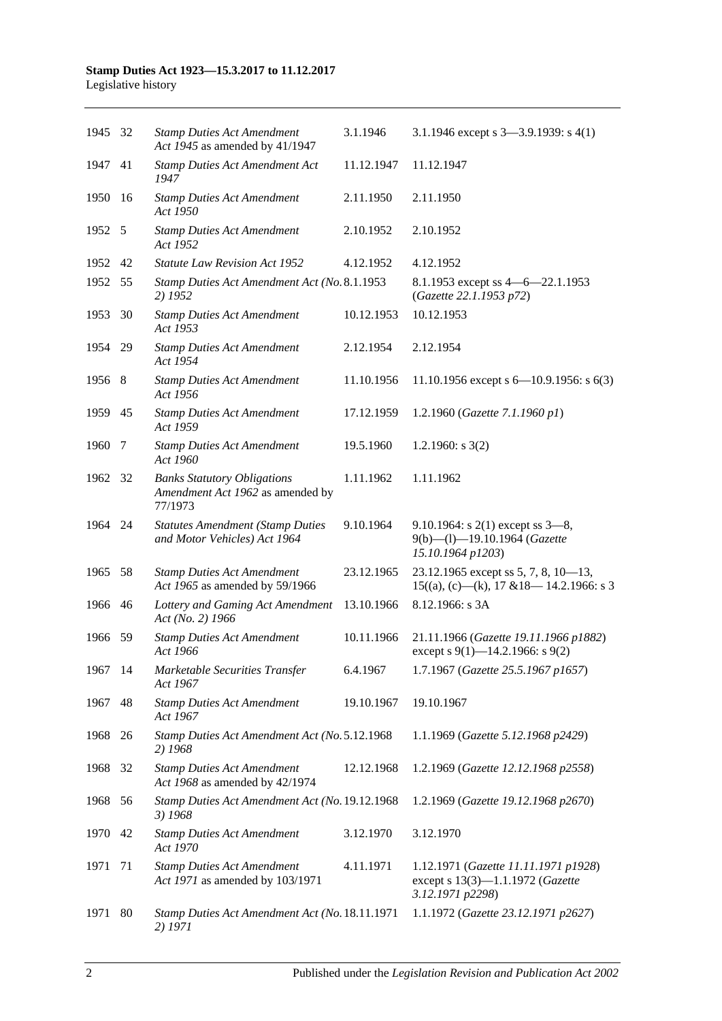#### **Stamp Duties Act 1923—15.3.2017 to 11.12.2017** Legislative history

| 1945 32 |     | <b>Stamp Duties Act Amendment</b><br>Act 1945 as amended by 41/1947               | 3.1.1946   | 3.1.1946 except s $3-3.9.1939$ : s $4(1)$                                                    |
|---------|-----|-----------------------------------------------------------------------------------|------------|----------------------------------------------------------------------------------------------|
| 1947 41 |     | <b>Stamp Duties Act Amendment Act</b><br>1947                                     | 11.12.1947 | 11.12.1947                                                                                   |
| 1950    | -16 | <b>Stamp Duties Act Amendment</b><br>Act 1950                                     | 2.11.1950  | 2.11.1950                                                                                    |
| 1952 5  |     | <b>Stamp Duties Act Amendment</b><br>Act 1952                                     | 2.10.1952  | 2.10.1952                                                                                    |
| 1952    | 42  | <b>Statute Law Revision Act 1952</b>                                              | 4.12.1952  | 4.12.1952                                                                                    |
| 1952    | 55  | Stamp Duties Act Amendment Act (No. 8.1.1953<br>2) 1952                           |            | 8.1.1953 except ss 4 - 6 - 22.1.1953<br>(Gazette 22.1.1953 p72)                              |
| 1953    | 30  | <b>Stamp Duties Act Amendment</b><br>Act 1953                                     | 10.12.1953 | 10.12.1953                                                                                   |
| 1954    | -29 | <b>Stamp Duties Act Amendment</b><br>Act 1954                                     | 2.12.1954  | 2.12.1954                                                                                    |
| 1956 8  |     | <b>Stamp Duties Act Amendment</b><br>Act 1956                                     | 11.10.1956 | 11.10.1956 except s $6-10.9.1956$ : s $6(3)$                                                 |
| 1959 45 |     | <b>Stamp Duties Act Amendment</b><br>Act 1959                                     | 17.12.1959 | 1.2.1960 (Gazette 7.1.1960 p1)                                                               |
| 1960    | 7   | <b>Stamp Duties Act Amendment</b><br>Act 1960                                     | 19.5.1960  | 1.2.1960: $s$ 3(2)                                                                           |
| 1962 32 |     | <b>Banks Statutory Obligations</b><br>Amendment Act 1962 as amended by<br>77/1973 | 1.11.1962  | 1.11.1962                                                                                    |
| 1964 24 |     | <b>Statutes Amendment (Stamp Duties</b><br>and Motor Vehicles) Act 1964           | 9.10.1964  | 9.10.1964: s $2(1)$ except ss $3-8$ ,<br>9(b)-(l)-19.10.1964 (Gazette<br>15.10.1964 p1203)   |
| 1965    | 58  | <b>Stamp Duties Act Amendment</b><br>Act 1965 as amended by 59/1966               | 23.12.1965 | 23.12.1965 except ss 5, 7, 8, 10-13,<br>$15((a), (c)$ —(k), 17 & 18—14.2.1966: s 3           |
| 1966    | 46  | Lottery and Gaming Act Amendment<br>Act (No. 2) 1966                              | 13.10.1966 | 8.12.1966: s 3A                                                                              |
| 1966 59 |     | <b>Stamp Duties Act Amendment</b><br>Act 1966                                     | 10.11.1966 | 21.11.1966 (Gazette 19.11.1966 p1882)<br>except s 9(1)–14.2.1966: s 9(2)                     |
| 1967 14 |     | Marketable Securities Transfer<br>Act 1967                                        | 6.4.1967   | 1.7.1967 (Gazette 25.5.1967 p1657)                                                           |
| 1967    | 48  | <b>Stamp Duties Act Amendment</b><br>Act 1967                                     | 19.10.1967 | 19.10.1967                                                                                   |
| 1968    | 26  | Stamp Duties Act Amendment Act (No. 5.12.1968<br>2) 1968                          |            | 1.1.1969 (Gazette 5.12.1968 p2429)                                                           |
| 1968    | 32  | <b>Stamp Duties Act Amendment</b><br>Act 1968 as amended by 42/1974               | 12.12.1968 | 1.2.1969 (Gazette 12.12.1968 p2558)                                                          |
| 1968    | 56  | Stamp Duties Act Amendment Act (No. 19.12.1968<br>3) 1968                         |            | 1.2.1969 (Gazette 19.12.1968 p2670)                                                          |
| 1970    | 42  | <b>Stamp Duties Act Amendment</b><br>Act 1970                                     | 3.12.1970  | 3.12.1970                                                                                    |
| 1971    | 71  | <b>Stamp Duties Act Amendment</b><br>Act 1971 as amended by 103/1971              | 4.11.1971  | 1.12.1971 (Gazette 11.11.1971 p1928)<br>except s 13(3)-1.1.1972 (Gazette<br>3.12.1971 p2298) |
| 1971    | 80  | Stamp Duties Act Amendment Act (No. 18.11.1971<br>2) 1971                         |            | 1.1.1972 (Gazette 23.12.1971 p2627)                                                          |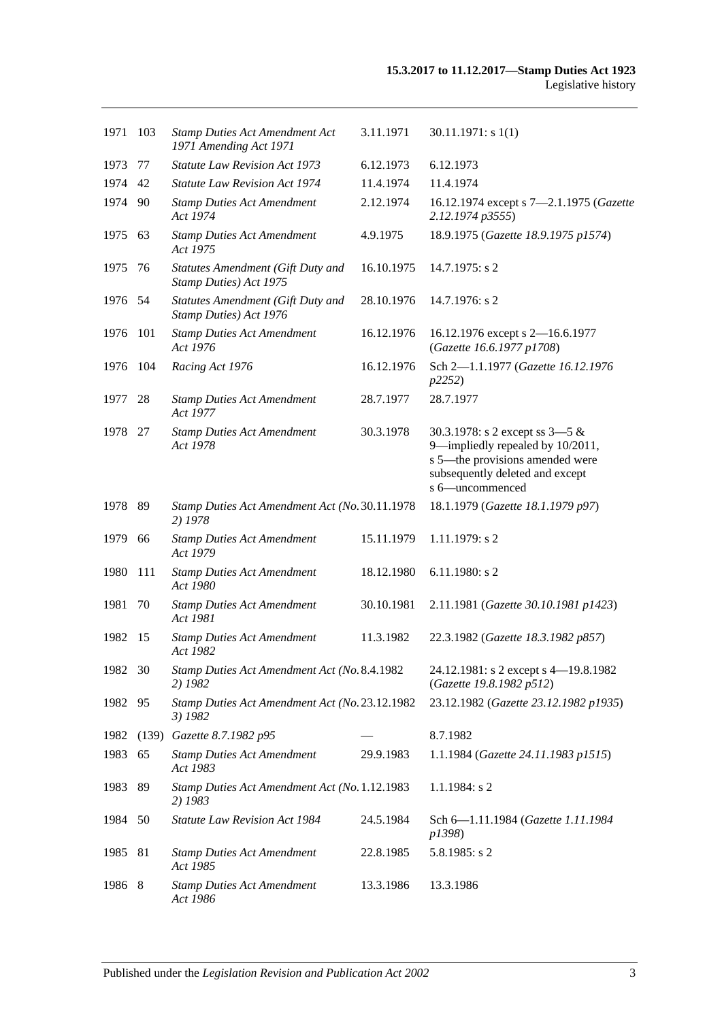| 1971    | 103   | <b>Stamp Duties Act Amendment Act</b><br>1971 Amending Act 1971    | 3.11.1971  | 30.11.1971: s1(1)                                                                                                                                             |
|---------|-------|--------------------------------------------------------------------|------------|---------------------------------------------------------------------------------------------------------------------------------------------------------------|
| 1973    | 77    | Statute Law Revision Act 1973                                      | 6.12.1973  | 6.12.1973                                                                                                                                                     |
| 1974    | 42    | <b>Statute Law Revision Act 1974</b>                               | 11.4.1974  | 11.4.1974                                                                                                                                                     |
| 1974    | -90   | <b>Stamp Duties Act Amendment</b><br>Act 1974                      | 2.12.1974  | 16.12.1974 except s 7-2.1.1975 (Gazette<br>2.12.1974 p3555)                                                                                                   |
| 1975    | 63    | <b>Stamp Duties Act Amendment</b><br>Act 1975                      | 4.9.1975   | 18.9.1975 (Gazette 18.9.1975 p1574)                                                                                                                           |
| 1975    | 76    | Statutes Amendment (Gift Duty and<br>Stamp Duties) Act 1975        | 16.10.1975 | $14.7.1975$ : s 2                                                                                                                                             |
| 1976 54 |       | <b>Statutes Amendment (Gift Duty and</b><br>Stamp Duties) Act 1976 | 28.10.1976 | 14.7.1976: s 2                                                                                                                                                |
| 1976    | 101   | <b>Stamp Duties Act Amendment</b><br>Act 1976                      | 16.12.1976 | 16.12.1976 except s 2-16.6.1977<br>(Gazette 16.6.1977 p1708)                                                                                                  |
| 1976    | 104   | Racing Act 1976                                                    | 16.12.1976 | Sch 2-1.1.1977 (Gazette 16.12.1976<br>p2252                                                                                                                   |
| 1977    | 28    | <b>Stamp Duties Act Amendment</b><br>Act 1977                      | 28.7.1977  | 28.7.1977                                                                                                                                                     |
| 1978    | 27    | <b>Stamp Duties Act Amendment</b><br>Act 1978                      | 30.3.1978  | 30.3.1978: s 2 except ss $3-5 &$<br>9-impliedly repealed by 10/2011,<br>s 5-the provisions amended were<br>subsequently deleted and except<br>s 6-uncommenced |
| 1978    | 89    | Stamp Duties Act Amendment Act (No. 30.11.1978<br>2) 1978          |            | 18.1.1979 (Gazette 18.1.1979 p97)                                                                                                                             |
| 1979    | 66    | <b>Stamp Duties Act Amendment</b><br>Act 1979                      | 15.11.1979 | $1.11.1979$ : s 2                                                                                                                                             |
| 1980    | 111   | <b>Stamp Duties Act Amendment</b><br>Act 1980                      | 18.12.1980 | $6.11.1980$ : s 2                                                                                                                                             |
| 1981    | 70    | <b>Stamp Duties Act Amendment</b><br>Act 1981                      | 30.10.1981 | 2.11.1981 (Gazette 30.10.1981 p1423)                                                                                                                          |
| 1982    | -15   | <b>Stamp Duties Act Amendment</b><br>Act 1982                      | 11.3.1982  | 22.3.1982 (Gazette 18.3.1982 p857)                                                                                                                            |
| 1982 30 |       | Stamp Duties Act Amendment Act (No. 8.4.1982<br>2) 1982            |            | 24.12.1981: s 2 except s 4-19.8.1982<br>(Gazette 19.8.1982 p512)                                                                                              |
| 1982 95 |       | Stamp Duties Act Amendment Act (No. 23.12.1982<br>3) 1982          |            | 23.12.1982 (Gazette 23.12.1982 p1935)                                                                                                                         |
| 1982    | (139) | Gazette 8.7.1982 p95                                               |            | 8.7.1982                                                                                                                                                      |
| 1983    | 65    | <b>Stamp Duties Act Amendment</b><br>Act 1983                      | 29.9.1983  | 1.1.1984 (Gazette 24.11.1983 p1515)                                                                                                                           |
| 1983    | 89    | Stamp Duties Act Amendment Act (No. 1.12.1983<br>2) 1983           |            | $1.1.1984$ : s 2                                                                                                                                              |
| 1984    | 50    | <b>Statute Law Revision Act 1984</b>                               | 24.5.1984  | Sch 6-1.11.1984 (Gazette 1.11.1984<br>p1398)                                                                                                                  |
| 1985    | 81    | <b>Stamp Duties Act Amendment</b><br>Act 1985                      | 22.8.1985  | $5.8.1985$ : s 2                                                                                                                                              |
| 1986 8  |       | <b>Stamp Duties Act Amendment</b><br>Act 1986                      | 13.3.1986  | 13.3.1986                                                                                                                                                     |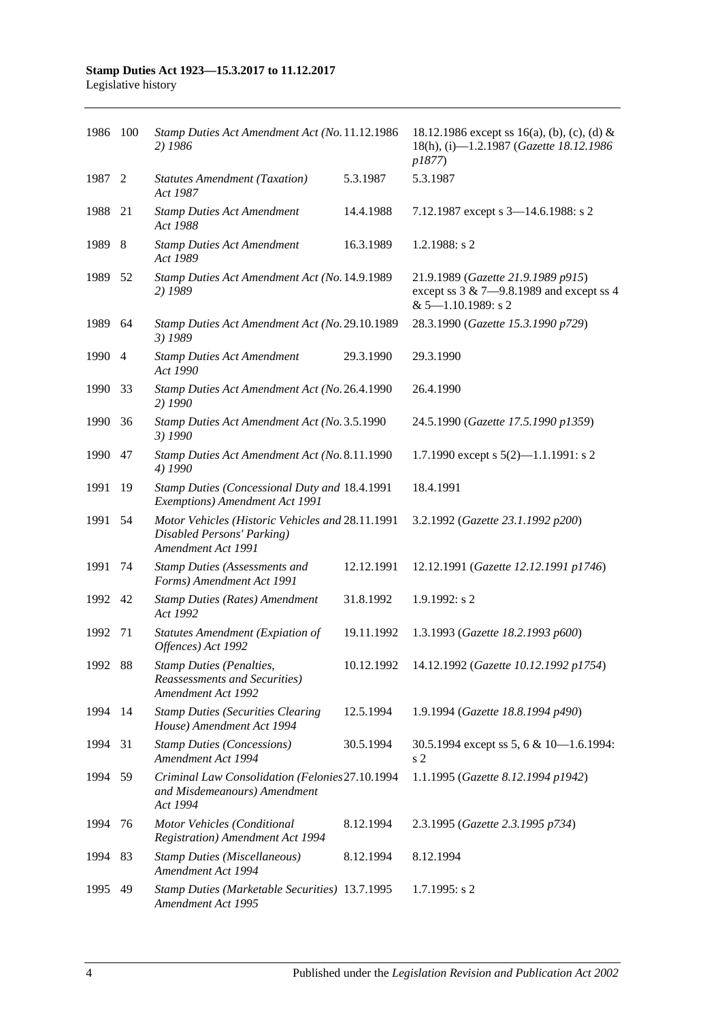#### **Stamp Duties Act 1923—15.3.2017 to 11.12.2017** Legislative history

| 1986 100 |      | Stamp Duties Act Amendment Act (No. 11.12.1986<br>2) 1986                                            |            | 18.12.1986 except ss 16(a), (b), (c), (d) &<br>18(h), (i)-1.2.1987 (Gazette 18.12.1986<br><i>p1877</i> )      |
|----------|------|------------------------------------------------------------------------------------------------------|------------|---------------------------------------------------------------------------------------------------------------|
| 1987 2   |      | <b>Statutes Amendment (Taxation)</b><br>Act 1987                                                     | 5.3.1987   | 5.3.1987                                                                                                      |
| 1988     | 21   | <b>Stamp Duties Act Amendment</b><br>Act 1988                                                        | 14.4.1988  | 7.12.1987 except s 3-14.6.1988: s 2                                                                           |
| 1989     | -8   | <b>Stamp Duties Act Amendment</b><br>Act 1989                                                        | 16.3.1989  | 1.2.1988: s 2                                                                                                 |
| 1989     | - 52 | Stamp Duties Act Amendment Act (No. 14.9.1989<br>2) 1989                                             |            | 21.9.1989 (Gazette 21.9.1989 p915)<br>except ss $3 & 7 - 9.8.1989$ and except ss 4<br>$& 5 - 1.10.1989$ : s 2 |
| 1989     | 64   | Stamp Duties Act Amendment Act (No. 29.10.1989<br>3) 1989                                            |            | 28.3.1990 (Gazette 15.3.1990 p729)                                                                            |
| 1990 4   |      | <b>Stamp Duties Act Amendment</b><br>Act 1990                                                        | 29.3.1990  | 29.3.1990                                                                                                     |
| 1990     | 33   | Stamp Duties Act Amendment Act (No. 26.4.1990<br>2) 1990                                             |            | 26.4.1990                                                                                                     |
| 1990     | 36   | Stamp Duties Act Amendment Act (No. 3.5.1990<br>3) 1990                                              |            | 24.5.1990 (Gazette 17.5.1990 p1359)                                                                           |
| 1990     | 47   | Stamp Duties Act Amendment Act (No. 8.11.1990<br>4) 1990                                             |            | 1.7.1990 except s $5(2)$ —1.1.1991: s 2                                                                       |
| 1991     | 19   | Stamp Duties (Concessional Duty and 18.4.1991<br>Exemptions) Amendment Act 1991                      |            | 18.4.1991                                                                                                     |
| 1991     | 54   | Motor Vehicles (Historic Vehicles and 28.11.1991<br>Disabled Persons' Parking)<br>Amendment Act 1991 |            | 3.2.1992 (Gazette 23.1.1992 p200)                                                                             |
| 1991     | 74   | <b>Stamp Duties (Assessments and</b><br>Forms) Amendment Act 1991                                    | 12.12.1991 | 12.12.1991 (Gazette 12.12.1991 p1746)                                                                         |
| 1992 42  |      | <b>Stamp Duties (Rates) Amendment</b><br>Act 1992                                                    | 31.8.1992  | 1.9.1992: s2                                                                                                  |
| 1992     | 71   | <b>Statutes Amendment (Expiation of</b><br>Offences) Act 1992                                        | 19.11.1992 | 1.3.1993 (Gazette 18.2.1993 p600)                                                                             |
| 1992 88  |      | <b>Stamp Duties (Penalties,</b><br><b>Reassessments and Securities</b> )<br>Amendment Act 1992       | 10.12.1992 | 14.12.1992 (Gazette 10.12.1992 p1754)                                                                         |
| 1994 14  |      | <b>Stamp Duties (Securities Clearing</b><br>House) Amendment Act 1994                                | 12.5.1994  | 1.9.1994 (Gazette 18.8.1994 p490)                                                                             |
| 1994     | 31   | <b>Stamp Duties (Concessions)</b><br>Amendment Act 1994                                              | 30.5.1994  | 30.5.1994 except ss 5, 6 & 10-1.6.1994:<br>s <sub>2</sub>                                                     |
| 1994     | -59  | Criminal Law Consolidation (Felonies27.10.1994<br>and Misdemeanours) Amendment<br>Act 1994           |            | 1.1.1995 (Gazette 8.12.1994 p1942)                                                                            |
| 1994     | 76   | Motor Vehicles (Conditional<br><b>Registration</b> ) Amendment Act 1994                              | 8.12.1994  | 2.3.1995 (Gazette 2.3.1995 p734)                                                                              |
| 1994     | 83   | <b>Stamp Duties (Miscellaneous)</b><br>Amendment Act 1994                                            | 8.12.1994  | 8.12.1994                                                                                                     |
| 1995     | 49   | Stamp Duties (Marketable Securities) 13.7.1995<br>Amendment Act 1995                                 |            | 1.7.1995: s2                                                                                                  |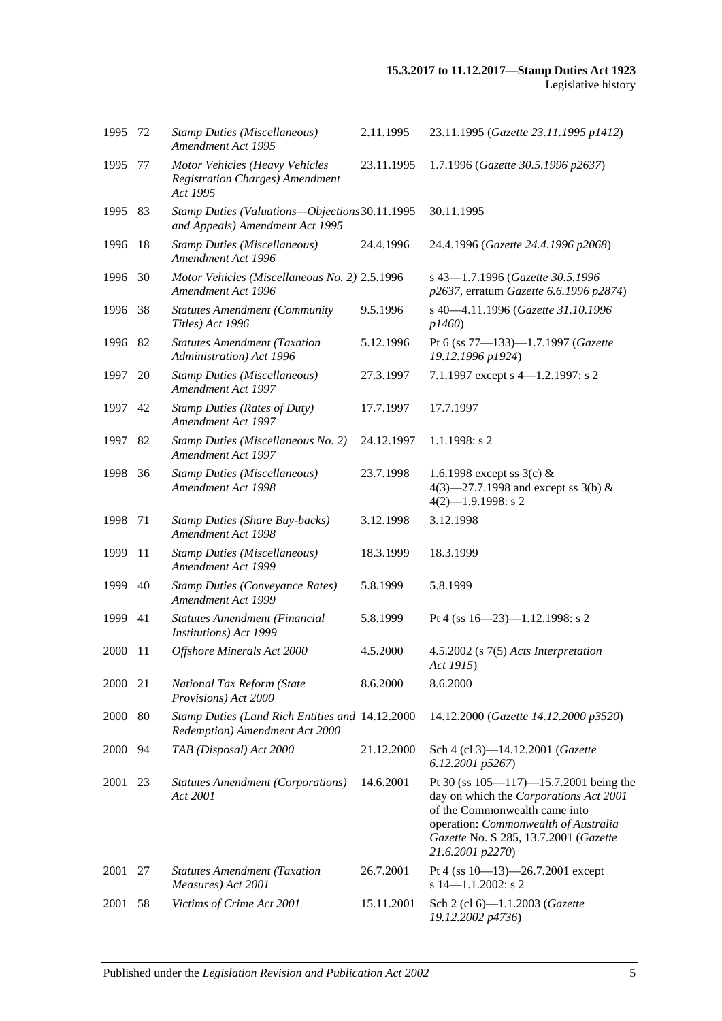| 1995 | -72 | <b>Stamp Duties (Miscellaneous)</b><br>Amendment Act 1995                            | 2.11.1995  | 23.11.1995 (Gazette 23.11.1995 p1412)                                                                                                                                                                                        |
|------|-----|--------------------------------------------------------------------------------------|------------|------------------------------------------------------------------------------------------------------------------------------------------------------------------------------------------------------------------------------|
| 1995 | 77  | Motor Vehicles (Heavy Vehicles<br><b>Registration Charges)</b> Amendment<br>Act 1995 | 23.11.1995 | 1.7.1996 (Gazette 30.5.1996 p2637)                                                                                                                                                                                           |
| 1995 | 83  | Stamp Duties (Valuations-Objections 30.11.1995<br>and Appeals) Amendment Act 1995    |            | 30.11.1995                                                                                                                                                                                                                   |
| 1996 | 18  | <b>Stamp Duties (Miscellaneous)</b><br>Amendment Act 1996                            | 24.4.1996  | 24.4.1996 (Gazette 24.4.1996 p2068)                                                                                                                                                                                          |
| 1996 | 30  | Motor Vehicles (Miscellaneous No. 2) 2.5.1996<br>Amendment Act 1996                  |            | s 43-1.7.1996 (Gazette 30.5.1996<br>p2637, erratum Gazette 6.6.1996 p2874)                                                                                                                                                   |
| 1996 | 38  | <b>Statutes Amendment (Community</b><br>Titles) Act 1996                             | 9.5.1996   | s 40-4.11.1996 (Gazette 31.10.1996<br>p1460                                                                                                                                                                                  |
| 1996 | 82  | <b>Statutes Amendment (Taxation</b><br>Administration) Act 1996                      | 5.12.1996  | Pt 6 (ss 77-133)-1.7.1997 (Gazette<br>19.12.1996 p1924)                                                                                                                                                                      |
| 1997 | 20  | <b>Stamp Duties (Miscellaneous)</b><br>Amendment Act 1997                            | 27.3.1997  | 7.1.1997 except s 4-1.2.1997: s 2                                                                                                                                                                                            |
| 1997 | 42  | <b>Stamp Duties (Rates of Duty)</b><br>Amendment Act 1997                            | 17.7.1997  | 17.7.1997                                                                                                                                                                                                                    |
| 1997 | 82  | Stamp Duties (Miscellaneous No. 2)<br>Amendment Act 1997                             | 24.12.1997 | 1.1.1998: s2                                                                                                                                                                                                                 |
| 1998 | 36  | <b>Stamp Duties (Miscellaneous)</b><br>Amendment Act 1998                            | 23.7.1998  | 1.6.1998 except ss $3(c)$ &<br>4(3)–27.7.1998 and except ss 3(b) $&$<br>$4(2)$ -1.9.1998: s 2                                                                                                                                |
| 1998 | 71  | <b>Stamp Duties (Share Buy-backs)</b><br>Amendment Act 1998                          | 3.12.1998  | 3.12.1998                                                                                                                                                                                                                    |
| 1999 | 11  | <b>Stamp Duties (Miscellaneous)</b><br>Amendment Act 1999                            | 18.3.1999  | 18.3.1999                                                                                                                                                                                                                    |
| 1999 | 40  | <b>Stamp Duties (Conveyance Rates)</b><br>Amendment Act 1999                         | 5.8.1999   | 5.8.1999                                                                                                                                                                                                                     |
| 1999 | 41  | Statutes Amendment (Financial<br><b>Institutions</b> ) Act 1999                      | 5.8.1999   | Pt 4 (ss 16-23)-1.12.1998: s 2                                                                                                                                                                                               |
| 2000 | -11 | Offshore Minerals Act 2000                                                           | 4.5.2000   | $4.5.2002$ (s $7(5)$ Acts Interpretation<br>Act 1915)                                                                                                                                                                        |
| 2000 | 21  | National Tax Reform (State<br>Provisions) Act 2000                                   | 8.6.2000   | 8.6.2000                                                                                                                                                                                                                     |
| 2000 | -80 | Stamp Duties (Land Rich Entities and 14.12.2000<br>Redemption) Amendment Act 2000    |            | 14.12.2000 (Gazette 14.12.2000 p3520)                                                                                                                                                                                        |
| 2000 | 94  | TAB (Disposal) Act 2000                                                              | 21.12.2000 | Sch 4 (cl 3)-14.12.2001 (Gazette<br>6.12.2001 p5267)                                                                                                                                                                         |
| 2001 | 23  | <b>Statutes Amendment (Corporations)</b><br>Act 2001                                 | 14.6.2001  | Pt 30 (ss $105 - 117$ ) -15.7.2001 being the<br>day on which the Corporations Act 2001<br>of the Commonwealth came into<br>operation: Commonwealth of Australia<br>Gazette No. S 285, 13.7.2001 (Gazette<br>21.6.2001 p2270) |
| 2001 | 27  | <b>Statutes Amendment (Taxation</b><br>Measures) Act 2001                            | 26.7.2001  | Pt 4 (ss $10-13$ )-26.7.2001 except<br>s $14 - 1.1.2002$ : s 2                                                                                                                                                               |
| 2001 | 58  | Victims of Crime Act 2001                                                            | 15.11.2001 | Sch 2 (cl 6)-1.1.2003 (Gazette<br>19.12.2002 p4736)                                                                                                                                                                          |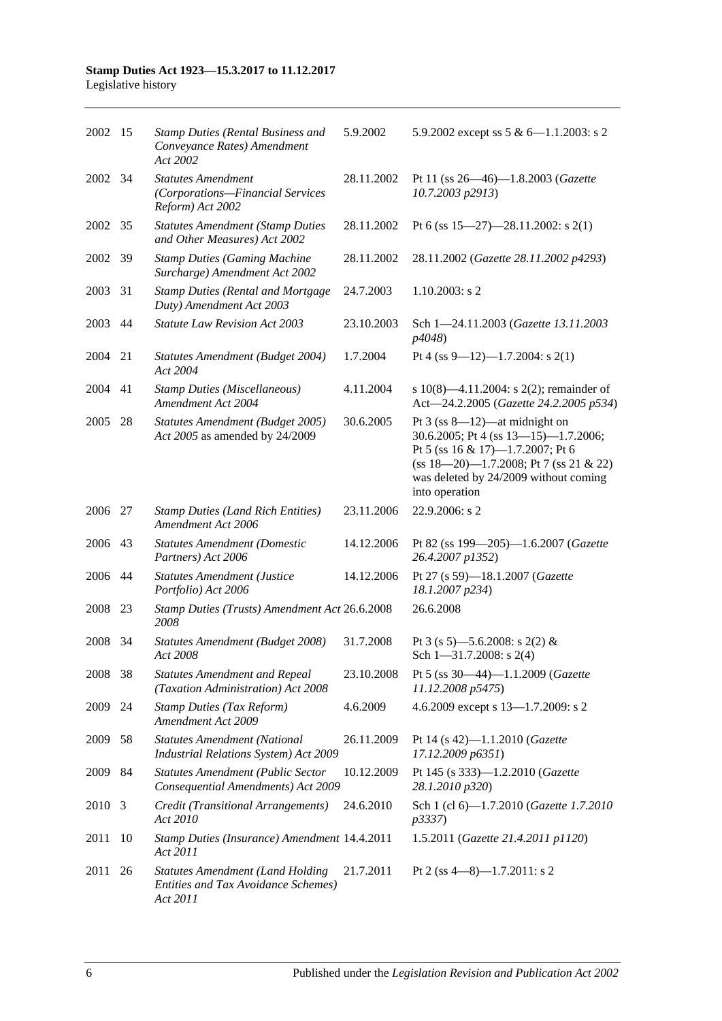#### **Stamp Duties Act 1923—15.3.2017 to 11.12.2017** Legislative history

| 2002 15 |                | <b>Stamp Duties (Rental Business and</b><br>Conveyance Rates) Amendment<br>Act 2002               | 5.9.2002   | 5.9.2002 except ss $5 & 6 - 1.1.2003$ : s 2                                                                                                                                                                               |
|---------|----------------|---------------------------------------------------------------------------------------------------|------------|---------------------------------------------------------------------------------------------------------------------------------------------------------------------------------------------------------------------------|
| 2002    | - 34           | <b>Statutes Amendment</b><br>(Corporations-Financial Services<br>Reform) Act 2002                 | 28.11.2002 | Pt 11 (ss 26—46)—1.8.2003 (Gazette<br>10.7.2003 p2913)                                                                                                                                                                    |
| 2002 35 |                | <b>Statutes Amendment (Stamp Duties</b><br>and Other Measures) Act 2002                           | 28.11.2002 | Pt 6 (ss $15-27$ )-28.11.2002: s 2(1)                                                                                                                                                                                     |
| 2002    | -39            | <b>Stamp Duties (Gaming Machine</b><br>Surcharge) Amendment Act 2002                              | 28.11.2002 | 28.11.2002 (Gazette 28.11.2002 p4293)                                                                                                                                                                                     |
| 2003    | 31             | <b>Stamp Duties (Rental and Mortgage</b><br>Duty) Amendment Act 2003                              | 24.7.2003  | $1.10.2003$ : s 2                                                                                                                                                                                                         |
| 2003    | 44             | <b>Statute Law Revision Act 2003</b>                                                              | 23.10.2003 | Sch 1-24.11.2003 (Gazette 13.11.2003<br>p4048)                                                                                                                                                                            |
| 2004    | 21             | Statutes Amendment (Budget 2004)<br>Act 2004                                                      | 1.7.2004   | Pt 4 (ss 9-12)-1.7.2004: s 2(1)                                                                                                                                                                                           |
| 2004    | 41             | <b>Stamp Duties (Miscellaneous)</b><br><b>Amendment Act 2004</b>                                  | 4.11.2004  | s 10(8)—4.11.2004: s 2(2); remainder of<br>Act-24.2.2005 (Gazette 24.2.2005 p534)                                                                                                                                         |
| 2005    | 28             | Statutes Amendment (Budget 2005)<br>Act 2005 as amended by 24/2009                                | 30.6.2005  | Pt $3$ (ss $8-12$ )—at midnight on<br>30.6.2005; Pt 4 (ss $13-15$ )-1.7.2006;<br>Pt 5 (ss 16 & 17)-1.7.2007; Pt 6<br>$(ss 18-20)$ -1.7.2008; Pt 7 (ss 21 & 22)<br>was deleted by 24/2009 without coming<br>into operation |
| 2006    | 27             | <b>Stamp Duties (Land Rich Entities)</b><br>Amendment Act 2006                                    | 23.11.2006 | 22.9.2006: s 2                                                                                                                                                                                                            |
| 2006    | 43             | <b>Statutes Amendment (Domestic</b><br>Partners) Act 2006                                         | 14.12.2006 | Pt 82 (ss 199-205)-1.6.2007 (Gazette<br>26.4.2007 p1352)                                                                                                                                                                  |
| 2006    | -44            | <b>Statutes Amendment (Justice</b><br>Portfolio) Act 2006                                         | 14.12.2006 | Pt 27 (s 59)-18.1.2007 (Gazette<br>18.1.2007 p234)                                                                                                                                                                        |
| 2008    | 23             | Stamp Duties (Trusts) Amendment Act 26.6.2008<br>2008                                             |            | 26.6.2008                                                                                                                                                                                                                 |
| 2008    | 34             | Statutes Amendment (Budget 2008)<br>Act 2008                                                      | 31.7.2008  | Pt 3 (s 5)—5.6.2008: s 2(2) &<br>Sch $1 - 31.7.2008$ : s 2(4)                                                                                                                                                             |
| 2008    | 38             | <b>Statutes Amendment and Repeal</b><br>(Taxation Administration) Act 2008                        | 23.10.2008 | Pt 5 (ss 30-44)-1.1.2009 (Gazette<br>11.12.2008 p5475)                                                                                                                                                                    |
| 2009    | 24             | <b>Stamp Duties (Tax Reform)</b><br>Amendment Act 2009                                            | 4.6.2009   | 4.6.2009 except s 13-1.7.2009: s 2                                                                                                                                                                                        |
| 2009    | 58             | <b>Statutes Amendment (National</b><br>Industrial Relations System) Act 2009                      | 26.11.2009 | Pt 14 (s 42)-1.1.2010 (Gazette<br>17.12.2009 p6351)                                                                                                                                                                       |
| 2009    | 84             | <b>Statutes Amendment (Public Sector</b><br>Consequential Amendments) Act 2009                    | 10.12.2009 | Pt 145 (s 333)-1.2.2010 (Gazette<br>28.1.2010 p320)                                                                                                                                                                       |
| 2010    | $\overline{3}$ | Credit (Transitional Arrangements)<br>Act 2010                                                    | 24.6.2010  | Sch 1 (cl 6)-1.7.2010 (Gazette 1.7.2010<br>p3337)                                                                                                                                                                         |
| 2011    | 10             | Stamp Duties (Insurance) Amendment 14.4.2011<br>Act 2011                                          |            | 1.5.2011 (Gazette 21.4.2011 p1120)                                                                                                                                                                                        |
| 2011    | 26             | <b>Statutes Amendment (Land Holding</b><br><b>Entities and Tax Avoidance Schemes)</b><br>Act 2011 | 21.7.2011  | Pt 2 (ss $4-8$ )-1.7.2011: s 2                                                                                                                                                                                            |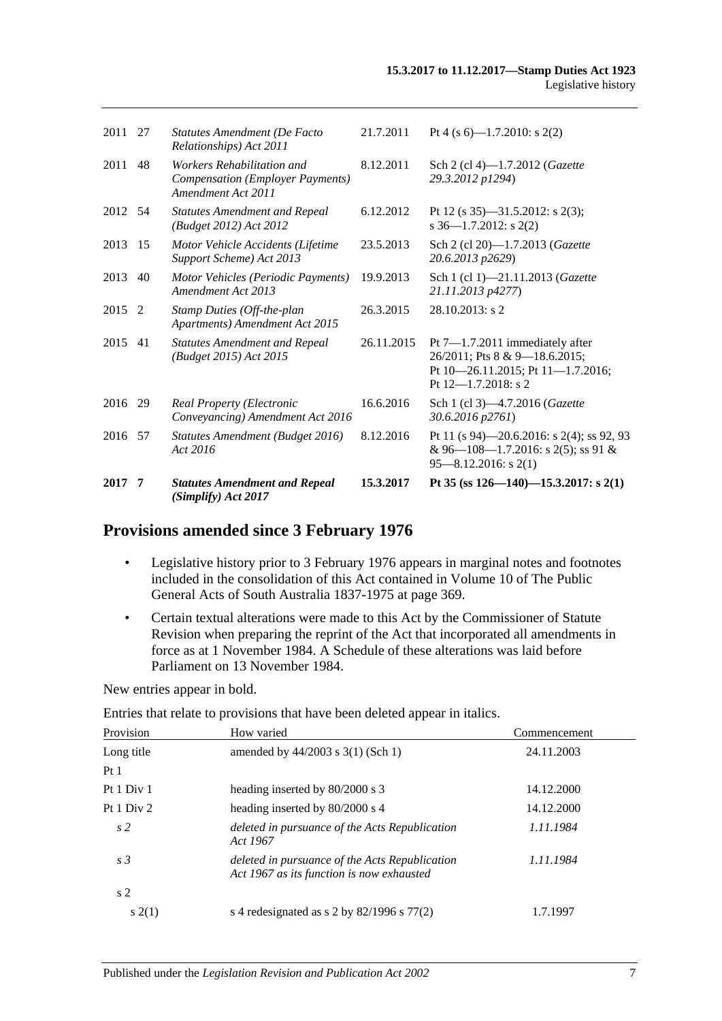| 2017    | 7  | <b>Statutes Amendment and Repeal</b><br>(Simplify) Act 2017                                 | 15.3.2017  | Pt 35 (ss $126 - 140 - 15.3.2017$ : s 2(1)                                                                                          |
|---------|----|---------------------------------------------------------------------------------------------|------------|-------------------------------------------------------------------------------------------------------------------------------------|
| 2016 57 |    | Statutes Amendment (Budget 2016)<br>Act 2016                                                | 8.12.2016  | Pt 11 (s 94)–20.6.2016: s 2(4); ss 92, 93<br>& 96-108-1.7.2016: s 2(5); ss 91 &<br>$95 - 8.12.2016$ : s 2(1)                        |
| 2016 29 |    | <b>Real Property (Electronic</b><br>Conveyancing) Amendment Act 2016                        | 16.6.2016  | Sch 1 (cl 3)-4.7.2016 (Gazette<br>30.6.2016 p2761)                                                                                  |
| 2015    | 41 | <b>Statutes Amendment and Repeal</b><br>(Budget 2015) Act 2015                              | 26.11.2015 | Pt $7-1.7.2011$ immediately after<br>26/2011; Pts 8 & 9-18.6.2015;<br>Pt 10-26.11.2015; Pt 11-1.7.2016;<br>Pt $12 - 1.7.2018$ : s 2 |
| 2015 2  |    | Stamp Duties (Off-the-plan<br>Apartments) Amendment Act 2015                                | 26.3.2015  | $28.10.2013$ : s 2                                                                                                                  |
| 2013    | 40 | Motor Vehicles (Periodic Payments)<br>Amendment Act 2013                                    | 19.9.2013  | Sch 1 (cl 1)-21.11.2013 (Gazette<br>21.11.2013 p4277)                                                                               |
| 2013 15 |    | Motor Vehicle Accidents (Lifetime<br>Support Scheme) Act 2013                               | 23.5.2013  | Sch 2 (cl 20)-1.7.2013 (Gazette<br>20.6.2013 p2629)                                                                                 |
| 2012 54 |    | <b>Statutes Amendment and Repeal</b><br>(Budget 2012) Act 2012                              | 6.12.2012  | Pt 12 (s $35$ )-31.5.2012: s 2(3);<br>$s$ 36-1.7.2012: $s$ 2(2)                                                                     |
| 2011    | 48 | Workers Rehabilitation and<br><b>Compensation (Employer Payments)</b><br>Amendment Act 2011 | 8.12.2011  | Sch 2 (cl 4)-1.7.2012 (Gazette<br>29.3.2012 p1294)                                                                                  |
| 2011 27 |    | Statutes Amendment (De Facto<br>Relationships) Act 2011                                     | 21.7.2011  | Pt 4 (s 6)-1.7.2010: s 2(2)                                                                                                         |
|         |    |                                                                                             |            |                                                                                                                                     |

# **Provisions amended since 3 February 1976**

- Legislative history prior to 3 February 1976 appears in marginal notes and footnotes included in the consolidation of this Act contained in Volume 10 of The Public General Acts of South Australia 1837-1975 at page 369.
- Certain textual alterations were made to this Act by the Commissioner of Statute Revision when preparing the reprint of the Act that incorporated all amendments in force as at 1 November 1984. A Schedule of these alterations was laid before Parliament on 13 November 1984.

New entries appear in bold.

Entries that relate to provisions that have been deleted appear in italics.

| Provision      | How varied                                                                                  | Commencement |
|----------------|---------------------------------------------------------------------------------------------|--------------|
| Long title     | amended by $44/2003$ s 3(1) (Sch 1)                                                         | 24.11.2003   |
| Pt1            |                                                                                             |              |
| Pt 1 Div 1     | heading inserted by 80/2000 s 3                                                             | 14.12.2000   |
| Pt 1 Div 2     | heading inserted by 80/2000 s 4                                                             | 14.12.2000   |
| s <sub>2</sub> | deleted in pursuance of the Acts Republication<br>Act 1967                                  | 1.11.1984    |
| s <sub>3</sub> | deleted in pursuance of the Acts Republication<br>Act 1967 as its function is now exhausted | 1.11.1984    |
| s <sub>2</sub> |                                                                                             |              |
| s(2(1))        | s 4 redesignated as s 2 by $82/1996$ s $77(2)$                                              | 1.7.1997     |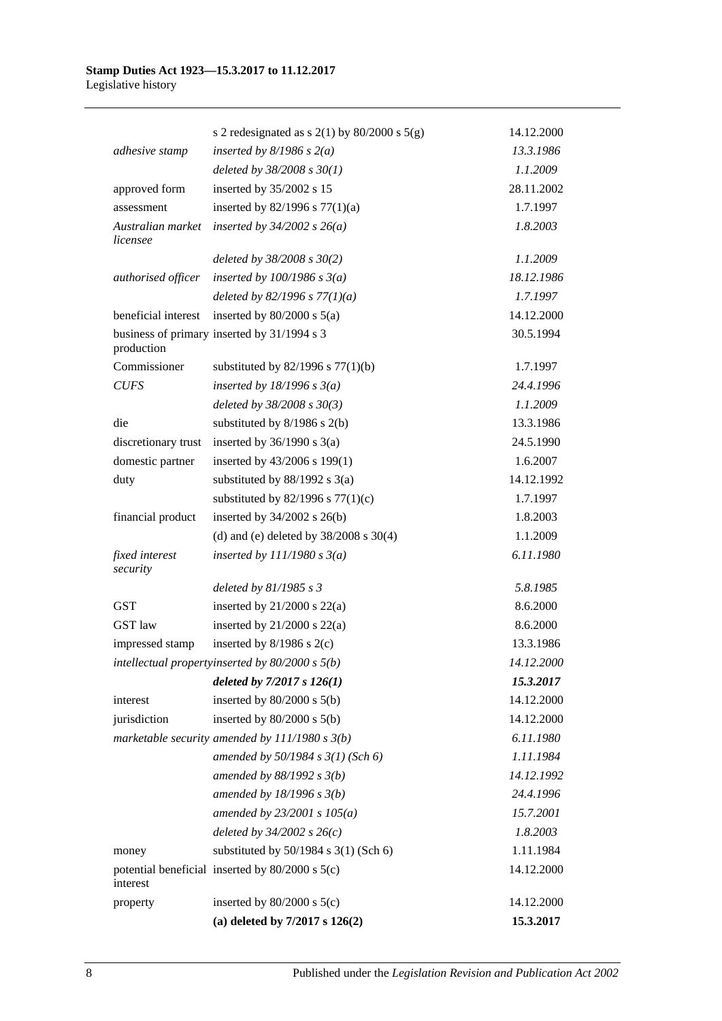|                               | s 2 redesignated as s $2(1)$ by $80/2000$ s $5(g)$  | 14.12.2000 |
|-------------------------------|-----------------------------------------------------|------------|
| adhesive stamp                | inserted by $8/1986$ s $2(a)$                       | 13.3.1986  |
|                               | deleted by $38/2008$ s $30(1)$                      | 1.1.2009   |
| approved form                 | inserted by 35/2002 s 15                            | 28.11.2002 |
| assessment                    | inserted by $82/1996$ s $77(1)(a)$                  | 1.7.1997   |
| Australian market<br>licensee | inserted by $34/2002$ s $26(a)$                     | 1.8.2003   |
|                               | deleted by $38/2008$ s $30(2)$                      | 1.1.2009   |
| authorised officer            | inserted by $100/1986$ s $3(a)$                     | 18.12.1986 |
|                               | deleted by $82/1996 s 77(1)(a)$                     | 1.7.1997   |
| beneficial interest           | inserted by $80/2000$ s $5(a)$                      | 14.12.2000 |
| production                    | business of primary inserted by 31/1994 s 3         | 30.5.1994  |
| Commissioner                  | substituted by $82/1996$ s $77(1)(b)$               | 1.7.1997   |
| <b>CUFS</b>                   | inserted by $18/1996$ s $3(a)$                      | 24.4.1996  |
|                               | deleted by 38/2008 s 30(3)                          | 1.1.2009   |
| die                           | substituted by $8/1986$ s $2(b)$                    | 13.3.1986  |
| discretionary trust           | inserted by $36/1990$ s $3(a)$                      | 24.5.1990  |
| domestic partner              | inserted by 43/2006 s 199(1)                        | 1.6.2007   |
| duty                          | substituted by $88/1992$ s 3(a)                     | 14.12.1992 |
|                               | substituted by $82/1996$ s $77(1)(c)$               | 1.7.1997   |
| financial product             | inserted by $34/2002$ s $26(b)$                     | 1.8.2003   |
|                               | (d) and (e) deleted by $38/2008$ s $30(4)$          | 1.1.2009   |
| fixed interest<br>security    | inserted by $111/1980 s 3(a)$                       | 6.11.1980  |
|                               | deleted by $81/1985 s 3$                            | 5.8.1985   |
| <b>GST</b>                    | inserted by $21/2000$ s $22(a)$                     | 8.6.2000   |
| <b>GST</b> law                | inserted by $21/2000$ s $22(a)$                     | 8.6.2000   |
| impressed stamp               | inserted by $8/1986$ s $2(c)$                       | 13.3.1986  |
|                               | intellectual propertyinserted by $80/2000 s 5(b)$   | 14.12.2000 |
|                               | deleted by $7/2017 s 126(1)$                        | 15.3.2017  |
| interest                      | inserted by $80/2000$ s $5(b)$                      | 14.12.2000 |
| jurisdiction                  | inserted by $80/2000$ s $5(b)$                      | 14.12.2000 |
|                               | marketable security amended by $111/1980 s 3(b)$    | 6.11.1980  |
|                               | amended by $50/1984 s 3(1)$ (Sch 6)                 | 1.11.1984  |
|                               | amended by 88/1992 s 3(b)                           | 14.12.1992 |
|                               | amended by $18/1996 s 3(b)$                         | 24.4.1996  |
|                               | amended by $23/2001 s 105(a)$                       | 15.7.2001  |
|                               | deleted by $34/2002 s 26(c)$                        | 1.8.2003   |
| money                         | substituted by $50/1984$ s $3(1)$ (Sch 6)           | 1.11.1984  |
| interest                      | potential beneficial inserted by $80/2000$ s $5(c)$ | 14.12.2000 |
| property                      | inserted by $80/2000$ s $5(c)$                      | 14.12.2000 |
|                               | (a) deleted by $7/2017$ s $126(2)$                  | 15.3.2017  |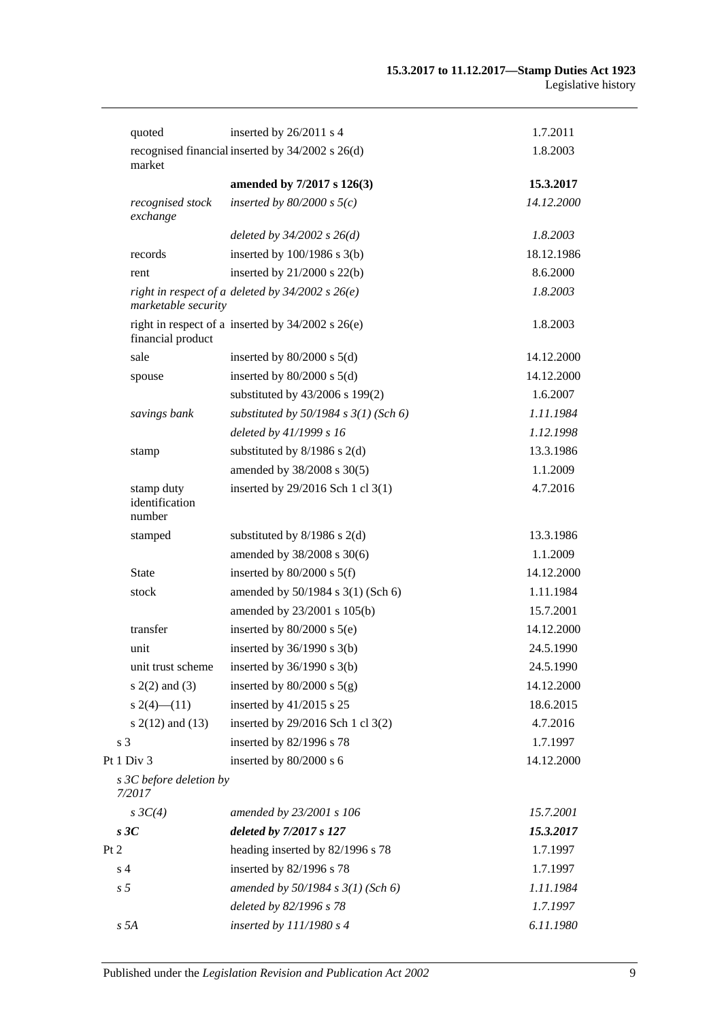|      | quoted                                 | inserted by 26/2011 s 4                               | 1.7.2011   |
|------|----------------------------------------|-------------------------------------------------------|------------|
|      | market                                 | recognised financial inserted by 34/2002 s 26(d)      | 1.8.2003   |
|      |                                        | amended by 7/2017 s 126(3)                            | 15.3.2017  |
|      | recognised stock<br>exchange           | inserted by $80/2000$ s $5(c)$                        | 14.12.2000 |
|      |                                        | deleted by $34/2002$ s $26(d)$                        | 1.8.2003   |
|      | records                                | inserted by $100/1986$ s $3(b)$                       | 18.12.1986 |
|      | rent                                   | inserted by $21/2000$ s $22(b)$                       | 8.6.2000   |
|      | marketable security                    | right in respect of a deleted by $34/2002$ s $26(e)$  | 1.8.2003   |
|      | financial product                      | right in respect of a inserted by $34/2002$ s $26(e)$ | 1.8.2003   |
|      | sale                                   | inserted by $80/2000$ s $5(d)$                        | 14.12.2000 |
|      | spouse                                 | inserted by $80/2000$ s $5(d)$                        | 14.12.2000 |
|      |                                        | substituted by 43/2006 s 199(2)                       | 1.6.2007   |
|      | savings bank                           | substituted by $50/1984$ s $3(1)$ (Sch 6)             | 1.11.1984  |
|      |                                        | deleted by 41/1999 s 16                               | 1.12.1998  |
|      | stamp                                  | substituted by $8/1986$ s $2(d)$                      | 13.3.1986  |
|      |                                        | amended by 38/2008 s 30(5)                            | 1.1.2009   |
|      | stamp duty<br>identification<br>number | inserted by 29/2016 Sch 1 cl 3(1)                     | 4.7.2016   |
|      | stamped                                | substituted by $8/1986$ s $2(d)$                      | 13.3.1986  |
|      |                                        | amended by 38/2008 s 30(6)                            | 1.1.2009   |
|      | <b>State</b>                           | inserted by $80/2000$ s $5(f)$                        | 14.12.2000 |
|      | stock                                  | amended by 50/1984 s 3(1) (Sch 6)                     | 1.11.1984  |
|      |                                        | amended by 23/2001 s 105(b)                           | 15.7.2001  |
|      | transfer                               | inserted by $80/2000$ s $5(e)$                        | 14.12.2000 |
|      | unit                                   | inserted by $36/1990$ s $3(b)$                        | 24.5.1990  |
|      | unit trust scheme                      | inserted by $36/1990$ s $3(b)$                        | 24.5.1990  |
|      | $s(2(2)$ and $(3)$                     | inserted by $80/2000$ s $5(g)$                        | 14.12.2000 |
|      | $s(2(4) - (11))$                       | inserted by 41/2015 s 25                              | 18.6.2015  |
|      | s $2(12)$ and $(13)$                   | inserted by 29/2016 Sch 1 cl 3(2)                     | 4.7.2016   |
|      | s <sub>3</sub>                         | inserted by 82/1996 s 78                              | 1.7.1997   |
|      | Pt 1 Div 3                             | inserted by 80/2000 s 6                               | 14.12.2000 |
|      | s 3C before deletion by<br>7/2017      |                                                       |            |
|      | $s \, 3C(4)$                           | amended by 23/2001 s 106                              | 15.7.2001  |
|      | s3C                                    | deleted by 7/2017 s 127                               | 15.3.2017  |
| Pt 2 |                                        | heading inserted by 82/1996 s 78                      | 1.7.1997   |
|      | s <sub>4</sub>                         | inserted by 82/1996 s 78                              | 1.7.1997   |
|      | s <sub>5</sub>                         | amended by $50/1984$ s $3(1)$ (Sch 6)                 | 1.11.1984  |
|      |                                        | deleted by 82/1996 s 78                               | 1.7.1997   |
|      | s 5A                                   | inserted by $111/1980 s 4$                            | 6.11.1980  |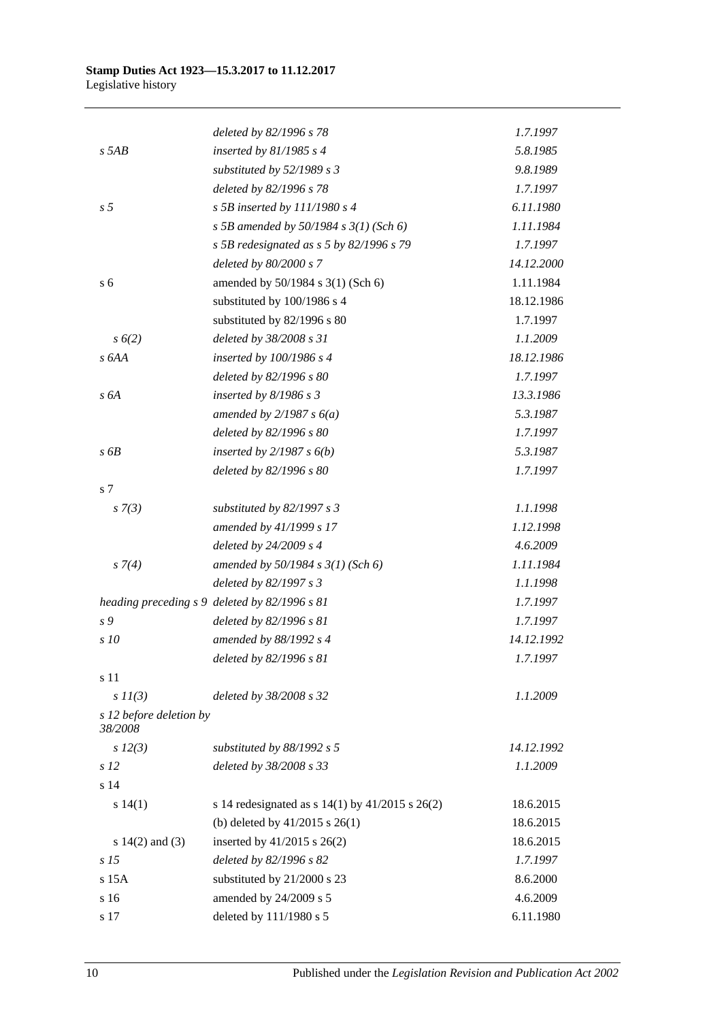|                                    | deleted by 82/1996 s 78                               | 1.7.1997   |
|------------------------------------|-------------------------------------------------------|------------|
| $s$ 5AB                            | inserted by $81/1985$ s 4                             | 5.8.1985   |
|                                    | substituted by $52/1989$ s 3                          | 9.8.1989   |
|                                    | deleted by 82/1996 s 78                               | 1.7.1997   |
| s <sub>5</sub>                     | s 5B inserted by $111/1980$ s 4                       | 6.11.1980  |
|                                    | s 5B amended by 50/1984 s $3(1)$ (Sch 6)              | 1.11.1984  |
|                                    | s 5B redesignated as $s$ 5 by 82/1996 s 79            | 1.7.1997   |
|                                    | deleted by 80/2000 s 7                                | 14.12.2000 |
| s <sub>6</sub>                     | amended by 50/1984 s 3(1) (Sch 6)                     | 1.11.1984  |
|                                    | substituted by 100/1986 s 4                           | 18.12.1986 |
|                                    | substituted by 82/1996 s 80                           | 1.7.1997   |
| s(6(2)                             | deleted by 38/2008 s 31                               | 1.1.2009   |
| s 6AA                              | inserted by 100/1986 s 4                              | 18.12.1986 |
|                                    | deleted by 82/1996 s 80                               | 1.7.1997   |
| s 6A                               | inserted by $8/1986 s 3$                              | 13.3.1986  |
|                                    | amended by $2/1987 s 6(a)$                            | 5.3.1987   |
|                                    | deleted by 82/1996 s 80                               | 1.7.1997   |
| $s$ 6 $B$                          | inserted by $2/1987 s 6(b)$                           | 5.3.1987   |
|                                    | deleted by 82/1996 s 80                               | 1.7.1997   |
| s 7                                |                                                       |            |
| $s \, 7(3)$                        | substituted by $82/1997 s 3$                          | 1.1.1998   |
|                                    | amended by 41/1999 s 17                               | 1.12.1998  |
|                                    | deleted by $24/2009 s 4$                              | 4.6.2009   |
| $s \, 7(4)$                        | amended by 50/1984 s 3(1) (Sch 6)                     | 1.11.1984  |
|                                    | deleted by 82/1997 s 3                                | 1.1.1998   |
|                                    | heading preceding s 9 deleted by 82/1996 s 81         | 1.7.1997   |
| s 9                                | deleted by 82/1996 s 81                               | 1.7.1997   |
| s 10                               | amended by 88/1992 s 4                                | 14.12.1992 |
|                                    | deleted by 82/1996 s 81                               | 1.7.1997   |
| s 11                               |                                                       |            |
| $s\,II(3)$                         | deleted by 38/2008 s 32                               | 1.1.2009   |
| s 12 before deletion by<br>38/2008 |                                                       |            |
| $s\,l2(3)$                         | substituted by $88/1992 s 5$                          | 14.12.1992 |
| s <sub>12</sub>                    | deleted by 38/2008 s 33                               | 1.1.2009   |
| s <sub>14</sub>                    |                                                       |            |
| s 14(1)                            | s 14 redesignated as s $14(1)$ by $41/2015$ s $26(2)$ | 18.6.2015  |
|                                    | (b) deleted by $41/2015$ s $26(1)$                    | 18.6.2015  |
| s $14(2)$ and $(3)$                | inserted by 41/2015 s 26(2)                           | 18.6.2015  |
| s <sub>15</sub>                    | deleted by 82/1996 s 82                               | 1.7.1997   |
| $s$ 15 $A$                         | substituted by 21/2000 s 23                           | 8.6.2000   |
| s 16                               | amended by 24/2009 s 5                                | 4.6.2009   |
| s 17                               | deleted by 111/1980 s 5                               | 6.11.1980  |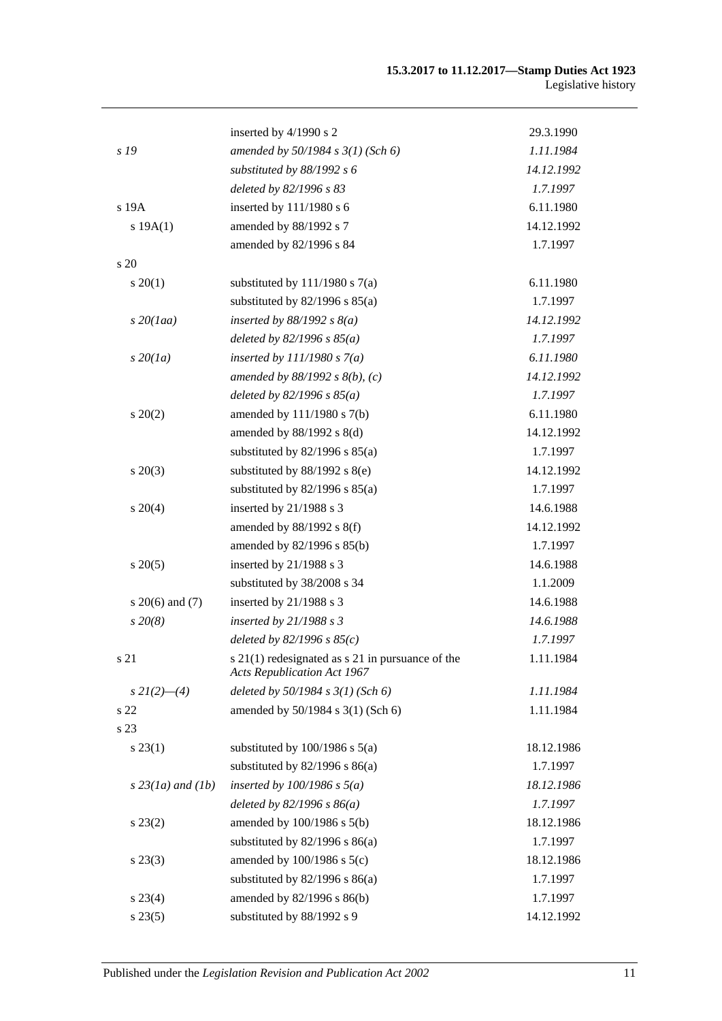|                     | inserted by 4/1990 s 2                                                                     | 29.3.1990  |
|---------------------|--------------------------------------------------------------------------------------------|------------|
| s 19                | amended by 50/1984 s 3(1) (Sch 6)                                                          | 1.11.1984  |
|                     | substituted by 88/1992 s 6                                                                 | 14.12.1992 |
|                     | deleted by 82/1996 s 83                                                                    | 1.7.1997   |
| s 19A               | inserted by 111/1980 s 6                                                                   | 6.11.1980  |
| s 19A(1)            | amended by 88/1992 s 7                                                                     | 14.12.1992 |
|                     | amended by 82/1996 s 84                                                                    | 1.7.1997   |
| s 20                |                                                                                            |            |
| $s \ 20(1)$         | substituted by $111/1980$ s $7(a)$                                                         | 6.11.1980  |
|                     | substituted by $82/1996$ s $85(a)$                                                         | 1.7.1997   |
| $s$ 20(1aa)         | inserted by $88/1992 s 8(a)$                                                               | 14.12.1992 |
|                     | deleted by $82/1996 s 85(a)$                                                               | 1.7.1997   |
| $s\,20(1a)$         | inserted by $111/1980 s 7(a)$                                                              | 6.11.1980  |
|                     | amended by $88/1992 s 8(b)$ , (c)                                                          | 14.12.1992 |
|                     | deleted by $82/1996 s 85(a)$                                                               | 1.7.1997   |
| $s \ 20(2)$         | amended by 111/1980 s 7(b)                                                                 | 6.11.1980  |
|                     | amended by 88/1992 s 8(d)                                                                  | 14.12.1992 |
|                     | substituted by $82/1996$ s $85(a)$                                                         | 1.7.1997   |
| $s\,20(3)$          | substituted by $88/1992$ s $8(e)$                                                          | 14.12.1992 |
|                     | substituted by $82/1996$ s $85(a)$                                                         | 1.7.1997   |
| $s \ 20(4)$         | inserted by 21/1988 s 3                                                                    | 14.6.1988  |
|                     | amended by 88/1992 s 8(f)                                                                  | 14.12.1992 |
|                     | amended by 82/1996 s 85(b)                                                                 | 1.7.1997   |
| $s \ 20(5)$         | inserted by 21/1988 s 3                                                                    | 14.6.1988  |
|                     | substituted by 38/2008 s 34                                                                | 1.1.2009   |
| s $20(6)$ and $(7)$ | inserted by 21/1988 s 3                                                                    | 14.6.1988  |
| $s\,20(8)$          | inserted by $21/1988 s3$                                                                   | 14.6.1988  |
|                     | deleted by $82/1996 s 85(c)$                                                               | 1.7.1997   |
| s 21                | $s$ 21(1) redesignated as $s$ 21 in pursuance of the<br><b>Acts Republication Act 1967</b> | 1.11.1984  |
| $s\,2I(2)$ —(4)     | deleted by $50/1984$ s $3(1)$ (Sch 6)                                                      | 1.11.1984  |
| s 22                | amended by 50/1984 s 3(1) (Sch 6)                                                          | 1.11.1984  |
| s 23                |                                                                                            |            |
| $s\,23(1)$          | substituted by $100/1986$ s $5(a)$                                                         | 18.12.1986 |
|                     | substituted by $82/1996$ s $86(a)$                                                         | 1.7.1997   |
| $s$ 23(1a) and (1b) | inserted by $100/1986$ s $5(a)$                                                            | 18.12.1986 |
|                     | deleted by $82/1996 s 86(a)$                                                               | 1.7.1997   |
| $s\,23(2)$          | amended by $100/1986$ s $5(b)$                                                             | 18.12.1986 |
|                     | substituted by $82/1996$ s $86(a)$                                                         | 1.7.1997   |
| $s\,23(3)$          | amended by 100/1986 s 5(c)                                                                 | 18.12.1986 |
|                     | substituted by $82/1996$ s $86(a)$                                                         | 1.7.1997   |
| $s\,23(4)$          | amended by 82/1996 s 86(b)                                                                 | 1.7.1997   |
| s 23(5)             | substituted by 88/1992 s 9                                                                 | 14.12.1992 |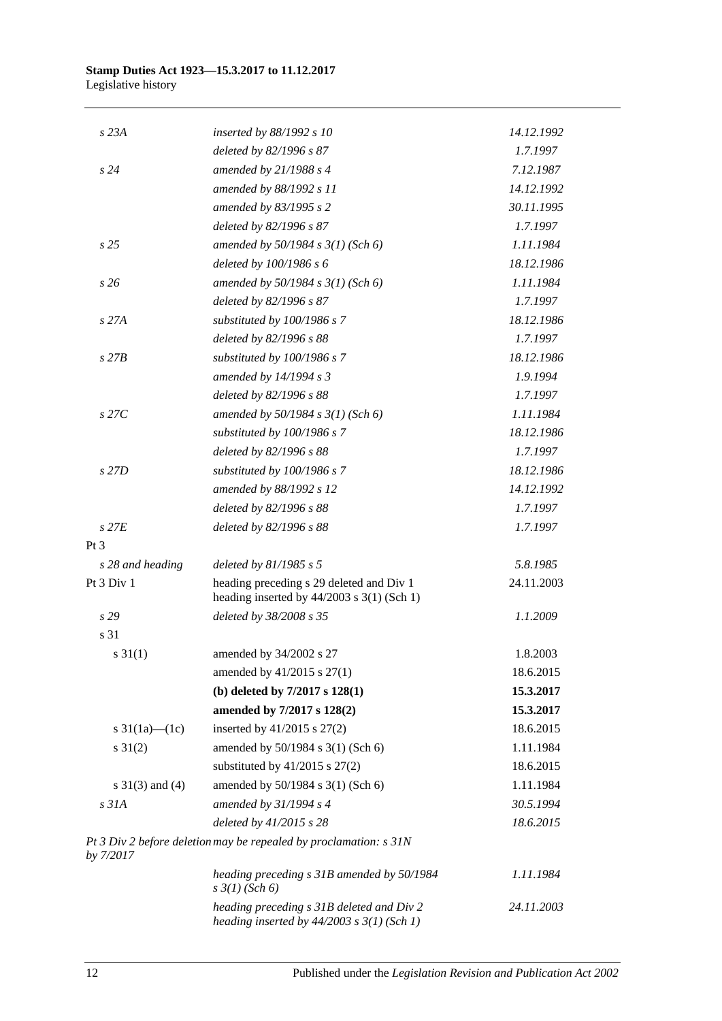| $s$ 23 $A$          | inserted by 88/1992 s 10                                                                    | 14.12.1992 |
|---------------------|---------------------------------------------------------------------------------------------|------------|
|                     | deleted by 82/1996 s 87                                                                     | 1.7.1997   |
| s24                 | amended by $21/1988 s 4$                                                                    | 7.12.1987  |
|                     | amended by 88/1992 s 11                                                                     | 14.12.1992 |
|                     | amended by 83/1995 s 2                                                                      | 30.11.1995 |
|                     | deleted by 82/1996 s 87                                                                     | 1.7.1997   |
| s25                 | amended by $50/1984$ s $3(1)$ (Sch 6)                                                       | 1.11.1984  |
|                     | deleted by 100/1986 s 6                                                                     | 18.12.1986 |
| s26                 | amended by $50/1984$ s $3(1)$ (Sch 6)                                                       | 1.11.1984  |
|                     | deleted by 82/1996 s 87                                                                     | 1.7.1997   |
| s27A                | substituted by 100/1986 s 7                                                                 | 18.12.1986 |
|                     | deleted by 82/1996 s 88                                                                     | 1.7.1997   |
| $s$ 27 $B$          | substituted by 100/1986 s 7                                                                 | 18.12.1986 |
|                     | amended by 14/1994 s 3                                                                      | 1.9.1994   |
|                     | deleted by 82/1996 s 88                                                                     | 1.7.1997   |
| $s$ 27 $C$          | amended by $50/1984 s 3(1)$ (Sch 6)                                                         | 1.11.1984  |
|                     | substituted by 100/1986 s 7                                                                 | 18.12.1986 |
|                     | deleted by 82/1996 s 88                                                                     | 1.7.1997   |
| s 27D               | substituted by 100/1986 s 7                                                                 | 18.12.1986 |
|                     | amended by 88/1992 s 12                                                                     | 14.12.1992 |
|                     | deleted by 82/1996 s 88                                                                     | 1.7.1997   |
| $s$ 27 $E$          | deleted by 82/1996 s 88                                                                     | 1.7.1997   |
| Pt <sub>3</sub>     |                                                                                             |            |
| s 28 and heading    | deleted by $81/1985 s 5$                                                                    | 5.8.1985   |
| Pt 3 Div 1          | heading preceding s 29 deleted and Div 1<br>heading inserted by $44/2003$ s 3(1) (Sch 1)    | 24.11.2003 |
| s29                 | deleted by 38/2008 s 35                                                                     | 1.1.2009   |
| s 31                |                                                                                             |            |
| $s \ 31(1)$         | amended by 34/2002 s 27                                                                     | 1.8.2003   |
|                     | amended by 41/2015 s 27(1)                                                                  | 18.6.2015  |
|                     | (b) deleted by $7/2017$ s $128(1)$                                                          | 15.3.2017  |
|                     | amended by 7/2017 s 128(2)                                                                  | 15.3.2017  |
| s $31(1a)$ (1c)     | inserted by $41/2015$ s $27(2)$                                                             | 18.6.2015  |
| $s \ 31(2)$         | amended by 50/1984 s 3(1) (Sch 6)                                                           | 1.11.1984  |
|                     | substituted by $41/2015$ s $27(2)$                                                          | 18.6.2015  |
| s $31(3)$ and $(4)$ | amended by 50/1984 s 3(1) (Sch 6)                                                           | 1.11.1984  |
| $s$ 31 $A$          | amended by 31/1994 s 4                                                                      | 30.5.1994  |
|                     | deleted by 41/2015 s 28                                                                     | 18.6.2015  |
| by 7/2017           | Pt 3 Div 2 before deletion may be repealed by proclamation: s 31N                           |            |
|                     | heading preceding s 31B amended by 50/1984<br>$s \frac{3}{1}$ (Sch 6)                       | 1.11.1984  |
|                     | heading preceding s 31B deleted and Div 2<br>heading inserted by $44/2003$ s $3(1)$ (Sch 1) | 24.11.2003 |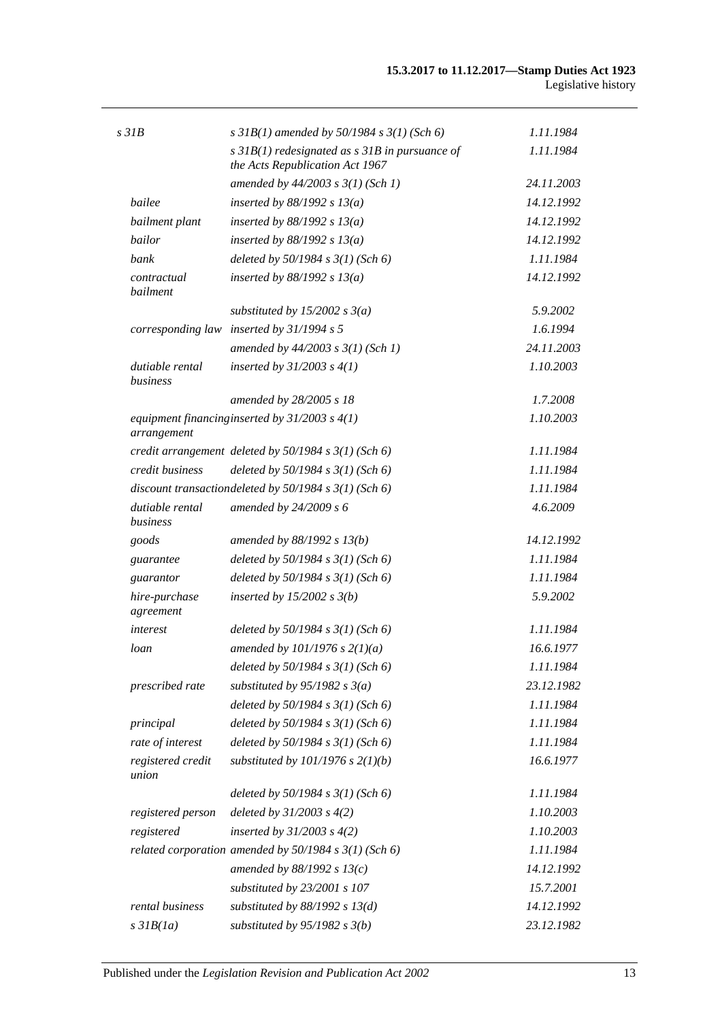| $s$ 31 $B$                  | s $31B(1)$ amended by $50/1984$ s $3(1)$ (Sch 6)                                      | 1.11.1984  |
|-----------------------------|---------------------------------------------------------------------------------------|------------|
|                             | $s$ 31B(1) redesignated as $s$ 31B in pursuance of<br>the Acts Republication Act 1967 | 1.11.1984  |
|                             | amended by $44/2003$ s $3(1)$ (Sch 1)                                                 | 24.11.2003 |
| bailee                      | inserted by $88/1992$ s $13(a)$                                                       | 14.12.1992 |
| bailment plant              | inserted by $88/1992$ s $13(a)$                                                       | 14.12.1992 |
| bailor                      | inserted by $88/1992 s 13(a)$                                                         | 14.12.1992 |
| bank                        | deleted by $50/1984$ s $3(1)$ (Sch 6)                                                 | 1.11.1984  |
| contractual<br>bailment     | inserted by $88/1992 s 13(a)$                                                         | 14.12.1992 |
|                             | substituted by 15/2002 s $3(a)$                                                       | 5.9.2002   |
|                             | corresponding law inserted by $31/1994 s 5$                                           | 1.6.1994   |
|                             | amended by $44/2003$ s $3(1)$ (Sch 1)                                                 | 24.11.2003 |
| dutiable rental<br>business | inserted by $31/2003$ s $4(1)$                                                        | 1.10.2003  |
|                             | amended by 28/2005 s 18                                                               | 1.7.2008   |
| arrangement                 | equipment financing inserted by $31/2003$ s $4(1)$                                    | 1.10.2003  |
|                             | credit arrangement deleted by $50/1984$ s $3(1)$ (Sch 6)                              | 1.11.1984  |
| credit business             | deleted by $50/1984$ s $3(1)$ (Sch 6)                                                 | 1.11.1984  |
|                             | discount transactiondeleted by $50/1984$ s $3(1)$ (Sch 6)                             | 1.11.1984  |
| dutiable rental<br>business | amended by $24/2009 s 6$                                                              | 4.6.2009   |
| goods                       | amended by 88/1992 s 13(b)                                                            | 14.12.1992 |
| guarantee                   | deleted by $50/1984$ s $3(1)$ (Sch 6)                                                 | 1.11.1984  |
| guarantor                   | deleted by $50/1984$ s $3(1)$ (Sch 6)                                                 | 1.11.1984  |
| hire-purchase<br>agreement  | inserted by $15/2002$ s $3(b)$                                                        | 5.9.2002   |
| interest                    | deleted by $50/1984$ s $3(1)$ (Sch 6)                                                 | 1.11.1984  |
| loan                        | amended by $101/1976$ s $2(1)(a)$                                                     | 16.6.1977  |
|                             | deleted by $50/1984 s 3(1)$ (Sch 6)                                                   | 1.11.1984  |
| prescribed rate             | substituted by $95/1982$ s $3(a)$                                                     | 23.12.1982 |
|                             | deleted by $50/1984$ s $3(1)$ (Sch 6)                                                 | 1.11.1984  |
| principal                   | deleted by $50/1984$ s $3(1)$ (Sch 6)                                                 | 1.11.1984  |
| rate of interest            | deleted by $50/1984$ s $3(1)$ (Sch 6)                                                 | 1.11.1984  |
| registered credit<br>union  | substituted by $101/1976$ s $2(1)(b)$                                                 | 16.6.1977  |
|                             | deleted by $50/1984$ s $3(1)$ (Sch 6)                                                 | 1.11.1984  |
| registered person           | deleted by $31/2003$ s $4(2)$                                                         | 1.10.2003  |
| registered                  | inserted by $31/2003$ s $4(2)$                                                        | 1.10.2003  |
|                             | related corporation amended by $50/1984$ s $3(1)$ (Sch 6)                             | 1.11.1984  |
|                             | amended by $88/1992 s 13(c)$                                                          | 14.12.1992 |
|                             | substituted by 23/2001 s 107                                                          | 15.7.2001  |
| rental business             | substituted by $88/1992$ s $13(d)$                                                    | 14.12.1992 |
| $s$ 31 $B(1a)$              | substituted by $95/1982$ s $3(b)$                                                     | 23.12.1982 |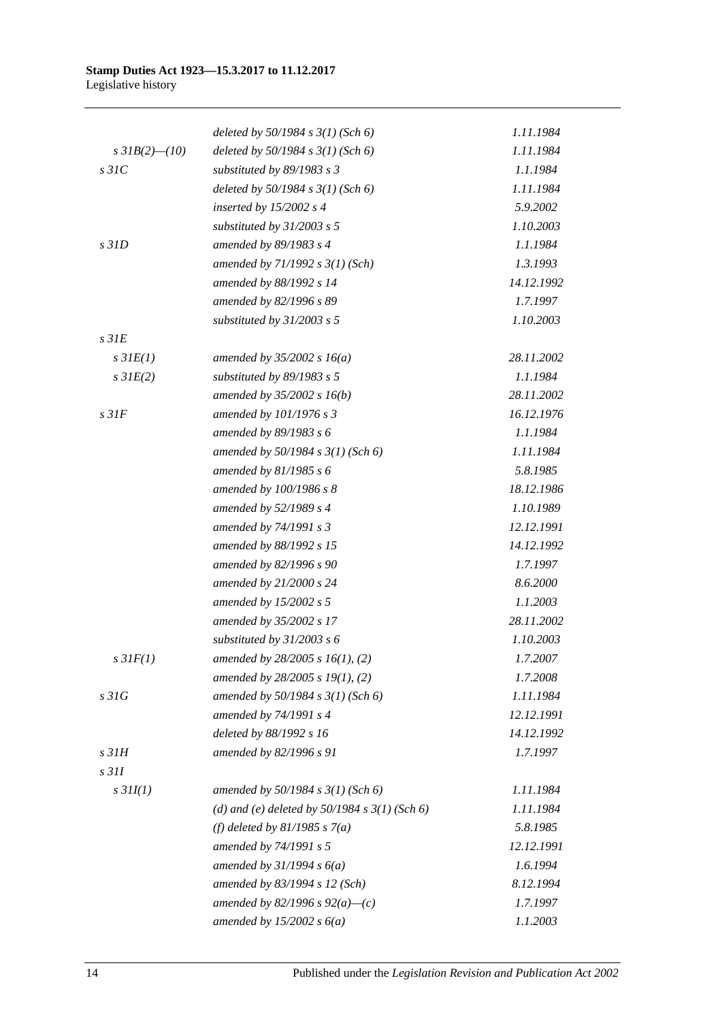|                     | deleted by $50/1984$ s $3(1)$ (Sch 6)             | 1.11.1984  |
|---------------------|---------------------------------------------------|------------|
| s $3IB(2)$ - $(10)$ | deleted by $50/1984$ s $3(1)$ (Sch 6)             | 1.11.1984  |
| $s$ 31 $C$          | substituted by $89/1983$ s 3                      | 1.1.1984   |
|                     | deleted by $50/1984$ s $3(1)$ (Sch 6)             | 1.11.1984  |
|                     | inserted by $15/2002$ s 4                         | 5.9.2002   |
|                     | substituted by $31/2003$ s 5                      | 1.10.2003  |
| $s$ 31 $D$          | amended by 89/1983 s 4                            | 1.1.1984   |
|                     | amended by $71/1992 s 3(1)$ (Sch)                 | 1.3.1993   |
|                     | amended by 88/1992 s 14                           | 14.12.1992 |
|                     | amended by 82/1996 s 89                           | 1.7.1997   |
|                     | substituted by $31/2003$ s 5                      | 1.10.2003  |
| s <sub>31E</sub>    |                                                   |            |
| $s$ 31 $E(1)$       | amended by $35/2002 s 16(a)$                      | 28.11.2002 |
| $s$ 31 $E(2)$       | substituted by $89/1983$ s 5                      | 1.1.1984   |
|                     | amended by $35/2002 s 16(b)$                      | 28.11.2002 |
| s <sub>31F</sub>    | amended by 101/1976 s 3                           | 16.12.1976 |
|                     | amended by 89/1983 s 6                            | 1.1.1984   |
|                     | amended by $50/1984 s 3(1)$ (Sch 6)               | 1.11.1984  |
|                     | amended by $81/1985 s 6$                          | 5.8.1985   |
|                     | amended by 100/1986 s 8                           | 18.12.1986 |
|                     | amended by 52/1989 s 4                            | 1.10.1989  |
|                     | amended by 74/1991 s 3                            | 12.12.1991 |
|                     | amended by 88/1992 s 15                           | 14.12.1992 |
|                     | amended by 82/1996 s 90                           | 1.7.1997   |
|                     | amended by 21/2000 s 24                           | 8.6.2000   |
|                     | amended by $15/2002$ s 5                          | 1.1.2003   |
|                     | amended by 35/2002 s 17                           | 28.11.2002 |
|                     | substituted by $31/2003$ s 6                      | 1.10.2003  |
| $s\,3IF(1)$         | amended by $28/2005$ s $16(1)$ , (2)              | 1.7.2007   |
|                     | amended by $28/2005$ s $19(1)$ , (2)              | 1.7.2008   |
| s31G                | amended by 50/1984 s 3(1) (Sch 6)                 | 1.11.1984  |
|                     | amended by 74/1991 s 4                            | 12.12.1991 |
|                     | deleted by 88/1992 s 16                           | 14.12.1992 |
| s <sub>31H</sub>    | amended by 82/1996 s 91                           | 1.7.1997   |
| s <sub>311</sub>    |                                                   |            |
| $s$ 31I(1)          | amended by $50/1984$ s $3(1)$ (Sch 6)             | 1.11.1984  |
|                     | (d) and (e) deleted by $50/1984$ s $3(1)$ (Sch 6) | 1.11.1984  |
|                     | (f) deleted by $81/1985$ s $7(a)$                 | 5.8.1985   |
|                     | amended by 74/1991 s 5                            | 12.12.1991 |
|                     | amended by $31/1994 s 6(a)$                       | 1.6.1994   |
|                     | amended by 83/1994 s 12 (Sch)                     | 8.12.1994  |
|                     | amended by 82/1996 s $92(a)$ —(c)                 | 1.7.1997   |
|                     | amended by $15/2002 s 6(a)$                       | 1.1.2003   |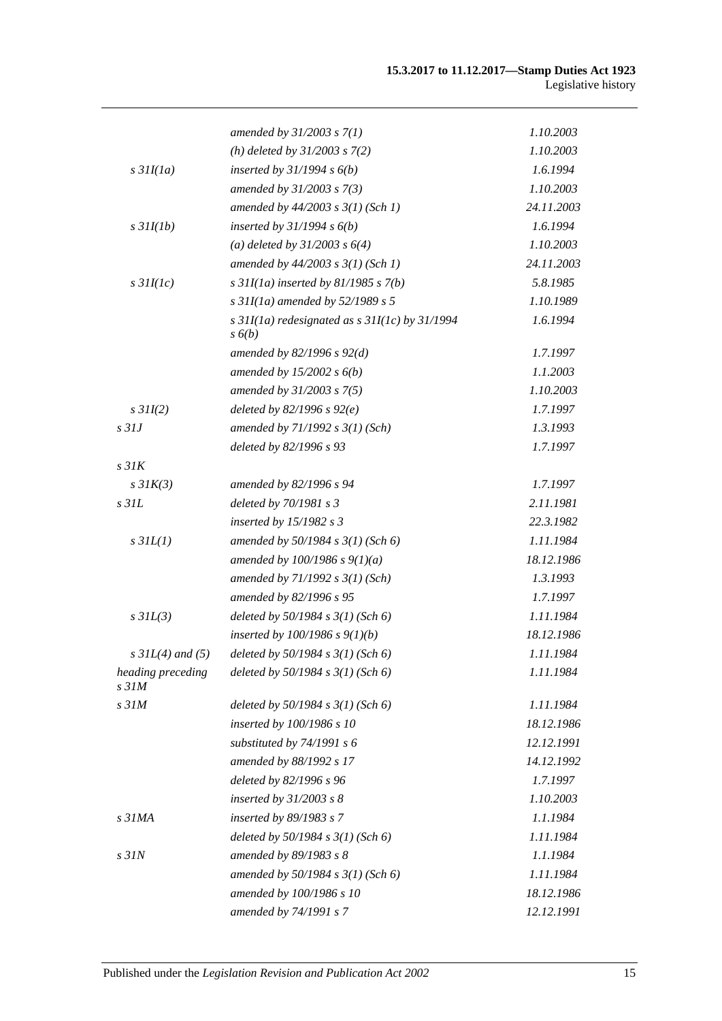|                                       | amended by $31/2003 s 7(1)$                                          | 1.10.2003  |
|---------------------------------------|----------------------------------------------------------------------|------------|
|                                       | (h) deleted by $31/2003$ s $7(2)$                                    | 1.10.2003  |
| $s$ 31 $I(1a)$                        | inserted by $31/1994 s 6(b)$                                         | 1.6.1994   |
|                                       | amended by 31/2003 s 7(3)                                            | 1.10.2003  |
|                                       | amended by $44/2003$ s $3(1)$ (Sch 1)                                | 24.11.2003 |
| $s$ 31I(1b)                           | inserted by $31/1994 s 6(b)$                                         | 1.6.1994   |
|                                       | (a) deleted by $31/2003$ s $6(4)$                                    | 1.10.2003  |
|                                       | amended by $44/2003$ s $3(1)$ (Sch 1)                                | 24.11.2003 |
| $s$ 31I(1c)                           | s $31I(1a)$ inserted by $81/1985$ s $7(b)$                           | 5.8.1985   |
|                                       | s $31I(1a)$ amended by $52/1989$ s 5                                 | 1.10.1989  |
|                                       | s $31I(1a)$ redesignated as s $31I(1c)$ by $31/1994$<br>$s\delta(b)$ | 1.6.1994   |
|                                       | amended by $82/1996 s 92(d)$                                         | 1.7.1997   |
|                                       | amended by $15/2002 s 6(b)$                                          | 1.1.2003   |
|                                       | amended by 31/2003 s 7(5)                                            | 1.10.2003  |
| $s$ 31I(2)                            | deleted by $82/1996 s 92(e)$                                         | 1.7.1997   |
| $s$ 31J                               | amended by $71/1992 s 3(1) (Sch)$                                    | 1.3.1993   |
|                                       | deleted by 82/1996 s 93                                              | 1.7.1997   |
| s <sub>31K</sub>                      |                                                                      |            |
| $s$ 31 $K(3)$                         | amended by 82/1996 s 94                                              | 1.7.1997   |
| $s$ 31 $L$                            | deleted by $70/1981 s3$                                              | 2.11.1981  |
|                                       | inserted by $15/1982$ s 3                                            | 22.3.1982  |
| $s$ 31 $L(1)$                         | amended by $50/1984 s 3(1)$ (Sch 6)                                  | 1.11.1984  |
|                                       | amended by $100/1986$ s $9(1)(a)$                                    | 18.12.1986 |
|                                       | amended by $71/1992 s 3(1) (Sch)$                                    | 1.3.1993   |
|                                       | amended by 82/1996 s 95                                              | 1.7.1997   |
| $s$ 31 $L(3)$                         | deleted by $50/1984$ s $3(1)$ (Sch 6)                                | 1.11.1984  |
|                                       | inserted by $100/1986$ s $9(1)(b)$                                   | 18.12.1986 |
| $s$ 31L(4) and (5)                    | deleted by $50/1984$ s $3(1)$ (Sch 6)                                | 1.11.1984  |
| heading preceding<br>s <sub>31M</sub> | deleted by $50/1984$ s $3(1)$ (Sch 6)                                | 1.11.1984  |
| s <sub>31M</sub>                      | deleted by $50/1984$ s $3(1)$ (Sch 6)                                | 1.11.1984  |
|                                       | inserted by 100/1986 s 10                                            | 18.12.1986 |
|                                       | substituted by $74/1991$ s 6                                         | 12.12.1991 |
|                                       | amended by 88/1992 s 17                                              | 14.12.1992 |
|                                       | deleted by 82/1996 s 96                                              | 1.7.1997   |
|                                       | inserted by $31/2003$ s $8$                                          | 1.10.2003  |
| s <sub>31MA</sub>                     | inserted by 89/1983 s 7                                              | 1.1.1984   |
|                                       | deleted by $50/1984$ s $3(1)$ (Sch 6)                                | 1.11.1984  |
| s <sub>31N</sub>                      | amended by 89/1983 s 8                                               | 1.1.1984   |
|                                       | amended by $50/1984 s 3(1)$ (Sch 6)                                  | 1.11.1984  |
|                                       | amended by 100/1986 s 10                                             | 18.12.1986 |
|                                       | amended by 74/1991 s 7                                               | 12.12.1991 |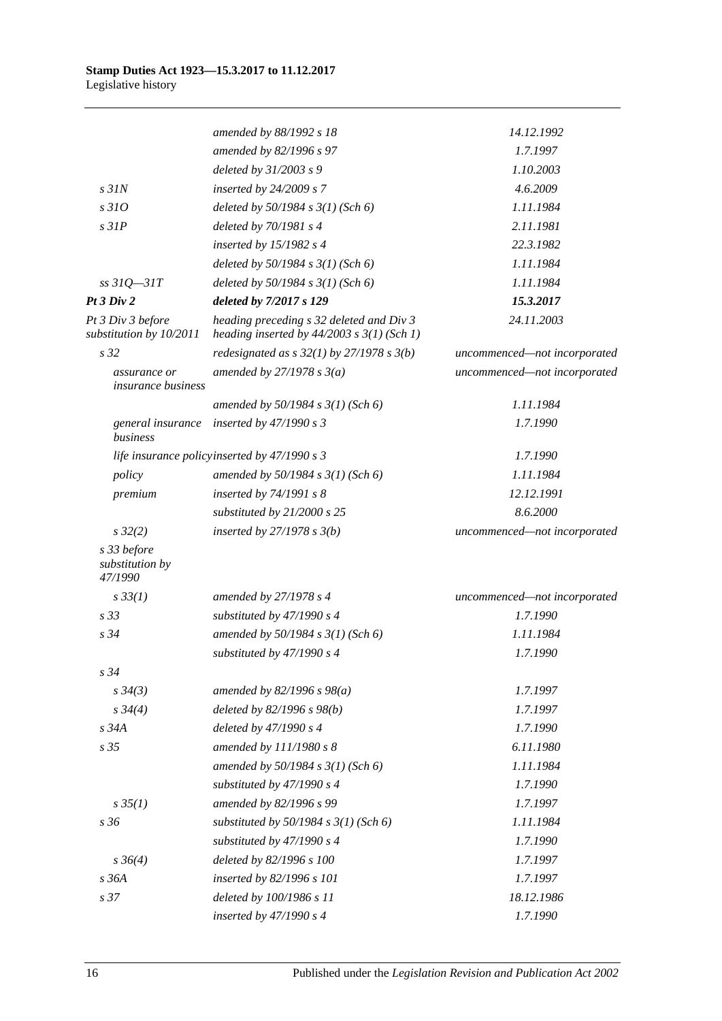|                                              | amended by 88/1992 s 18                                                                    | 14.12.1992                   |
|----------------------------------------------|--------------------------------------------------------------------------------------------|------------------------------|
|                                              | amended by 82/1996 s 97                                                                    | 1.7.1997                     |
|                                              | deleted by 31/2003 s 9                                                                     | 1.10.2003                    |
| $s$ 31 $N$                                   | inserted by $24/2009 s 7$                                                                  | 4.6.2009                     |
| s310                                         | deleted by $50/1984$ s $3(1)$ (Sch 6)                                                      | 1.11.1984                    |
| $s$ 31 $P$                                   | deleted by 70/1981 s 4                                                                     | 2.11.1981                    |
|                                              | inserted by $15/1982$ s 4                                                                  | 22.3.1982                    |
|                                              | deleted by $50/1984$ s $3(1)$ (Sch 6)                                                      | 1.11.1984                    |
| $ss31Q - 31T$                                | deleted by $50/1984$ s $3(1)$ (Sch 6)                                                      | 1.11.1984                    |
| Pt 3 Div 2                                   | deleted by 7/2017 s 129                                                                    | 15.3.2017                    |
| Pt 3 Div 3 before<br>substitution by 10/2011 | heading preceding s 32 deleted and Div 3<br>heading inserted by $44/2003$ s $3(1)$ (Sch 1) | 24.11.2003                   |
| s <sub>32</sub>                              | redesignated as $s$ 32(1) by 27/1978 $s$ 3(b)                                              | uncommenced-not incorporated |
| assurance or<br><i>insurance business</i>    | amended by $27/1978 s 3(a)$                                                                | uncommenced-not incorporated |
|                                              | amended by $50/1984 s 3(1)$ (Sch 6)                                                        | 1.11.1984                    |
| general insurance<br>business                | inserted by $47/1990 s3$                                                                   | 1.7.1990                     |
|                                              | life insurance policyinserted by 47/1990 s 3                                               | 1.7.1990                     |
| policy                                       | amended by $50/1984 s 3(1)$ (Sch 6)                                                        | 1.11.1984                    |
| premium                                      | inserted by $74/1991 s 8$                                                                  | 12.12.1991                   |
|                                              | substituted by $21/2000$ s 25                                                              | 8.6.2000                     |
| $s\,32(2)$                                   | inserted by $27/1978 s 3(b)$                                                               | uncommenced-not incorporated |
| s 33 before<br>substitution by<br>47/1990    |                                                                                            |                              |
| $s \, 33(1)$                                 | amended by 27/1978 s 4                                                                     | uncommenced-not incorporated |
| s <sub>33</sub>                              | substituted by 47/1990 s 4                                                                 | 1.7.1990                     |
| s34                                          | amended by 50/1984 s 3(1) (Sch 6)                                                          | 1.11.1984                    |
|                                              | substituted by 47/1990 s 4                                                                 | 1.7.1990                     |
| $s\,34$                                      |                                                                                            |                              |
| $s \, 34(3)$                                 | amended by $82/1996 s 98(a)$                                                               | 1.7.1997                     |
| $s \frac{34}{4}$                             | deleted by 82/1996 s 98(b)                                                                 | 1.7.1997                     |
| s 34A                                        | deleted by 47/1990 s 4                                                                     | 1.7.1990                     |
| s 35                                         | amended by 111/1980 s 8                                                                    | 6.11.1980                    |
|                                              | amended by 50/1984 s 3(1) (Sch 6)                                                          | 1.11.1984                    |
|                                              | substituted by $47/1990 s 4$                                                               | 1.7.1990                     |
| $s \, 35(1)$                                 | amended by 82/1996 s 99                                                                    | 1.7.1997                     |
| s 36                                         | substituted by $50/1984$ s $3(1)$ (Sch 6)                                                  | 1.11.1984                    |
|                                              | substituted by $47/1990 s 4$                                                               | 1.7.1990                     |
| $s \, 36(4)$                                 | deleted by 82/1996 s 100                                                                   | 1.7.1997                     |
| s36A                                         | inserted by 82/1996 s 101                                                                  | 1.7.1997                     |
| s 37                                         | deleted by 100/1986 s 11                                                                   | 18.12.1986                   |
|                                              | inserted by $47/1990 s 4$                                                                  | 1.7.1990                     |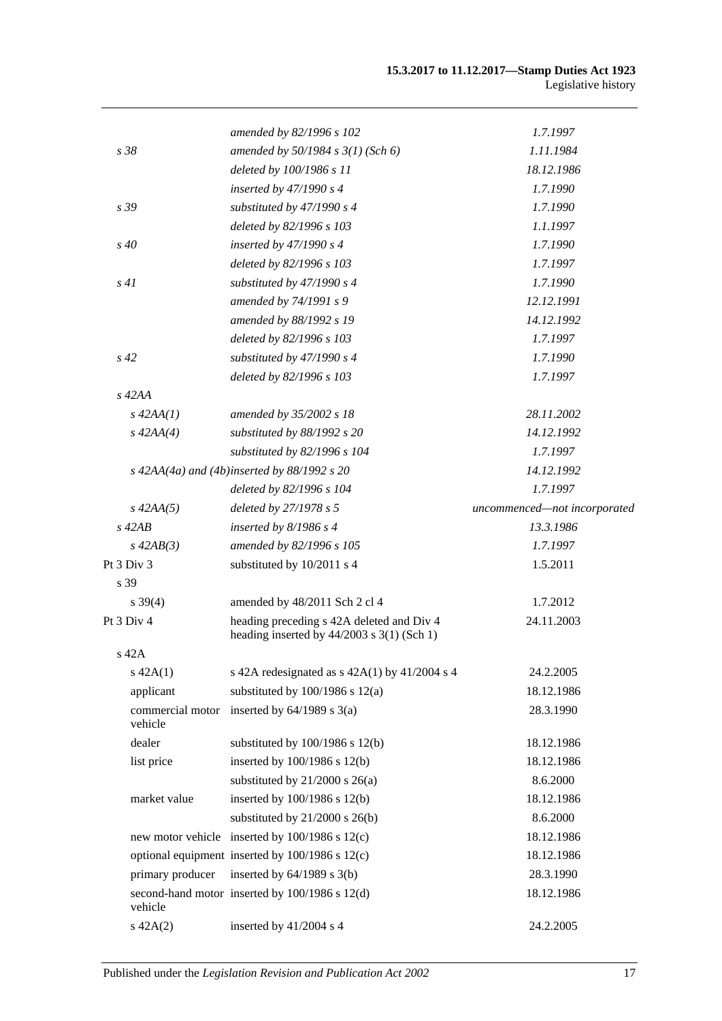|                             | amended by 82/1996 s 102                                                                  | 1.7.1997                     |
|-----------------------------|-------------------------------------------------------------------------------------------|------------------------------|
| s 38                        | amended by $50/1984 s 3(1)$ (Sch 6)                                                       | 1.11.1984                    |
|                             | deleted by 100/1986 s 11                                                                  | 18.12.1986                   |
|                             | inserted by $47/1990 s 4$                                                                 | 1.7.1990                     |
| s 39                        | substituted by 47/1990 s 4                                                                | 1.7.1990                     |
|                             | deleted by 82/1996 s 103                                                                  | 1.1.1997                     |
| $s\,40$                     | inserted by $47/1990 s 4$                                                                 | 1.7.1990                     |
|                             | deleted by 82/1996 s 103                                                                  | 1.7.1997                     |
| s41                         | substituted by $47/1990 s 4$                                                              | 1.7.1990                     |
|                             | amended by 74/1991 s 9                                                                    | 12.12.1991                   |
|                             | amended by 88/1992 s 19                                                                   | 14.12.1992                   |
|                             | deleted by 82/1996 s 103                                                                  | 1.7.1997                     |
| $s\,42$                     | substituted by $47/1990 s 4$                                                              | 1.7.1990                     |
|                             | deleted by 82/1996 s 103                                                                  | 1.7.1997                     |
| $s\,42AA$                   |                                                                                           |                              |
| $s\,42AA(1)$                | amended by 35/2002 s 18                                                                   | 28.11.2002                   |
| $s\,42AA(4)$                | substituted by 88/1992 s 20                                                               | 14.12.1992                   |
|                             | substituted by 82/1996 s 104                                                              | 1.7.1997                     |
|                             | $s$ 42AA(4a) and (4b)inserted by 88/1992 s 20                                             | 14.12.1992                   |
|                             | deleted by 82/1996 s 104                                                                  | 1.7.1997                     |
| $s\,42AA(5)$                | deleted by 27/1978 s 5                                                                    | uncommenced-not incorporated |
| $s\ 42AB$                   | inserted by $8/1986$ s 4                                                                  | 13.3.1986                    |
| $s\,42AB(3)$                | amended by 82/1996 s 105                                                                  | 1.7.1997                     |
| Pt 3 Div 3                  | substituted by 10/2011 s 4                                                                | 1.5.2011                     |
| s 39                        |                                                                                           |                              |
| $s \, 39(4)$                | amended by 48/2011 Sch 2 cl 4                                                             | 1.7.2012                     |
| Pt $3$ Div $4$              | heading preceding s 42A deleted and Div 4<br>heading inserted by $44/2003$ s 3(1) (Sch 1) | 24.11.2003                   |
| $s$ 42 $A$                  |                                                                                           |                              |
| $s\ 42A(1)$                 | s 42A redesignated as $s$ 42A(1) by 41/2004 s 4                                           | 24.2.2005                    |
| applicant                   | substituted by $100/1986$ s $12(a)$                                                       | 18.12.1986                   |
| commercial motor<br>vehicle | inserted by $64/1989$ s $3(a)$                                                            | 28.3.1990                    |
| dealer                      | substituted by $100/1986$ s $12(b)$                                                       | 18.12.1986                   |
| list price                  | inserted by 100/1986 s 12(b)                                                              | 18.12.1986                   |
|                             | substituted by $21/2000$ s $26(a)$                                                        | 8.6.2000                     |
| market value                | inserted by 100/1986 s 12(b)                                                              | 18.12.1986                   |
|                             | substituted by $21/2000$ s $26(b)$                                                        | 8.6.2000                     |
|                             | new motor vehicle inserted by 100/1986 s 12(c)                                            | 18.12.1986                   |
|                             | optional equipment inserted by 100/1986 s 12(c)                                           | 18.12.1986                   |
| primary producer            | inserted by $64/1989$ s $3(b)$                                                            | 28.3.1990                    |
| vehicle                     | second-hand motor inserted by 100/1986 s 12(d)                                            | 18.12.1986                   |
| $s\ 42A(2)$                 | inserted by 41/2004 s 4                                                                   | 24.2.2005                    |
|                             |                                                                                           |                              |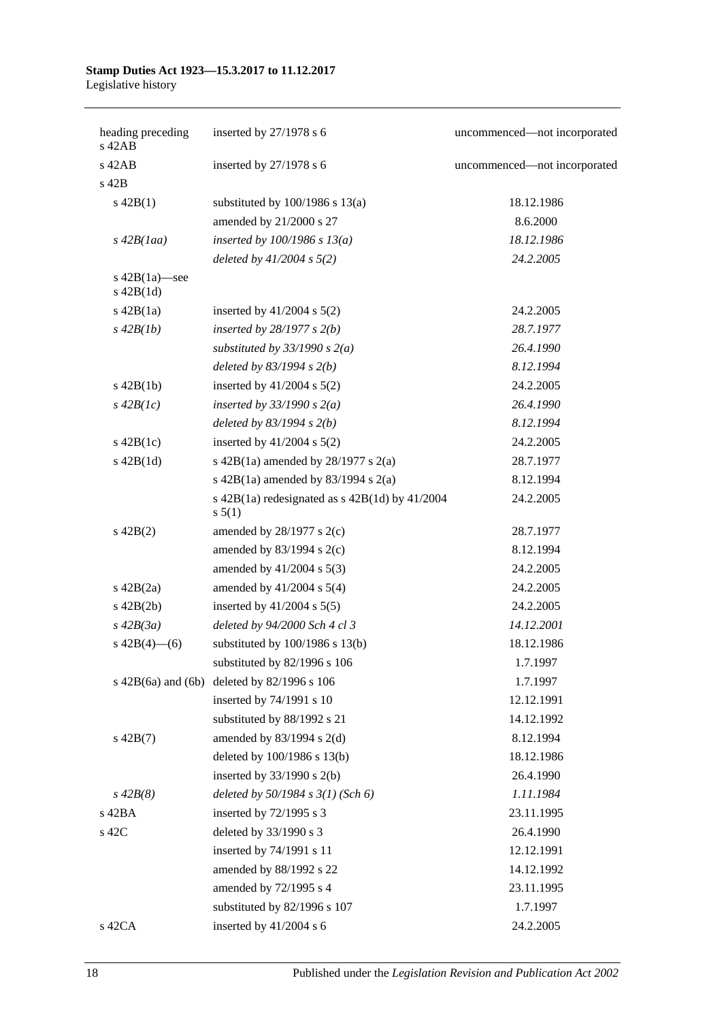| heading preceding<br>s 42AB   | inserted by $27/1978$ s 6                                      | uncommenced-not incorporated |
|-------------------------------|----------------------------------------------------------------|------------------------------|
| $s$ 42 $AB$                   | inserted by $27/1978$ s 6                                      | uncommenced-not incorporated |
| s 42B                         |                                                                |                              |
| $s\ 42B(1)$                   | substituted by $100/1986$ s $13(a)$                            | 18.12.1986                   |
|                               | amended by 21/2000 s 27                                        | 8.6.2000                     |
| $s\,42B(1aa)$                 | inserted by $100/1986$ s $13(a)$                               | 18.12.1986                   |
|                               | deleted by $41/2004$ s $5(2)$                                  | 24.2.2005                    |
| s 42B(1a)-see<br>$s\ 42B(1d)$ |                                                                |                              |
| $s\ 42B(1a)$                  | inserted by $41/2004$ s $5(2)$                                 | 24.2.2005                    |
| $s\,42B(1b)$                  | inserted by $28/1977 s 2(b)$                                   | 28.7.1977                    |
|                               | substituted by $33/1990 s 2(a)$                                | 26.4.1990                    |
|                               | deleted by $83/1994 s 2(b)$                                    | 8.12.1994                    |
| $s\ 42B(1b)$                  | inserted by $41/2004$ s $5(2)$                                 | 24.2.2005                    |
| $s\,42B(1c)$                  | inserted by $33/1990 s 2(a)$                                   | 26.4.1990                    |
|                               | deleted by $83/1994$ s $2(b)$                                  | 8.12.1994                    |
| $s\ 42B(1c)$                  | inserted by $41/2004$ s $5(2)$                                 | 24.2.2005                    |
| $s$ 42B $(1d)$                | s 42B(1a) amended by $28/1977$ s $2(a)$                        | 28.7.1977                    |
|                               | s $42B(1a)$ amended by $83/1994$ s $2(a)$                      | 8.12.1994                    |
|                               | s $42B(1a)$ redesignated as s $42B(1d)$ by $41/2004$<br>s 5(1) | 24.2.2005                    |
| $s\ 42B(2)$                   | amended by $28/1977$ s $2(c)$                                  | 28.7.1977                    |
|                               | amended by $83/1994$ s $2(c)$                                  | 8.12.1994                    |
|                               | amended by 41/2004 s 5(3)                                      | 24.2.2005                    |
| $s\ 42B(2a)$                  | amended by $41/2004$ s $5(4)$                                  | 24.2.2005                    |
| $s\ 42B(2b)$                  | inserted by $41/2004$ s $5(5)$                                 | 24.2.2005                    |
| $s\,42B(3a)$                  | deleted by 94/2000 Sch 4 cl 3                                  | 14.12.2001                   |
| $s\ 42B(4)$ (6)               | substituted by $100/1986$ s $13(b)$                            | 18.12.1986                   |
|                               | substituted by 82/1996 s 106                                   | 1.7.1997                     |
|                               | s $42B(6a)$ and $(6b)$ deleted by $82/1996$ s $106$            | 1.7.1997                     |
|                               | inserted by 74/1991 s 10                                       | 12.12.1991                   |
|                               | substituted by 88/1992 s 21                                    | 14.12.1992                   |
| $s\ 42B(7)$                   | amended by $83/1994$ s 2(d)                                    | 8.12.1994                    |
|                               | deleted by 100/1986 s 13(b)                                    | 18.12.1986                   |
|                               | inserted by $33/1990$ s 2(b)                                   | 26.4.1990                    |
| $s\,42B(8)$                   | deleted by $50/1984$ s $3(1)$ (Sch 6)                          | 1.11.1984                    |
| s 42BA                        | inserted by 72/1995 s 3                                        | 23.11.1995                   |
| s 42C                         | deleted by 33/1990 s 3                                         | 26.4.1990                    |
|                               | inserted by 74/1991 s 11                                       | 12.12.1991                   |
|                               | amended by 88/1992 s 22                                        | 14.12.1992                   |
|                               | amended by 72/1995 s 4                                         | 23.11.1995                   |
|                               | substituted by 82/1996 s 107                                   | 1.7.1997                     |
| s 42CA                        | inserted by 41/2004 s 6                                        | 24.2.2005                    |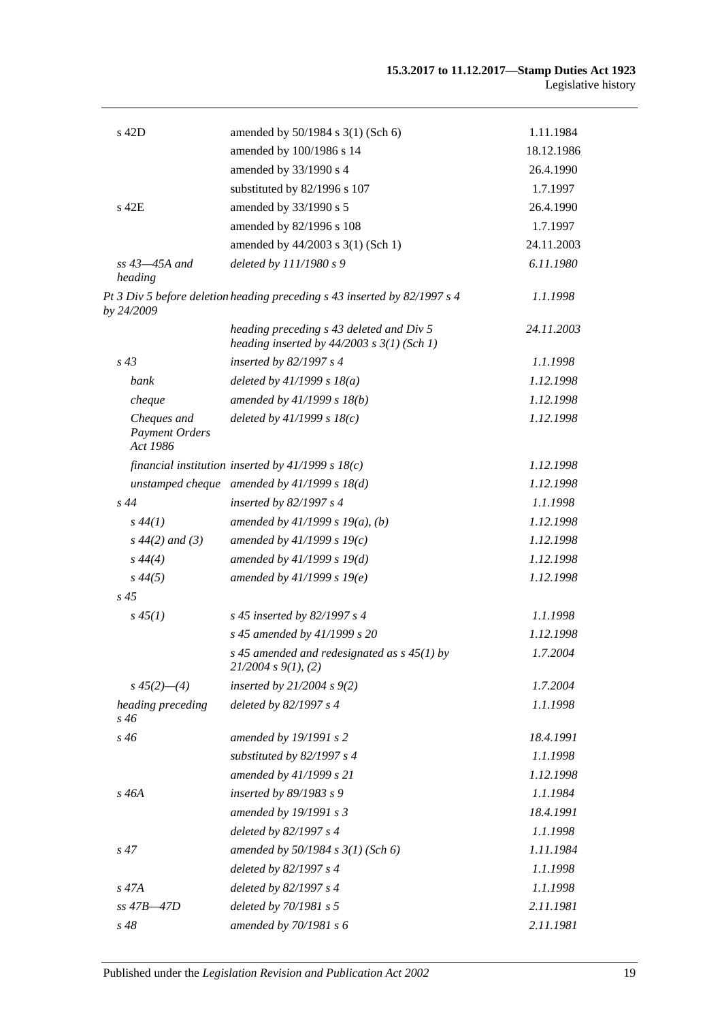| s 42D                                            | amended by 50/1984 s 3(1) (Sch 6)                                                          | 1.11.1984  |
|--------------------------------------------------|--------------------------------------------------------------------------------------------|------------|
|                                                  | amended by 100/1986 s 14                                                                   | 18.12.1986 |
|                                                  | amended by 33/1990 s 4                                                                     | 26.4.1990  |
|                                                  | substituted by 82/1996 s 107                                                               | 1.7.1997   |
| s 42E                                            | amended by 33/1990 s 5                                                                     | 26.4.1990  |
|                                                  | amended by 82/1996 s 108                                                                   | 1.7.1997   |
|                                                  | amended by 44/2003 s 3(1) (Sch 1)                                                          | 24.11.2003 |
| $ss$ 43 $-45A$ and<br>heading                    | deleted by 111/1980 s 9                                                                    | 6.11.1980  |
| by 24/2009                                       | Pt 3 Div 5 before deletion heading preceding s 43 inserted by 82/1997 s 4                  | 1.1.1998   |
|                                                  | heading preceding s 43 deleted and Div 5<br>heading inserted by $44/2003$ s $3(1)$ (Sch 1) | 24.11.2003 |
| $s\,43$                                          | inserted by $82/1997 s 4$                                                                  | 1.1.1998   |
| bank                                             | deleted by $41/1999 s 18(a)$                                                               | 1.12.1998  |
| cheque                                           | amended by $41/1999 s 18(b)$                                                               | 1.12.1998  |
| Cheques and<br><b>Payment Orders</b><br>Act 1986 | deleted by $41/1999 s 18(c)$                                                               | 1.12.1998  |
|                                                  | financial institution inserted by $41/1999 s 18(c)$                                        | 1.12.1998  |
|                                                  | unstamped cheque amended by $41/1999 s 18(d)$                                              | 1.12.1998  |
| $s\,44$                                          | inserted by $82/1997 s 4$                                                                  | 1.1.1998   |
| $s\,44(1)$                                       | amended by $41/1999 s 19(a)$ , (b)                                                         | 1.12.1998  |
| $s\,44(2)$ and (3)                               | amended by $41/1999 s 19(c)$                                                               | 1.12.1998  |
| $s\,44(4)$                                       | amended by $41/1999 s 19(d)$                                                               | 1.12.1998  |
| $s\,44(5)$                                       | amended by $41/1999 s 19(e)$                                                               | 1.12.1998  |
| $s\,45$                                          |                                                                                            |            |
| $s\,45(1)$                                       | s 45 inserted by 82/1997 s 4                                                               | 1.1.1998   |
|                                                  | s 45 amended by 41/1999 s 20                                                               | 1.12.1998  |
|                                                  | s 45 amended and redesignated as $s$ 45(1) by<br>21/2004 s 9(1), (2)                       | 1.7.2004   |
| $s\,45(2)$ —(4)                                  | inserted by $21/2004 s 9(2)$                                                               | 1.7.2004   |
| heading preceding<br>s 46                        | deleted by 82/1997 s 4                                                                     | 1.1.1998   |
| $s\,46$                                          | amended by 19/1991 s 2                                                                     | 18.4.1991  |
|                                                  | substituted by 82/1997 s 4                                                                 | 1.1.1998   |
|                                                  | amended by 41/1999 s 21                                                                    | 1.12.1998  |
| s 46A                                            | inserted by 89/1983 s 9                                                                    | 1.1.1984   |
|                                                  | amended by 19/1991 s 3                                                                     | 18.4.1991  |
|                                                  | deleted by 82/1997 s 4                                                                     | 1.1.1998   |
| $s\,47$                                          | amended by $50/1984$ s $3(1)$ (Sch 6)                                                      | 1.11.1984  |
|                                                  | deleted by 82/1997 s 4                                                                     | 1.1.1998   |
| $s\,47A$                                         | deleted by 82/1997 s 4                                                                     | 1.1.1998   |
| ss 47B-47D                                       | deleted by 70/1981 s 5                                                                     | 2.11.1981  |
| s 48                                             | amended by 70/1981 s 6                                                                     | 2.11.1981  |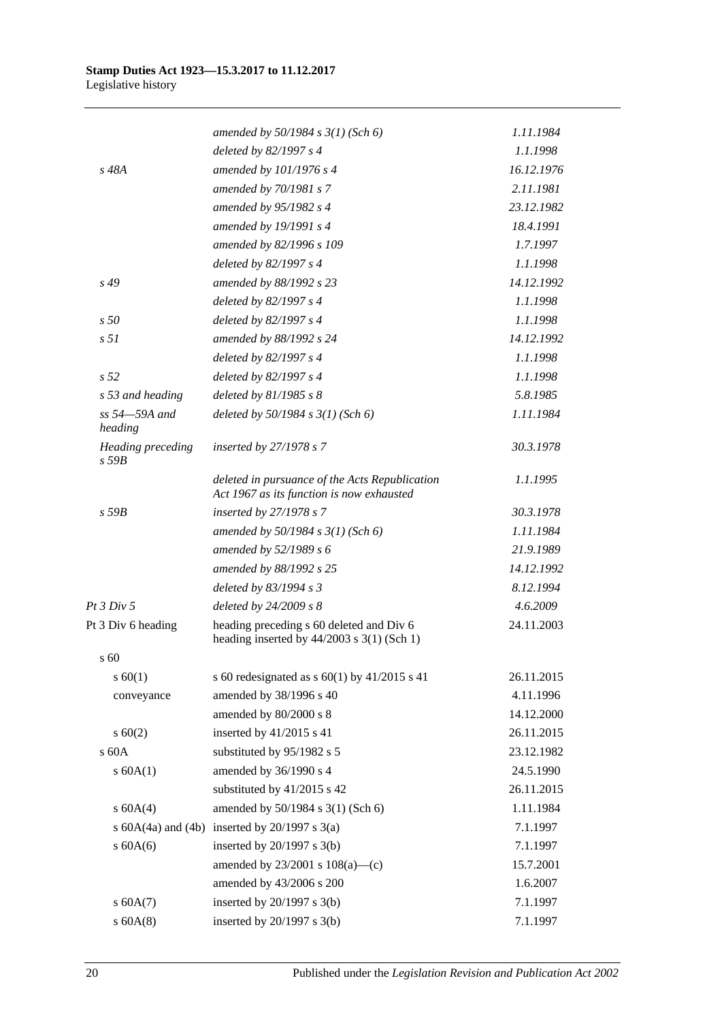|                                 | amended by $50/1984$ s $3(1)$ (Sch 6)                                                       | 1.11.1984  |
|---------------------------------|---------------------------------------------------------------------------------------------|------------|
|                                 | deleted by 82/1997 s 4                                                                      | 1.1.1998   |
| s 48A                           | amended by 101/1976 s 4                                                                     | 16.12.1976 |
|                                 | amended by 70/1981 s 7                                                                      | 2.11.1981  |
|                                 | amended by 95/1982 s 4                                                                      | 23.12.1982 |
|                                 | amended by 19/1991 s 4                                                                      | 18.4.1991  |
|                                 | amended by 82/1996 s 109                                                                    | 1.7.1997   |
|                                 | deleted by 82/1997 s 4                                                                      | 1.1.1998   |
| s 49                            | amended by 88/1992 s 23                                                                     | 14.12.1992 |
|                                 | deleted by 82/1997 s 4                                                                      | 1.1.1998   |
| s50                             | deleted by 82/1997 s 4                                                                      | 1.1.1998   |
| s <sub>51</sub>                 | amended by 88/1992 s 24                                                                     | 14.12.1992 |
|                                 | deleted by 82/1997 s 4                                                                      | 1.1.1998   |
| s <sub>52</sub>                 | deleted by 82/1997 s 4                                                                      | 1.1.1998   |
| s 53 and heading                | deleted by $81/1985 s 8$                                                                    | 5.8.1985   |
| ss 54-59A and<br>heading        | deleted by $50/1984$ s $3(1)$ (Sch 6)                                                       | 1.11.1984  |
| Heading preceding<br>$s$ 59 $B$ | inserted by $27/1978 s 7$                                                                   | 30.3.1978  |
|                                 | deleted in pursuance of the Acts Republication<br>Act 1967 as its function is now exhausted | 1.1.1995   |
| $s$ 59 $B$                      | inserted by 27/1978 s 7                                                                     | 30.3.1978  |
|                                 | amended by $50/1984 s 3(1)$ (Sch 6)                                                         | 1.11.1984  |
|                                 | amended by 52/1989 s 6                                                                      | 21.9.1989  |
|                                 | amended by 88/1992 s 25                                                                     | 14.12.1992 |
|                                 | deleted by 83/1994 s 3                                                                      | 8.12.1994  |
| Pt 3 Div 5                      | deleted by $24/2009 s 8$                                                                    | 4.6.2009   |
| Pt 3 Div 6 heading              | heading preceding s 60 deleted and Div 6<br>heading inserted by $44/2003$ s 3(1) (Sch 1)    | 24.11.2003 |
| s 60                            |                                                                                             |            |
| s 60(1)                         | s 60 redesignated as s 60(1) by $41/2015$ s 41                                              | 26.11.2015 |
| conveyance                      | amended by 38/1996 s 40                                                                     | 4.11.1996  |
|                                 | amended by 80/2000 s 8                                                                      | 14.12.2000 |
| $s \ 60(2)$                     | inserted by 41/2015 s 41                                                                    | 26.11.2015 |
| s 60A                           | substituted by 95/1982 s 5                                                                  | 23.12.1982 |
| s 60A(1)                        | amended by 36/1990 s 4                                                                      | 24.5.1990  |
|                                 | substituted by 41/2015 s 42                                                                 | 26.11.2015 |
| s 60A(4)                        | amended by 50/1984 s 3(1) (Sch 6)                                                           | 1.11.1984  |
|                                 | s $60A(4a)$ and $(4b)$ inserted by $20/1997$ s $3(a)$                                       | 7.1.1997   |
| $s$ 60A(6)                      | inserted by $20/1997$ s $3(b)$                                                              | 7.1.1997   |
|                                 | amended by $23/2001$ s $108(a)$ —(c)                                                        | 15.7.2001  |
|                                 | amended by 43/2006 s 200                                                                    | 1.6.2007   |
| $s$ 60A $(7)$                   | inserted by $20/1997$ s $3(b)$                                                              | 7.1.1997   |
| $s$ 60A $(8)$                   | inserted by $20/1997$ s $3(b)$                                                              | 7.1.1997   |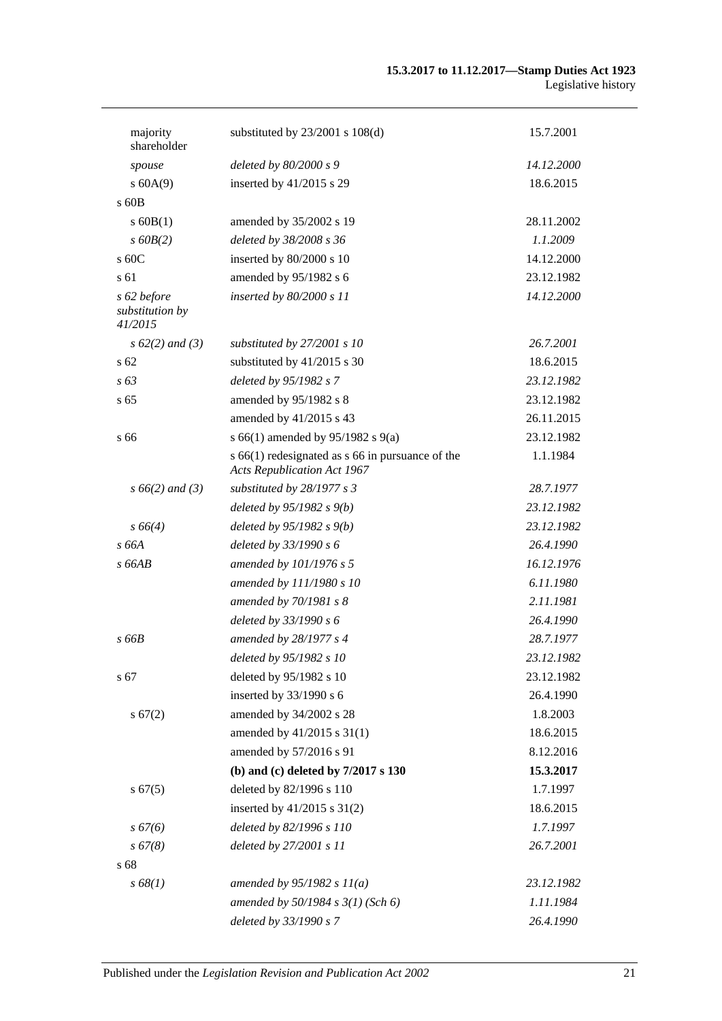| majority                                  | substituted by $23/2001$ s $108(d)$                                                        | 15.7.2001  |
|-------------------------------------------|--------------------------------------------------------------------------------------------|------------|
| shareholder                               |                                                                                            |            |
| spouse                                    | deleted by 80/2000 s 9                                                                     | 14.12.2000 |
| s 60A(9)                                  | inserted by 41/2015 s 29                                                                   | 18.6.2015  |
| $\rm s$ 60B                               |                                                                                            |            |
| $s$ 60B(1)                                | amended by 35/2002 s 19                                                                    | 28.11.2002 |
| $s$ 60 $B(2)$                             | deleted by 38/2008 s 36                                                                    | 1.1.2009   |
| s 60C                                     | inserted by 80/2000 s 10                                                                   | 14.12.2000 |
| s 61                                      | amended by 95/1982 s 6                                                                     | 23.12.1982 |
| s 62 before<br>substitution by<br>41/2015 | inserted by 80/2000 s 11                                                                   | 14.12.2000 |
| $s\ 62(2)$ and (3)                        | substituted by 27/2001 s 10                                                                | 26.7.2001  |
| $\sqrt{62}$                               | substituted by 41/2015 s 30                                                                | 18.6.2015  |
| $s\,63$                                   | deleted by 95/1982 s 7                                                                     | 23.12.1982 |
| s <sub>65</sub>                           | amended by 95/1982 s 8                                                                     | 23.12.1982 |
|                                           | amended by 41/2015 s 43                                                                    | 26.11.2015 |
| s 66                                      | s 66(1) amended by 95/1982 s 9(a)                                                          | 23.12.1982 |
|                                           | $s$ 66(1) redesignated as $s$ 66 in pursuance of the<br><b>Acts Republication Act 1967</b> | 1.1.1984   |
| $s\,66(2)$ and (3)                        | substituted by 28/1977 s 3                                                                 | 28.7.1977  |
|                                           | deleted by $95/1982 s 9(b)$                                                                | 23.12.1982 |
| $s\,66(4)$                                | deleted by $95/1982 s 9(b)$                                                                | 23.12.1982 |
| s 66A                                     | deleted by 33/1990 s 6                                                                     | 26.4.1990  |
| s66AB                                     | amended by 101/1976 s 5                                                                    | 16.12.1976 |
|                                           | amended by 111/1980 s 10                                                                   | 6.11.1980  |
|                                           | amended by 70/1981 s 8                                                                     | 2.11.1981  |
|                                           | deleted by 33/1990 s 6                                                                     | 26.4.1990  |
| $s$ 66 $B$                                | amended by 28/1977 s 4                                                                     | 28.7.1977  |
|                                           | deleted by 95/1982 s 10                                                                    | 23.12.1982 |
| s 67                                      | deleted by 95/1982 s 10                                                                    | 23.12.1982 |
|                                           | inserted by 33/1990 s 6                                                                    | 26.4.1990  |
| s 67(2)                                   | amended by 34/2002 s 28                                                                    | 1.8.2003   |
|                                           | amended by 41/2015 s 31(1)                                                                 | 18.6.2015  |
|                                           | amended by 57/2016 s 91                                                                    | 8.12.2016  |
|                                           | (b) and (c) deleted by $7/2017$ s $130$                                                    | 15.3.2017  |
| s 67(5)                                   | deleted by 82/1996 s 110                                                                   | 1.7.1997   |
|                                           | inserted by 41/2015 s 31(2)                                                                | 18.6.2015  |
| $s\,67(6)$                                | deleted by 82/1996 s 110                                                                   | 1.7.1997   |
| $s\,67(8)$                                | deleted by 27/2001 s 11                                                                    | 26.7.2001  |
| s 68                                      |                                                                                            |            |
| s 68(1)                                   | amended by $95/1982 s 11(a)$                                                               | 23.12.1982 |
|                                           | amended by 50/1984 s 3(1) (Sch 6)                                                          | 1.11.1984  |
|                                           | deleted by 33/1990 s 7                                                                     | 26.4.1990  |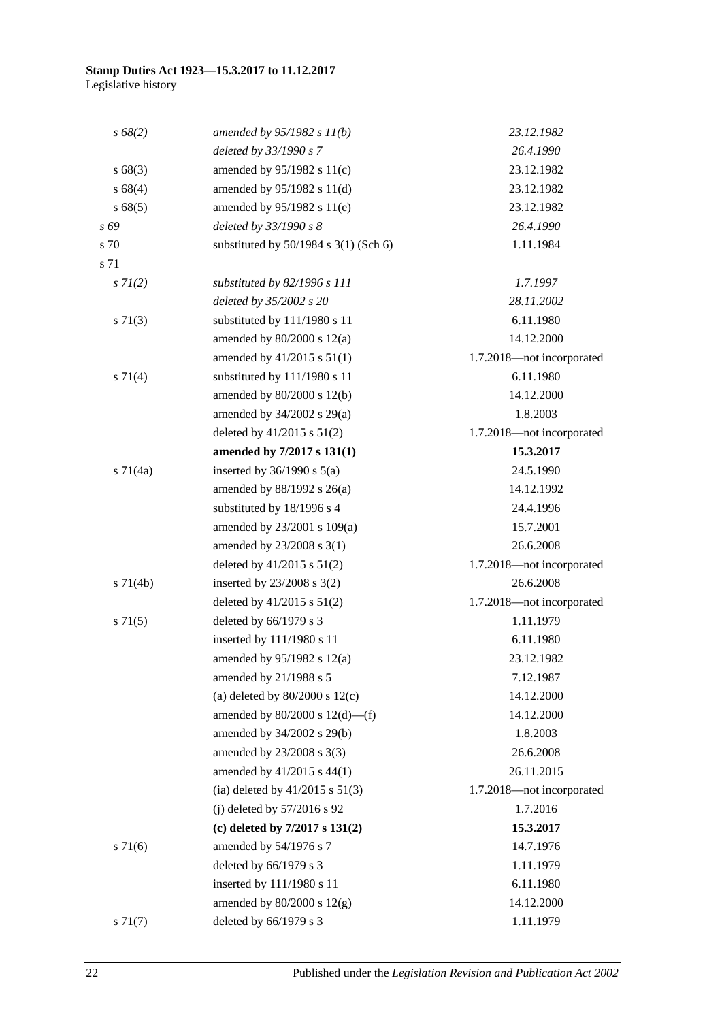| $s\,68(2)$    | amended by $95/1982 s 11(b)$              | 23.12.1982                |
|---------------|-------------------------------------------|---------------------------|
|               | deleted by 33/1990 s 7                    | 26.4.1990                 |
| s 68(3)       | amended by 95/1982 s 11(c)                | 23.12.1982                |
| s 68(4)       | amended by 95/1982 s 11(d)                | 23.12.1982                |
| s 68(5)       | amended by 95/1982 s 11(e)                | 23.12.1982                |
| s 69          | deleted by 33/1990 s 8                    | 26.4.1990                 |
| s 70          | substituted by $50/1984$ s $3(1)$ (Sch 6) | 1.11.1984                 |
| s 71          |                                           |                           |
| $s \, 7I(2)$  | substituted by 82/1996 s 111              | 1.7.1997                  |
|               | deleted by 35/2002 s 20                   | 28.11.2002                |
| $s \, 71(3)$  | substituted by 111/1980 s 11              | 6.11.1980                 |
|               | amended by $80/2000$ s $12(a)$            | 14.12.2000                |
|               | amended by 41/2015 s 51(1)                | 1.7.2018-not incorporated |
| $s \, 71(4)$  | substituted by 111/1980 s 11              | 6.11.1980                 |
|               | amended by 80/2000 s 12(b)                | 14.12.2000                |
|               | amended by $34/2002$ s $29(a)$            | 1.8.2003                  |
|               | deleted by $41/2015$ s $51(2)$            | 1.7.2018-not incorporated |
|               | amended by 7/2017 s 131(1)                | 15.3.2017                 |
| $s \, 71(4a)$ | inserted by $36/1990$ s $5(a)$            | 24.5.1990                 |
|               | amended by 88/1992 s 26(a)                | 14.12.1992                |
|               | substituted by 18/1996 s 4                | 24.4.1996                 |
|               | amended by 23/2001 s 109(a)               | 15.7.2001                 |
|               | amended by 23/2008 s 3(1)                 | 26.6.2008                 |
|               | deleted by $41/2015$ s $51(2)$            | 1.7.2018-not incorporated |
| $s \, 71(4b)$ | inserted by $23/2008$ s $3(2)$            | 26.6.2008                 |
|               | deleted by $41/2015$ s $51(2)$            | 1.7.2018-not incorporated |
| s 71(5)       | deleted by 66/1979 s 3                    | 1.11.1979                 |
|               | inserted by 111/1980 s 11                 | 6.11.1980                 |
|               | amended by $95/1982$ s $12(a)$            | 23.12.1982                |
|               | amended by 21/1988 s 5                    | 7.12.1987                 |
|               | (a) deleted by $80/2000$ s $12(c)$        | 14.12.2000                |
|               | amended by $80/2000$ s $12(d)$ —(f)       | 14.12.2000                |
|               | amended by 34/2002 s 29(b)                | 1.8.2003                  |
|               | amended by 23/2008 s 3(3)                 | 26.6.2008                 |
|               | amended by 41/2015 s 44(1)                | 26.11.2015                |
|               | (ia) deleted by $41/2015$ s $51(3)$       | 1.7.2018-not incorporated |
|               | (j) deleted by $57/2016$ s 92             | 1.7.2016                  |
|               | (c) deleted by $7/2017$ s $131(2)$        | 15.3.2017                 |
| $s \, 71(6)$  | amended by 54/1976 s 7                    | 14.7.1976                 |
|               | deleted by 66/1979 s 3                    | 1.11.1979                 |
|               | inserted by 111/1980 s 11                 | 6.11.1980                 |
|               | amended by $80/2000$ s $12(g)$            | 14.12.2000                |
| $s \, 71(7)$  | deleted by 66/1979 s 3                    | 1.11.1979                 |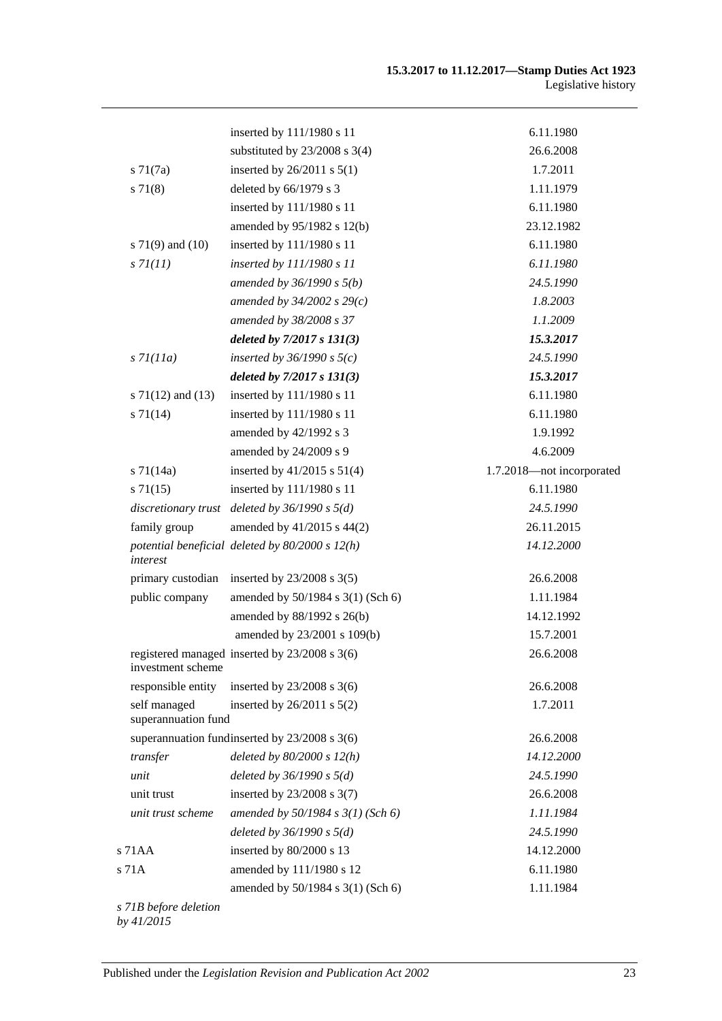|                                     | inserted by 111/1980 s 11                           | 6.11.1980                 |
|-------------------------------------|-----------------------------------------------------|---------------------------|
|                                     | substituted by $23/2008$ s 3(4)                     | 26.6.2008                 |
| $s \, 71(7a)$                       | inserted by $26/2011$ s $5(1)$                      | 1.7.2011                  |
| s 71(8)                             | deleted by 66/1979 s 3                              | 1.11.1979                 |
|                                     | inserted by 111/1980 s 11                           | 6.11.1980                 |
|                                     | amended by 95/1982 s 12(b)                          | 23.12.1982                |
| s $71(9)$ and $(10)$                | inserted by 111/1980 s 11                           | 6.11.1980                 |
| s 71(11)                            | inserted by 111/1980 s 11                           | 6.11.1980                 |
|                                     | amended by $36/1990 s 5(b)$                         | 24.5.1990                 |
|                                     | amended by $34/2002$ s $29(c)$                      | 1.8.2003                  |
|                                     | amended by 38/2008 s 37                             | 1.1.2009                  |
|                                     | deleted by $7/2017 s 131(3)$                        | 15.3.2017                 |
| $s$ 71(11a)                         | inserted by $36/1990$ s $5(c)$                      | 24.5.1990                 |
|                                     | deleted by 7/2017 s 131(3)                          | 15.3.2017                 |
| s $71(12)$ and $(13)$               | inserted by 111/1980 s 11                           | 6.11.1980                 |
| $s \, 71(14)$                       | inserted by 111/1980 s 11                           | 6.11.1980                 |
|                                     | amended by 42/1992 s 3                              | 1.9.1992                  |
|                                     | amended by 24/2009 s 9                              | 4.6.2009                  |
| $s$ 71(14a)                         | inserted by $41/2015$ s $51(4)$                     | 1.7.2018-not incorporated |
| $s \, 71(15)$                       | inserted by 111/1980 s 11                           | 6.11.1980                 |
| discretionary trust                 | deleted by $36/1990 s 5(d)$                         | 24.5.1990                 |
| family group                        | amended by 41/2015 s 44(2)                          | 26.11.2015                |
| interest                            | potential beneficial deleted by $80/2000$ s $12(h)$ | 14.12.2000                |
| primary custodian                   | inserted by $23/2008$ s $3(5)$                      | 26.6.2008                 |
| public company                      | amended by 50/1984 s 3(1) (Sch 6)                   | 1.11.1984                 |
|                                     | amended by 88/1992 s 26(b)                          | 14.12.1992                |
|                                     | amended by 23/2001 s 109(b)                         | 15.7.2001                 |
| investment scheme                   | registered managed inserted by 23/2008 s 3(6)       | 26.6.2008                 |
| responsible entity                  | inserted by $23/2008$ s 3(6)                        | 26.6.2008                 |
| self managed<br>superannuation fund | inserted by $26/2011$ s $5(2)$                      | 1.7.2011                  |
|                                     | superannuation fundingerted by $23/2008$ s $3(6)$   | 26.6.2008                 |
| transfer                            | deleted by $80/2000 s 12(h)$                        | 14.12.2000                |
| unit                                | deleted by $36/1990 s 5(d)$                         | 24.5.1990                 |
| unit trust                          | inserted by $23/2008$ s $3(7)$                      | 26.6.2008                 |
| unit trust scheme                   | amended by $50/1984$ s $3(1)$ (Sch 6)               | 1.11.1984                 |
|                                     | deleted by $36/1990 s 5(d)$                         | 24.5.1990                 |
| s 71 A A                            | inserted by 80/2000 s 13                            | 14.12.2000                |
| s 71A                               | amended by 111/1980 s 12                            | 6.11.1980                 |
|                                     | amended by 50/1984 s 3(1) (Sch 6)                   | 1.11.1984                 |
|                                     |                                                     |                           |

*s 71B before deletion by 41/2015*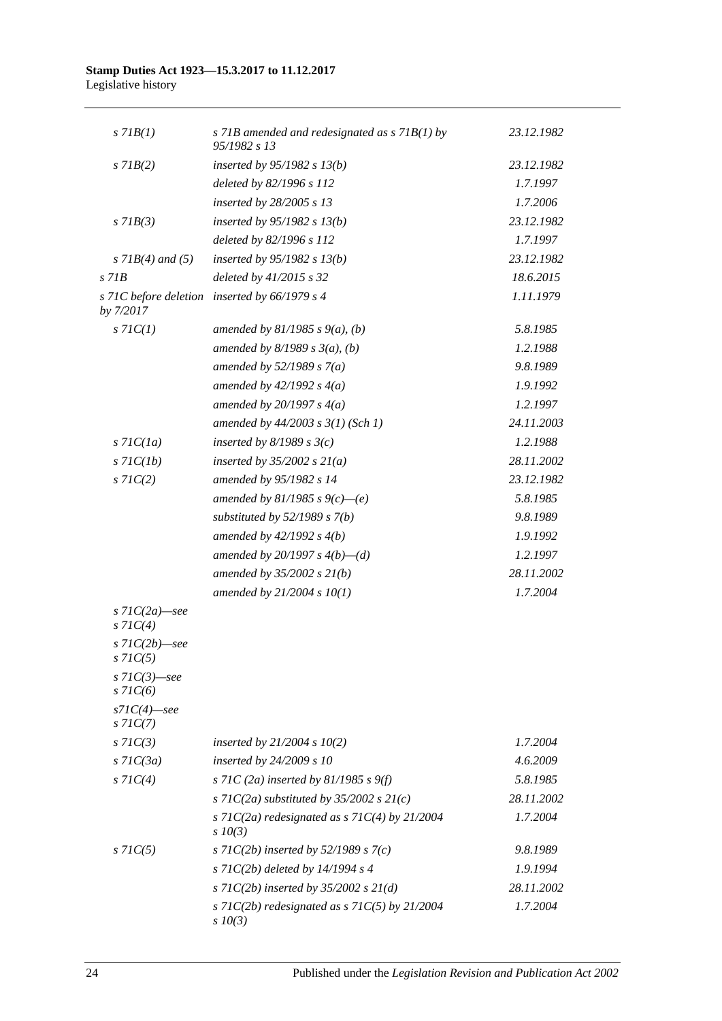| $s$ 71 $B(1)$                      | s 71B amended and redesignated as s 71B(1) by<br>95/1982 s 13      | 23.12.1982 |
|------------------------------------|--------------------------------------------------------------------|------------|
| $s$ 71 $B(2)$                      | inserted by $95/1982$ s $13(b)$                                    | 23.12.1982 |
|                                    | deleted by 82/1996 s 112                                           | 1.7.1997   |
|                                    | inserted by 28/2005 s 13                                           | 1.7.2006   |
| $s$ 71 $B(3)$                      | inserted by $95/1982$ s $13(b)$                                    | 23.12.1982 |
|                                    | deleted by 82/1996 s 112                                           | 1.7.1997   |
| $s$ 71B(4) and (5)                 | inserted by $95/1982$ s $13(b)$                                    | 23.12.1982 |
| $s$ 71 $B$                         | deleted by 41/2015 s 32                                            | 18.6.2015  |
| by 7/2017                          | s 71C before deletion inserted by 66/1979 s 4                      | 1.11.1979  |
| $s$ 71 $C(1)$                      | amended by $81/1985$ s $9(a)$ , (b)                                | 5.8.1985   |
|                                    | amended by $8/1989 s 3(a)$ , (b)                                   | 1.2.1988   |
|                                    | amended by $52/1989 s 7(a)$                                        | 9.8.1989   |
|                                    | amended by $42/1992 s 4(a)$                                        | 1.9.1992   |
|                                    | amended by $20/1997 s 4(a)$                                        | 1.2.1997   |
|                                    | amended by 44/2003 s 3(1) (Sch 1)                                  | 24.11.2003 |
| $s$ 71 $C(1a)$                     | inserted by $8/1989$ s $3(c)$                                      | 1.2.1988   |
| $s$ 71 $C(1b)$                     | inserted by $35/2002$ s $21(a)$                                    | 28.11.2002 |
| $s$ 71 $C(2)$                      | amended by 95/1982 s 14                                            | 23.12.1982 |
|                                    | amended by 81/1985 s $9(c)$ —(e)                                   | 5.8.1985   |
|                                    | substituted by $52/1989$ s $7(b)$                                  | 9.8.1989   |
|                                    | amended by $42/1992 s 4(b)$                                        | 1.9.1992   |
|                                    | amended by 20/1997 s $4(b)$ —(d)                                   | 1.2.1997   |
|                                    | amended by $35/2002 s 21(b)$                                       | 28.11.2002 |
|                                    | amended by 21/2004 s 10(1)                                         | 1.7.2004   |
| $s$ 71C(2a) - see<br>$s$ 71 $C(4)$ |                                                                    |            |
| $s$ 71C(2b) - see<br>$s \, 71C(5)$ |                                                                    |            |
| s $71C(3)$ —see<br>$s$ 71 $C(6)$   |                                                                    |            |
| $s7IC(4)$ —see<br>$s$ 71 $C(7)$    |                                                                    |            |
| $s$ 71 $C(3)$                      | inserted by $21/2004 s 10(2)$                                      | 1.7.2004   |
| $s$ 71 $C(3a)$                     | inserted by 24/2009 s 10                                           | 4.6.2009   |
| $s$ 71 $C(4)$                      | s 71C (2a) inserted by 81/1985 s 9(f)                              | 5.8.1985   |
|                                    | s 71C(2a) substituted by 35/2002 s $21(c)$                         | 28.11.2002 |
|                                    | s 71C(2a) redesignated as s 71C(4) by $21/2004$<br>$s$ 10(3)       | 1.7.2004   |
| $s$ 71 $C(5)$                      | s 71C(2b) inserted by 52/1989 s 7(c)                               | 9.8.1989   |
|                                    | s 71 $C(2b)$ deleted by 14/1994 s 4                                | 1.9.1994   |
|                                    | s 71C(2b) inserted by 35/2002 s $21(d)$                            | 28.11.2002 |
|                                    | s 71 $C(2b)$ redesignated as s 71 $C(5)$ by 21/2004<br>$s$ $10(3)$ | 1.7.2004   |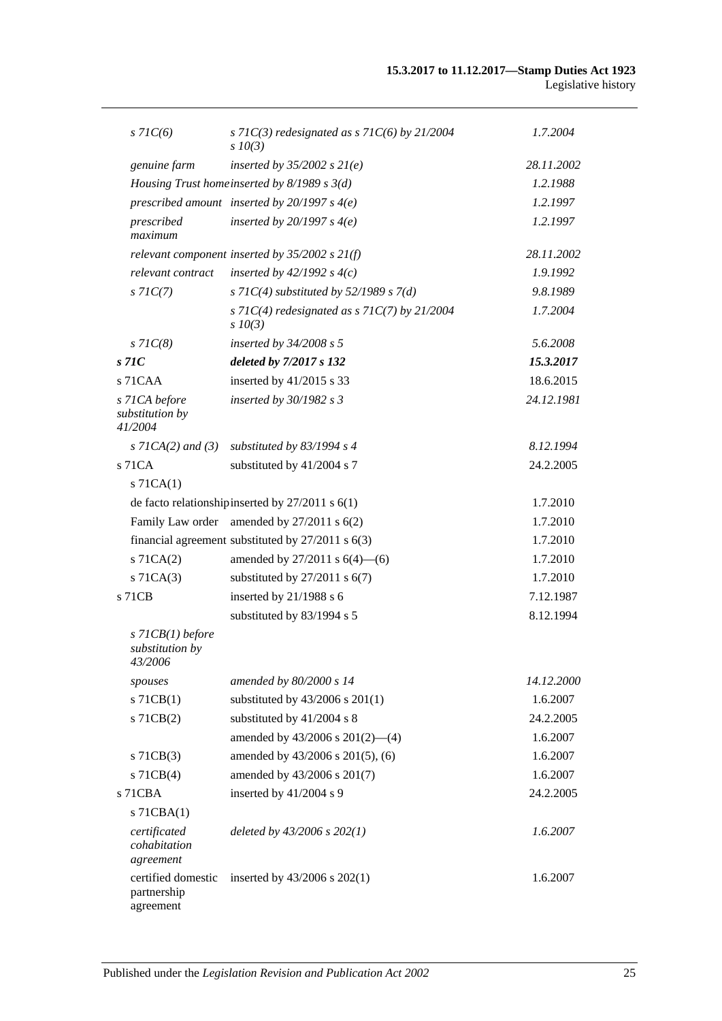| $s$ 71 $C(6)$                                  | s 71 $C(3)$ redesignated as s 71 $C(6)$ by 21/2004<br>$s$ $10(3)$ | 1.7.2004   |
|------------------------------------------------|-------------------------------------------------------------------|------------|
| genuine farm                                   | inserted by $35/2002$ s $21(e)$                                   | 28.11.2002 |
|                                                | Housing Trust homeinserted by $8/1989$ s $3(d)$                   | 1.2.1988   |
|                                                | prescribed amount inserted by $20/1997 s 4(e)$                    | 1.2.1997   |
| prescribed<br>maximum                          | inserted by $20/1997 s 4(e)$                                      | 1.2.1997   |
|                                                | relevant component inserted by $35/2002$ s $21(f)$                | 28.11.2002 |
| relevant contract                              | inserted by $42/1992 s 4(c)$                                      | 1.9.1992   |
| $s$ 71 $C(7)$                                  | s 71C(4) substituted by 52/1989 s 7(d)                            | 9.8.1989   |
|                                                | s 71C(4) redesignated as s 71C(7) by 21/2004<br>$s \, 10(3)$      | 1.7.2004   |
| $s$ 71 $C(8)$                                  | inserted by $34/2008$ s 5                                         | 5.6.2008   |
| s71C                                           | deleted by 7/2017 s 132                                           | 15.3.2017  |
| s 71CAA                                        | inserted by 41/2015 s 33                                          | 18.6.2015  |
| s 71CA before<br>substitution by<br>41/2004    | inserted by $30/1982$ s 3                                         | 24.12.1981 |
| $s$ 71CA(2) and (3)                            | substituted by $83/1994$ s 4                                      | 8.12.1994  |
| $s$ 71 $CA$                                    | substituted by 41/2004 s 7                                        | 24.2.2005  |
| $s$ 71CA $(1)$                                 |                                                                   |            |
|                                                | de facto relationship inserted by $27/2011$ s $6(1)$              | 1.7.2010   |
|                                                | Family Law order amended by 27/2011 s 6(2)                        | 1.7.2010   |
|                                                | financial agreement substituted by $27/2011$ s $6(3)$             | 1.7.2010   |
| s 71CA(2)                                      | amended by $27/2011$ s $6(4)$ —(6)                                | 1.7.2010   |
| $s$ 71CA $(3)$                                 | substituted by $27/2011$ s $6(7)$                                 | 1.7.2010   |
| s 71CB                                         | inserted by 21/1988 s 6                                           | 7.12.1987  |
|                                                | substituted by 83/1994 s 5                                        | 8.12.1994  |
| s 71CB(1) before<br>substitution by<br>43/2006 |                                                                   |            |
| spouses                                        | amended by 80/2000 s 14                                           | 14.12.2000 |
| $s$ 71CB(1)                                    | substituted by 43/2006 s 201(1)                                   | 1.6.2007   |
| $s$ 71 $CB(2)$                                 | substituted by 41/2004 s 8                                        | 24.2.2005  |
|                                                | amended by $43/2006$ s $201(2)$ —(4)                              | 1.6.2007   |
| $s$ 71CB(3)                                    | amended by 43/2006 s 201(5), (6)                                  | 1.6.2007   |
| $s$ 71CB(4)                                    | amended by 43/2006 s 201(7)                                       | 1.6.2007   |
| s 71CBA                                        | inserted by 41/2004 s 9                                           | 24.2.2005  |
| $s$ 71CBA $(1)$                                |                                                                   |            |
| certificated<br>cohabitation<br>agreement      | deleted by $43/2006$ s $202(1)$                                   | 1.6.2007   |
| certified domestic<br>partnership<br>agreement | inserted by $43/2006$ s $202(1)$                                  | 1.6.2007   |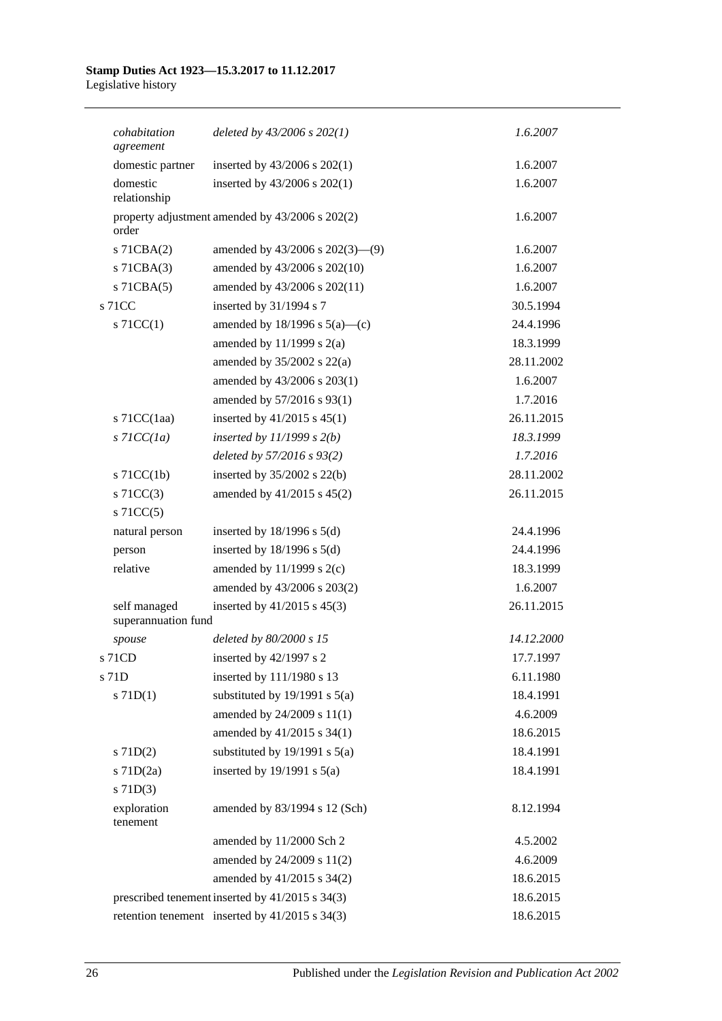| cohabitation<br>agreement           | deleted by $43/2006$ s $202(1)$                  | 1.6.2007   |
|-------------------------------------|--------------------------------------------------|------------|
| domestic partner                    | inserted by 43/2006 s 202(1)                     | 1.6.2007   |
| domestic<br>relationship            | inserted by $43/2006$ s $202(1)$                 | 1.6.2007   |
| order                               | property adjustment amended by 43/2006 s 202(2)  | 1.6.2007   |
| s 71CBA(2)                          | amended by $43/2006$ s $202(3)$ — $(9)$          | 1.6.2007   |
| $s$ 71CBA $(3)$                     | amended by 43/2006 s 202(10)                     | 1.6.2007   |
| $s$ 71CBA $(5)$                     | amended by 43/2006 s 202(11)                     | 1.6.2007   |
| s 71CC                              | inserted by 31/1994 s 7                          | 30.5.1994  |
| $s$ 71CC(1)                         | amended by $18/1996$ s $5(a)$ —(c)               | 24.4.1996  |
|                                     | amended by $11/1999$ s $2(a)$                    | 18.3.1999  |
|                                     | amended by $35/2002$ s $22(a)$                   | 28.11.2002 |
|                                     | amended by 43/2006 s 203(1)                      | 1.6.2007   |
|                                     | amended by 57/2016 s 93(1)                       | 1.7.2016   |
| s $71CC(1aa)$                       | inserted by $41/2015$ s $45(1)$                  | 26.11.2015 |
| $s$ 71CC(1a)                        | inserted by $11/1999$ s $2(b)$                   | 18.3.1999  |
|                                     | deleted by 57/2016 s 93(2)                       | 1.7.2016   |
| $s$ 71CC(1b)                        | inserted by $35/2002$ s $22(b)$                  | 28.11.2002 |
| $s$ 71CC(3)                         | amended by 41/2015 s 45(2)                       | 26.11.2015 |
| $s$ 71CC(5)                         |                                                  |            |
| natural person                      | inserted by $18/1996$ s $5(d)$                   | 24.4.1996  |
| person                              | inserted by $18/1996$ s $5(d)$                   | 24.4.1996  |
| relative                            | amended by $11/1999$ s $2(c)$                    | 18.3.1999  |
|                                     | amended by 43/2006 s 203(2)                      | 1.6.2007   |
| self managed<br>superannuation fund | inserted by $41/2015$ s $45(3)$                  | 26.11.2015 |
| spouse                              | deleted by 80/2000 s 15                          | 14.12.2000 |
| s 71CD                              | inserted by 42/1997 s 2                          | 17.7.1997  |
| s 71D                               | inserted by 111/1980 s 13                        | 6.11.1980  |
| $s$ 71D(1)                          | substituted by $19/1991$ s $5(a)$                | 18.4.1991  |
|                                     | amended by 24/2009 s 11(1)                       | 4.6.2009   |
|                                     | amended by 41/2015 s 34(1)                       | 18.6.2015  |
| $s$ 71D(2)                          | substituted by $19/1991$ s $5(a)$                | 18.4.1991  |
| $s$ 71D $(2a)$                      | inserted by $19/1991$ s $5(a)$                   | 18.4.1991  |
| $s$ 71D(3)                          |                                                  |            |
| exploration<br>tenement             | amended by 83/1994 s 12 (Sch)                    | 8.12.1994  |
|                                     | amended by 11/2000 Sch 2                         | 4.5.2002   |
|                                     | amended by 24/2009 s 11(2)                       | 4.6.2009   |
|                                     | amended by 41/2015 s 34(2)                       | 18.6.2015  |
|                                     | prescribed tenement inserted by 41/2015 s 34(3)  | 18.6.2015  |
|                                     | retention tenement inserted by $41/2015$ s 34(3) | 18.6.2015  |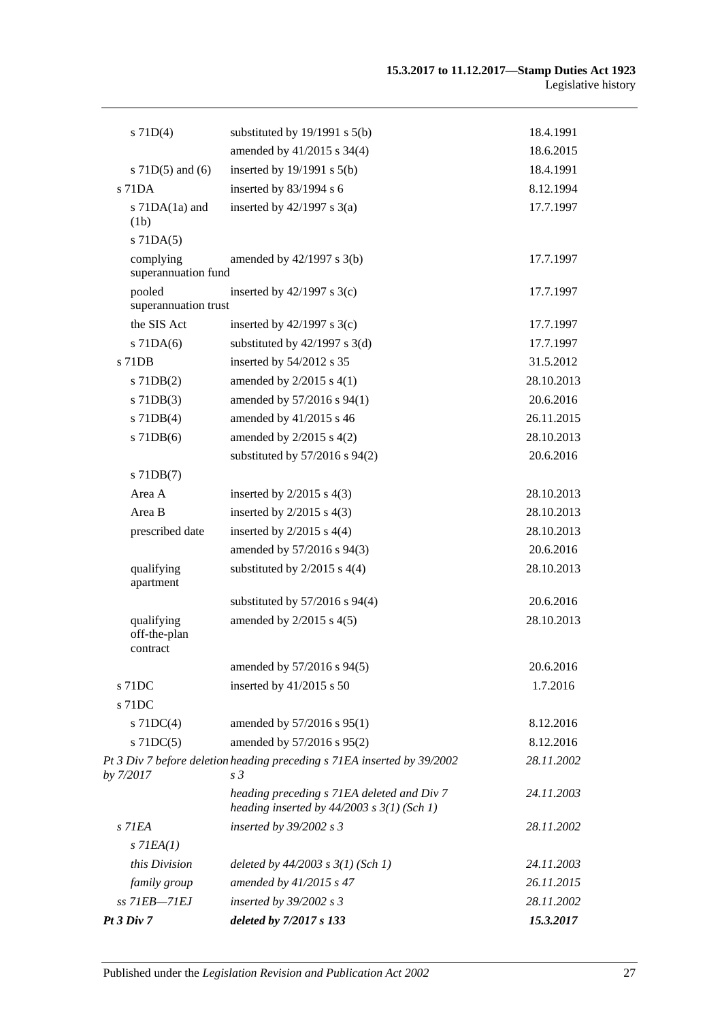| $s$ 71D(4)                             | substituted by $19/1991$ s $5(b)$                                                            | 18.4.1991  |
|----------------------------------------|----------------------------------------------------------------------------------------------|------------|
|                                        | amended by 41/2015 s 34(4)                                                                   | 18.6.2015  |
| s $71D(5)$ and $(6)$                   | inserted by $19/1991$ s $5(b)$                                                               | 18.4.1991  |
| s 71DA                                 | inserted by $83/1994$ s 6                                                                    | 8.12.1994  |
| s 71DA(1a) and<br>(1b)                 | inserted by $42/1997$ s $3(a)$                                                               | 17.7.1997  |
| $s$ 71DA $(5)$                         |                                                                                              |            |
| complying<br>superannuation fund       | amended by $42/1997$ s $3(b)$                                                                | 17.7.1997  |
| pooled<br>superannuation trust         | inserted by $42/1997$ s 3(c)                                                                 | 17.7.1997  |
| the SIS Act                            | inserted by $42/1997$ s 3(c)                                                                 | 17.7.1997  |
| $s$ 71DA $(6)$                         | substituted by $42/1997$ s 3(d)                                                              | 17.7.1997  |
| s 71DB                                 | inserted by 54/2012 s 35                                                                     | 31.5.2012  |
| $s$ 71DB $(2)$                         | amended by $2/2015$ s $4(1)$                                                                 | 28.10.2013 |
| $s$ 71DB $(3)$                         | amended by 57/2016 s 94(1)                                                                   | 20.6.2016  |
| $s$ 71DB(4)                            | amended by 41/2015 s 46                                                                      | 26.11.2015 |
| $s$ 71DB $(6)$                         | amended by $2/2015$ s $4(2)$                                                                 | 28.10.2013 |
|                                        | substituted by $57/2016$ s $94(2)$                                                           | 20.6.2016  |
| $s$ 71DB $(7)$                         |                                                                                              |            |
| Area A                                 | inserted by $2/2015$ s $4(3)$                                                                | 28.10.2013 |
| Area B                                 | inserted by $2/2015$ s $4(3)$                                                                | 28.10.2013 |
| prescribed date                        | inserted by $2/2015$ s $4(4)$                                                                | 28.10.2013 |
|                                        | amended by 57/2016 s 94(3)                                                                   | 20.6.2016  |
| qualifying<br>apartment                | substituted by $2/2015$ s $4(4)$                                                             | 28.10.2013 |
|                                        | substituted by $57/2016$ s $94(4)$                                                           | 20.6.2016  |
| qualifying<br>off-the-plan<br>contract | amended by $2/2015$ s $4(5)$                                                                 | 28.10.2013 |
|                                        | amended by 57/2016 s 94(5)                                                                   | 20.6.2016  |
| s 71DC                                 | inserted by $41/2015$ s 50                                                                   | 1.7.2016   |
| s 71DC                                 |                                                                                              |            |
| s $71DC(4)$                            | amended by 57/2016 s 95(1)                                                                   | 8.12.2016  |
| $s$ 71DC(5)                            | amended by 57/2016 s 95(2)                                                                   | 8.12.2016  |
| by 7/2017                              | Pt 3 Div 7 before deletion heading preceding s 71EA inserted by 39/2002<br>s <sub>3</sub>    | 28.11.2002 |
|                                        | heading preceding s 71EA deleted and Div 7<br>heading inserted by $44/2003$ s $3(1)$ (Sch 1) | 24.11.2003 |
| $s$ 71EA                               | inserted by 39/2002 s 3                                                                      | 28.11.2002 |
| $s$ 71EA $(1)$                         |                                                                                              |            |
| this Division                          | deleted by $44/2003$ s $3(1)$ (Sch 1)                                                        | 24.11.2003 |
| family group                           | amended by 41/2015 s 47                                                                      | 26.11.2015 |
| ss 71EB-71EJ                           | inserted by $39/2002$ s 3                                                                    | 28.11.2002 |
| Pt3 Div7                               | deleted by 7/2017 s 133                                                                      | 15.3.2017  |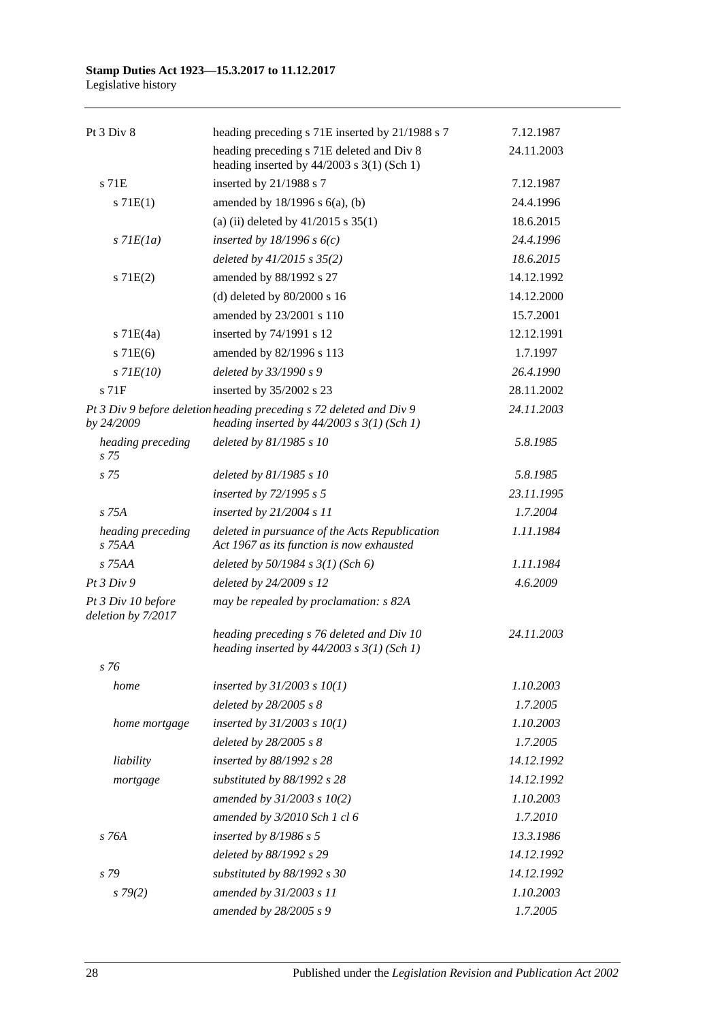| Pt 3 Div 8                               | heading preceding s 71E inserted by 21/1988 s 7                                                                       | 7.12.1987  |
|------------------------------------------|-----------------------------------------------------------------------------------------------------------------------|------------|
|                                          | heading preceding s 71E deleted and Div 8<br>heading inserted by $44/2003$ s 3(1) (Sch 1)                             | 24.11.2003 |
| s 71E                                    | inserted by 21/1988 s 7                                                                                               | 7.12.1987  |
| s 71E(1)                                 | amended by $18/1996$ s $6(a)$ , (b)                                                                                   | 24.4.1996  |
|                                          | (a) (ii) deleted by $41/2015$ s $35(1)$                                                                               | 18.6.2015  |
| $s$ 71 $E(1a)$                           | inserted by $18/1996 s 6(c)$                                                                                          | 24.4.1996  |
|                                          | deleted by $41/2015$ s $35(2)$                                                                                        | 18.6.2015  |
| s 71E(2)                                 | amended by 88/1992 s 27                                                                                               | 14.12.1992 |
|                                          | (d) deleted by $80/2000$ s 16                                                                                         | 14.12.2000 |
|                                          | amended by 23/2001 s 110                                                                                              | 15.7.2001  |
| $s$ 71E(4a)                              | inserted by 74/1991 s 12                                                                                              | 12.12.1991 |
| $s$ 71 $E(6)$                            | amended by 82/1996 s 113                                                                                              | 1.7.1997   |
| $s$ 71 $E(10)$                           | deleted by 33/1990 s 9                                                                                                | 26.4.1990  |
| s <sub>71F</sub>                         | inserted by 35/2002 s 23                                                                                              | 28.11.2002 |
| by 24/2009                               | Pt 3 Div 9 before deletion heading preceding s 72 deleted and Div 9<br>heading inserted by $44/2003$ s $3(1)$ (Sch 1) | 24.11.2003 |
| heading preceding<br>s <sub>75</sub>     | deleted by 81/1985 s 10                                                                                               | 5.8.1985   |
| s 75                                     | deleted by $81/1985 s 10$                                                                                             | 5.8.1985   |
|                                          | inserted by 72/1995 s 5                                                                                               | 23.11.1995 |
| s 75A                                    | inserted by $21/2004 s 11$                                                                                            | 1.7.2004   |
| heading preceding<br>s 75AA              | deleted in pursuance of the Acts Republication<br>Act 1967 as its function is now exhausted                           | 1.11.1984  |
| $S$ 75AA                                 | deleted by $50/1984$ s $3(1)$ (Sch 6)                                                                                 | 1.11.1984  |
| Pt 3 Div 9                               | deleted by 24/2009 s 12                                                                                               | 4.6.2009   |
| Pt 3 Div 10 before<br>deletion by 7/2017 | may be repealed by proclamation: s 82A                                                                                |            |
|                                          | heading preceding s 76 deleted and Div 10<br>heading inserted by $44/2003$ s $3(1)$ (Sch 1)                           | 24.11.2003 |
| s 76                                     |                                                                                                                       |            |
| home                                     | inserted by $31/2003$ s $10(1)$                                                                                       | 1.10.2003  |
|                                          | deleted by 28/2005 s 8                                                                                                | 1.7.2005   |
| home mortgage                            | inserted by $31/2003$ s $10(1)$                                                                                       | 1.10.2003  |
|                                          | deleted by $28/2005 s 8$                                                                                              | 1.7.2005   |
| liability                                | inserted by 88/1992 s 28                                                                                              | 14.12.1992 |
| mortgage                                 | substituted by 88/1992 s 28                                                                                           | 14.12.1992 |
|                                          | amended by $31/2003$ s $10(2)$                                                                                        | 1.10.2003  |
|                                          | amended by 3/2010 Sch 1 cl 6                                                                                          | 1.7.2010   |
| s 76A                                    | inserted by $8/1986$ s 5                                                                                              | 13.3.1986  |
|                                          | deleted by 88/1992 s 29                                                                                               | 14.12.1992 |
| s 79                                     | substituted by 88/1992 s 30                                                                                           | 14.12.1992 |
| s79(2)                                   | amended by 31/2003 s 11                                                                                               | 1.10.2003  |
|                                          | amended by 28/2005 s 9                                                                                                | 1.7.2005   |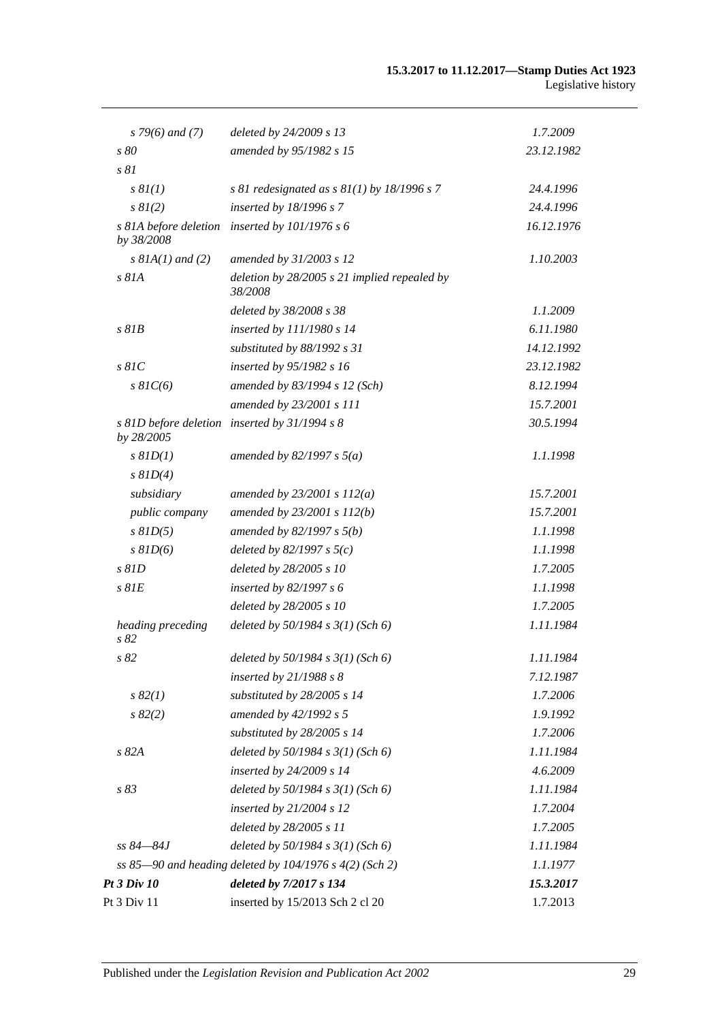| $s$ 79(6) and (7)                   | deleted by 24/2009 s 13                                   | 1.7.2009   |
|-------------------------------------|-----------------------------------------------------------|------------|
| s 80                                | amended by 95/1982 s 15                                   | 23.12.1982 |
| s 81                                |                                                           |            |
| s 8I(1)                             | s 81 redesignated as $s$ 81(1) by 18/1996 s 7             | 24.4.1996  |
| $s \, 8I(2)$                        | inserted by 18/1996 s 7                                   | 24.4.1996  |
| s 81A before deletion<br>by 38/2008 | inserted by $101/1976 s 6$                                | 16.12.1976 |
| $s$ 81A(1) and (2)                  | amended by 31/2003 s 12                                   | 1.10.2003  |
| $s$ 81A                             | deletion by $28/2005$ s 21 implied repealed by<br>38/2008 |            |
|                                     | deleted by 38/2008 s 38                                   | 1.1.2009   |
| $s$ $81B$                           | inserted by 111/1980 s 14                                 | 6.11.1980  |
|                                     | substituted by 88/1992 s 31                               | 14.12.1992 |
| $s$ 81 $C$                          | inserted by 95/1982 s 16                                  | 23.12.1982 |
| $s \, 81C(6)$                       | amended by 83/1994 s 12 (Sch)                             | 8.12.1994  |
|                                     | amended by 23/2001 s 111                                  | 15.7.2001  |
| by 28/2005                          | s 81D before deletion inserted by 31/1994 s 8             | 30.5.1994  |
| $s$ $81D(1)$                        | amended by $82/1997 s 5(a)$                               | 1.1.1998   |
| $s$ $81D(4)$                        |                                                           |            |
| subsidiary                          | amended by $23/2001 s 112(a)$                             | 15.7.2001  |
| public company                      | amended by $23/2001 s 112(b)$                             | 15.7.2001  |
| $s$ $81D(5)$                        | amended by $82/1997 s 5(b)$                               | 1.1.1998   |
| $s$ $81D(6)$                        | deleted by $82/1997 s 5(c)$                               | 1.1.1998   |
| $s$ $81D$                           | deleted by 28/2005 s 10                                   | 1.7.2005   |
| $s$ $81E$                           | inserted by $82/1997 s 6$                                 | 1.1.1998   |
|                                     | deleted by 28/2005 s 10                                   | 1.7.2005   |
| heading preceding<br>s 82           | deleted by $50/1984$ s $3(1)$ (Sch 6)                     | 1.11.1984  |
| $s\,82$                             | deleted by $50/1984$ s $3(1)$ (Sch 6)                     | 1.11.1984  |
|                                     | inserted by $21/1988 s 8$                                 | 7.12.1987  |
| $s\,82(1)$                          | substituted by 28/2005 s 14                               | 1.7.2006   |
| s 82(2)                             | amended by 42/1992 s 5                                    | 1.9.1992   |
|                                     | substituted by 28/2005 s 14                               | 1.7.2006   |
| s 82A                               | deleted by $50/1984 s 3(1)$ (Sch 6)                       | 1.11.1984  |
|                                     | inserted by 24/2009 s 14                                  | 4.6.2009   |
| s 83                                | deleted by 50/1984 s 3(1) (Sch 6)                         | 1.11.1984  |
|                                     | inserted by 21/2004 s 12                                  | 1.7.2004   |
|                                     | deleted by 28/2005 s 11                                   | 1.7.2005   |
| ss 84–84J                           | deleted by 50/1984 s 3(1) (Sch 6)                         | 1.11.1984  |
|                                     | ss 85-90 and heading deleted by 104/1976 s 4(2) (Sch 2)   | 1.1.1977   |
| Pt 3 Div 10                         | deleted by 7/2017 s 134                                   | 15.3.2017  |
| Pt 3 Div 11                         | inserted by 15/2013 Sch 2 cl 20                           | 1.7.2013   |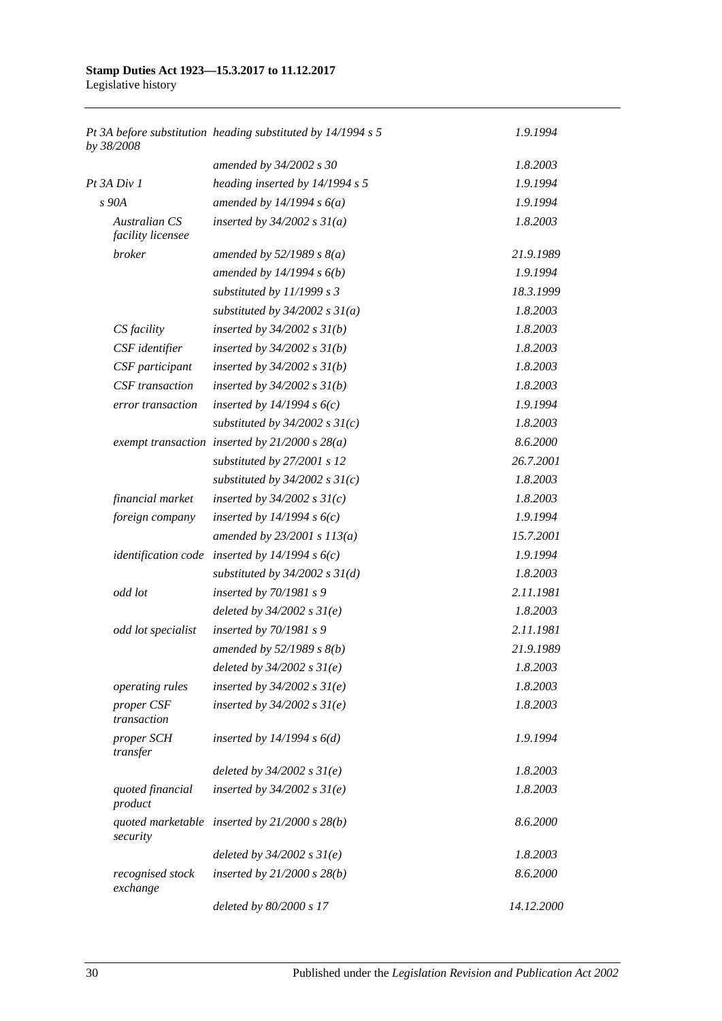| by 38/2008                                | Pt 3A before substitution heading substituted by 14/1994 s 5 | 1.9.1994   |
|-------------------------------------------|--------------------------------------------------------------|------------|
|                                           | amended by 34/2002 s 30                                      | 1.8.2003   |
| Pt 3A Div 1                               | heading inserted by $14/1994 s 5$                            | 1.9.1994   |
| s 90A                                     | amended by $14/1994 s 6(a)$                                  | 1.9.1994   |
| <b>Australian CS</b><br>facility licensee | inserted by $34/2002$ s $31(a)$                              | 1.8.2003   |
| broker                                    | amended by $52/1989 s 8(a)$                                  | 21.9.1989  |
|                                           | amended by $14/1994 s 6(b)$                                  | 1.9.1994   |
|                                           | substituted by 11/1999 s 3                                   | 18.3.1999  |
|                                           | substituted by $34/2002$ s $31(a)$                           | 1.8.2003   |
| CS facility                               | inserted by $34/2002$ s $31(b)$                              | 1.8.2003   |
| CSF identifier                            | inserted by $34/2002$ s $31(b)$                              | 1.8.2003   |
| CSF participant                           | inserted by $34/2002$ s $31(b)$                              | 1.8.2003   |
| CSF transaction                           | inserted by $34/2002$ s $31(b)$                              | 1.8.2003   |
| error transaction                         | inserted by $14/1994 s 6(c)$                                 | 1.9.1994   |
|                                           | substituted by $34/2002$ s $31(c)$                           | 1.8.2003   |
|                                           | exempt transaction inserted by $21/2000 s 28(a)$             | 8.6.2000   |
|                                           | substituted by 27/2001 s 12                                  | 26.7.2001  |
|                                           | substituted by $34/2002$ s $31(c)$                           | 1.8.2003   |
| financial market                          | inserted by $34/2002$ s $31(c)$                              | 1.8.2003   |
| foreign company                           | inserted by $14/1994 s 6(c)$                                 | 1.9.1994   |
|                                           | amended by $23/2001 s 113(a)$                                | 15.7.2001  |
|                                           | <i>identification code</i> inserted by $14/1994 s6(c)$       | 1.9.1994   |
|                                           | substituted by $34/2002$ s $31(d)$                           | 1.8.2003   |
| odd lot                                   | inserted by 70/1981 s 9                                      | 2.11.1981  |
|                                           | deleted by $34/2002 s 31(e)$                                 | 1.8.2003   |
| odd lot specialist                        | inserted by $70/1981 s$ 9                                    | 2.11.1981  |
|                                           | amended by $52/1989$ s $8(b)$                                | 21.9.1989  |
|                                           | deleted by $34/2002 s 31(e)$                                 | 1.8.2003   |
| operating rules                           | inserted by $34/2002$ s $31(e)$                              | 1.8.2003   |
| proper CSF<br>transaction                 | inserted by $34/2002$ s $31(e)$                              | 1.8.2003   |
| proper SCH<br>transfer                    | inserted by $14/1994 s 6(d)$                                 | 1.9.1994   |
|                                           | deleted by $34/2002$ s $31(e)$                               | 1.8.2003   |
| quoted financial<br>product               | inserted by $34/2002$ s $31(e)$                              | 1.8.2003   |
| security                                  | quoted marketable inserted by $21/2000 s 28(b)$              | 8.6.2000   |
|                                           | deleted by $34/2002 s 31(e)$                                 | 1.8.2003   |
| recognised stock<br>exchange              | inserted by $21/2000$ s $28(b)$                              | 8.6.2000   |
|                                           | deleted by 80/2000 s 17                                      | 14.12.2000 |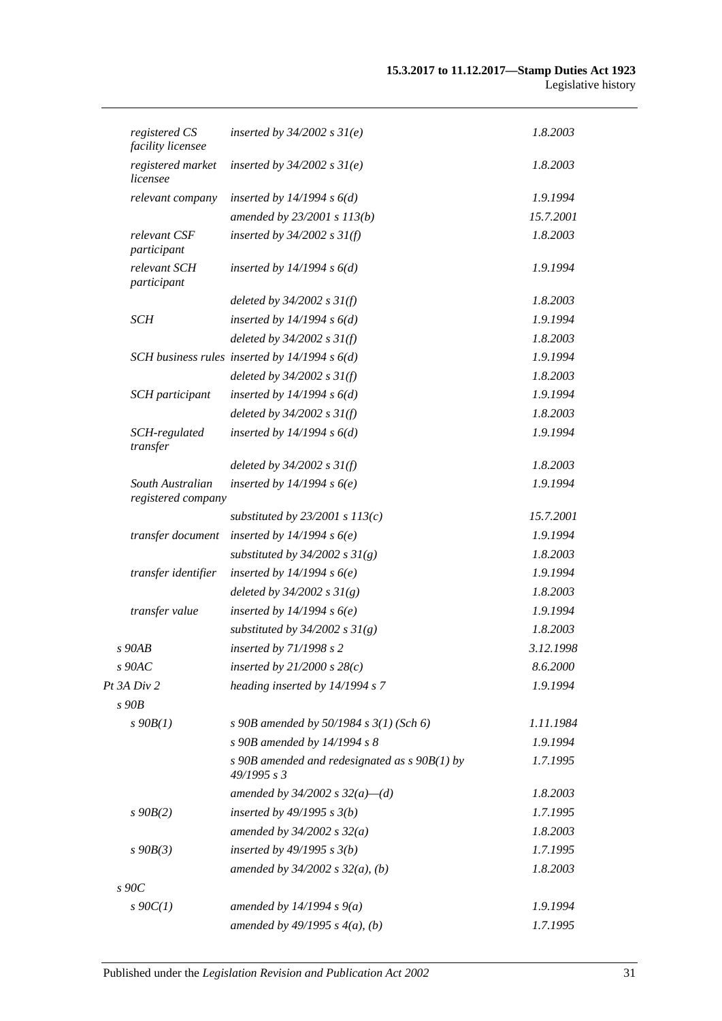| registered CS<br>facility licensee     | inserted by $34/2002$ s $31(e)$                                | 1.8.2003  |
|----------------------------------------|----------------------------------------------------------------|-----------|
| registered market<br>licensee          | inserted by $34/2002$ s $31(e)$                                | 1.8.2003  |
| relevant company                       | inserted by $14/1994 s 6(d)$                                   | 1.9.1994  |
|                                        | amended by 23/2001 s 113(b)                                    | 15.7.2001 |
| relevant CSF<br>participant            | inserted by $34/2002$ s $31(f)$                                | 1.8.2003  |
| relevant SCH<br>participant            | inserted by $14/1994 s 6(d)$                                   | 1.9.1994  |
|                                        | deleted by $34/2002$ s $31(f)$                                 | 1.8.2003  |
| SCH                                    | inserted by $14/1994 s 6(d)$                                   | 1.9.1994  |
|                                        | deleted by $34/2002$ s $31(f)$                                 | 1.8.2003  |
|                                        | SCH business rules inserted by $14/1994 s 6(d)$                | 1.9.1994  |
|                                        | deleted by $34/2002$ s $31(f)$                                 | 1.8.2003  |
| SCH participant                        | inserted by $14/1994 s 6(d)$                                   | 1.9.1994  |
|                                        | deleted by $34/2002$ s $31(f)$                                 | 1.8.2003  |
| SCH-regulated<br>transfer              | inserted by $14/1994 s 6(d)$                                   | 1.9.1994  |
|                                        | deleted by $34/2002 s 31(f)$                                   | 1.8.2003  |
| South Australian<br>registered company | inserted by $14/1994 s6(e)$                                    | 1.9.1994  |
|                                        | substituted by $23/2001$ s $113(c)$                            | 15.7.2001 |
| transfer document                      | inserted by $14/1994 s6(e)$                                    | 1.9.1994  |
|                                        | substituted by $34/2002$ s $31(g)$                             | 1.8.2003  |
| transfer identifier                    | inserted by $14/1994 s6(e)$                                    | 1.9.1994  |
|                                        | deleted by $34/2002 s 31(g)$                                   | 1.8.2003  |
| transfer value                         | inserted by $14/1994 s6(e)$                                    | 1.9.1994  |
|                                        | substituted by $34/2002$ s $31(g)$                             | 1.8.2003  |
| $s$ 90 $AB$                            | inserted by 71/1998 s 2                                        | 3.12.1998 |
| $s\ 90AC$                              | inserted by $21/2000 s 28(c)$                                  | 8.6.2000  |
| Pt 3A Div 2                            | heading inserted by 14/1994 s 7                                | 1.9.1994  |
| $s$ 90 $B$                             |                                                                |           |
| $s\,90B(1)$                            | s 90B amended by 50/1984 s $3(1)$ (Sch 6)                      | 1.11.1984 |
|                                        | s 90B amended by 14/1994 s 8                                   | 1.9.1994  |
|                                        | s 90B amended and redesignated as $s$ 90B(1) by<br>49/1995 s 3 | 1.7.1995  |
|                                        | amended by $34/2002$ s $32(a)$ —(d)                            | 1.8.2003  |
| $s\,90B(2)$                            | inserted by $49/1995 s 3(b)$                                   | 1.7.1995  |
|                                        | amended by $34/2002 s 32(a)$                                   | 1.8.2003  |
| $s$ 90 $B(3)$                          | inserted by $49/1995 s 3(b)$                                   | 1.7.1995  |
|                                        | amended by $34/2002$ s $32(a)$ , (b)                           | 1.8.2003  |
| $s\,90C$                               |                                                                |           |
| $s \cdot 90C(1)$                       | amended by $14/1994 s 9(a)$                                    | 1.9.1994  |
|                                        | amended by $49/1995 s 4(a), (b)$                               | 1.7.1995  |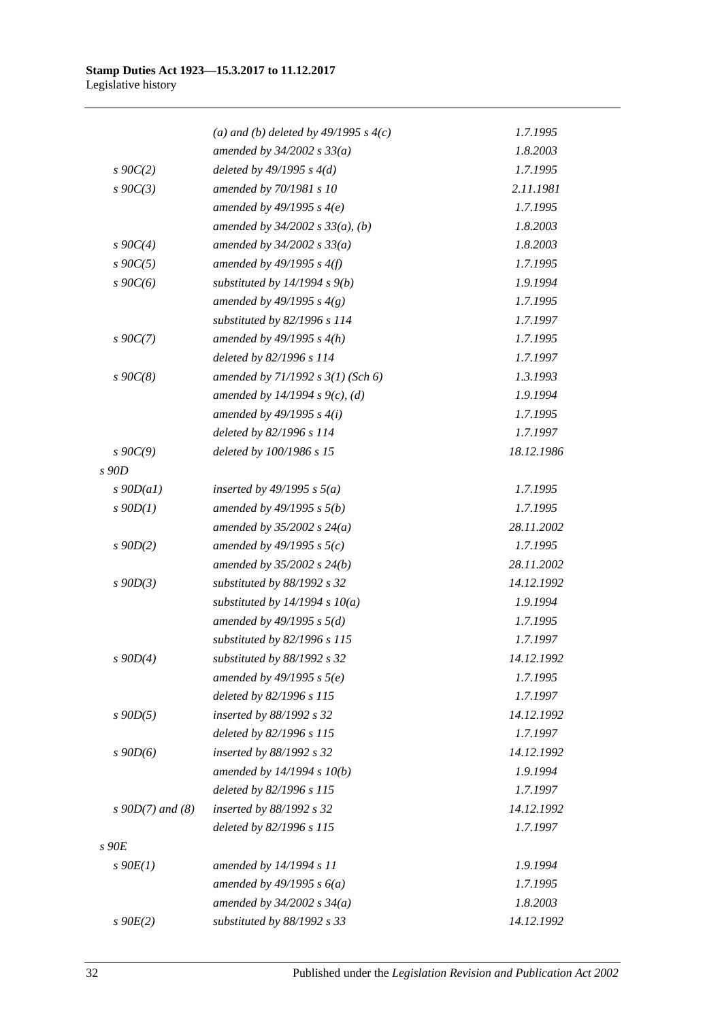|                    | (a) and (b) deleted by $49/1995 s 4(c)$ | 1.7.1995   |
|--------------------|-----------------------------------------|------------|
|                    | amended by $34/2002$ s $33(a)$          | 1.8.2003   |
| $s \, 90C(2)$      | deleted by $49/1995 s 4(d)$             | 1.7.1995   |
| $s \, 90C(3)$      | amended by 70/1981 s 10                 | 2.11.1981  |
|                    | amended by $49/1995 s 4(e)$             | 1.7.1995   |
|                    | amended by $34/2002$ s $33(a)$ , (b)    | 1.8.2003   |
| $s \, 90C(4)$      | amended by $34/2002 s 33(a)$            | 1.8.2003   |
| $s\,90C(5)$        | amended by $49/1995 s 4(f)$             | 1.7.1995   |
| $s\ 90C(6)$        | substituted by $14/1994 s 9(b)$         | 1.9.1994   |
|                    | amended by 49/1995 s $4(g)$             | 1.7.1995   |
|                    | substituted by 82/1996 s 114            | 1.7.1997   |
| $s \, 90C(7)$      | amended by $49/1995 s 4(h)$             | 1.7.1995   |
|                    | deleted by 82/1996 s 114                | 1.7.1997   |
| $s\,90C(8)$        | amended by $71/1992$ s $3(1)$ (Sch 6)   | 1.3.1993   |
|                    | amended by 14/1994 s 9(c), (d)          | 1.9.1994   |
|                    | amended by $49/1995 s 4(i)$             | 1.7.1995   |
|                    | deleted by 82/1996 s 114                | 1.7.1997   |
| $s \, 90C(9)$      | deleted by 100/1986 s 15                | 18.12.1986 |
| s 90D              |                                         |            |
| $s$ 90D(a1)        | inserted by $49/1995$ s $5(a)$          | 1.7.1995   |
| $s$ 90 $D(1)$      | amended by $49/1995 s 5(b)$             | 1.7.1995   |
|                    | amended by $35/2002$ s $24(a)$          | 28.11.2002 |
| $s$ 90D(2)         | amended by 49/1995 s $5(c)$             | 1.7.1995   |
|                    | amended by $35/2002$ s $24(b)$          | 28.11.2002 |
| $s$ 90D(3)         | substituted by 88/1992 s 32             | 14.12.1992 |
|                    | substituted by $14/1994 s 10(a)$        | 1.9.1994   |
|                    | amended by $49/1995 s 5(d)$             | 1.7.1995   |
|                    | substituted by 82/1996 s 115            | 1.7.1997   |
| $s$ 90D(4)         | substituted by 88/1992 s 32             | 14.12.1992 |
|                    | amended by $49/1995 s 5(e)$             | 1.7.1995   |
|                    | deleted by 82/1996 s 115                | 1.7.1997   |
| $s$ 90D(5)         | inserted by 88/1992 s 32                | 14.12.1992 |
|                    | deleted by 82/1996 s 115                | 1.7.1997   |
| $s\,90D(6)$        | inserted by 88/1992 s 32                | 14.12.1992 |
|                    | amended by $14/1994 s 10(b)$            | 1.9.1994   |
|                    | deleted by 82/1996 s 115                | 1.7.1997   |
| $s$ 90D(7) and (8) | inserted by 88/1992 s 32                | 14.12.1992 |
|                    | deleted by 82/1996 s 115                | 1.7.1997   |
| s90E               |                                         |            |
| $s\ 90E(1)$        | amended by 14/1994 s 11                 | 1.9.1994   |
|                    | amended by $49/1995 s 6(a)$             | 1.7.1995   |
|                    | amended by $34/2002$ s $34(a)$          | 1.8.2003   |
| $s$ 90 $E(2)$      | substituted by 88/1992 s 33             | 14.12.1992 |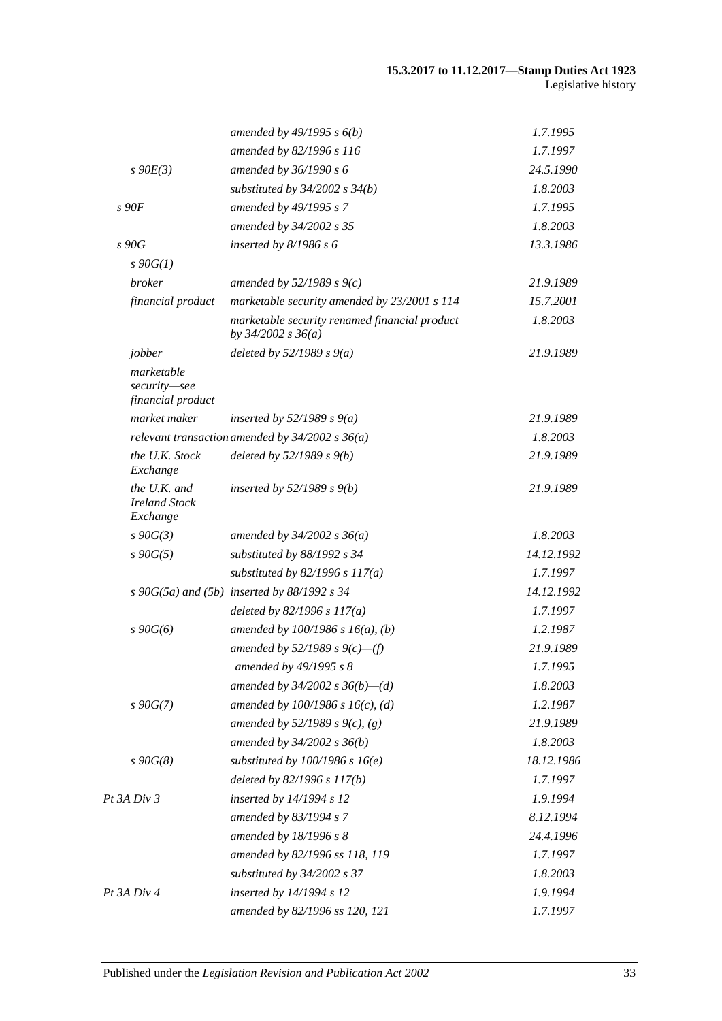|                                                  | amended by $49/1995 s 6(b)$                                             | 1.7.1995   |
|--------------------------------------------------|-------------------------------------------------------------------------|------------|
|                                                  | amended by 82/1996 s 116                                                | 1.7.1997   |
| $s\ 90E(3)$                                      | amended by 36/1990 s 6                                                  | 24.5.1990  |
|                                                  | substituted by $34/2002$ s $34(b)$                                      | 1.8.2003   |
| s90F                                             | amended by 49/1995 s 7                                                  | 1.7.1995   |
|                                                  | amended by 34/2002 s 35                                                 | 1.8.2003   |
| s 90G                                            | inserted by $8/1986 s 6$                                                | 13.3.1986  |
| $s\,90G(1)$                                      |                                                                         |            |
| <b>broker</b>                                    | amended by $52/1989 s 9(c)$                                             | 21.9.1989  |
| financial product                                | marketable security amended by 23/2001 s 114                            | 15.7.2001  |
|                                                  | marketable security renamed financial product<br>by $34/2002$ s $36(a)$ | 1.8.2003   |
| jobber                                           | deleted by $52/1989 s 9(a)$                                             | 21.9.1989  |
| marketable<br>security-see<br>financial product  |                                                                         |            |
| market maker                                     | inserted by $52/1989 s 9(a)$                                            | 21.9.1989  |
|                                                  | relevant transaction amended by $34/2002$ s $36(a)$                     | 1.8.2003   |
| the U.K. Stock<br>Exchange                       | deleted by $52/1989 s 9(b)$                                             | 21.9.1989  |
| the U.K. and<br><b>Ireland Stock</b><br>Exchange | inserted by $52/1989$ s $9(b)$                                          | 21.9.1989  |
| $s\,90G(3)$                                      | amended by $34/2002 s 36(a)$                                            | 1.8.2003   |
| $s\,90G(5)$                                      | substituted by 88/1992 s 34                                             | 14.12.1992 |
|                                                  | substituted by $82/1996$ s $117(a)$                                     | 1.7.1997   |
|                                                  | s 90G(5a) and (5b) inserted by $88/1992$ s 34                           | 14.12.1992 |
|                                                  | deleted by $82/1996 s 117(a)$                                           | 1.7.1997   |
| $s\,90G(6)$                                      | amended by $100/1986$ s $16(a)$ , (b)                                   | 1.2.1987   |
|                                                  | amended by 52/1989 s $9(c)$ —(f)                                        | 21.9.1989  |
|                                                  | amended by 49/1995 s 8                                                  | 1.7.1995   |
|                                                  | amended by $34/2002$ s $36(b)$ —(d)                                     | 1.8.2003   |
| $s\,90G(7)$                                      | amended by $100/1986$ s $16(c)$ , (d)                                   | 1.2.1987   |
|                                                  | amended by 52/1989 s 9(c), (g)                                          | 21.9.1989  |
|                                                  | amended by 34/2002 s 36(b)                                              | 1.8.2003   |
| $s\,90G(8)$                                      | substituted by $100/1986$ s $16(e)$                                     | 18.12.1986 |
|                                                  | deleted by 82/1996 s 117(b)                                             | 1.7.1997   |
| Pt 3A Div 3                                      | inserted by 14/1994 s 12                                                | 1.9.1994   |
|                                                  | amended by 83/1994 s 7                                                  | 8.12.1994  |
|                                                  | amended by 18/1996 s 8                                                  | 24.4.1996  |
|                                                  | amended by 82/1996 ss 118, 119                                          | 1.7.1997   |
|                                                  | substituted by 34/2002 s 37                                             | 1.8.2003   |
| Pt 3A Div 4                                      | inserted by 14/1994 s 12                                                | 1.9.1994   |
|                                                  | amended by 82/1996 ss 120, 121                                          | 1.7.1997   |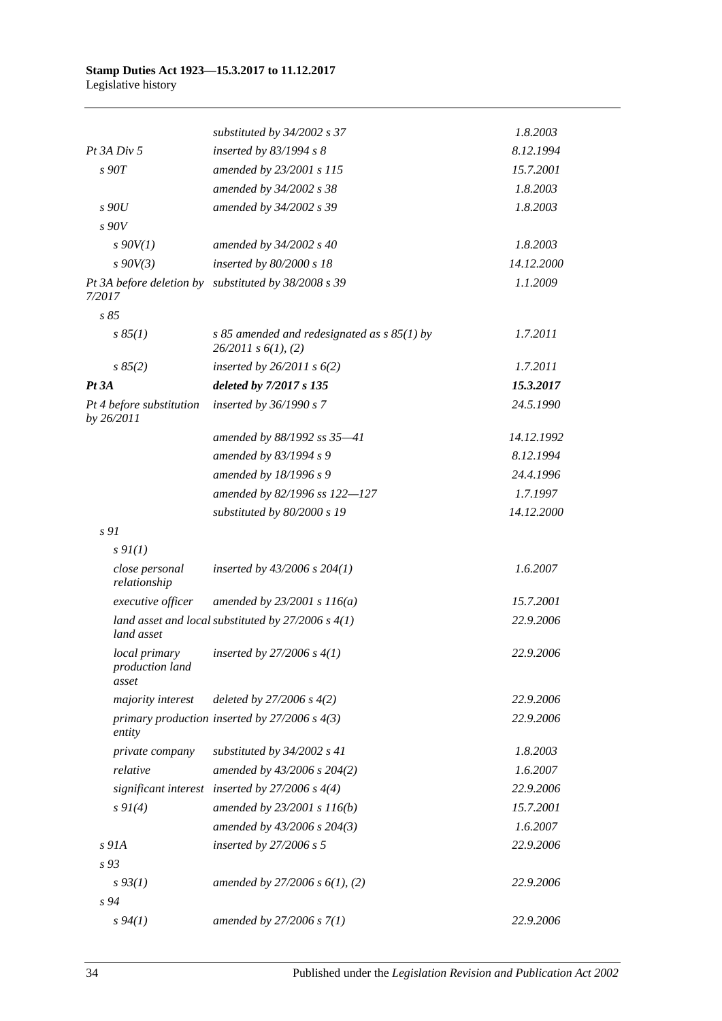|                                           | substituted by $34/2002$ s 37                                             | 1.8.2003   |
|-------------------------------------------|---------------------------------------------------------------------------|------------|
| $Pt$ 3A $Div$ 5                           | inserted by 83/1994 s 8                                                   | 8.12.1994  |
| s90T                                      | amended by 23/2001 s 115                                                  | 15.7.2001  |
|                                           | amended by 34/2002 s 38                                                   | 1.8.2003   |
| s90U                                      | amended by 34/2002 s 39                                                   | 1.8.2003   |
| s90V                                      |                                                                           |            |
| $s$ 90V(1)                                | amended by 34/2002 s 40                                                   | 1.8.2003   |
| $s\,90V(3)$                               | inserted by 80/2000 s 18                                                  | 14.12.2000 |
| 7/2017                                    | Pt 3A before deletion by substituted by 38/2008 s 39                      | 1.1.2009   |
| s85                                       |                                                                           |            |
| s 85(1)                                   | s 85 amended and redesignated as $s$ 85(1) by<br>$26/2011$ s $6(1)$ , (2) | 1.7.2011   |
| s 85(2)                                   | inserted by $26/2011$ s $6(2)$                                            | 1.7.2011   |
| $Pt\,3A$                                  | deleted by 7/2017 s 135                                                   | 15.3.2017  |
| Pt 4 before substitution<br>by 26/2011    | inserted by 36/1990 s 7                                                   | 24.5.1990  |
|                                           | amended by 88/1992 ss 35-41                                               | 14.12.1992 |
|                                           | amended by 83/1994 s 9                                                    | 8.12.1994  |
|                                           | amended by 18/1996 s 9                                                    | 24.4.1996  |
|                                           | amended by 82/1996 ss 122-127                                             | 1.7.1997   |
|                                           | substituted by 80/2000 s 19                                               | 14.12.2000 |
| s 91                                      |                                                                           |            |
| $s \mathcal{Q}_I(I)$                      |                                                                           |            |
| close personal<br>relationship            | inserted by $43/2006$ s $204(1)$                                          | 1.6.2007   |
| executive officer                         | amended by $23/2001 s 116(a)$                                             | 15.7.2001  |
| land asset                                | land asset and local substituted by $27/2006$ s $4(1)$                    | 22.9.2006  |
| local primary<br>production land<br>asset | inserted by 27/2006 s $4(1)$                                              | 22.9.2006  |
| majority interest                         | deleted by $27/2006 s 4(2)$                                               | 22.9.2006  |
| entity                                    | primary production inserted by $27/2006$ s $4(3)$                         | 22.9.2006  |
| private company                           | substituted by 34/2002 s 41                                               | 1.8.2003   |
| relative                                  | amended by 43/2006 s 204(2)                                               | 1.6.2007   |
|                                           | significant interest inserted by $27/2006$ s $4(4)$                       | 22.9.2006  |
| $s \, 9I(4)$                              | amended by 23/2001 s 116(b)                                               | 15.7.2001  |
|                                           | amended by 43/2006 s 204(3)                                               | 1.6.2007   |
| $s$ 91A                                   | inserted by $27/2006 s 5$                                                 | 22.9.2006  |
| $s\,93$                                   |                                                                           |            |
| $s\,93(1)$                                | amended by $27/2006 s 6(1), (2)$                                          | 22.9.2006  |
| $s\,94$                                   |                                                                           |            |
| $s\,94(1)$                                | amended by $27/2006 s 7(1)$                                               | 22.9.2006  |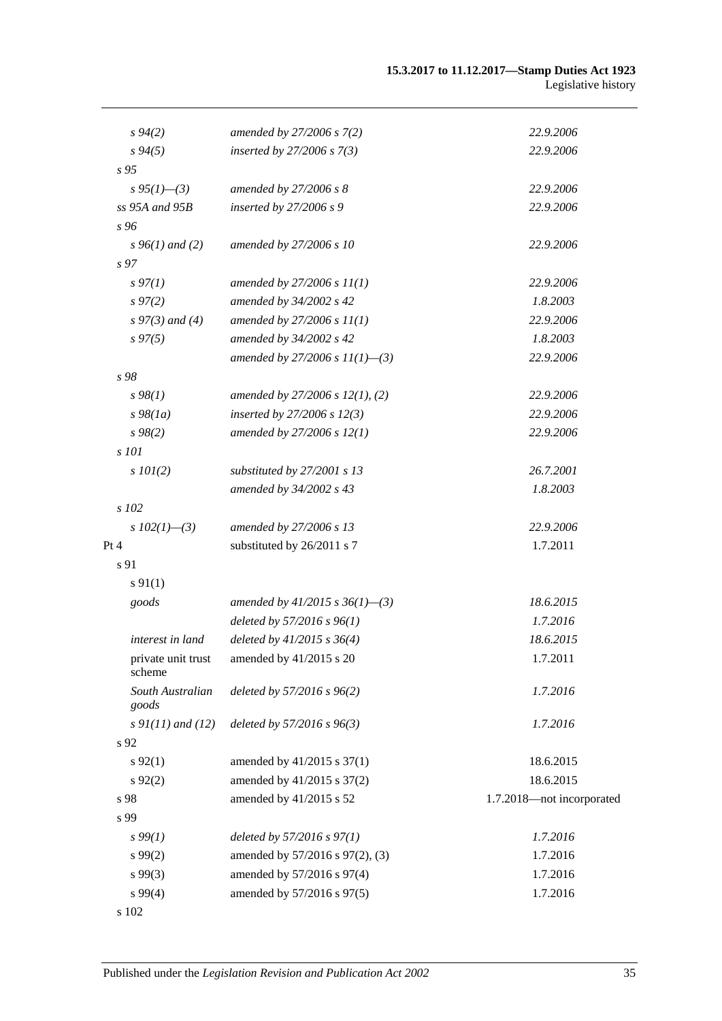#### **15.3.2017 to 11.12.2017—Stamp Duties Act 1923** Legislative history

| $s\,94(2)$                   | amended by 27/2006 s 7(2)            | 22.9.2006                 |
|------------------------------|--------------------------------------|---------------------------|
| $s\,94(5)$                   | inserted by $27/2006 s 7(3)$         | 22.9.2006                 |
| $\sqrt{s}$ 95                |                                      |                           |
| $s\,95(1)$ —(3)              | amended by 27/2006 s 8               | 22.9.2006                 |
| ss 95A and 95B               | inserted by $27/2006 s9$             | 22.9.2006                 |
| s 96                         |                                      |                           |
| $s\,96(1)$ and (2)           | amended by 27/2006 s 10              | 22.9.2006                 |
| s 97                         |                                      |                           |
| $s\,97(1)$                   | amended by $27/2006 s 11(1)$         | 22.9.2006                 |
| $s\,97(2)$                   | amended by 34/2002 s 42              | 1.8.2003                  |
| $s\,97(3)$ and (4)           | amended by $27/2006 s 11(1)$         | 22.9.2006                 |
| $s\,97(5)$                   | amended by 34/2002 s 42              | 1.8.2003                  |
|                              | amended by 27/2006 s $11(1)$ —(3)    | 22.9.2006                 |
| s 98                         |                                      |                           |
| $s\,98(1)$                   | amended by $27/2006$ s $12(1)$ , (2) | 22.9.2006                 |
| $s\,98(1a)$                  | inserted by $27/2006 s 12(3)$        | 22.9.2006                 |
| $s\,98(2)$                   | amended by $27/2006 s 12(1)$         | 22.9.2006                 |
| s 101                        |                                      |                           |
| $s$ 101(2)                   | substituted by 27/2001 s 13          | 26.7.2001                 |
|                              | amended by 34/2002 s 43              | 1.8.2003                  |
| s 102                        |                                      |                           |
| s $102(1)$ —(3)              | amended by 27/2006 s 13              | 22.9.2006                 |
| Pt 4                         | substituted by 26/2011 s 7           | 1.7.2011                  |
| s 91                         |                                      |                           |
| $s\,91(1)$                   |                                      |                           |
| goods                        | amended by $41/2015$ s $36(1)$ -(3)  | 18.6.2015                 |
|                              | deleted by $57/2016$ s $96(1)$       | 1.7.2016                  |
| interest in land             | deleted by $41/2015$ s $36(4)$       | 18.6.2015                 |
| private unit trust<br>scheme | amended by $41/2015$ s 20            | 1.7.2011                  |
| South Australian<br>goods    | deleted by 57/2016 s 96(2)           | 1.7.2016                  |
| $s \, 9I(11)$ and (12)       | deleted by $57/2016$ s $96(3)$       | 1.7.2016                  |
| s 92                         |                                      |                           |
| $s\,92(1)$                   | amended by 41/2015 s 37(1)           | 18.6.2015                 |
| $s\,92(2)$                   | amended by 41/2015 s 37(2)           | 18.6.2015                 |
| s 98                         | amended by 41/2015 s 52              | 1.7.2018-not incorporated |
| s 99                         |                                      |                           |
| $s\,99(1)$                   | deleted by $57/2016$ s $97(1)$       | 1.7.2016                  |
| $s\,99(2)$                   | amended by 57/2016 s 97(2), (3)      | 1.7.2016                  |
| s99(3)                       | amended by 57/2016 s 97(4)           | 1.7.2016                  |
| s 99(4)                      | amended by 57/2016 s 97(5)           | 1.7.2016                  |
| s 102                        |                                      |                           |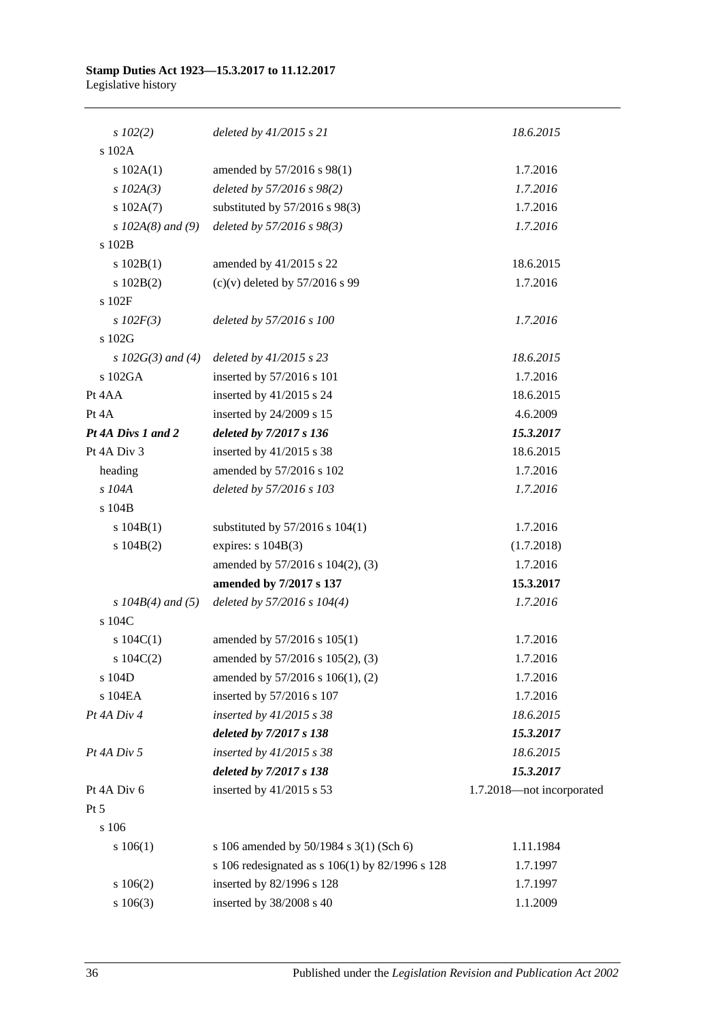| $s$ 102(2)            | deleted by $41/2015$ s 21                       | 18.6.2015                 |
|-----------------------|-------------------------------------------------|---------------------------|
| s 102A                |                                                 |                           |
| s 102A(1)             | amended by 57/2016 s 98(1)                      | 1.7.2016                  |
| $s$ 102A(3)           | deleted by 57/2016 s 98(2)                      | 1.7.2016                  |
| s 102A(7)             | substituted by $57/2016$ s $98(3)$              | 1.7.2016                  |
| s $102A(8)$ and (9)   | deleted by 57/2016 s 98(3)                      | 1.7.2016                  |
| s 102B                |                                                 |                           |
| s 102B(1)             | amended by 41/2015 s 22                         | 18.6.2015                 |
| s 102B(2)             | $(c)(v)$ deleted by 57/2016 s 99                | 1.7.2016                  |
| s 102F                |                                                 |                           |
| $s$ 102 $F(3)$        | deleted by 57/2016 s 100                        | 1.7.2016                  |
| s 102G                |                                                 |                           |
| s $102G(3)$ and (4)   | deleted by 41/2015 s 23                         | 18.6.2015                 |
| s 102GA               | inserted by 57/2016 s 101                       | 1.7.2016                  |
| Pt 4AA                | inserted by $41/2015$ s 24                      | 18.6.2015                 |
| Pt 4A                 | inserted by 24/2009 s 15                        | 4.6.2009                  |
| Pt 4A Divs 1 and 2    | deleted by 7/2017 s 136                         | 15.3.2017                 |
| Pt 4A Div 3           | inserted by $41/2015$ s 38                      | 18.6.2015                 |
| heading               | amended by 57/2016 s 102                        | 1.7.2016                  |
| s 104A                | deleted by 57/2016 s 103                        | 1.7.2016                  |
| s 104B                |                                                 |                           |
| s 104B(1)             | substituted by $57/2016$ s $104(1)$             | 1.7.2016                  |
| s 104B(2)             | expires: $s 104B(3)$                            | (1.7.2018)                |
|                       | amended by 57/2016 s 104(2), (3)                | 1.7.2016                  |
|                       | amended by 7/2017 s 137                         | 15.3.2017                 |
| s $104B(4)$ and $(5)$ | deleted by 57/2016 s 104(4)                     | 1.7.2016                  |
| s 104C                |                                                 |                           |
| s $104C(1)$           | amended by 57/2016 s 105(1)                     | 1.7.2016                  |
| s $104C(2)$           | amended by 57/2016 s 105(2), (3)                | 1.7.2016                  |
| s 104D                | amended by 57/2016 s 106(1), (2)                | 1.7.2016                  |
| s 104EA               | inserted by 57/2016 s 107                       | 1.7.2016                  |
| Pt 4A Div 4           | inserted by $41/2015$ s 38                      | 18.6.2015                 |
|                       | deleted by 7/2017 s 138                         | 15.3.2017                 |
| Pt 4A Div 5           | inserted by $41/2015$ s 38                      | 18.6.2015                 |
|                       | deleted by 7/2017 s 138                         | 15.3.2017                 |
| Pt 4A Div 6           | inserted by 41/2015 s 53                        | 1.7.2018-not incorporated |
| Pt 5                  |                                                 |                           |
| $\sqrt{s}$ 106        |                                                 |                           |
| s 106(1)              | s 106 amended by 50/1984 s 3(1) (Sch 6)         | 1.11.1984                 |
|                       | s 106 redesignated as s 106(1) by 82/1996 s 128 | 1.7.1997                  |
| s 106(2)              | inserted by 82/1996 s 128                       | 1.7.1997                  |
| s 106(3)              | inserted by 38/2008 s 40                        | 1.1.2009                  |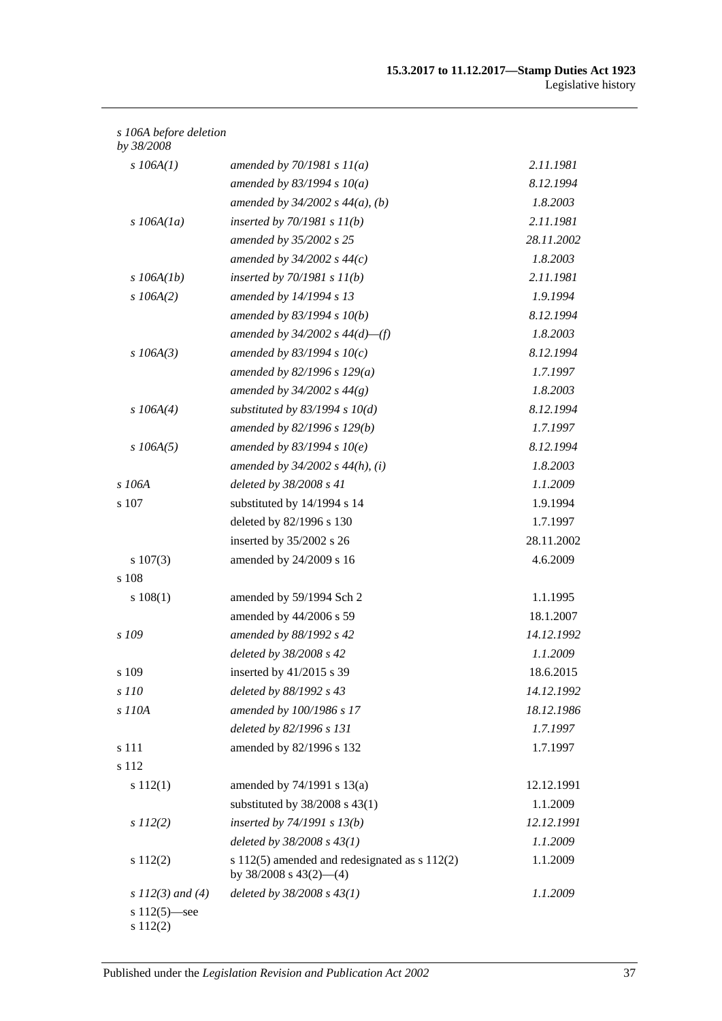| s 106A before deletion |  |
|------------------------|--|
|------------------------|--|

| by 38/2008                  |                                                                                  |            |
|-----------------------------|----------------------------------------------------------------------------------|------------|
| $s$ 106A(1)                 | amended by $70/1981 s 11(a)$                                                     | 2.11.1981  |
|                             | amended by $83/1994 s 10(a)$                                                     | 8.12.1994  |
|                             | amended by $34/2002$ s $44(a)$ , (b)                                             | 1.8.2003   |
| $s$ 106A(1a)                | inserted by $70/1981 s 11(b)$                                                    | 2.11.1981  |
|                             | amended by 35/2002 s 25                                                          | 28.11.2002 |
|                             | amended by $34/2002$ s $44(c)$                                                   | 1.8.2003   |
| $s$ 106A(1b)                | inserted by $70/1981 s 11(b)$                                                    | 2.11.1981  |
| $s$ 106A(2)                 | amended by 14/1994 s 13                                                          | 1.9.1994   |
|                             | amended by $83/1994 s 10(b)$                                                     | 8.12.1994  |
|                             | amended by $34/2002$ s $44(d)$ —(f)                                              | 1.8.2003   |
| $s$ 106A(3)                 | amended by 83/1994 s $10(c)$                                                     | 8.12.1994  |
|                             | amended by 82/1996 s $129(a)$                                                    | 1.7.1997   |
|                             | amended by $34/2002 s 44(g)$                                                     | 1.8.2003   |
| $s$ 106A(4)                 | substituted by $83/1994$ s $10(d)$                                               | 8.12.1994  |
|                             | amended by 82/1996 s 129(b)                                                      | 1.7.1997   |
| $s$ 106A(5)                 | amended by $83/1994 s 10(e)$                                                     | 8.12.1994  |
|                             | amended by $34/2002$ s $44(h)$ , (i)                                             | 1.8.2003   |
| $s$ 106A                    | deleted by 38/2008 s 41                                                          | 1.1.2009   |
| s 107                       | substituted by 14/1994 s 14                                                      | 1.9.1994   |
|                             | deleted by 82/1996 s 130                                                         | 1.7.1997   |
|                             | inserted by 35/2002 s 26                                                         | 28.11.2002 |
| $s\ 107(3)$                 | amended by 24/2009 s 16                                                          | 4.6.2009   |
| s 108                       |                                                                                  |            |
| s 108(1)                    | amended by 59/1994 Sch 2                                                         | 1.1.1995   |
|                             | amended by 44/2006 s 59                                                          | 18.1.2007  |
| s 109                       | amended by 88/1992 s 42                                                          | 14.12.1992 |
|                             | deleted by 38/2008 s 42                                                          | 1.1.2009   |
| s 109                       | inserted by $41/2015$ s 39                                                       | 18.6.2015  |
| s 110                       | deleted by 88/1992 s 43                                                          | 14.12.1992 |
| s 110A                      | amended by 100/1986 s 17                                                         | 18.12.1986 |
|                             | deleted by 82/1996 s 131                                                         | 1.7.1997   |
| s 111                       | amended by 82/1996 s 132                                                         | 1.7.1997   |
| s 112                       |                                                                                  |            |
| s 112(1)                    | amended by $74/1991$ s $13(a)$                                                   | 12.12.1991 |
|                             | substituted by $38/2008$ s $43(1)$                                               | 1.1.2009   |
| $s\,II2(2)$                 | inserted by $74/1991 s 13(b)$                                                    | 12.12.1991 |
|                             | deleted by $38/2008 s 43(1)$                                                     | 1.1.2009   |
| s 112(2)                    | s $112(5)$ amended and redesignated as s $112(2)$<br>by $38/2008$ s $43(2)$ —(4) | 1.1.2009   |
| s $112(3)$ and (4)          | deleted by $38/2008$ s $43(1)$                                                   | 1.1.2009   |
| s $112(5)$ —see<br>s 112(2) |                                                                                  |            |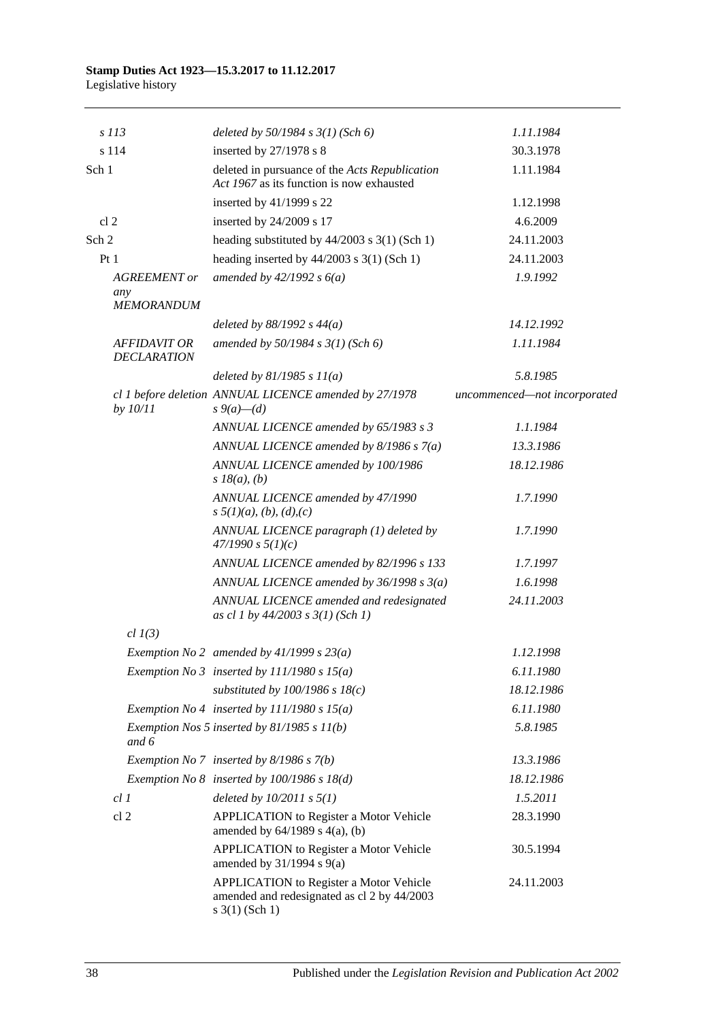|                 | s 113                                           | deleted by $50/1984$ s $3(1)$ (Sch 6)                                                                         | 1.11.1984                    |
|-----------------|-------------------------------------------------|---------------------------------------------------------------------------------------------------------------|------------------------------|
|                 | s 114                                           | inserted by 27/1978 s 8                                                                                       | 30.3.1978                    |
| Sch 1           |                                                 | deleted in pursuance of the Acts Republication<br>Act 1967 as its function is now exhausted                   | 1.11.1984                    |
|                 |                                                 | inserted by $41/1999$ s 22                                                                                    | 1.12.1998                    |
| cl <sub>2</sub> |                                                 | inserted by 24/2009 s 17                                                                                      | 4.6.2009                     |
| Sch 2           |                                                 | heading substituted by $44/2003$ s $3(1)$ (Sch 1)                                                             | 24.11.2003                   |
| Pt1             |                                                 | heading inserted by $44/2003$ s 3(1) (Sch 1)                                                                  | 24.11.2003                   |
|                 | <b>AGREEMENT</b> or<br>any<br><b>MEMORANDUM</b> | amended by $42/1992 s 6(a)$                                                                                   | 1.9.1992                     |
|                 |                                                 | deleted by $88/1992$ s $44(a)$                                                                                | 14.12.1992                   |
|                 | <b>AFFIDAVIT OR</b><br><b>DECLARATION</b>       | amended by 50/1984 s 3(1) (Sch 6)                                                                             | 1.11.1984                    |
|                 |                                                 | deleted by $81/1985 s 11(a)$                                                                                  | 5.8.1985                     |
|                 | by 10/11                                        | cl 1 before deletion ANNUAL LICENCE amended by 27/1978<br>$s \, 9(a) - (d)$                                   | uncommenced-not incorporated |
|                 |                                                 | ANNUAL LICENCE amended by 65/1983 s 3                                                                         | 1.1.1984                     |
|                 |                                                 | ANNUAL LICENCE amended by $8/1986 s 7(a)$                                                                     | 13.3.1986                    |
|                 |                                                 | ANNUAL LICENCE amended by 100/1986<br>$s$ 18( <i>a</i> ), ( <i>b</i> )                                        | 18.12.1986                   |
|                 |                                                 | ANNUAL LICENCE amended by 47/1990<br>$s \frac{5}{1}(a), (b), (d), (c)$                                        | 1.7.1990                     |
|                 |                                                 | ANNUAL LICENCE paragraph (1) deleted by<br>47/1990 s 5(1)(c)                                                  | 1.7.1990                     |
|                 |                                                 | ANNUAL LICENCE amended by 82/1996 s 133                                                                       | 1.7.1997                     |
|                 |                                                 | ANNUAL LICENCE amended by $36/1998 s 3(a)$                                                                    | 1.6.1998                     |
|                 |                                                 | ANNUAL LICENCE amended and redesignated<br>as cl 1 by $44/2003$ s $3(1)$ (Sch 1)                              | 24.11.2003                   |
|                 | $cl$ $1(3)$                                     |                                                                                                               |                              |
|                 |                                                 | Exemption No 2 amended by $41/1999$ s $23(a)$                                                                 | 1.12.1998                    |
|                 |                                                 | Exemption No 3 inserted by $111/1980 s 15(a)$                                                                 | 6.11.1980                    |
|                 |                                                 | substituted by $100/1986$ s $18(c)$                                                                           | 18.12.1986                   |
|                 |                                                 | Exemption No 4 inserted by $111/1980 s 15(a)$                                                                 | 6.11.1980                    |
|                 | and 6                                           | Exemption Nos 5 inserted by $81/1985 s 11(b)$                                                                 | 5.8.1985                     |
|                 |                                                 | Exemption No 7 inserted by 8/1986 s 7(b)                                                                      | 13.3.1986                    |
|                 |                                                 | Exemption No $8$ inserted by 100/1986 s 18(d)                                                                 | 18.12.1986                   |
|                 | cl1                                             | deleted by $10/2011$ s $5(1)$                                                                                 | 1.5.2011                     |
|                 | cl <sub>2</sub>                                 | <b>APPLICATION</b> to Register a Motor Vehicle<br>amended by $64/1989$ s $4(a)$ , (b)                         | 28.3.1990                    |
|                 |                                                 | APPLICATION to Register a Motor Vehicle<br>amended by $31/1994$ s $9(a)$                                      | 30.5.1994                    |
|                 |                                                 | APPLICATION to Register a Motor Vehicle<br>amended and redesignated as cl 2 by 44/2003<br>$s \; 3(1)$ (Sch 1) | 24.11.2003                   |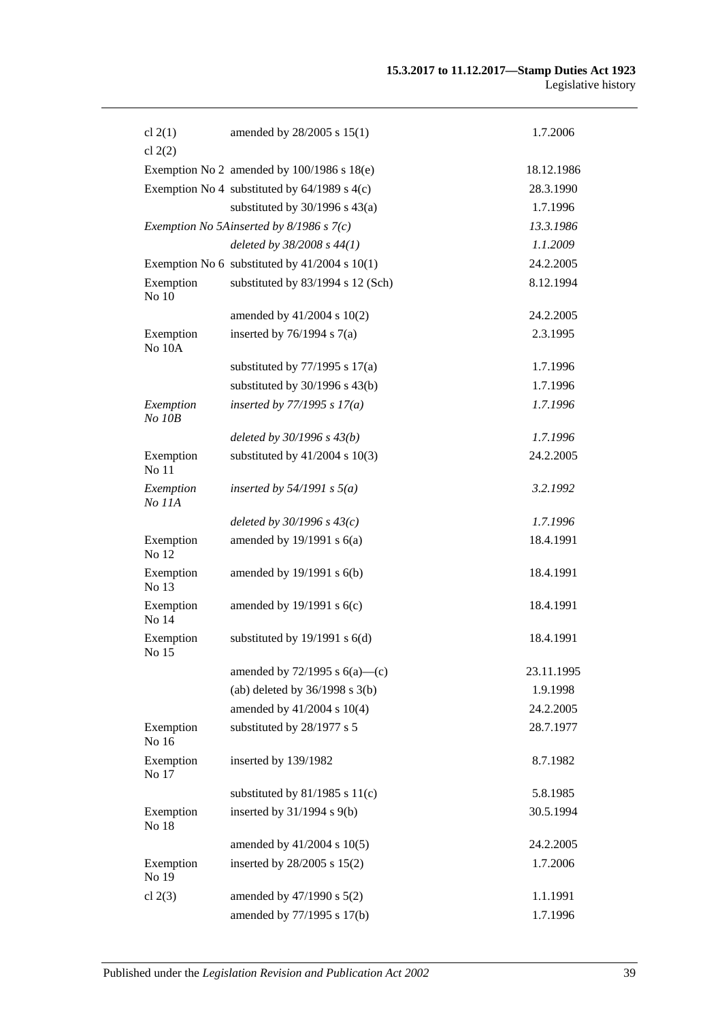| cl $2(1)$               | amended by 28/2005 s 15(1)                        | 1.7.2006   |
|-------------------------|---------------------------------------------------|------------|
| cl $2(2)$               |                                                   |            |
|                         | Exemption No 2 amended by $100/1986$ s $18(e)$    | 18.12.1986 |
|                         | Exemption No 4 substituted by $64/1989$ s $4(c)$  | 28.3.1990  |
|                         | substituted by $30/1996$ s $43(a)$                | 1.7.1996   |
|                         | Exemption No 5Ainserted by 8/1986 s 7(c)          | 13.3.1986  |
|                         | deleted by $38/2008 s 44(1)$                      | 1.1.2009   |
|                         | Exemption No 6 substituted by $41/2004$ s $10(1)$ | 24.2.2005  |
| Exemption<br>No 10      | substituted by 83/1994 s 12 (Sch)                 | 8.12.1994  |
|                         | amended by 41/2004 s 10(2)                        | 24.2.2005  |
| Exemption<br>No 10A     | inserted by $76/1994$ s $7(a)$                    | 2.3.1995   |
|                         | substituted by $77/1995$ s $17(a)$                | 1.7.1996   |
|                         | substituted by $30/1996$ s $43(b)$                | 1.7.1996   |
| Exemption<br>$No$ $10B$ | inserted by $77/1995 s 17(a)$                     | 1.7.1996   |
|                         | deleted by $30/1996 s 43(b)$                      | 1.7.1996   |
| Exemption<br>No 11      | substituted by $41/2004$ s $10(3)$                | 24.2.2005  |
| Exemption<br>No 11A     | inserted by $54/1991$ s $5(a)$                    | 3.2.1992   |
|                         | deleted by $30/1996 s 43(c)$                      | 1.7.1996   |
| Exemption<br>No 12      | amended by $19/1991$ s $6(a)$                     | 18.4.1991  |
| Exemption<br>No 13      | amended by $19/1991$ s $6(b)$                     | 18.4.1991  |
| Exemption<br>No 14      | amended by $19/1991$ s $6(c)$                     | 18.4.1991  |
| Exemption<br>No 15      | substituted by $19/1991$ s $6(d)$                 | 18.4.1991  |
|                         | amended by $72/1995$ s $6(a)$ —(c)                | 23.11.1995 |
|                         | (ab) deleted by $36/1998$ s $3(b)$                | 1.9.1998   |
|                         | amended by 41/2004 s 10(4)                        | 24.2.2005  |
| Exemption<br>No 16      | substituted by 28/1977 s 5                        | 28.7.1977  |
| Exemption<br>No 17      | inserted by 139/1982                              | 8.7.1982   |
|                         | substituted by $81/1985$ s $11(c)$                | 5.8.1985   |
| Exemption<br>No 18      | inserted by $31/1994$ s $9(b)$                    | 30.5.1994  |
|                         | amended by 41/2004 s 10(5)                        | 24.2.2005  |
| Exemption<br>No 19      | inserted by 28/2005 s 15(2)                       | 1.7.2006   |
| cl $2(3)$               | amended by 47/1990 s 5(2)                         | 1.1.1991   |
|                         | amended by 77/1995 s 17(b)                        | 1.7.1996   |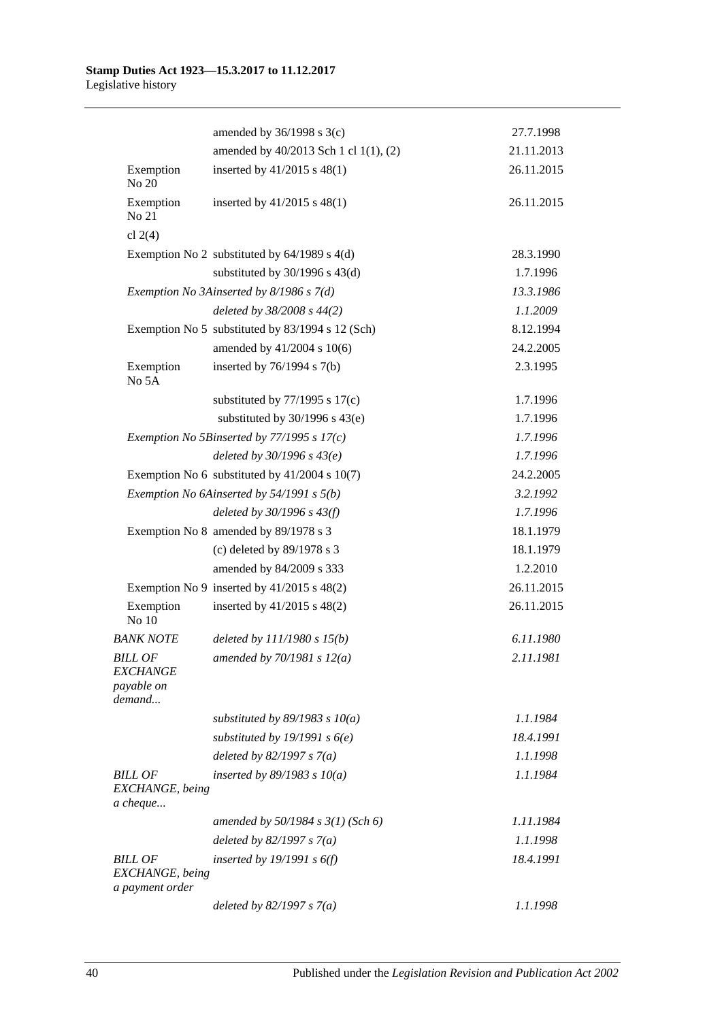|                                                                  | amended by $36/1998$ s $3(c)$                    | 27.7.1998  |
|------------------------------------------------------------------|--------------------------------------------------|------------|
|                                                                  | amended by 40/2013 Sch 1 cl 1(1), (2)            | 21.11.2013 |
| Exemption<br>No 20                                               | inserted by $41/2015$ s $48(1)$                  | 26.11.2015 |
| Exemption<br>No 21                                               | inserted by $41/2015$ s $48(1)$                  | 26.11.2015 |
| cl $2(4)$                                                        |                                                  |            |
|                                                                  | Exemption No 2 substituted by $64/1989$ s $4(d)$ | 28.3.1990  |
|                                                                  | substituted by $30/1996$ s $43(d)$               | 1.7.1996   |
|                                                                  | Exemption No 3Ainserted by 8/1986 s 7(d)         | 13.3.1986  |
|                                                                  | deleted by 38/2008 s 44(2)                       | 1.1.2009   |
|                                                                  | Exemption No 5 substituted by 83/1994 s 12 (Sch) | 8.12.1994  |
|                                                                  | amended by 41/2004 s 10(6)                       | 24.2.2005  |
| Exemption<br>No 5A                                               | inserted by $76/1994$ s $7(b)$                   | 2.3.1995   |
|                                                                  | substituted by $77/1995$ s $17(c)$               | 1.7.1996   |
|                                                                  | substituted by $30/1996$ s $43(e)$               | 1.7.1996   |
|                                                                  | Exemption No 5Binserted by $77/1995$ s $17(c)$   | 1.7.1996   |
|                                                                  | deleted by $30/1996 s 43(e)$                     | 1.7.1996   |
|                                                                  | Exemption No 6 substituted by $41/2004$ s 10(7)  | 24.2.2005  |
|                                                                  | Exemption No 6Ainserted by 54/1991 s 5(b)        | 3.2.1992   |
|                                                                  | deleted by $30/1996 s 43(f)$                     | 1.7.1996   |
|                                                                  | Exemption No 8 amended by 89/1978 s 3            | 18.1.1979  |
|                                                                  | (c) deleted by 89/1978 s 3                       | 18.1.1979  |
|                                                                  | amended by 84/2009 s 333                         | 1.2.2010   |
|                                                                  | Exemption No 9 inserted by $41/2015$ s $48(2)$   | 26.11.2015 |
| Exemption<br>No 10                                               | inserted by $41/2015$ s $48(2)$                  | 26.11.2015 |
| <b>BANK NOTE</b>                                                 | deleted by $111/1980 s 15(b)$                    | 6.11.1980  |
| <b>BILL OF</b><br><b>EXCHANGE</b><br><i>payable on</i><br>demand | amended by $70/1981 s 12(a)$                     | 2.11.1981  |
|                                                                  | substituted by $89/1983$ s $10(a)$               | 1.1.1984   |
|                                                                  | substituted by 19/1991 s $6(e)$                  | 18.4.1991  |
|                                                                  | deleted by $82/1997 s 7(a)$                      | 1.1.1998   |
| <b>BILL OF</b><br>EXCHANGE, being<br>a cheque                    | inserted by $89/1983$ s $10(a)$                  | 1.1.1984   |
|                                                                  | amended by $50/1984 s 3(1)$ (Sch 6)              | 1.11.1984  |
|                                                                  | deleted by $82/1997 s 7(a)$                      | 1.1.1998   |
| <b>BILL OF</b><br>EXCHANGE, being<br>a payment order             | inserted by 19/1991 s $6(f)$                     | 18.4.1991  |
|                                                                  | deleted by $82/1997 s 7(a)$                      | 1.1.1998   |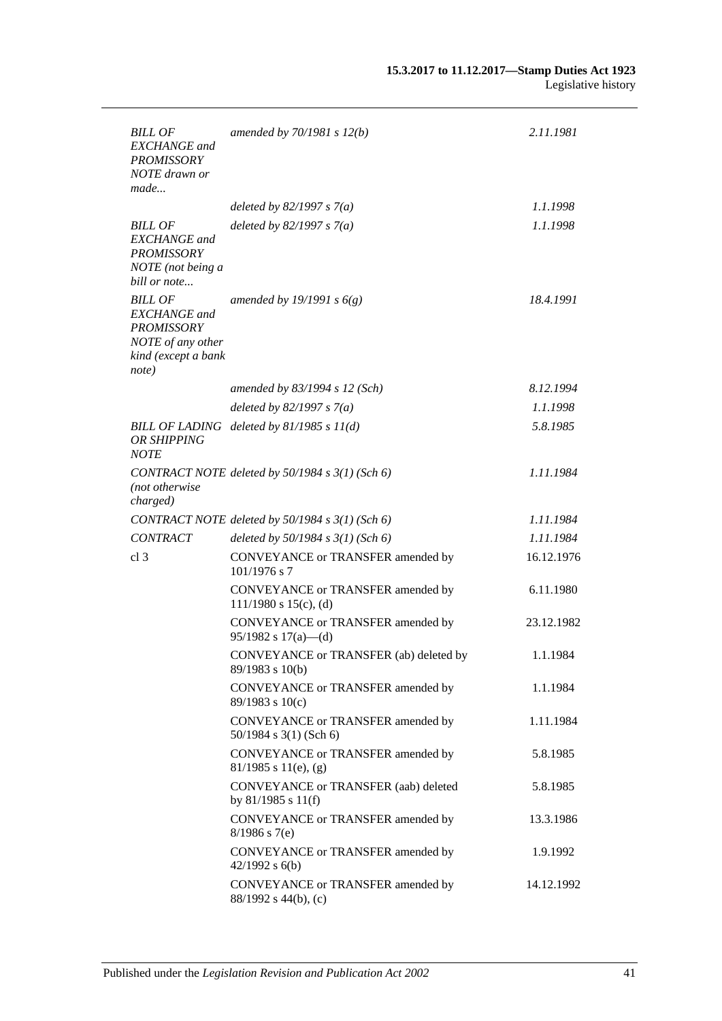| <b>BILL OF</b><br><b>EXCHANGE</b> and<br><b>PROMISSORY</b><br>NOTE drawn or<br>made                             | amended by $70/1981 s 12(b)$                                    | 2.11.1981  |
|-----------------------------------------------------------------------------------------------------------------|-----------------------------------------------------------------|------------|
|                                                                                                                 | deleted by $82/1997 s 7(a)$                                     | 1.1.1998   |
| <b>BILL OF</b><br><b>EXCHANGE</b> and<br><b>PROMISSORY</b><br>NOTE (not being a<br>bill or note                 | deleted by $82/1997 s 7(a)$                                     | 1.1.1998   |
| <b>BILL OF</b><br><b>EXCHANGE</b> and<br><b>PROMISSORY</b><br>NOTE of any other<br>kind (except a bank<br>note) | amended by 19/1991 s $6(g)$                                     | 18.4.1991  |
|                                                                                                                 | amended by 83/1994 s 12 (Sch)                                   | 8.12.1994  |
|                                                                                                                 | deleted by $82/1997 s 7(a)$                                     | 1.1.1998   |
| OR SHIPPING<br><b>NOTE</b>                                                                                      | BILL OF LADING deleted by $81/1985 s 11(d)$                     | 5.8.1985   |
| (not otherwise<br>charged)                                                                                      | CONTRACT NOTE deleted by 50/1984 s 3(1) (Sch 6)                 | 1.11.1984  |
|                                                                                                                 | CONTRACT NOTE deleted by 50/1984 s 3(1) (Sch 6)                 | 1.11.1984  |
| <b>CONTRACT</b>                                                                                                 | deleted by $50/1984$ s $3(1)$ (Sch 6)                           | 1.11.1984  |
| cl <sub>3</sub>                                                                                                 | CONVEYANCE or TRANSFER amended by<br>$101/1976$ s 7             | 16.12.1976 |
|                                                                                                                 | CONVEYANCE or TRANSFER amended by<br>$111/1980$ s $15(c)$ , (d) | 6.11.1980  |
|                                                                                                                 | CONVEYANCE or TRANSFER amended by<br>$95/1982$ s $17(a)$ —(d)   | 23.12.1982 |
|                                                                                                                 | CONVEYANCE or TRANSFER (ab) deleted by<br>89/1983 s 10(b)       | 1.1.1984   |
|                                                                                                                 | CONVEYANCE or TRANSFER amended by<br>89/1983 s 10(c)            | 1.1.1984   |
|                                                                                                                 | CONVEYANCE or TRANSFER amended by<br>50/1984 s 3(1) (Sch 6)     | 1.11.1984  |
|                                                                                                                 | CONVEYANCE or TRANSFER amended by<br>$81/1985$ s $11(e)$ , (g)  | 5.8.1985   |
|                                                                                                                 | CONVEYANCE or TRANSFER (aab) deleted<br>by 81/1985 s 11(f)      | 5.8.1985   |
|                                                                                                                 | CONVEYANCE or TRANSFER amended by<br>$8/1986$ s 7(e)            | 13.3.1986  |
|                                                                                                                 | CONVEYANCE or TRANSFER amended by<br>$42/1992$ s $6(b)$         | 1.9.1992   |
|                                                                                                                 | CONVEYANCE or TRANSFER amended by<br>88/1992 s 44(b), (c)       | 14.12.1992 |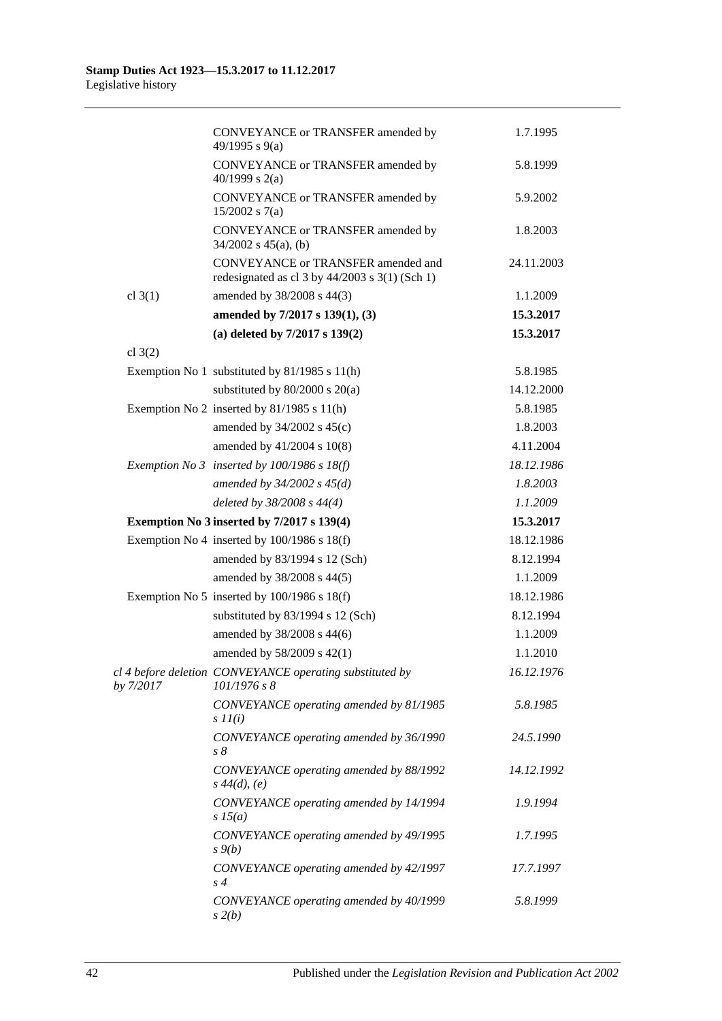|           | CONVEYANCE or TRANSFER amended by<br>49/1995 s 9(a)                                        | 1.7.1995   |
|-----------|--------------------------------------------------------------------------------------------|------------|
|           | CONVEYANCE or TRANSFER amended by<br>40/1999 s $2(a)$                                      | 5.8.1999   |
|           | CONVEYANCE or TRANSFER amended by<br>$15/2002$ s 7(a)                                      | 5.9.2002   |
|           | CONVEYANCE or TRANSFER amended by<br>$34/2002$ s $45(a)$ , (b)                             | 1.8.2003   |
|           | CONVEYANCE or TRANSFER amended and<br>redesignated as cl $3$ by $44/2003$ s $3(1)$ (Sch 1) | 24.11.2003 |
| cl $3(1)$ | amended by 38/2008 s 44(3)                                                                 | 1.1.2009   |
|           | amended by 7/2017 s 139(1), (3)                                                            | 15.3.2017  |
|           | (a) deleted by 7/2017 s 139(2)                                                             | 15.3.2017  |
| cl $3(2)$ |                                                                                            |            |
|           | Exemption No 1 substituted by 81/1985 s 11(h)                                              | 5.8.1985   |
|           | substituted by $80/2000$ s $20(a)$                                                         | 14.12.2000 |
|           | Exemption No 2 inserted by $81/1985$ s $11(h)$                                             | 5.8.1985   |
|           | amended by $34/2002$ s $45(c)$                                                             | 1.8.2003   |
|           | amended by 41/2004 s 10(8)                                                                 | 4.11.2004  |
|           | Exemption No 3 inserted by $100/1986$ s $18(f)$                                            | 18.12.1986 |
|           | amended by $34/2002$ s $45(d)$                                                             | 1.8.2003   |
|           | deleted by $38/2008$ s $44(4)$                                                             | 1.1.2009   |
|           | Exemption No 3 inserted by 7/2017 s 139(4)                                                 | 15.3.2017  |
|           | Exemption No 4 inserted by $100/1986$ s $18(f)$                                            | 18.12.1986 |
|           | amended by 83/1994 s 12 (Sch)                                                              | 8.12.1994  |
|           | amended by 38/2008 s 44(5)                                                                 | 1.1.2009   |
|           | Exemption No 5 inserted by $100/1986$ s $18(f)$                                            | 18.12.1986 |
|           | substituted by 83/1994 s 12 (Sch)                                                          | 8.12.1994  |
|           | amended by 38/2008 s 44(6)                                                                 | 1.1.2009   |
|           | amended by 58/2009 s 42(1)                                                                 | 1.1.2010   |
| by 7/2017 | cl 4 before deletion CONVEYANCE operating substituted by<br>101/1976 s 8                   | 16.12.1976 |
|           | CONVEYANCE operating amended by 81/1985<br>$s$ $11(i)$                                     | 5.8.1985   |
|           | CONVEYANCE operating amended by 36/1990<br>$s\,\delta$                                     | 24.5.1990  |
|           | CONVEYANCE operating amended by 88/1992<br>$s\,44(d), (e)$                                 | 14.12.1992 |
|           | CONVEYANCE operating amended by 14/1994<br>$s\,15(a)$                                      | 1.9.1994   |
|           | CONVEYANCE operating amended by 49/1995<br>$s \mathcal{G}(b)$                              | 1.7.1995   |
|           | CONVEYANCE operating amended by 42/1997<br>$s\,4$                                          | 17.7.1997  |
|           | CONVEYANCE operating amended by 40/1999<br>s(2(b)                                          | 5.8.1999   |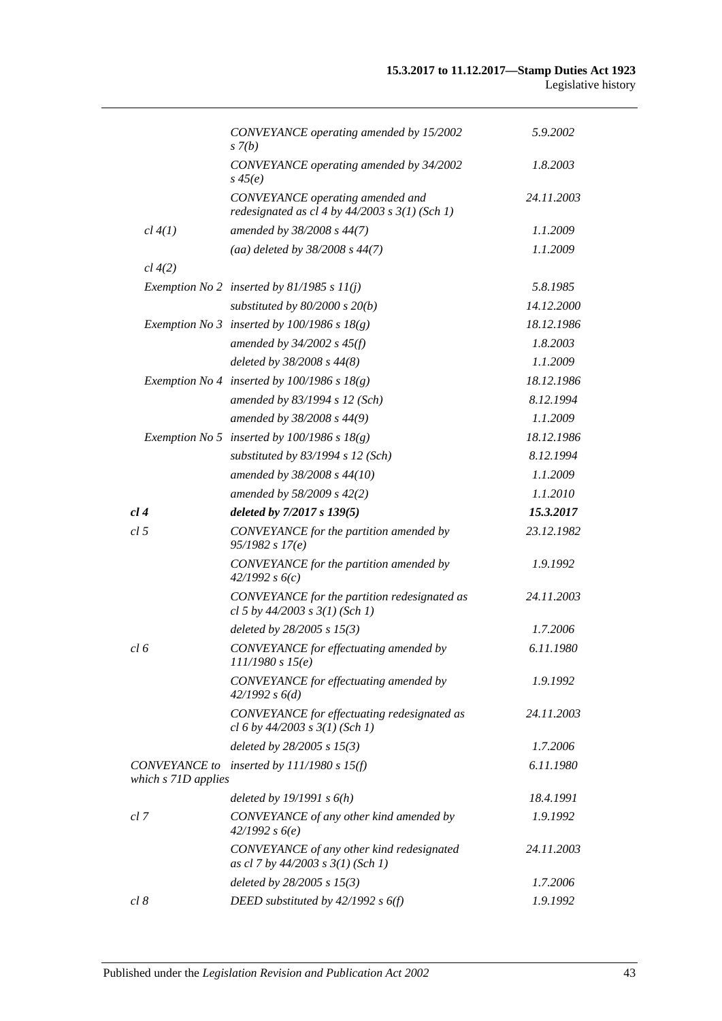|                      | CONVEYANCE operating amended by 15/2002<br>$s \, 7(b)$                                 | 5.9.2002   |
|----------------------|----------------------------------------------------------------------------------------|------------|
|                      | CONVEYANCE operating amended by 34/2002<br>$s\,45(e)$                                  | 1.8.2003   |
|                      | CONVEYANCE operating amended and<br>redesignated as cl 4 by $44/2003$ s $3(1)$ (Sch 1) | 24.11.2003 |
| cl 4(1)              | amended by 38/2008 s 44(7)                                                             | 1.1.2009   |
|                      | (aa) deleted by $38/2008$ s $44(7)$                                                    | 1.1.2009   |
| cl 4(2)              |                                                                                        |            |
|                      | Exemption No 2 inserted by 81/1985 s $11(j)$                                           | 5.8.1985   |
|                      | substituted by $80/2000$ s $20(b)$                                                     | 14.12.2000 |
|                      | Exemption No 3 inserted by $100/1986$ s $18(g)$                                        | 18.12.1986 |
|                      | amended by $34/2002$ s $45(f)$                                                         | 1.8.2003   |
|                      | deleted by 38/2008 s 44(8)                                                             | 1.1.2009   |
|                      | Exemption No 4 inserted by $100/1986$ s $18(g)$                                        | 18.12.1986 |
|                      | amended by 83/1994 s 12 (Sch)                                                          | 8.12.1994  |
|                      | amended by 38/2008 s 44(9)                                                             | 1.1.2009   |
|                      | Exemption No 5 inserted by $100/1986$ s $18(g)$                                        | 18.12.1986 |
|                      | substituted by $83/1994$ s 12 (Sch)                                                    | 8.12.1994  |
|                      | amended by 38/2008 s 44(10)                                                            | 1.1.2009   |
|                      | amended by 58/2009 s 42(2)                                                             | 1.1.2010   |
| cl4                  | deleted by 7/2017 s 139(5)                                                             | 15.3.2017  |
| cl 5                 | CONVEYANCE for the partition amended by<br>95/1982 s 17(e)                             | 23.12.1982 |
|                      | CONVEYANCE for the partition amended by<br>42/1992 s6(c)                               | 1.9.1992   |
|                      | CONVEYANCE for the partition redesignated as<br>cl 5 by $44/2003$ s $3(1)$ (Sch 1)     | 24.11.2003 |
|                      | deleted by $28/2005 s 15(3)$                                                           | 1.7.2006   |
| cl 6                 | CONVEYANCE for effectuating amended by<br>111/1980 s 15(e)                             | 6.11.1980  |
|                      | CONVEYANCE for effectuating amended by<br>42/1992 s 6(d)                               | 1.9.1992   |
|                      | CONVEYANCE for effectuating redesignated as<br>cl 6 by $44/2003$ s $3(1)$ (Sch 1)      | 24.11.2003 |
|                      | deleted by $28/2005 s 15(3)$                                                           | 1.7.2006   |
| <b>CONVEYANCE</b> to | inserted by $111/1980$ s $15(f)$                                                       | 6.11.1980  |
| which s 71D applies  |                                                                                        |            |
|                      | deleted by $19/1991 s 6(h)$                                                            | 18.4.1991  |
| cl 7                 | CONVEYANCE of any other kind amended by<br>42/1992 s6(e)                               | 1.9.1992   |
|                      | CONVEYANCE of any other kind redesignated<br>as cl 7 by $44/2003$ s $3(1)$ (Sch 1)     | 24.11.2003 |
|                      | deleted by $28/2005 s 15(3)$                                                           | 1.7.2006   |
| cl 8                 | DEED substituted by $42/1992 s 6(f)$                                                   | 1.9.1992   |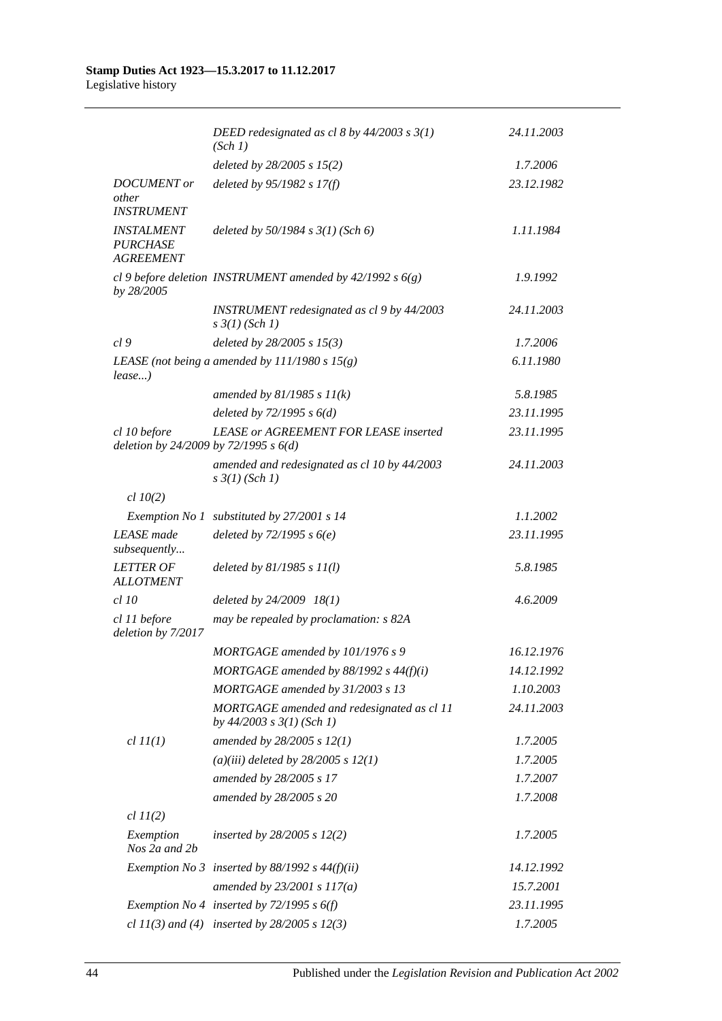#### **Stamp Duties Act 1923—15.3.2017 to 11.12.2017** Legislative history

|                                                          | DEED redesignated as cl 8 by $44/2003$ s $3(1)$<br>(Sch 1)                  | 24.11.2003 |
|----------------------------------------------------------|-----------------------------------------------------------------------------|------------|
|                                                          | deleted by $28/2005$ s $15(2)$                                              | 1.7.2006   |
| <b>DOCUMENT</b> or<br>other<br><b>INSTRUMENT</b>         | deleted by $95/1982 s 17(f)$                                                | 23.12.1982 |
| <b>INSTALMENT</b><br><b>PURCHASE</b><br><b>AGREEMENT</b> | deleted by $50/1984$ s $3(1)$ (Sch 6)                                       | 1.11.1984  |
| by 28/2005                                               | cl 9 before deletion INSTRUMENT amended by $42/1992 s 6(g)$                 | 1.9.1992   |
|                                                          | INSTRUMENT redesignated as cl 9 by 44/2003<br>$s \frac{3}{1} (Sch 1)$       | 24.11.2003 |
| cl9                                                      | deleted by $28/2005$ s $15(3)$                                              | 1.7.2006   |
| $lease$ )                                                | LEASE (not being a amended by $111/1980 s 15(g)$ )                          | 6.11.1980  |
|                                                          | amended by $81/1985 s 11(k)$                                                | 5.8.1985   |
|                                                          | deleted by $72/1995 s 6(d)$                                                 | 23.11.1995 |
| cl 10 before<br>deletion by 24/2009 by 72/1995 s 6(d)    | <b>LEASE or AGREEMENT FOR LEASE inserted</b>                                | 23.11.1995 |
|                                                          | amended and redesignated as cl 10 by 44/2003<br>$s \frac{3}{1} (Sch 1)$     | 24.11.2003 |
| $cl$ 10(2)                                               |                                                                             |            |
|                                                          | Exemption No 1 substituted by 27/2001 s 14                                  | 1.1.2002   |
| <b>LEASE</b> made<br>subsequently                        | deleted by $72/1995 s 6(e)$                                                 | 23.11.1995 |
| <b>LETTER OF</b><br><b>ALLOTMENT</b>                     | deleted by $81/1985 s 11(l)$                                                | 5.8.1985   |
| $cl$ 10                                                  | deleted by 24/2009 18(1)                                                    | 4.6.2009   |
| cl 11 before<br>deletion by 7/2017                       | may be repealed by proclamation: s 82A                                      |            |
|                                                          | MORTGAGE amended by 101/1976 s 9                                            | 16.12.1976 |
|                                                          | MORTGAGE amended by $88/1992$ s $44(f)(i)$                                  | 14.12.1992 |
|                                                          | MORTGAGE amended by 31/2003 s 13                                            | 1.10.2003  |
|                                                          | MORTGAGE amended and redesignated as cl 11<br>by $44/2003$ s $3(1)$ (Sch 1) | 24.11.2003 |
| $cl$ $II(1)$                                             | amended by 28/2005 s 12(1)                                                  | 1.7.2005   |
|                                                          | (a)(iii) deleted by $28/2005 s 12(1)$                                       | 1.7.2005   |
|                                                          | amended by 28/2005 s 17                                                     | 1.7.2007   |
|                                                          | amended by 28/2005 s 20                                                     | 1.7.2008   |
| $cl$ $11(2)$                                             |                                                                             |            |
| Exemption<br>Nos 2a and 2b                               | inserted by $28/2005$ s $12(2)$                                             | 1.7.2005   |
|                                                          | Exemption No 3 inserted by $88/1992$ s $44(f)(ii)$                          | 14.12.1992 |
|                                                          | amended by $23/2001 s 117(a)$                                               | 15.7.2001  |
|                                                          | Exemption No 4 inserted by $72/1995 s 6(f)$                                 | 23.11.1995 |
|                                                          | cl $11(3)$ and (4) inserted by $28/2005$ s $12(3)$                          | 1.7.2005   |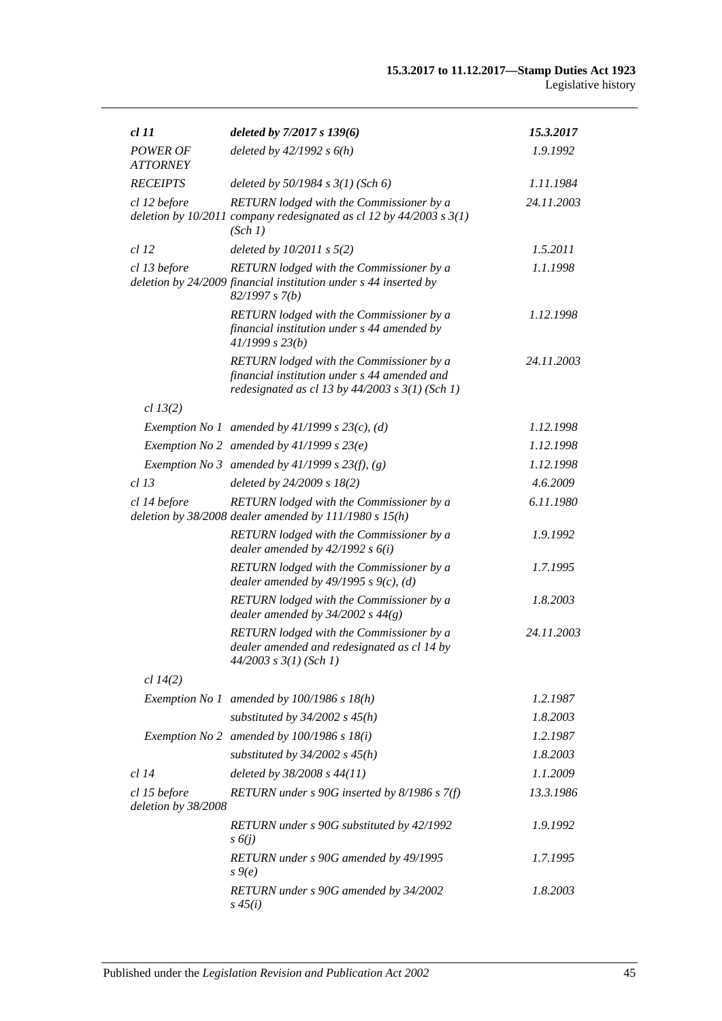| <i>cl 11</i>                        | deleted by $7/2017 s 139(6)$                                                                                                                    | 15.3.2017  |
|-------------------------------------|-------------------------------------------------------------------------------------------------------------------------------------------------|------------|
| <b>POWER OF</b><br><b>ATTORNEY</b>  | deleted by $42/1992 s 6(h)$                                                                                                                     | 1.9.1992   |
| <b>RECEIPTS</b>                     | deleted by $50/1984$ s $3(1)$ (Sch 6)                                                                                                           | 1.11.1984  |
| cl 12 before                        | RETURN lodged with the Commissioner by a<br>deletion by $10/2011$ company redesignated as cl 12 by $44/2003$ s $3(1)$<br>(Sch 1)                | 24.11.2003 |
| <i>cl</i> 12                        | deleted by $10/2011$ s $5(2)$                                                                                                                   | 1.5.2011   |
| cl 13 before                        | RETURN lodged with the Commissioner by a<br>deletion by 24/2009 financial institution under s 44 inserted by<br>82/1997 s 7(b)                  | 1.1.1998   |
|                                     | RETURN lodged with the Commissioner by a<br>financial institution under s 44 amended by<br>41/1999 s 23(b)                                      | 1.12.1998  |
|                                     | RETURN lodged with the Commissioner by a<br>financial institution under s 44 amended and<br>redesignated as cl 13 by $44/2003$ s $3(1)$ (Sch 1) | 24.11.2003 |
| cl 13(2)                            |                                                                                                                                                 |            |
|                                     | Exemption No 1 amended by $41/1999$ s $23(c)$ , (d)                                                                                             | 1.12.1998  |
|                                     | Exemption No 2 amended by $41/1999 s 23(e)$                                                                                                     | 1.12.1998  |
|                                     | Exemption No 3 amended by $41/1999$ s $23(f)$ , (g)                                                                                             | 1.12.1998  |
| $cl$ 13                             | deleted by 24/2009 s 18(2)                                                                                                                      | 4.6.2009   |
| cl 14 before                        | RETURN lodged with the Commissioner by a<br>deletion by $38/2008$ dealer amended by $111/1980$ s $15(h)$                                        | 6.11.1980  |
|                                     | RETURN lodged with the Commissioner by a<br>dealer amended by $42/1992 s 6(i)$                                                                  | 1.9.1992   |
|                                     | RETURN lodged with the Commissioner by a<br>dealer amended by $49/1995$ s $9(c)$ , (d)                                                          | 1.7.1995   |
|                                     | RETURN lodged with the Commissioner by a<br>dealer amended by $34/2002$ s $44(g)$                                                               | 1.8.2003   |
|                                     | RETURN lodged with the Commissioner by a<br>dealer amended and redesignated as cl 14 by<br>44/2003 s 3(1) (Sch 1)                               | 24.11.2003 |
| cl 14(2)                            |                                                                                                                                                 |            |
|                                     | Exemption No 1 amended by $100/1986$ s $18(h)$                                                                                                  | 1.2.1987   |
|                                     | substituted by $34/2002$ s $45(h)$                                                                                                              | 1.8.2003   |
|                                     | Exemption No 2 amended by $100/1986$ s $18(i)$                                                                                                  | 1.2.1987   |
|                                     | substituted by $34/2002$ s $45(h)$                                                                                                              | 1.8.2003   |
| $cl$ 14                             | deleted by 38/2008 s 44(11)                                                                                                                     | 1.1.2009   |
| cl 15 before<br>deletion by 38/2008 | RETURN under s 90G inserted by 8/1986 s 7(f)                                                                                                    | 13.3.1986  |
|                                     | RETURN under s 90G substituted by 42/1992<br>$s\delta(j)$                                                                                       | 1.9.1992   |
|                                     | RETURN under s 90G amended by 49/1995<br>$s \theta(e)$                                                                                          | 1.7.1995   |
|                                     | RETURN under s 90G amended by 34/2002<br>$s\,45(i)$                                                                                             | 1.8.2003   |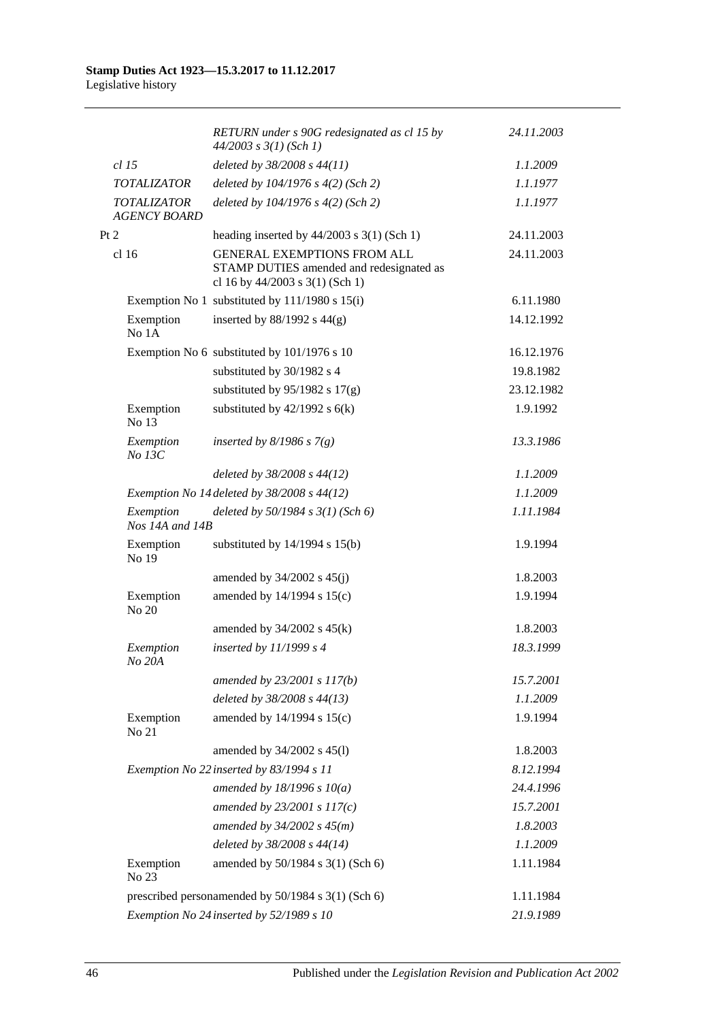|                                                    | RETURN under s 90G redesignated as cl 15 by<br>$44/2003$ s $3(1)$ (Sch 1)                                         | 24.11.2003 |
|----------------------------------------------------|-------------------------------------------------------------------------------------------------------------------|------------|
| $cl$ 15                                            | deleted by 38/2008 s 44(11)                                                                                       | 1.1.2009   |
| <b>TOTALIZATOR</b>                                 | deleted by 104/1976 s 4(2) (Sch 2)                                                                                | 1.1.1977   |
| <b>TOTALIZATOR</b><br><b>AGENCY BOARD</b>          | deleted by $104/1976$ s $4(2)$ (Sch 2)                                                                            | 1.1.1977   |
| Pt 2                                               | heading inserted by $44/2003$ s 3(1) (Sch 1)                                                                      | 24.11.2003 |
| cl <sub>16</sub>                                   | <b>GENERAL EXEMPTIONS FROM ALL</b><br>STAMP DUTIES amended and redesignated as<br>cl 16 by 44/2003 s 3(1) (Sch 1) | 24.11.2003 |
|                                                    | Exemption No 1 substituted by 111/1980 s 15(i)                                                                    | 6.11.1980  |
| Exemption<br>No 1A                                 | inserted by $88/1992$ s $44(g)$                                                                                   | 14.12.1992 |
|                                                    | Exemption No 6 substituted by 101/1976 s 10                                                                       | 16.12.1976 |
|                                                    | substituted by 30/1982 s 4                                                                                        | 19.8.1982  |
|                                                    | substituted by $95/1982$ s $17(g)$                                                                                | 23.12.1982 |
| Exemption<br>No 13                                 | substituted by $42/1992$ s $6(k)$                                                                                 | 1.9.1992   |
| Exemption<br>No 13C                                | inserted by $8/1986$ s $7(g)$                                                                                     | 13.3.1986  |
|                                                    | deleted by 38/2008 s 44(12)                                                                                       | 1.1.2009   |
|                                                    | Exemption No 14 deleted by 38/2008 s 44(12)                                                                       | 1.1.2009   |
| Exemption<br>Nos 14A and 14B                       | deleted by $50/1984$ s $3(1)$ (Sch 6)                                                                             | 1.11.1984  |
| Exemption<br>No 19                                 | substituted by $14/1994$ s $15(b)$                                                                                | 1.9.1994   |
|                                                    | amended by $34/2002$ s $45(j)$                                                                                    | 1.8.2003   |
| Exemption<br>No 20                                 | amended by 14/1994 s 15(c)                                                                                        | 1.9.1994   |
|                                                    | amended by $34/2002$ s $45(k)$                                                                                    | 1.8.2003   |
| Exemption<br>No 20A                                | inserted by $11/1999 s 4$                                                                                         | 18.3.1999  |
|                                                    | amended by 23/2001 s 117(b)                                                                                       | 15.7.2001  |
|                                                    | deleted by 38/2008 s 44(13)                                                                                       | 1.1.2009   |
| Exemption<br>No 21                                 | amended by 14/1994 s 15(c)                                                                                        | 1.9.1994   |
|                                                    | amended by 34/2002 s 45(l)                                                                                        | 1.8.2003   |
|                                                    | Exemption No 22 inserted by 83/1994 s 11                                                                          | 8.12.1994  |
|                                                    | amended by $18/1996 s 10(a)$                                                                                      | 24.4.1996  |
|                                                    | amended by $23/2001 s 117(c)$                                                                                     | 15.7.2001  |
|                                                    | amended by $34/2002 s 45(m)$                                                                                      | 1.8.2003   |
|                                                    | deleted by 38/2008 s 44(14)                                                                                       | 1.1.2009   |
| Exemption<br>No 23                                 | amended by 50/1984 s 3(1) (Sch 6)                                                                                 | 1.11.1984  |
| prescribed personamended by 50/1984 s 3(1) (Sch 6) |                                                                                                                   | 1.11.1984  |
| Exemption No 24 inserted by 52/1989 s 10           | 21.9.1989                                                                                                         |            |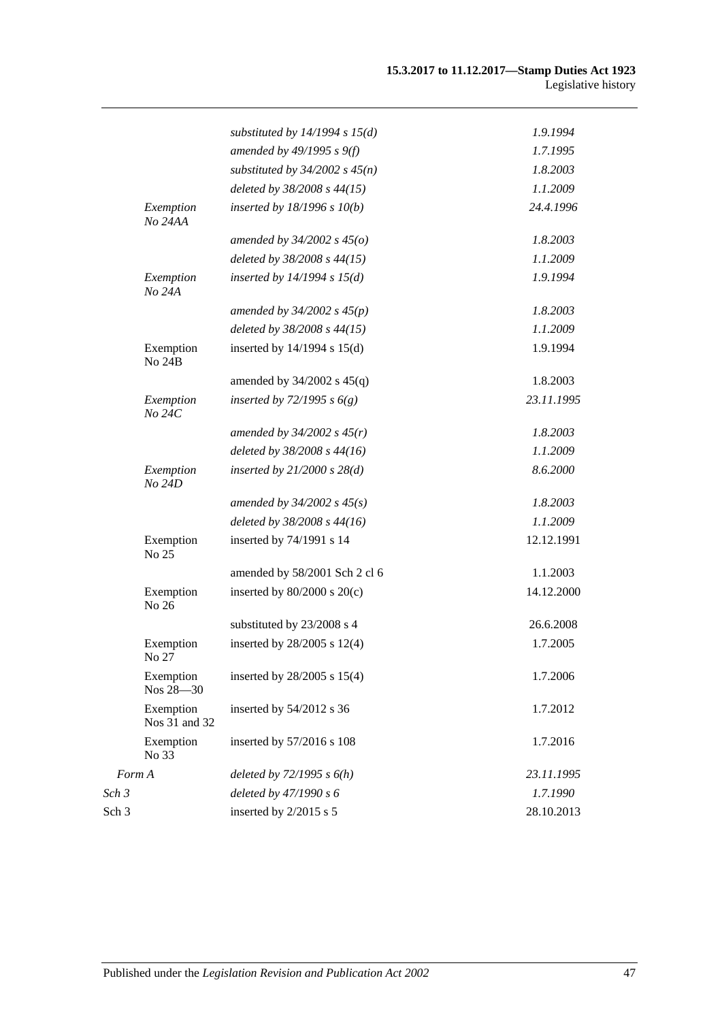|                      |                            | substituted by $14/1994$ s $15(d)$ | 1.9.1994   |
|----------------------|----------------------------|------------------------------------|------------|
|                      |                            | amended by 49/1995 s 9(f)          | 1.7.1995   |
|                      |                            | substituted by $34/2002$ s $45(n)$ | 1.8.2003   |
|                      |                            | deleted by 38/2008 s 44(15)        | 1.1.2009   |
| Exemption<br>No 24AA |                            | inserted by $18/1996 s 10(b)$      | 24.4.1996  |
|                      |                            | amended by $34/2002$ s $45(o)$     | 1.8.2003   |
|                      |                            | deleted by 38/2008 s 44(15)        | 1.1.2009   |
|                      | Exemption<br>No 24A        | inserted by $14/1994$ s $15(d)$    | 1.9.1994   |
|                      |                            | amended by $34/2002$ s $45(p)$     | 1.8.2003   |
|                      |                            | deleted by 38/2008 s 44(15)        | 1.1.2009   |
|                      | Exemption<br><b>No 24B</b> | inserted by 14/1994 s 15(d)        | 1.9.1994   |
|                      |                            | amended by $34/2002$ s $45(q)$     | 1.8.2003   |
| No 24C               | Exemption                  | inserted by $72/1995 s 6(g)$       | 23.11.1995 |
|                      |                            | amended by $34/2002 s 45(r)$       | 1.8.2003   |
|                      |                            | deleted by 38/2008 s 44(16)        | 1.1.2009   |
|                      | Exemption<br>No 24D        | inserted by $21/2000$ s $28(d)$    | 8.6.2000   |
|                      |                            | amended by $34/2002$ s $45(s)$     | 1.8.2003   |
|                      |                            | deleted by 38/2008 s 44(16)        | 1.1.2009   |
|                      | Exemption<br>No 25         | inserted by 74/1991 s 14           | 12.12.1991 |
|                      |                            | amended by 58/2001 Sch 2 cl 6      | 1.1.2003   |
|                      | Exemption<br>No 26         | inserted by $80/2000$ s $20(c)$    | 14.12.2000 |
|                      |                            | substituted by 23/2008 s 4         | 26.6.2008  |
|                      | Exemption<br>No 27         | inserted by 28/2005 s 12(4)        | 1.7.2005   |
|                      | Exemption<br>Nos 28-30     | inserted by 28/2005 s 15(4)        | 1.7.2006   |
|                      | Exemption<br>Nos 31 and 32 | inserted by 54/2012 s 36           | 1.7.2012   |
|                      | Exemption<br>No 33         | inserted by 57/2016 s 108          | 1.7.2016   |
| Form A               |                            | deleted by $72/1995 s 6(h)$        | 23.11.1995 |
| Sch 3                |                            | deleted by 47/1990 s 6             | 1.7.1990   |
| Sch 3                |                            | inserted by 2/2015 s 5             | 28.10.2013 |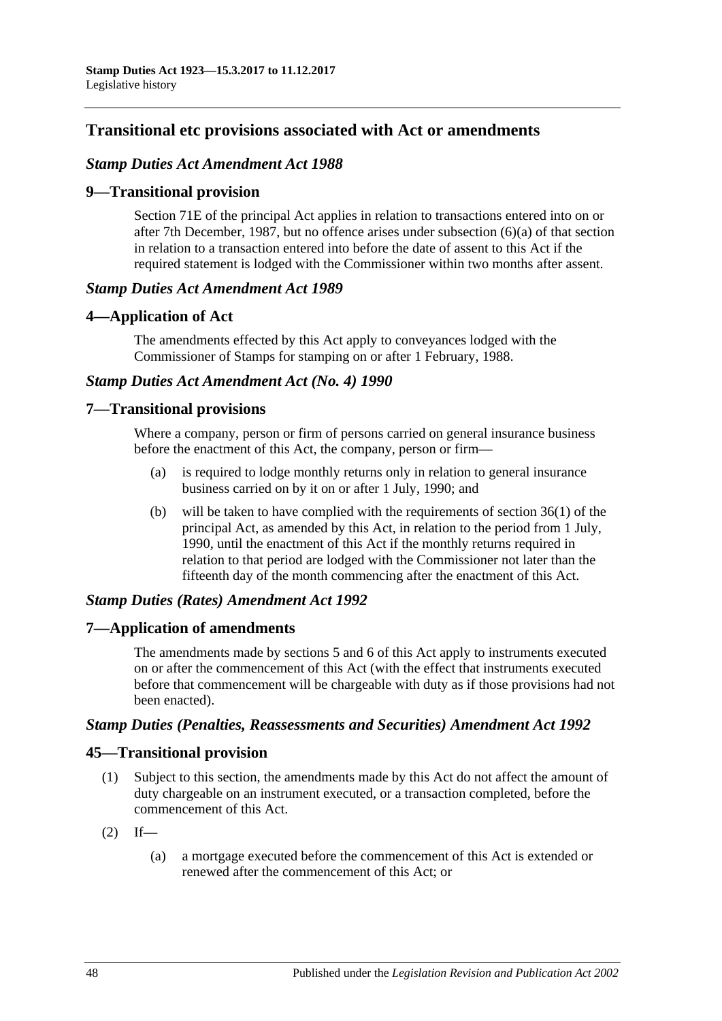# **Transitional etc provisions associated with Act or amendments**

### *Stamp Duties Act Amendment Act 1988*

### **9—Transitional provision**

Section 71E of the principal Act applies in relation to transactions entered into on or after 7th December, 1987, but no offence arises under subsection (6)(a) of that section in relation to a transaction entered into before the date of assent to this Act if the required statement is lodged with the Commissioner within two months after assent.

### *Stamp Duties Act Amendment Act 1989*

### **4—Application of Act**

The amendments effected by this Act apply to conveyances lodged with the Commissioner of Stamps for stamping on or after 1 February, 1988.

### *Stamp Duties Act Amendment Act (No. 4) 1990*

### **7—Transitional provisions**

Where a company, person or firm of persons carried on general insurance business before the enactment of this Act, the company, person or firm—

- (a) is required to lodge monthly returns only in relation to general insurance business carried on by it on or after 1 July, 1990; and
- (b) will be taken to have complied with the requirements of section 36(1) of the principal Act, as amended by this Act, in relation to the period from 1 July, 1990, until the enactment of this Act if the monthly returns required in relation to that period are lodged with the Commissioner not later than the fifteenth day of the month commencing after the enactment of this Act.

### *Stamp Duties (Rates) Amendment Act 1992*

### **7—Application of amendments**

The amendments made by sections 5 and 6 of this Act apply to instruments executed on or after the commencement of this Act (with the effect that instruments executed before that commencement will be chargeable with duty as if those provisions had not been enacted).

#### *Stamp Duties (Penalties, Reassessments and Securities) Amendment Act 1992*

### **45—Transitional provision**

- (1) Subject to this section, the amendments made by this Act do not affect the amount of duty chargeable on an instrument executed, or a transaction completed, before the commencement of this Act.
- $(2)$  If—
	- (a) a mortgage executed before the commencement of this Act is extended or renewed after the commencement of this Act; or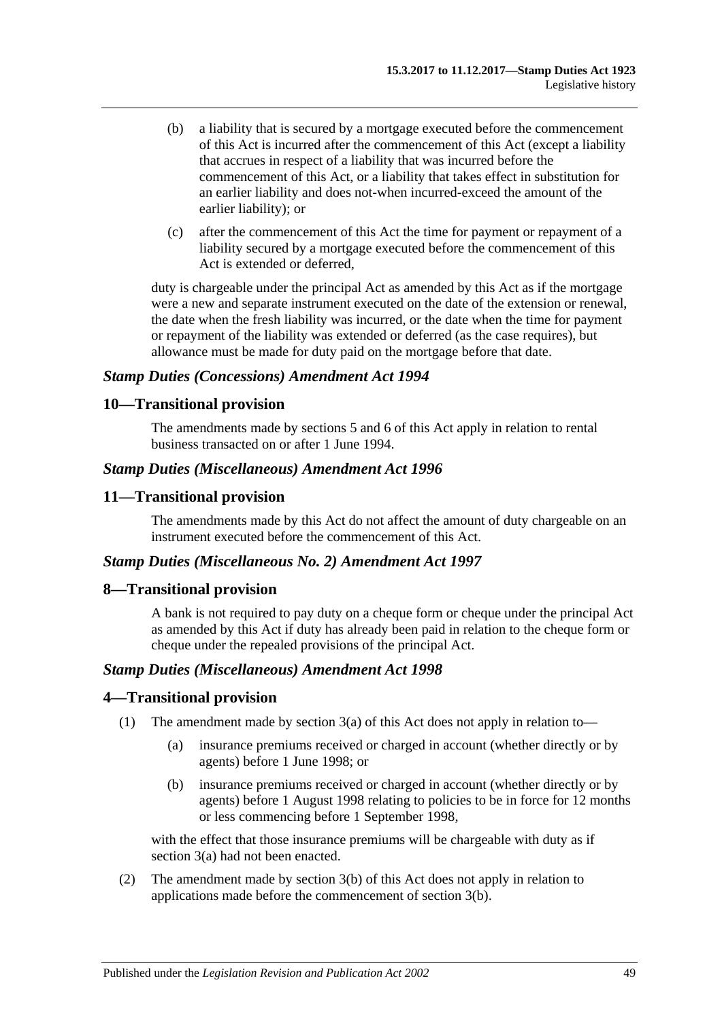- (b) a liability that is secured by a mortgage executed before the commencement of this Act is incurred after the commencement of this Act (except a liability that accrues in respect of a liability that was incurred before the commencement of this Act, or a liability that takes effect in substitution for an earlier liability and does not-when incurred-exceed the amount of the earlier liability); or
- (c) after the commencement of this Act the time for payment or repayment of a liability secured by a mortgage executed before the commencement of this Act is extended or deferred,

duty is chargeable under the principal Act as amended by this Act as if the mortgage were a new and separate instrument executed on the date of the extension or renewal, the date when the fresh liability was incurred, or the date when the time for payment or repayment of the liability was extended or deferred (as the case requires), but allowance must be made for duty paid on the mortgage before that date.

### *Stamp Duties (Concessions) Amendment Act 1994*

### **10—Transitional provision**

The amendments made by sections 5 and 6 of this Act apply in relation to rental business transacted on or after 1 June 1994.

#### *Stamp Duties (Miscellaneous) Amendment Act 1996*

### **11—Transitional provision**

The amendments made by this Act do not affect the amount of duty chargeable on an instrument executed before the commencement of this Act.

#### *Stamp Duties (Miscellaneous No. 2) Amendment Act 1997*

#### **8—Transitional provision**

A bank is not required to pay duty on a cheque form or cheque under the principal Act as amended by this Act if duty has already been paid in relation to the cheque form or cheque under the repealed provisions of the principal Act.

#### *Stamp Duties (Miscellaneous) Amendment Act 1998*

#### **4—Transitional provision**

- (1) The amendment made by section 3(a) of this Act does not apply in relation to—
	- (a) insurance premiums received or charged in account (whether directly or by agents) before 1 June 1998; or
	- (b) insurance premiums received or charged in account (whether directly or by agents) before 1 August 1998 relating to policies to be in force for 12 months or less commencing before 1 September 1998,

with the effect that those insurance premiums will be chargeable with duty as if section 3(a) had not been enacted.

(2) The amendment made by section 3(b) of this Act does not apply in relation to applications made before the commencement of section 3(b).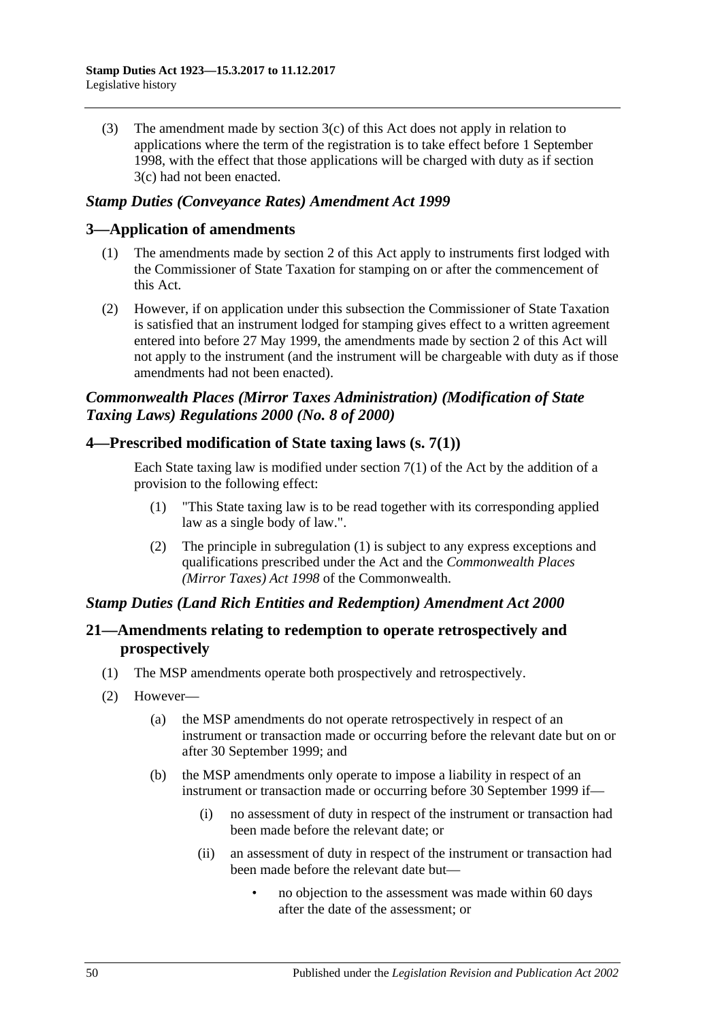(3) The amendment made by section 3(c) of this Act does not apply in relation to applications where the term of the registration is to take effect before 1 September 1998, with the effect that those applications will be charged with duty as if section 3(c) had not been enacted.

### *Stamp Duties (Conveyance Rates) Amendment Act 1999*

### **3—Application of amendments**

- (1) The amendments made by section 2 of this Act apply to instruments first lodged with the Commissioner of State Taxation for stamping on or after the commencement of this Act.
- (2) However, if on application under this subsection the Commissioner of State Taxation is satisfied that an instrument lodged for stamping gives effect to a written agreement entered into before 27 May 1999, the amendments made by section 2 of this Act will not apply to the instrument (and the instrument will be chargeable with duty as if those amendments had not been enacted).

## *Commonwealth Places (Mirror Taxes Administration) (Modification of State Taxing Laws) Regulations 2000 (No. 8 of 2000)*

### **4—Prescribed modification of State taxing laws (s. 7(1))**

Each State taxing law is modified under section  $7(1)$  of the Act by the addition of a provision to the following effect:

- (1) "This State taxing law is to be read together with its corresponding applied law as a single body of law.".
- (2) The principle in subregulation (1) is subject to any express exceptions and qualifications prescribed under the Act and the *Commonwealth Places (Mirror Taxes) Act 1998* of the Commonwealth.

### *Stamp Duties (Land Rich Entities and Redemption) Amendment Act 2000*

### **21—Amendments relating to redemption to operate retrospectively and prospectively**

- (1) The MSP amendments operate both prospectively and retrospectively.
- (2) However—
	- (a) the MSP amendments do not operate retrospectively in respect of an instrument or transaction made or occurring before the relevant date but on or after 30 September 1999; and
	- (b) the MSP amendments only operate to impose a liability in respect of an instrument or transaction made or occurring before 30 September 1999 if—
		- (i) no assessment of duty in respect of the instrument or transaction had been made before the relevant date; or
		- (ii) an assessment of duty in respect of the instrument or transaction had been made before the relevant date but—
			- no objection to the assessment was made within 60 days after the date of the assessment; or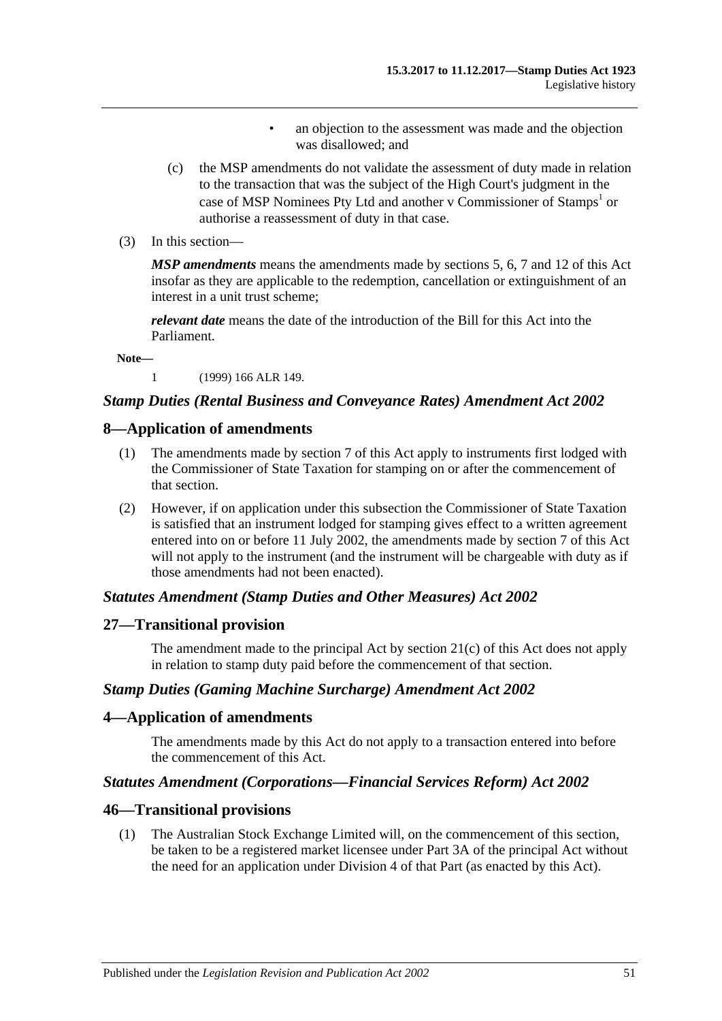- an objection to the assessment was made and the objection was disallowed; and
- (c) the MSP amendments do not validate the assessment of duty made in relation to the transaction that was the subject of the High Court's judgment in the case of MSP Nominees Pty Ltd and another v Commissioner of Stamps<sup>1</sup> or authorise a reassessment of duty in that case.
- (3) In this section—

*MSP amendments* means the amendments made by sections 5, 6, 7 and 12 of this Act insofar as they are applicable to the redemption, cancellation or extinguishment of an interest in a unit trust scheme;

*relevant date* means the date of the introduction of the Bill for this Act into the Parliament.

**Note—**

1 (1999) 166 ALR 149.

#### *Stamp Duties (Rental Business and Conveyance Rates) Amendment Act 2002*

#### **8—Application of amendments**

- (1) The amendments made by section 7 of this Act apply to instruments first lodged with the Commissioner of State Taxation for stamping on or after the commencement of that section.
- (2) However, if on application under this subsection the Commissioner of State Taxation is satisfied that an instrument lodged for stamping gives effect to a written agreement entered into on or before 11 July 2002, the amendments made by section 7 of this Act will not apply to the instrument (and the instrument will be chargeable with duty as if those amendments had not been enacted).

#### *Statutes Amendment (Stamp Duties and Other Measures) Act 2002*

#### **27—Transitional provision**

The amendment made to the principal Act by section 21(c) of this Act does not apply in relation to stamp duty paid before the commencement of that section.

#### *Stamp Duties (Gaming Machine Surcharge) Amendment Act 2002*

#### **4—Application of amendments**

The amendments made by this Act do not apply to a transaction entered into before the commencement of this Act.

#### *Statutes Amendment (Corporations—Financial Services Reform) Act 2002*

#### **46—Transitional provisions**

(1) The Australian Stock Exchange Limited will, on the commencement of this section, be taken to be a registered market licensee under Part 3A of the principal Act without the need for an application under Division 4 of that Part (as enacted by this Act).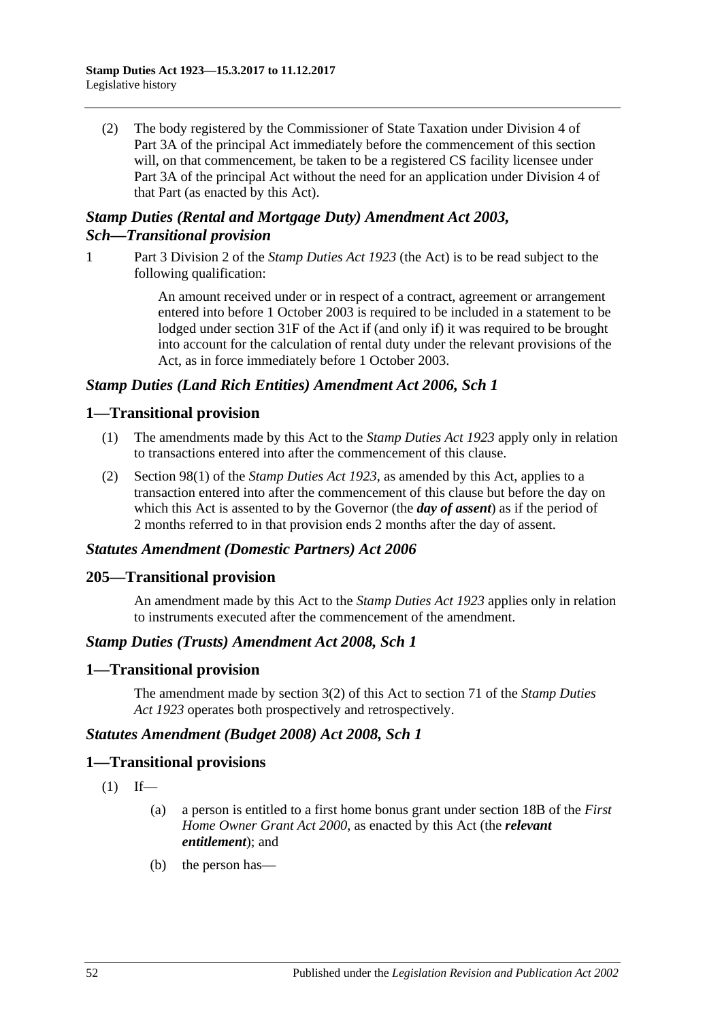(2) The body registered by the Commissioner of State Taxation under Division 4 of Part 3A of the principal Act immediately before the commencement of this section will, on that commencement, be taken to be a registered CS facility licensee under Part 3A of the principal Act without the need for an application under Division 4 of that Part (as enacted by this Act).

## *Stamp Duties (Rental and Mortgage Duty) Amendment Act 2003, Sch—Transitional provision*

1 Part 3 Division 2 of the *[Stamp Duties Act](http://www.legislation.sa.gov.au/index.aspx?action=legref&type=act&legtitle=Stamp%20Duties%20Act%201923) 1923* (the Act) is to be read subject to the following qualification:

> An amount received under or in respect of a contract, agreement or arrangement entered into before 1 October 2003 is required to be included in a statement to be lodged under section 31F of the Act if (and only if) it was required to be brought into account for the calculation of rental duty under the relevant provisions of the Act, as in force immediately before 1 October 2003.

### *Stamp Duties (Land Rich Entities) Amendment Act 2006, Sch 1*

## **1—Transitional provision**

- (1) The amendments made by this Act to the *[Stamp Duties Act](http://www.legislation.sa.gov.au/index.aspx?action=legref&type=act&legtitle=Stamp%20Duties%20Act%201923) 1923* apply only in relation to transactions entered into after the commencement of this clause.
- (2) Section 98(1) of the *[Stamp Duties Act](http://www.legislation.sa.gov.au/index.aspx?action=legref&type=act&legtitle=Stamp%20Duties%20Act%201923) 1923*, as amended by this Act, applies to a transaction entered into after the commencement of this clause but before the day on which this Act is assented to by the Governor (the *day of assent*) as if the period of 2 months referred to in that provision ends 2 months after the day of assent.

### *Statutes Amendment (Domestic Partners) Act 2006*

### **205—Transitional provision**

An amendment made by this Act to the *[Stamp Duties Act](http://www.legislation.sa.gov.au/index.aspx?action=legref&type=act&legtitle=Stamp%20Duties%20Act%201923) 1923* applies only in relation to instruments executed after the commencement of the amendment.

#### *Stamp Duties (Trusts) Amendment Act 2008, Sch 1*

### **1—Transitional provision**

The amendment made by section 3(2) of this Act to section 71 of the *[Stamp Duties](http://www.legislation.sa.gov.au/index.aspx?action=legref&type=act&legtitle=Stamp%20Duties%20Act%201923)  Act [1923](http://www.legislation.sa.gov.au/index.aspx?action=legref&type=act&legtitle=Stamp%20Duties%20Act%201923)* operates both prospectively and retrospectively.

### *Statutes Amendment (Budget 2008) Act 2008, Sch 1*

#### **1—Transitional provisions**

- $(1)$  If—
	- (a) a person is entitled to a first home bonus grant under section 18B of the *[First](http://www.legislation.sa.gov.au/index.aspx?action=legref&type=act&legtitle=First%20Home%20Owner%20Grant%20Act%202000)  [Home Owner Grant Act](http://www.legislation.sa.gov.au/index.aspx?action=legref&type=act&legtitle=First%20Home%20Owner%20Grant%20Act%202000) 2000*, as enacted by this Act (the *relevant entitlement*); and
	- (b) the person has—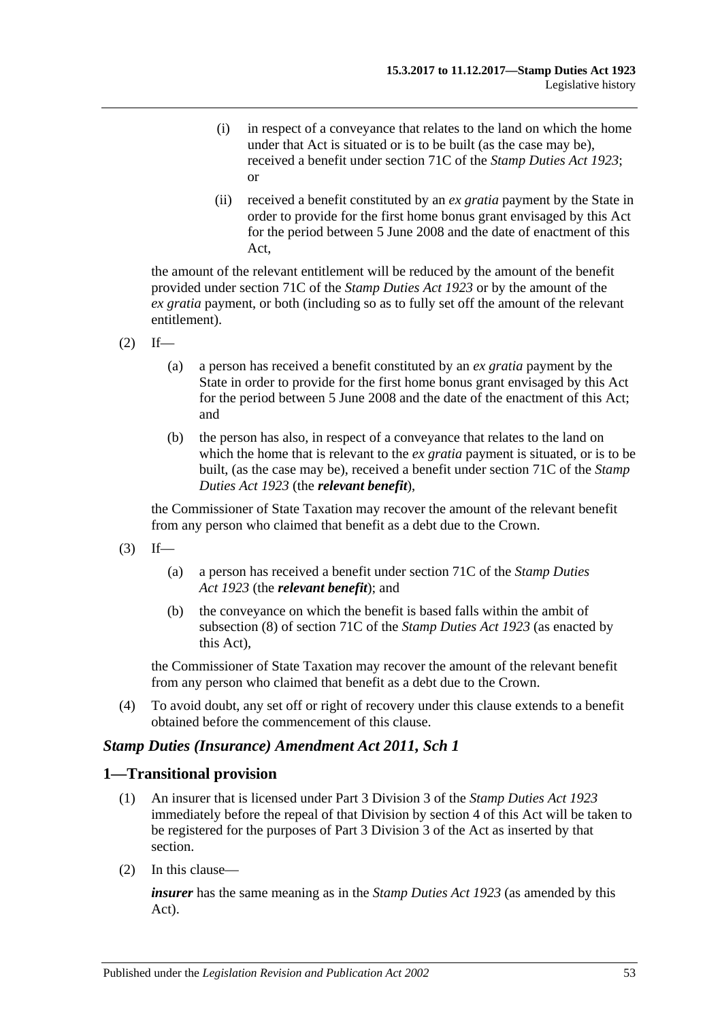- (i) in respect of a conveyance that relates to the land on which the home under that Act is situated or is to be built (as the case may be), received a benefit under section 71C of the *[Stamp Duties Act](http://www.legislation.sa.gov.au/index.aspx?action=legref&type=act&legtitle=Stamp%20Duties%20Act%201923) 1923*; or
- (ii) received a benefit constituted by an *ex gratia* payment by the State in order to provide for the first home bonus grant envisaged by this Act for the period between 5 June 2008 and the date of enactment of this Act,

the amount of the relevant entitlement will be reduced by the amount of the benefit provided under section 71C of the *[Stamp Duties Act](http://www.legislation.sa.gov.au/index.aspx?action=legref&type=act&legtitle=Stamp%20Duties%20Act%201923) 1923* or by the amount of the *ex gratia* payment, or both (including so as to fully set off the amount of the relevant entitlement).

- $(2)$  If—
	- (a) a person has received a benefit constituted by an *ex gratia* payment by the State in order to provide for the first home bonus grant envisaged by this Act for the period between 5 June 2008 and the date of the enactment of this Act; and
	- (b) the person has also, in respect of a conveyance that relates to the land on which the home that is relevant to the *ex gratia* payment is situated, or is to be built, (as the case may be), received a benefit under section 71C of the *[Stamp](http://www.legislation.sa.gov.au/index.aspx?action=legref&type=act&legtitle=Stamp%20Duties%20Act%201923)  [Duties Act](http://www.legislation.sa.gov.au/index.aspx?action=legref&type=act&legtitle=Stamp%20Duties%20Act%201923) 1923* (the *relevant benefit*),

the Commissioner of State Taxation may recover the amount of the relevant benefit from any person who claimed that benefit as a debt due to the Crown.

- $(3)$  If—
	- (a) a person has received a benefit under section 71C of the *[Stamp Duties](http://www.legislation.sa.gov.au/index.aspx?action=legref&type=act&legtitle=Stamp%20Duties%20Act%201923)  Act [1923](http://www.legislation.sa.gov.au/index.aspx?action=legref&type=act&legtitle=Stamp%20Duties%20Act%201923)* (the *relevant benefit*); and
	- (b) the conveyance on which the benefit is based falls within the ambit of subsection (8) of section 71C of the *[Stamp Duties Act](http://www.legislation.sa.gov.au/index.aspx?action=legref&type=act&legtitle=Stamp%20Duties%20Act%201923) 1923* (as enacted by this Act),

the Commissioner of State Taxation may recover the amount of the relevant benefit from any person who claimed that benefit as a debt due to the Crown.

(4) To avoid doubt, any set off or right of recovery under this clause extends to a benefit obtained before the commencement of this clause.

#### *Stamp Duties (Insurance) Amendment Act 2011, Sch 1*

#### **1—Transitional provision**

- (1) An insurer that is licensed under Part 3 Division 3 of the *[Stamp Duties Act](http://www.legislation.sa.gov.au/index.aspx?action=legref&type=act&legtitle=Stamp%20Duties%20Act%201923) 1923* immediately before the repeal of that Division by section 4 of this Act will be taken to be registered for the purposes of Part 3 Division 3 of the Act as inserted by that section.
- (2) In this clause—

*insurer* has the same meaning as in the *[Stamp Duties Act](http://www.legislation.sa.gov.au/index.aspx?action=legref&type=act&legtitle=Stamp%20Duties%20Act%201923) 1923* (as amended by this Act).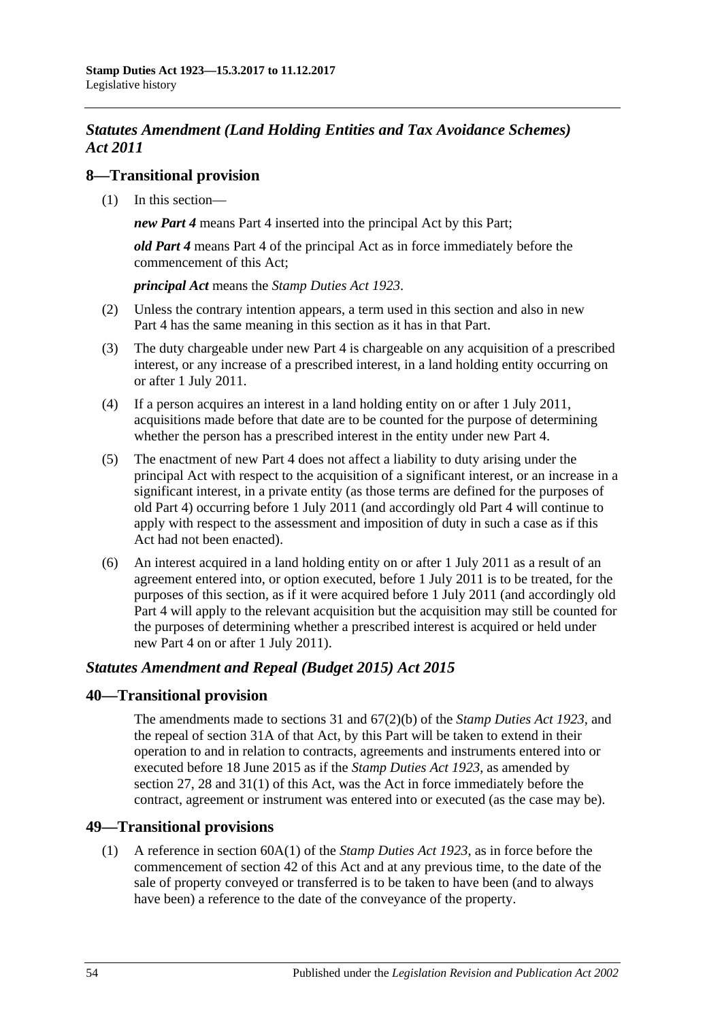# *Statutes Amendment (Land Holding Entities and Tax Avoidance Schemes) Act 2011*

## **8—Transitional provision**

(1) In this section—

*new Part 4* means Part 4 inserted into the principal Act by this Part;

*old Part 4* means Part 4 of the principal Act as in force immediately before the commencement of this Act;

*principal Act* means the *[Stamp Duties Act](http://www.legislation.sa.gov.au/index.aspx?action=legref&type=act&legtitle=Stamp%20Duties%20Act%201923) 1923*.

- (2) Unless the contrary intention appears, a term used in this section and also in new Part 4 has the same meaning in this section as it has in that Part.
- (3) The duty chargeable under new Part 4 is chargeable on any acquisition of a prescribed interest, or any increase of a prescribed interest, in a land holding entity occurring on or after 1 July 2011.
- (4) If a person acquires an interest in a land holding entity on or after 1 July 2011, acquisitions made before that date are to be counted for the purpose of determining whether the person has a prescribed interest in the entity under new Part 4.
- (5) The enactment of new Part 4 does not affect a liability to duty arising under the principal Act with respect to the acquisition of a significant interest, or an increase in a significant interest, in a private entity (as those terms are defined for the purposes of old Part 4) occurring before 1 July 2011 (and accordingly old Part 4 will continue to apply with respect to the assessment and imposition of duty in such a case as if this Act had not been enacted).
- (6) An interest acquired in a land holding entity on or after 1 July 2011 as a result of an agreement entered into, or option executed, before 1 July 2011 is to be treated, for the purposes of this section, as if it were acquired before 1 July 2011 (and accordingly old Part 4 will apply to the relevant acquisition but the acquisition may still be counted for the purposes of determining whether a prescribed interest is acquired or held under new Part 4 on or after 1 July 2011).

### *Statutes Amendment and Repeal (Budget 2015) Act 2015*

### **40—Transitional provision**

The amendments made to sections 31 and 67(2)(b) of the *[Stamp Duties Act](http://www.legislation.sa.gov.au/index.aspx?action=legref&type=act&legtitle=Stamp%20Duties%20Act%201923) 1923*, and the repeal of section 31A of that Act, by this Part will be taken to extend in their operation to and in relation to contracts, agreements and instruments entered into or executed before 18 June 2015 as if the *[Stamp Duties Act](http://www.legislation.sa.gov.au/index.aspx?action=legref&type=act&legtitle=Stamp%20Duties%20Act%201923) 1923*, as amended by section 27, 28 and 31(1) of this Act, was the Act in force immediately before the contract, agreement or instrument was entered into or executed (as the case may be).

## <span id="page-155-0"></span>**49—Transitional provisions**

(1) A reference in section 60A(1) of the *[Stamp Duties Act](http://www.legislation.sa.gov.au/index.aspx?action=legref&type=act&legtitle=Stamp%20Duties%20Act%201923) 1923*, as in force before the commencement of section 42 of this Act and at any previous time, to the date of the sale of property conveyed or transferred is to be taken to have been (and to always have been) a reference to the date of the conveyance of the property.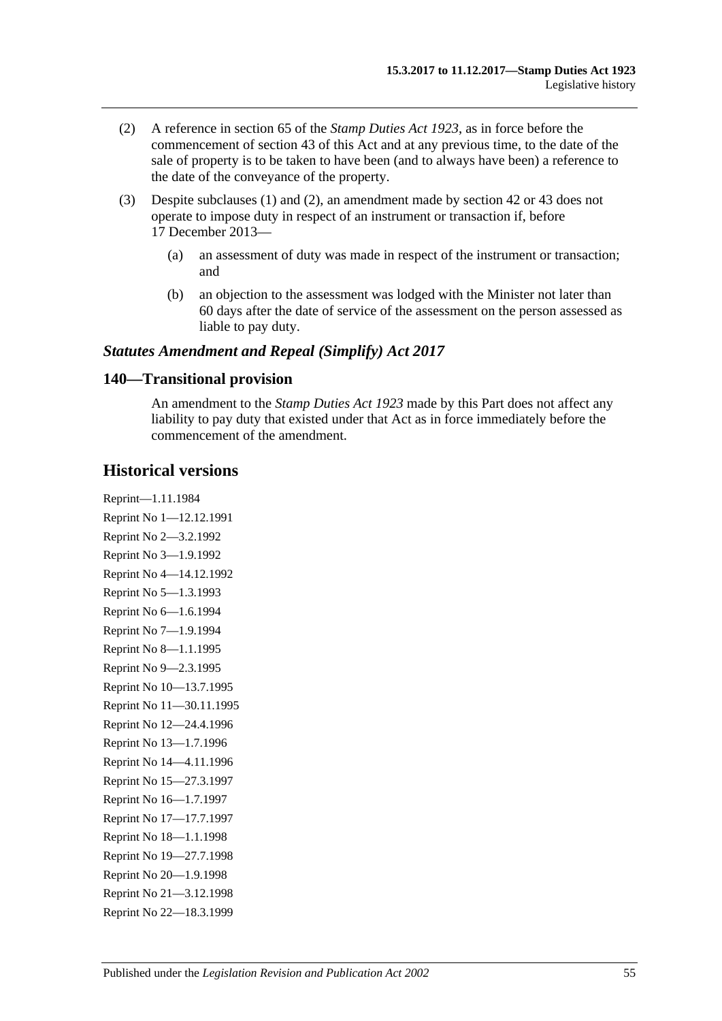- <span id="page-156-0"></span>(2) A reference in section 65 of the *[Stamp Duties Act](http://www.legislation.sa.gov.au/index.aspx?action=legref&type=act&legtitle=Stamp%20Duties%20Act%201923) 1923*, as in force before the commencement of section 43 of this Act and at any previous time, to the date of the sale of property is to be taken to have been (and to always have been) a reference to the date of the conveyance of the property.
- (3) Despite [subclauses](#page-155-0) (1) and [\(2\),](#page-156-0) an amendment made by section 42 or 43 does not operate to impose duty in respect of an instrument or transaction if, before 17 December 2013—
	- (a) an assessment of duty was made in respect of the instrument or transaction; and
	- (b) an objection to the assessment was lodged with the Minister not later than 60 days after the date of service of the assessment on the person assessed as liable to pay duty.

### *Statutes Amendment and Repeal (Simplify) Act 2017*

#### **140—Transitional provision**

An amendment to the *[Stamp Duties Act](http://www.legislation.sa.gov.au/index.aspx?action=legref&type=act&legtitle=Stamp%20Duties%20Act%201923) 1923* made by this Part does not affect any liability to pay duty that existed under that Act as in force immediately before the commencement of the amendment.

### **Historical versions**

Reprint—1.11.1984 Reprint No 1—12.12.1991 Reprint No 2—3.2.1992 Reprint No 3—1.9.1992 Reprint No 4—14.12.1992 Reprint No 5—1.3.1993 Reprint No 6—1.6.1994 Reprint No 7—1.9.1994 Reprint No 8—1.1.1995 Reprint No 9—2.3.1995 Reprint No 10—13.7.1995 Reprint No 11—30.11.1995 Reprint No 12—24.4.1996 Reprint No 13—1.7.1996 Reprint No 14—4.11.1996 Reprint No 15—27.3.1997 Reprint No 16—1.7.1997 Reprint No 17—17.7.1997 Reprint No 18—1.1.1998 Reprint No 19—27.7.1998 Reprint No 20—1.9.1998 Reprint No 21—3.12.1998 Reprint No 22—18.3.1999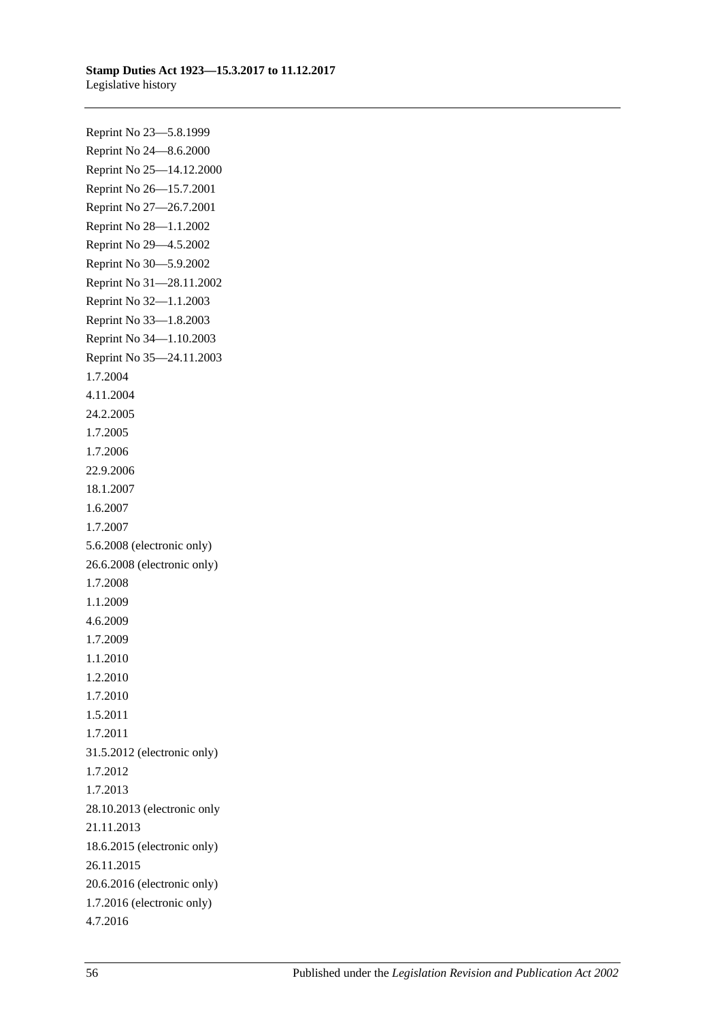Reprint No 23—5.8.1999 Reprint No 24—8.6.2000 Reprint No 25—14.12.2000 Reprint No 26—15.7.2001 Reprint No 27—26.7.2001 Reprint No 28—1.1.2002 Reprint No 29—4.5.2002 Reprint No 30—5.9.2002 Reprint No 31—28.11.2002 Reprint No 32—1.1.2003 Reprint No 33—1.8.2003 Reprint No 34—1.10.2003 Reprint No 35—24.11.2003 1.7.2004 4.11.2004 24.2.2005 1.7.2005 1.7.2006 22.9.2006 18.1.2007 1.6.2007 1.7.2007 5.6.2008 (electronic only) 26.6.2008 (electronic only) 1.7.2008 1.1.2009 4.6.2009 1.7.2009 1.1.2010 1.2.2010 1.7.2010 1.5.2011 1.7.2011 31.5.2012 (electronic only) 1.7.2012 1.7.2013 28.10.2013 (electronic only 21.11.2013 18.6.2015 (electronic only) 26.11.2015 20.6.2016 (electronic only) 1.7.2016 (electronic only) 4.7.2016